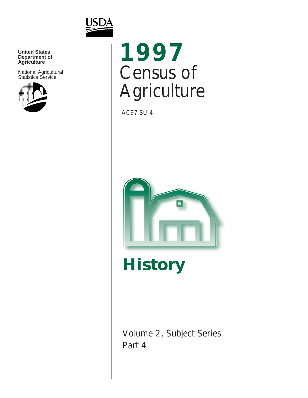

**United States Department of Agriculture**

National Agricultural Statistics Service



**1997** Census of Agriculture

AC97-SU-4





Volume 2, Subject Series Part 4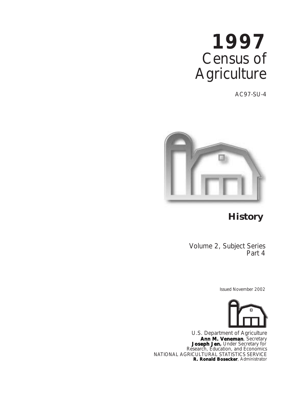

AC97-SU-4



 *History*

 Volume 2, Subject Series Part 4

Issued November 2002



U.S. Department of Agriculture **Ann M. Veneman**, Secretary **Joseph Jen,** Under Secretary for Research, Education, and Economics NATIONAL AGRICULTURAL STATISTICS SERVICE **R. Ronald Bosecker**, Administrator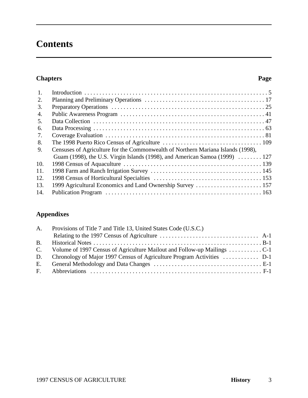# **Contents**

### **Chapters Page**

| 1.  |                                                                                  |  |
|-----|----------------------------------------------------------------------------------|--|
| 2.  |                                                                                  |  |
| 3.  |                                                                                  |  |
| 4.  |                                                                                  |  |
| 5.  |                                                                                  |  |
| 6.  |                                                                                  |  |
| 7.  |                                                                                  |  |
| 8.  |                                                                                  |  |
| 9.  | Censuses of Agriculture for the Commonwealth of Northern Mariana Islands (1998), |  |
|     | Guam (1998), the U.S. Virgin Islands (1998), and American Samoa (1999)  127      |  |
| 10. |                                                                                  |  |
| 11. |                                                                                  |  |
| 12. |                                                                                  |  |
| 13. | 1999 Agricultural Economics and Land Ownership Survey  157                       |  |
| 14. |                                                                                  |  |
|     |                                                                                  |  |

### **Appendixes**

| A. | Provisions of Title 7 and Title 13, United States Code (U.S.C.)           |  |
|----|---------------------------------------------------------------------------|--|
|    |                                                                           |  |
|    |                                                                           |  |
|    |                                                                           |  |
|    | D. Chronology of Major 1997 Census of Agriculture Program Activities  D-1 |  |
|    |                                                                           |  |
|    |                                                                           |  |
|    |                                                                           |  |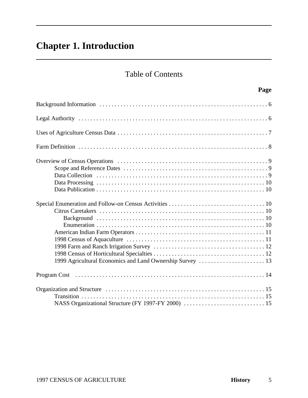# Table of Contents

| Page                                                      |
|-----------------------------------------------------------|
|                                                           |
|                                                           |
|                                                           |
|                                                           |
|                                                           |
| 1999 Agricultural Economics and Land Ownership Survey  13 |
|                                                           |
|                                                           |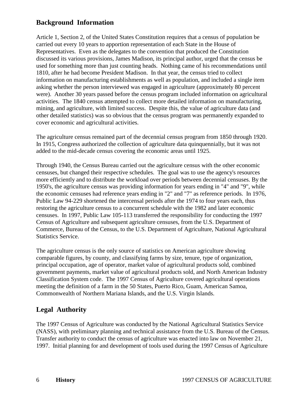### **Background Information**

Article 1, Section 2, of the United States Constitution requires that a census of population be carried out every 10 years to apportion representation of each State in the House of Representatives. Even as the delegates to the convention that produced the Constitution discussed its various provisions, James Madison, its principal author, urged that the census be used for something more than just counting heads. Nothing came of his recommendations until 1810, after he had become President Madison. In that year, the census tried to collect information on manufacturing establishments as well as population, and included a single item asking whether the person interviewed was engaged in agriculture (approximately 80 percent were). Another 30 years passed before the census program included information on agricultural activities. The 1840 census attempted to collect more detailed information on manufacturing, mining, and agriculture, with limited success. Despite this, the value of agriculture data (and other detailed statistics) was so obvious that the census program was permanently expanded to cover economic and agricultural activities.

The agriculture census remained part of the decennial census program from 1850 through 1920. In 1915, Congress authorized the collection of agriculture data quinquennially, but it was not added to the mid-decade census covering the economic areas until 1925.

Through 1940, the Census Bureau carried out the agriculture census with the other economic censuses, but changed their respective schedules. The goal was to use the agency's resources more efficiently and to distribute the workload over periods between decennial censuses. By the 1950's, the agriculture census was providing information for years ending in "4" and "9", while the economic censuses had reference years ending in "2" and "7" as reference periods. In 1976, Public Law 94-229 shortened the intercensal periods after the 1974 to four years each, thus restoring the agriculture census to a concurrent schedule with the 1982 and later economic censuses. In 1997, Public Law 105-113 transferred the responsibility for conducting the 1997 Census of Agriculture and subsequent agriculture censuses, from the U.S. Department of Commerce, Bureau of the Census, to the U.S. Department of Agriculture, National Agricultural Statistics Service.

The agriculture census is the only source of statistics on American agriculture showing comparable figures, by county, and classifying farms by size, tenure, type of organization, principal occupation, age of operator, market value of agricultural products sold, combined government payments, market value of agricultural products sold, and North American Industry Classification System code. The 1997 Census of Agriculture covered agricultural operations meeting the definition of a farm in the 50 States, Puerto Rico, Guam, American Samoa, Commonwealth of Northern Mariana Islands, and the U.S. Virgin Islands.

### **Legal Authority**

The 1997 Census of Agriculture was conducted by the National Agricultural Statistics Service (NASS), with preliminary planning and technical assistance from the U.S. Bureau of the Census. Transfer authority to conduct the census of agriculture was enacted into law on November 21, 1997. Initial planning for and development of tools used during the 1997 Census of Agriculture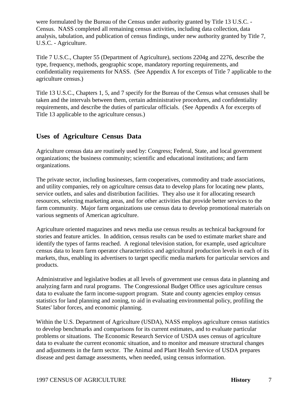were formulated by the Bureau of the Census under authority granted by Title 13 U.S.C. - Census. NASS completed all remaining census activities, including data collection, data analysis, tabulation, and publication of census findings, under new authority granted by Title 7, U.S.C. - Agriculture.

Title 7 U.S.C., Chapter 55 (Department of Agriculture), sections 2204g and 2276, describe the type, frequency, methods, geographic scope, mandatory reporting requirements, and confidentiality requirements for NASS. (See Appendix A for excerpts of Title 7 applicable to the agriculture census.)

Title 13 U.S.C., Chapters 1, 5, and 7 specify for the Bureau of the Census what censuses shall be taken and the intervals between them, certain administrative procedures, and confidentiality requirements, and describe the duties of particular officials. (See Appendix A for excerpts of Title 13 applicable to the agriculture census.)

### **Uses of Agriculture Census Data**

Agriculture census data are routinely used by: Congress; Federal, State, and local government organizations; the business community; scientific and educational institutions; and farm organizations.

The private sector, including businesses, farm cooperatives, commodity and trade associations, and utility companies, rely on agriculture census data to develop plans for locating new plants, service outlets, and sales and distribution facilities. They also use it for allocating research resources, selecting marketing areas, and for other activities that provide better services to the farm community. Major farm organizations use census data to develop promotional materials on various segments of American agriculture.

Agriculture oriented magazines and news media use census results as technical background for stories and feature articles. In addition, census results can be used to estimate market share and identify the types of farms reached. A regional television station, for example, used agriculture census data to learn farm operator characteristics and agricultural production levels in each of its markets, thus, enabling its advertisers to target specific media markets for particular services and products.

Administrative and legislative bodies at all levels of government use census data in planning and analyzing farm and rural programs. The Congressional Budget Office uses agriculture census data to evaluate the farm income-support program. State and county agencies employ census statistics for land planning and zoning, to aid in evaluating environmental policy, profiling the States' labor forces, and economic planning.

Within the U.S. Department of Agriculture (USDA), NASS employs agriculture census statistics to develop benchmarks and comparisons for its current estimates, and to evaluate particular problems or situations. The Economic Research Service of USDA uses census of agriculture data to evaluate the current economic situation, and to monitor and measure structural changes and adjustments in the farm sector. The Animal and Plant Health Service of USDA prepares disease and pest damage assessments, when needed, using census information.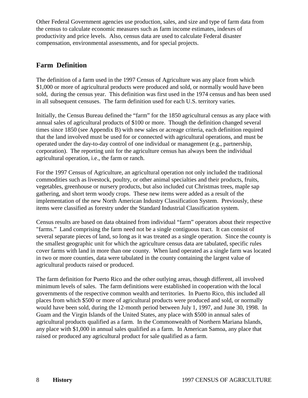Other Federal Government agencies use production, sales, and size and type of farm data from the census to calculate economic measures such as farm income estimates, indexes of productivity and price levels. Also, census data are used to calculate Federal disaster compensation, environmental assessments, and for special projects.

### **Farm Definition**

The definition of a farm used in the 1997 Census of Agriculture was any place from which \$1,000 or more of agricultural products were produced and sold, or normally would have been sold, during the census year. This definition was first used in the 1974 census and has been used in all subsequent censuses. The farm definition used for each U.S. territory varies.

Initially, the Census Bureau defined the "farm" for the 1850 agricultural census as any place with annual sales of agricultural products of \$100 or more. Though the definition changed several times since 1850 (see Appendix B) with new sales or acreage criteria, each definition required that the land involved must be used for or connected with agricultural operations, and must be operated under the day-to-day control of one individual or management (e.g., partnership, corporation). The reporting unit for the agriculture census has always been the individual agricultural operation, i.e., the farm or ranch.

For the 1997 Census of Agriculture, an agricultural operation not only included the traditional commodities such as livestock, poultry, or other animal specialties and their products, fruits, vegetables, greenhouse or nursery products, but also included cut Christmas trees, maple sap gathering, and short term woody crops. These new items were added as a result of the implementation of the new North American Industry Classification System. Previously, these items were classified as forestry under the Standard Industrial Classification system.

Census results are based on data obtained from individual "farm" operators about their respective "farms." Land comprising the farm need not be a single contiguous tract. It can consist of several separate pieces of land, so long as it was treated as a single operation. Since the county is the smallest geographic unit for which the agriculture census data are tabulated, specific rules cover farms with land in more than one county. When land operated as a single farm was located in two or more counties, data were tabulated in the county containing the largest value of agricultural products raised or produced.

The farm definition for Puerto Rico and the other outlying areas, though different, all involved minimum levels of sales. The farm definitions were established in cooperation with the local governments of the respective common wealth and territories. In Puerto Rico, this included all places from which \$500 or more of agricultural products were produced and sold, or normally would have been sold, during the 12-month period between July 1, 1997, and June 30, 1998. In Guam and the Virgin Islands of the United States, any place with \$500 in annual sales of agricultural products qualified as a farm. In the Commonwealth of Northern Mariana Islands, any place with \$1,000 in annual sales qualified as a farm. In American Samoa, any place that raised or produced any agricultural product for sale qualified as a farm.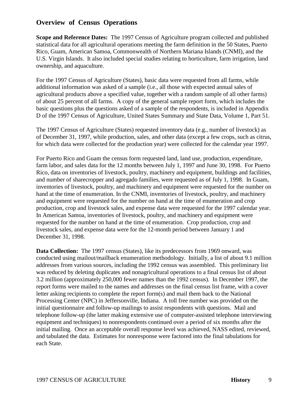### **Overview of Census Operations**

**Scope and Reference Dates:** The 1997 Census of Agriculture program collected and published statistical data for all agricultural operations meeting the farm definition in the 50 States, Puerto Rico, Guam, American Samoa, Commonwealth of Northern Mariana Islands (CNMI), and the U.S. Virgin Islands. It also included special studies relating to horticulture, farm irrigation, land ownership, and aquaculture.

For the 1997 Census of Agriculture (States), basic data were requested from all farms, while additional information was asked of a sample (i.e., all those with expected annual sales of agricultural products above a specified value, together with a random sample of all other farms) of about 25 percent of all farms. A copy of the general sample report form, which includes the basic questions plus the questions asked of a sample of the respondents, is included in Appendix D of the 1997 Census of Agriculture, United States Summary and State Data, Volume 1, Part 51.

The 1997 Census of Agriculture (States) requested inventory data (e.g., number of livestock) as of December 31, 1997, while production, sales, and other data (except a few crops, such as citrus, for which data were collected for the production year) were collected for the calendar year 1997.

For Puerto Rico and Guam the census form requested land, land use, production, expenditure, farm labor, and sales data for the 12 months between July 1, 1997 and June 30, 1998. For Puerto Rico, data on inventories of livestock, poultry, machinery and equipment, buildings and facilities, and number of sharecropper and agregado families, were requested as of July 1, 1998. In Guam, inventories of livestock, poultry, and machinery and equipment were requested for the number on hand at the time of enumeration. In the CNMI, inventories of livestock, poultry, and machinery and equipment were requested for the number on hand at the time of enumeration and crop production, crop and livestock sales, and expense data were requested for the 1997 calendar year. In American Samoa, inventories of livestock, poultry, and machinery and equipment were requested for the number on hand at the time of enumeration. Crop production, crop and livestock sales, and expense data were for the 12-month period between January 1 and December 31, 1998.

**Data Collection:** The 1997 census (States), like its predecessors from 1969 onward, was conducted using mailout/mailback enumeration methodology. Initially, a list of about 9.1 million addresses from various sources, including the 1992 census was assembled. This preliminary list was reduced by deleting duplicates and nonagricultural operations to a final census list of about 3.2 million (approximately 250,000 fewer names than the 1992 census). In December 1997, the report forms were mailed to the names and addresses on the final census list frame, with a cover letter asking recipients to complete the report form(s) and mail them back to the National Processing Center (NPC) in Jeffersonville, Indiana. A toll free number was provided on the initial questionnaire and follow-up mailings to assist respondents with questions. Mail and telephone follow-up (the latter making extensive use of computer-assisted telephone interviewing equipment and techniques) to nonrespondents continued over a period of six months after the initial mailing. Once an acceptable overall response level was achieved, NASS edited, reviewed, and tabulated the data. Estimates for nonresponse were factored into the final tabulations for each State.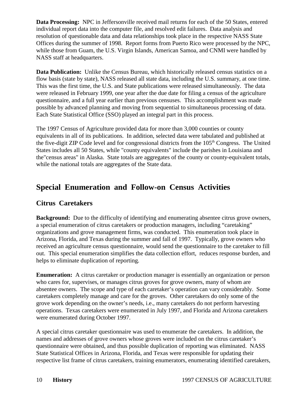**Data Processing:** NPC in Jeffersonville received mail returns for each of the 50 States, entered individual report data into the computer file, and resolved edit failures. Data analysis and resolution of questionable data and data relationships took place in the respective NASS State Offices during the summer of 1998. Report forms from Puerto Rico were processed by the NPC, while those from Guam, the U.S. Virgin Islands, American Samoa, and CNMI were handled by NASS staff at headquarters.

**Data Publication:** Unlike the Census Bureau, which historically released census statistics on a flow basis (state by state), NASS released all state data, including the U.S. summary, at one time. This was the first time, the U.S. and State publications were released simultaneously. The data were released in February 1999, one year after the due date for filing a census of the agriculture questionnaire, and a full year earlier than previous censuses. This accomplishment was made possible by advanced planning and moving from sequential to simultaneous processing of data. Each State Statistical Office (SSO) played an integral part in this process.

The 1997 Census of Agriculture provided data for more than 3,000 counties or county equivalents in all of its publications. In addition, selected data were tabulated and published at the five-digit ZIP Code level and for congressional districts from the 105<sup>th</sup> Congress. The United States includes all 50 States, while "county equivalents" include the parishes in Louisiana and the"census areas" in Alaska. State totals are aggregates of the county or county-equivalent totals, while the national totals are aggregates of the State data.

### **Special Enumeration and Follow-on Census Activities**

### **Citrus Caretakers**

**Background:** Due to the difficulty of identifying and enumerating absentee citrus grove owners, a special enumeration of citrus caretakers or production managers, including "caretaking" organizations and grove management firms, was conducted. This enumeration took place in Arizona, Florida, and Texas during the summer and fall of 1997. Typically, grove owners who received an agriculture census questionnaire, would send the questionnaire to the caretaker to fill out. This special enumeration simplifies the data collection effort, reduces response burden, and helps to eliminate duplication of reporting.

**Enumeration:** A citrus caretaker or production manager is essentially an organization or person who cares for, supervises, or manages citrus groves for grove owners, many of whom are absentee owners. The scope and type of each caretaker's operation can vary considerably. Some caretakers completely manage and care for the groves. Other caretakers do only some of the grove work depending on the owner's needs, i.e., many caretakers do not perform harvesting operations. Texas caretakers were enumerated in July 1997, and Florida and Arizona caretakers were enumerated during October 1997.

A special citrus caretaker questionnaire was used to enumerate the caretakers. In addition, the names and addresses of grove owners whose groves were included on the citrus caretaker's questionnaire were obtained, and thus possible duplication of reporting was eliminated. NASS State Statistical Offices in Arizona, Florida, and Texas were responsible for updating their respective list frame of citrus caretakers, training enumerators, enumerating identified caretakers,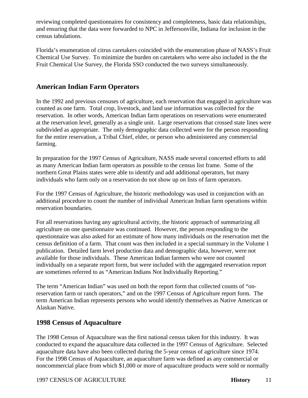reviewing completed questionnaires for consistency and completeness, basic data relationships, and ensuring that the data were forwarded to NPC in Jeffersonville, Indiana for inclusion in the census tabulations.

Florida's enumeration of citrus caretakers coincided with the enumeration phase of NASS's Fruit Chemical Use Survey. To minimize the burden on caretakers who were also included in the the Fruit Chemical Use Survey, the Florida SSO conducted the two surveys simultaneously.

### **American Indian Farm Operators**

In the 1992 and previous censuses of agriculture, each reservation that engaged in agriculture was counted as one farm. Total crop, livestock, and land use information was collected for the reservation. In other words, American Indian farm operations on reservations were enumerated at the reservation level, generally as a single unit. Large reservations that crossed state lines were subdivided as appropriate. The only demographic data collected were for the person responding for the entire reservation, a Tribal Chief, elder, or person who administered any commercial farming.

In preparation for the 1997 Census of Agriculture, NASS made several concerted efforts to add as many American Indian farm operators as possible to the census list frame. Some of the northern Great Plains states were able to identify and add additional operators, but many individuals who farm only on a reservation do not show up on lists of farm operators.

For the 1997 Census of Agriculture, the historic methodology was used in conjunction with an additional procedure to count the number of individual American Indian farm operations within reservation boundaries.

For all reservations having any agricultural activity, the historic approach of summarizing all agriculture on one questionnaire was continued. However, the person responding to the questionnaire was also asked for an estimate of how many individuals on the reservation met the census definition of a farm. That count was then included in a special summary in the Volume 1 publication. Detailed farm level production data and demographic data, however, were not available for those individuals. These American Indian farmers who were not counted individually on a separate report form, but were included with the aggregated reservation report are sometimes referred to as "American Indians Not Individually Reporting."

The term "American Indian" was used on both the report form that collected counts of "onreservation farm or ranch operators," and on the 1997 Census of Agriculture report form. The term American Indian represents persons who would identify themselves as Native American or Alaskan Native.

### **1998 Census of Aquaculture**

The 1998 Census of Aquaculture was the first national census taken for this industry. It was conducted to expand the aquaculture data collected in the 1997 Census of Agriculture. Selected aquaculture data have also been collected during the 5-year census of agriculture since 1974. For the 1998 Census of Aquaculture, an aquaculture farm was defined as any commercial or noncommercial place from which \$1,000 or more of aquaculture products were sold or normally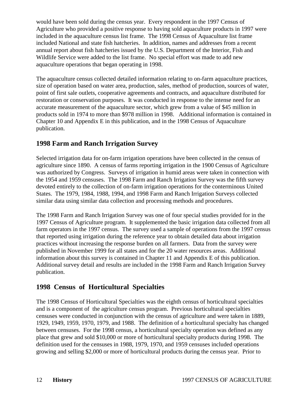would have been sold during the census year. Every respondent in the 1997 Census of Agriculture who provided a positive response to having sold aquaculture products in 1997 were included in the aquaculture census list frame. The 1998 Census of Aquaculture list frame included National and state fish hatcheries. In addition, names and addresses from a recent annual report about fish hatcheries issued by the U.S. Department of the Interior, Fish and Wildlife Service were added to the list frame. No special effort was made to add new aquaculture operations that began operating in 1998.

The aquaculture census collected detailed information relating to on-farm aquaculture practices, size of operation based on water area, production, sales, method of production, sources of water, point of first sale outlets, cooperative agreements and contracts, and aquaculture distributed for restoration or conservation purposes. It was conducted in response to the intense need for an accurate measurement of the aquaculture sector, which grew from a value of \$45 million in products sold in 1974 to more than \$978 million in 1998. Additional information is contained in Chapter 10 and Appendix E in this publication, and in the 1998 Census of Aquaculture publication.

### **1998 Farm and Ranch Irrigation Survey**

Selected irrigation data for on-farm irrigation operations have been collected in the census of agriculture since 1890. A census of farms reporting irrigation in the 1900 Census of Agriculture was authorized by Congress. Surveys of irrigation in humid areas were taken in connection with the 1954 and 1959 censuses. The 1998 Farm and Ranch Irrigation Survey was the fifth survey devoted entirely to the collection of on-farm irrigation operations for the conterminous United States. The 1979, 1984, 1988, 1994, and 1998 Farm and Ranch Irrigation Surveys collected similar data using similar data collection and processing methods and procedures.

The 1998 Farm and Ranch Irrigation Survey was one of four special studies provided for in the 1997 Census of Agriculture program. It supplemented the basic irrigation data collected from all farm operators in the 1997 census. The survey used a sample of operations from the 1997 census that reported using irrigation during the reference year to obtain detailed data about irrigation practices without increasing the response burden on all farmers. Data from the survey were published in November 1999 for all states and for the 20 water resources areas. Additional information about this survey is contained in Chapter 11 and Appendix E of this publication. Additional survey detail and results are included in the 1998 Farm and Ranch Irrigation Survey publication.

### **1998 Census of Horticultural Specialties**

The 1998 Census of Horticultural Specialties was the eighth census of horticultural specialties and is a component of the agriculture census program. Previous horticultural specialties censuses were conducted in conjunction with the census of agriculture and were taken in 1889, 1929, 1949, 1959, 1970, 1979, and 1988. The definition of a horticultural specialty has changed between censuses. For the 1998 census, a horticultural specialty operation was defined as any place that grew and sold \$10,000 or more of horticultural specialty products during 1998. The definition used for the censuses in 1988, 1979, 1970, and 1959 censuses included operations growing and selling \$2,000 or more of horticultural products during the census year. Prior to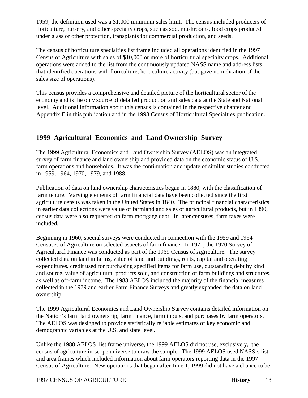1959, the definition used was a \$1,000 minimum sales limit. The census included producers of floriculture, nursery, and other specialty crops, such as sod, mushrooms, food crops produced under glass or other protection, transplants for commercial production, and seeds.

The census of horticulture specialties list frame included all operations identified in the 1997 Census of Agriculture with sales of \$10,000 or more of horticultural specialty crops. Additional operations were added to the list from the continuously updated NASS name and address lists that identified operations with floriculture, horticulture activity (but gave no indication of the sales size of operations).

This census provides a comprehensive and detailed picture of the horticultural sector of the economy and is the only source of detailed production and sales data at the State and National level. Additional information about this census is contained in the respective chapter and Appendix E in this publication and in the 1998 Census of Horticultural Specialties publication.

### **1999 Agricultural Economics and Land Ownership Survey**

The 1999 Agricultural Economics and Land Ownership Survey (AELOS) was an integrated survey of farm finance and land ownership and provided data on the economic status of U.S. farm operations and households. It was the continuation and update of similar studies conducted in 1959, 1964, 1970, 1979, and 1988.

Publication of data on land ownership characteristics began in 1880, with the classification of farm tenure. Varying elements of farm financial data have been collected since the first agriculture census was taken in the United States in 1840. The principal financial characteristics in earlier data collections were value of farmland and sales of agricultural products, but in 1890, census data were also requested on farm mortgage debt. In later censuses, farm taxes were included.

Beginning in 1960, special surveys were conducted in connection with the 1959 and 1964 Censuses of Agriculture on selected aspects of farm finance. In 1971, the 1970 Survey of Agricultural Finance was conducted as part of the 1969 Census of Agriculture. The survey collected data on land in farms, value of land and buildings, rents, capital and operating expenditures, credit used for purchasing specified items for farm use, outstanding debt by kind and source, value of agricultural products sold, and construction of farm buildings and structures, as well as off-farm income. The 1988 AELOS included the majority of the financial measures collected in the 1979 and earlier Farm Finance Surveys and greatly expanded the data on land ownership.

The 1999 Agricultural Economics and Land Ownership Survey contains detailed information on the Nation's farm land ownership, farm finance, farm inputs, and purchases by farm operators. The AELOS was designed to provide statistically reliable estimates of key economic and demographic variables at the U.S. and state level.

Unlike the 1988 AELOS list frame universe, the 1999 AELOS did not use, exclusively, the census of agriculture in-scope universe to draw the sample. The 1999 AELOS used NASS's list and area frames which included information about farm operators reporting data in the 1997 Census of Agriculture. New operations that began after June 1, 1999 did not have a chance to be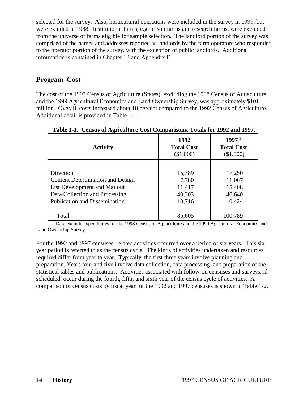selected for the survey. Also, horticultural operations were included in the survey in 1999, but were exluded in 1988. Institutional farms, e.g. prison farms and research farms, were excluded from the universe of farms eligible for sample selection. The landlord portion of the survey was comprised of the names and addresses reported as landlords by the farm operators who responded to the operator portion of the survey, with the exception of public landlords. Additional information is contained in Chapter 13 and Appendix E.

### **Program Cost**

The cost of the 1997 Census of Agriculture (States), excluding the 1998 Census of Aquaculture and the 1999 Agricultural Economics and Land Ownership Survey, was approximately \$101 million. Overall, costs increased about 18 percent compared to the 1992 Census of Agriculture. Additional detail is provided in Table 1-1.

| <b>Activity</b>                                                                                      | 1992<br><b>Total Cost</b><br>(\$1,000) | 1997 <sup>1</sup><br><b>Total Cost</b><br>(\$1,000) |
|------------------------------------------------------------------------------------------------------|----------------------------------------|-----------------------------------------------------|
|                                                                                                      |                                        |                                                     |
| Direction                                                                                            | 15,389                                 | 17,250                                              |
| <b>Content Determination and Design</b>                                                              | 7,780                                  | 11,067                                              |
| List Development and Mailout                                                                         | 11,417                                 | 15,408                                              |
| Data Collection and Processing                                                                       | 40,303                                 | 46,640                                              |
| <b>Publication and Dissemination</b>                                                                 | 10,716                                 | 10,424                                              |
|                                                                                                      |                                        |                                                     |
| Total                                                                                                | 85,605                                 | 100,789                                             |
| Data exclude expenditures for the 1998 Census of Aquaculture and the 1999 Agricultural Economics and |                                        |                                                     |

#### **Table 1-1. Census of Agriculture Cost Comparisons, Totals for 1992 and 1997**.

Land Ownership Survey.

For the 1992 and 1997 censuses, related activities occurred over a period of six years. This six year period is referred to as the census cycle. The kinds of activities undertaken and resources required differ from year to year. Typically, the first three years involve planning and preparation. Years four and five involve data collection, data processing, and preparation of the statistical tables and publications. Activities associated with follow-on censuses and surveys, if scheduled, occur during the fourth, fifth, and sixth year of the census cycle of activities. A comparison of census costs by fiscal year for the 1992 and 1997 censuses is shown in Table 1-2.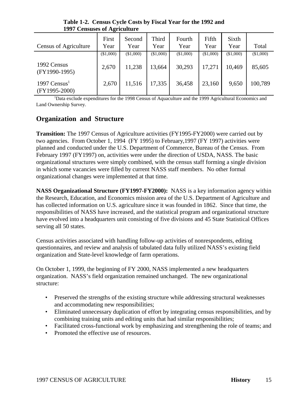| Census of Agriculture             | First<br>Year | Second<br>Year | Third<br>Year | Fourth<br>Year | Fifth<br>Year | Sixth<br>Year | Total       |
|-----------------------------------|---------------|----------------|---------------|----------------|---------------|---------------|-------------|
|                                   | (\$1,000)     | (\$1,000)      | (\$1,000)     | (\$1,000)      | (\$1,000)     | (\$1,000)     | $(\$1,000)$ |
| 1992 Census<br>(FY1990-1995)      | 2,670         | 11,238         | 13,664        | 30,293         | 17,271        | 10,469        | 85,605      |
| 1997 $Census1$<br>$(FY1995-2000)$ | 2,670         | 11,516         | 17,335        | 36,458         | 23,160        | 9,650         | 100,789     |

**Table 1-2. Census Cycle Costs by Fiscal Year for the 1992 and 1997 Censuses of Agriculture**

<sup>1</sup>Data exclude expenditures for the 1998 Census of Aquaculture and the 1999 Agricultural Economics and Land Ownership Survey.

### **Organization and Structure**

**Transition:** The 1997 Census of Agriculture activities (FY1995-FY2000) were carried out by two agencies. From October 1, 1994 (FY 1995) to February,1997 (FY 1997) activities were planned and conducted under the U.S. Department of Commerce, Bureau of the Census. From February 1997 (FY1997) on, activities were under the direction of USDA, NASS. The basic organizational structures were simply combined, with the census staff forming a single division in which some vacancies were filled by current NASS staff members. No other formal organizational changes were implemented at that time.

**NASS Organizational Structure (FY1997-FY2000):** NASS is a key information agency within the Research, Education, and Economics mission area of the U.S. Department of Agriculture and has collected information on U.S. agriculture since it was founded in 1862. Since that time, the responsibilities of NASS have increased, and the statistical program and organizational structure have evolved into a headquarters unit consisting of five divisions and 45 State Statistical Offices serving all 50 states.

Census activities associated with handling follow-up activities of nonrespondents, editing questionnaires, and review and analysis of tabulated data fully utilized NASS's existing field organization and State-level knowledge of farm operations.

On October 1, 1999, the beginning of FY 2000, NASS implemented a new headquarters organization. NASS's field organization remained unchanged. The new organizational structure:

- Preserved the strengths of the existing structure while addressing structural weaknesses and accommodating new responsibilities;
- Eliminated unnecessary duplication of effort by integrating census responsibilities, and by combining training units and editing units that had similar responsibilities;
- Facilitated cross-functional work by emphasizing and strengthening the role of teams; and
- Promoted the effective use of resources.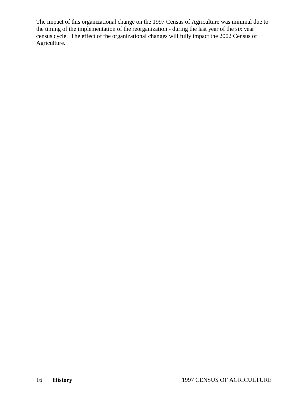The impact of this organizational change on the 1997 Census of Agriculture was minimal due to the timing of the implementation of the reorganization - during the last year of the six year census cycle. The effect of the organizational changes will fully impact the 2002 Census of Agriculture.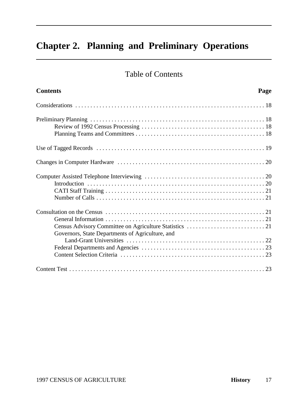# **Chapter 2. Planning and Preliminary Operations**

# Table of Contents

| <b>Contents</b>                                  | Page |
|--------------------------------------------------|------|
|                                                  |      |
|                                                  |      |
|                                                  |      |
|                                                  |      |
|                                                  |      |
| Governors, State Departments of Agriculture, and |      |
|                                                  |      |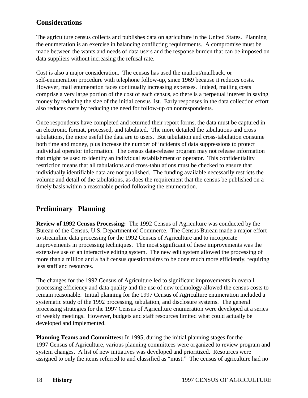### **Considerations**

The agriculture census collects and publishes data on agriculture in the United States. Planning the enumeration is an exercise in balancing conflicting requirements. A compromise must be made between the wants and needs of data users and the response burden that can be imposed on data suppliers without increasing the refusal rate.

Cost is also a major consideration. The census has used the mailout/mailback, or self-enumeration procedure with telephone follow-up, since 1969 because it reduces costs. However, mail enumeration faces continually increasing expenses. Indeed, mailing costs comprise a very large portion of the cost of each census, so there is a perpetual interest in saving money by reducing the size of the initial census list. Early responses in the data collection effort also reduces costs by reducing the need for follow-up on nonrespondents.

Once respondents have completed and returned their report forms, the data must be captured in an electronic format, processed, and tabulated. The more detailed the tabulations and cross tabulations, the more useful the data are to users. But tabulation and cross-tabulation consume both time and money, plus increase the number of incidents of data suppressions to protect individual operator information. The census data-release program may not release information that might be used to identify an individual establishment or operator. This confidentiality restriction means that all tabulations and cross-tabulations must be checked to ensure that individually identifiable data are not published. The funding available necessarily restricts the volume and detail of the tabulations, as does the requirement that the census be published on a timely basis within a reasonable period following the enumeration.

### **Preliminary Planning**

**Review of 1992 Census Processing:** The 1992 Census of Agriculture was conducted by the Bureau of the Census, U.S. Department of Commerce. The Census Bureau made a major effort to streamline data processing for the 1992 Census of Agriculture and to incorporate improvements in processing techniques. The most significant of these improvements was the extensive use of an interactive editing system. The new edit system allowed the processing of more than a million and a half census questionnaires to be done much more efficiently, requiring less staff and resources.

The changes for the 1992 Census of Agriculture led to significant improvements in overall processing efficiency and data quality and the use of new technology allowed the census costs to remain reasonable. Initial planning for the 1997 Census of Agriculture enumeration included a systematic study of the 1992 processing, tabulation, and disclosure systems. The general processing strategies for the 1997 Census of Agriculture enumeration were developed at a series of weekly meetings. However, budgets and staff resources limited what could actually be developed and implemented.

**Planning Teams and Committees:** In 1995, during the initial planning stages for the 1997 Census of Agriculture, various planning committees were organized to review program and system changes. A list of new initiatives was developed and prioritized. Resources were assigned to only the items referred to and classified as "must." The census of agriculture had no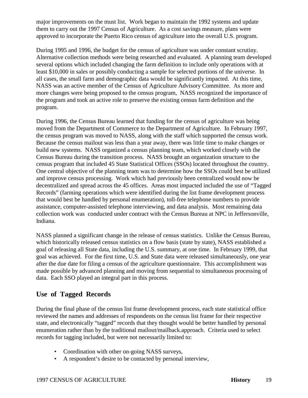major improvements on the must list. Work began to maintain the 1992 systems and update them to carry out the 1997 Census of Agriculture. As a cost savings measure, plans were approved to incorporate the Puerto Rico census of agriculture into the overall U.S. program.

During 1995 and 1996, the budget for the census of agriculture was under constant scrutiny. Alternative collection methods were being researched and evaluated. A planning team developed several options which included changing the farm definition to include only operations with at least \$10,000 in sales or possibly conducting a sample for selected portions of the universe. In all cases, the small farm and demographic data would be significantly impacted. At this time, NASS was an active member of the Census of Agriculture Advisory Committee. As more and more changes were being proposed to the census program, NASS recognized the importance of the program and took an active role to preserve the existing census farm definition and the program.

During 1996, the Census Bureau learned that funding for the census of agriculture was being moved from the Department of Commerce to the Department of Agriculture. In February 1997, the census program was moved to NASS, along with the staff which supported the census work. Because the census mailout was less than a year away, there was little time to make changes or build new systems. NASS organized a census planning team, which worked closely with the Census Bureau during the transition process. NASS brought an organization structure to the census program that included 45 State Statistical Offices (SSOs) located throughout the country. One central objective of the planning team was to determine how the SSOs could best be utilized and improve census processing. Work which had previously been centralized would now be decentralized and spread across the 45 offices. Areas most impacted included the use of "Tagged Records" (farming operations which were identified during the list frame development process that would best be handled by personal enumeration), toll-free telephone numbers to provide assistance, computer-assisted telephone interviewing, and data analysis. Most remaining data collection work was conducted under contract with the Census Bureau at NPC in Jeffersonville, Indiana.

NASS planned a significant change in the release of census statistics. Unlike the Census Bureau, which historically released census statistics on a flow basis (state by state), NASS established a goal of releasing all State data, including the U.S. summary, at one time. In February 1999, that goal was achieved. For the first time, U.S. and State data were released simultaneously, one year after the due date for filing a census of the agriculture questionnaire. This accomplishment was made possible by advanced planning and moving from sequential to simultaneous processing of data. Each SSO played an integral part in this process.

### **Use of Tagged Records**

During the final phase of the census list frame development process, each state statistical office reviewed the names and addresses of respondents on the census list frame for their respective state, and electronically "tagged" records that they thought would be better handled by personal enumeration rather than by the traditional mailout/mailback.approach. Criteria used to select records for tagging included, but were not necessarily limited to:

- Coordination with other on-going NASS surveys,
- A respondent's desire to be contacted by personal interview,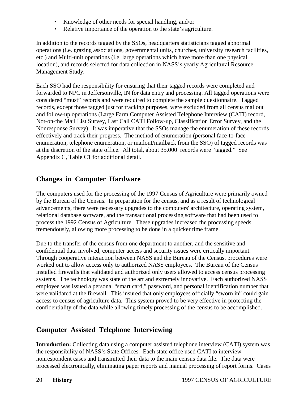- Knowledge of other needs for special handling, and/or
- Relative importance of the operation to the state's agriculture.

In addition to the records tagged by the SSOs, headquarters statisticians tagged abnormal operations (i.e. grazing associations, governmental units, churches, university research facilities, etc.) and Multi-unit operations (i.e. large operations which have more than one physical location), and records selected for data collection in NASS's yearly Agricultural Resource Management Study.

Each SSO had the responsibility for ensuring that their tagged records were completed and forwarded to NPC in Jeffersonville, IN for data entry and processing. All tagged operations were considered "must" records and were required to complete the sample questionnaire. Tagged records, except those tagged just for tracking purposes, were excluded from all census mailout and follow-up operations (Large Farm Computer Assisted Telephone Interview (CATI) record, Not-on-the Mail List Survey, Last Call CATI Follow-up, Classification Error Survey, and the Nonresponse Survey). It was imperative that the SSOs manage the enumeration of these records effectively and track their progress. The method of enumeration (personal face-to-face enumeration, telephone enumeration, or mailout/mailback from the SSO) of tagged records was at the discretion of the state office. All total, about 35,000 records were "tagged." See Appendix C, Table C1 for additional detail.

### **Changes in Computer Hardware**

The computers used for the processing of the 1997 Census of Agriculture were primarily owned by the Bureau of the Census. In preparation for the census, and as a result of technological advancements, there were necessary upgrades to the computers' architecture, operating system, relational database software, and the transactional processing software that had been used to process the 1992 Census of Agriculture. These upgrades increased the processing speeds tremendously, allowing more processing to be done in a quicker time frame.

Due to the transfer of the census from one department to another, and the sensitive and confidential data involved, computer access and security issues were critically important. Through cooperative interaction between NASS and the Bureau of the Census, procedures were worked out to allow access only to authorized NASS employees. The Bureau of the Census installed firewalls that validated and authorized only users allowed to access census processing systems. The technology was state of the art and extremely innovative. Each authorized NASS employee was issued a personal "smart card," password, and personal identification number that were validated at the firewall. This insured that only employees officially "sworn in" could gain access to census of agriculture data. This system proved to be very effective in protecting the confidentiality of the data while allowing timely processing of the census to be accomplished.

### **Computer Assisted Telephone Interviewing**

**Introduction:** Collecting data using a computer assisted telephone interview (CATI) system was the responsibility of NASS's State Offices. Each state office used CATI to interview nonrespondent cases and transmitted their data to the main census data file. The data were processed electronically, eliminating paper reports and manual processing of report forms. Cases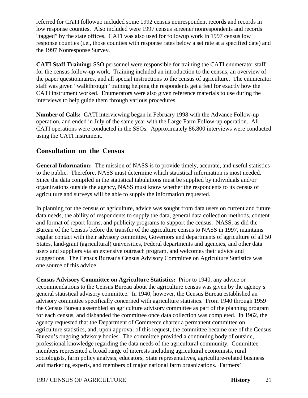referred for CATI followup included some 1992 census nonrespondent records and records in low response counties. Also included were 1997 census screener nonrespondents and records "tagged" by the state offices. CATI was also used for followup work in 1997 census low response counties (i.e., those counties with response rates below a set rate at a specified date) and the 1997 Nonresponse Survey.

**CATI Staff Training:** SSO personnel were responsible for training the CATI enumerator staff for the census follow-up work. Training included an introduction to the census, an overview of the paper questionnaires, and all special instructions to the census of agriculture. The enumerator staff was given "walkthrough" training helping the respondents get a feel for exactly how the CATI instrument worked. Enumerators were also given reference materials to use during the interviews to help guide them through various procedures.

**Number of Calls:** CATI interviewing began in February 1998 with the Advance Follow-up operation, and ended in July of the same year with the Large Farm Follow-up operation. All CATI operations were conducted in the SSOs. Approximately 86,800 interviews were conducted using the CATI instrument.

#### **Consultation on the Census**

**General Information:** The mission of NASS is to provide timely, accurate, and useful statistics to the public. Therefore, NASS must determine which statistical information is most needed. Since the data compiled in the statistical tabulations must be supplied by individuals and/or organizations outside the agency, NASS must know whether the respondents to its census of agriculture and surveys will be able to supply the information requested.

In planning for the census of agriculture, advice was sought from data users on current and future data needs, the ability of respondents to supply the data, general data collection methods, content and format of report forms, and publicity programs to support the census. NASS, as did the Bureau of the Census before the transfer of the agriculture census to NASS in 1997, maintains regular contact with their advisory committee, Governors and departments of agriculture of all 50 States, land-grant (agricultural) universities, Federal departments and agencies, and other data users and suppliers via an extensive outreach program, and welcomes their advice and suggestions. The Census Bureau's Census Advisory Committee on Agriculture Statistics was one source of this advice.

**Census Advisory Committee on Agriculture Statistics:** Prior to 1940, any advice or recommendations to the Census Bureau about the agriculture census was given by the agency's general statistical advisory committee. In 1940, however, the Census Bureau established an advisory committee specifically concerned with agriculture statistics. From 1940 through 1959 the Census Bureau assembled an agriculture advisory committee as part of the planning program for each census, and disbanded the committee once data collection was completed. In 1962, the agency requested that the Department of Commerce charter a permanent committee on agriculture statistics, and, upon approval of this request, the committee became one of the Census Bureau's ongoing advisory bodies. The committee provided a continuing body of outside, professional knowledge regarding the data needs of the agricultural community. Committee members represented a broad range of interests including agricultural economists, rural sociologists, farm policy analysts, educators, State representatives, agriculture-related business and marketing experts, and members of major national farm organizations. Farmers'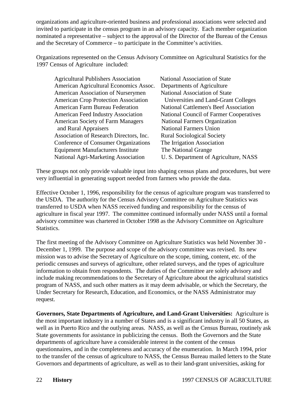organizations and agriculture-oriented business and professional associations were selected and invited to participate in the census program in an advisory capacity. Each member organization nominated a representative – subject to the approval of the Director of the Bureau of the Census and the Secretary of Commerce – to participate in the Committee's activities.

Organizations represented on the Census Advisory Committee on Agricultural Statistics for the 1997 Census of Agriculture included:

| <b>Agricultural Publishers Association</b>  | National Association of State                  |
|---------------------------------------------|------------------------------------------------|
| American Agricultural Economics Assoc.      | Departments of Agriculture                     |
| American Association of Nurserymen          | National Association of State                  |
| <b>American Crop Protection Association</b> | Universities and Land-Grant Colleges           |
| American Farm Bureau Federation             | <b>National Cattlemen's Beef Association</b>   |
| <b>American Feed Industry Association</b>   | <b>National Council of Farmer Cooperatives</b> |
| <b>American Society of Farm Managers</b>    | <b>National Farmers Organization</b>           |
| and Rural Appraisers                        | <b>National Farmers Union</b>                  |
| Association of Research Directors, Inc.     | <b>Rural Sociological Society</b>              |
| Conference of Consumer Organizations        | The Irrigation Association                     |
| <b>Equipment Manufacturers Institute</b>    | The National Grange                            |
| National Agri-Marketing Association         | U. S. Department of Agriculture, NASS          |

These groups not only provide valuable input into shaping census plans and procedures, but were very influential in generating support needed from farmers who provide the data.

Effective October 1, 1996, responsibility for the census of agriculture program was transferred to the USDA. The authority for the Census Advisory Committee on Agriculture Statistics was transferred to USDA when NASS received funding and responsibility for the census of agriculture in fiscal year 1997. The committee continued informally under NASS until a formal advisory committee was chartered in October 1998 as the Advisory Committee on Agriculture Statistics.

The first meeting of the Advisory Committee on Agriculture Statistics was held November 30 - December 1, 1999. The purpose and scope of the advisory committee was revised. Its new mission was to advise the Secretary of Agriculture on the scope, timing, content, etc. of the periodic censuses and surveys of agriculture, other related surveys, and the types of agriculture information to obtain from respondents. The duties of the Committee are solely advisory and include making recommendations to the Secretary of Agriculture about the agricultural statistics program of NASS, and such other matters as it may deem advisable, or which the Secretary, the Under Secretary for Research, Education, and Economics, or the NASS Administrator may request.

**Governors, State Departments of Agriculture, and Land-Grant Universities:** Agriculture is the most important industry in a number of States and is a significant industry in all 50 States, as well as in Puerto Rico and the outlying areas. NASS, as well as the Census Bureau, routinely ask State governments for assistance in publicizing the census. Both the Governors and the State departments of agriculture have a considerable interest in the content of the census questionnaires, and in the completeness and accuracy of the enumeration. In March 1994, prior to the transfer of the census of agriculture to NASS, the Census Bureau mailed letters to the State Governors and departments of agriculture, as well as to their land-grant universities, asking for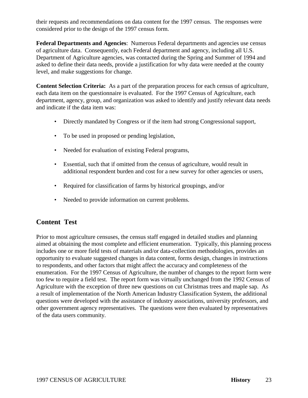their requests and recommendations on data content for the 1997 census. The responses were considered prior to the design of the 1997 census form.

**Federal Departments and Agencies**: Numerous Federal departments and agencies use census of agriculture data. Consequently, each Federal department and agency, including all U.S. Department of Agriculture agencies, was contacted during the Spring and Summer of 1994 and asked to define their data needs, provide a justification for why data were needed at the county level, and make suggestions for change.

**Content Selection Criteria:** As a part of the preparation process for each census of agriculture, each data item on the questionnaire is evaluated. For the 1997 Census of Agriculture, each department, agency, group, and organization was asked to identify and justify relevant data needs and indicate if the data item was:

- Directly mandated by Congress or if the item had strong Congressional support,
- To be used in proposed or pending legislation,
- Needed for evaluation of existing Federal programs,
- Essential, such that if omitted from the census of agriculture, would result in additional respondent burden and cost for a new survey for other agencies or users,
- Required for classification of farms by historical groupings, and/or
- Needed to provide information on current problems.

### **Content Test**

Prior to most agriculture censuses, the census staff engaged in detailed studies and planning aimed at obtaining the most complete and efficient enumeration. Typically, this planning process includes one or more field tests of materials and/or data-collection methodologies, provides an opportunity to evaluate suggested changes in data content, forms design, changes in instructions to respondents, and other factors that might affect the accuracy and completeness of the enumeration. For the 1997 Census of Agriculture, the number of changes to the report form were too few to require a field test. The report form was virtually unchanged from the 1992 Census of Agriculture with the exception of three new questions on cut Christmas trees and maple sap. As a result of implementation of the North American Industry Classification System, the additional questions were developed with the assistance of industry associations, university professors, and other government agency representatives. The questions were then evaluated by representatives of the data users community.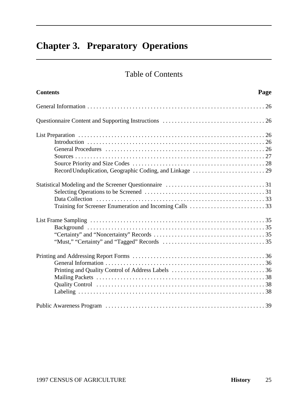# **Chapter 3. Preparatory Operations**

# Table of Contents

| <b>Contents</b><br>Page |  |
|-------------------------|--|
|                         |  |
|                         |  |
|                         |  |
|                         |  |
|                         |  |
|                         |  |
|                         |  |
|                         |  |
|                         |  |
|                         |  |
|                         |  |
|                         |  |
|                         |  |
|                         |  |
|                         |  |
|                         |  |
|                         |  |
|                         |  |
|                         |  |
|                         |  |
|                         |  |
|                         |  |
|                         |  |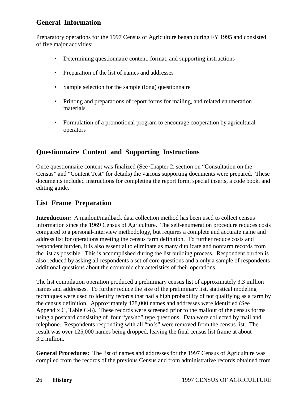### **General Information**

Preparatory operations for the 1997 Census of Agriculture began during FY 1995 and consisted of five major activities:

- Determining questionnaire content, format, and supporting instructions
- Preparation of the list of names and addresses
- Sample selection for the sample (long) questionnaire
- Printing and preparations of report forms for mailing, and related enumeration materials
- Formulation of a promotional program to encourage cooperation by agricultural operators

### **Questionnaire Content and Supporting Instructions**

Once questionnaire content was finalized **(**See Chapter 2, section on "Consultation on the Census" and "Content Test" for details) the various supporting documents were prepared. These documents included instructions for completing the report form, special inserts, a code book, and editing guide.

### **List Frame Preparation**

**Introduction:** A mailout/mailback data collection method has been used to collect census information since the 1969 Census of Agriculture. The self-enumeration procedure reduces costs compared to a personal-interview methodology, but requires a complete and accurate name and address list for operations meeting the census farm definition. To further reduce costs and respondent burden, it is also essential to eliminate as many duplicate and nonfarm records from the list as possible. This is accomplished during the list building process. Respondent burden is also reduced by asking all respondents a set of core questions and a only a sample of respondents additional questions about the economic characteristics of their operations.

The list compilation operation produced a preliminary census list of approximately 3.3 million names and addresses. To further reduce the size of the preliminary list, statistical modeling techniques were used to identify records that had a high probability of not qualifying as a farm by the census definition. Approximately 478,000 names and addresses were identified (See Appendix C, Table C-6). These records were screened prior to the mailout of the census forms using a postcard consisting of four "yes/no" type questions. Data were collected by mail and telephone. Respondents responding with all "no's" were removed from the census list. The result was over 125,000 names being dropped, leaving the final census list frame at about 3.2 million.

**General Procedures:** The list of names and addresses for the 1997 Census of Agriculture was compiled from the records of the previous Census and from administrative records obtained from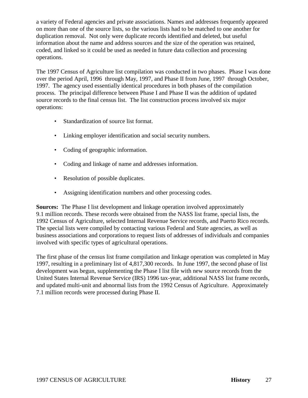a variety of Federal agencies and private associations. Names and addresses frequently appeared on more than one of the source lists, so the various lists had to be matched to one another for duplication removal. Not only were duplicate records identified and deleted, but useful information about the name and address sources and the size of the operation was retained, coded, and linked so it could be used as needed in future data collection and processing operations.

The 1997 Census of Agriculture list compilation was conducted in two phases. Phase I was done over the period April, 1996 through May, 1997, and Phase II from June, 1997 through October, 1997. The agency used essentially identical procedures in both phases of the compilation process. The principal difference between Phase I and Phase II was the addition of updated source records to the final census list. The list construction process involved six major operations:

- Standardization of source list format.
- Linking employer identification and social security numbers.
- Coding of geographic information.
- Coding and linkage of name and addresses information.
- Resolution of possible duplicates.
- Assigning identification numbers and other processing codes.

**Sources:** The Phase I list development and linkage operation involved approximately 9.1 million records. These records were obtained from the NASS list frame, special lists, the 1992 Census of Agriculture, selected Internal Revenue Service records, and Puerto Rico records. The special lists were compiled by contacting various Federal and State agencies, as well as business associations and corporations to request lists of addresses of individuals and companies involved with specific types of agricultural operations.

The first phase of the census list frame compilation and linkage operation was completed in May 1997, resulting in a preliminary list of 4,817,300 records. In June 1997, the second phase of list development was begun, supplementing the Phase I list file with new source records from the United States Internal Revenue Service (IRS) 1996 tax-year, additional NASS list frame records, and updated multi-unit and abnormal lists from the 1992 Census of Agriculture. Approximately 7.1 million records were processed during Phase II.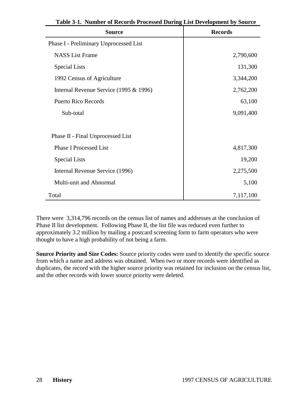| <b>Source</b>                          | <b>Records</b> |
|----------------------------------------|----------------|
| Phase I - Preliminary Unprocessed List |                |
| <b>NASS</b> List Frame                 | 2,790,600      |
| <b>Special Lists</b>                   | 131,300        |
| 1992 Census of Agriculture             | 3,344,200      |
| Internal Revenue Service (1995 & 1996) | 2,762,200      |
| <b>Puerto Rico Records</b>             | 63,100         |
| Sub-total                              | 9,091,400      |
|                                        |                |
| Phase II - Final Unprocessed List      |                |
| <b>Phase I Processed List</b>          | 4,817,300      |
| <b>Special Lists</b>                   | 19,200         |
| Internal Revenue Service (1996)        | 2,275,500      |
| Multi-unit and Abnormal                | 5,100          |
| Total                                  | 7,117,100      |

 **Table 3-1. Number of Records Processed During List Development by Source**

There were 3,314,796 records on the census list of names and addresses at the conclusion of Phase II list development. Following Phase II, the list file was reduced even further to approximately 3.2 million by mailing a postcard screening form to farm operators who were thought to have a high probability of not being a farm.

**Source Priority and Size Codes:** Source priority codes were used to identify the specific source from which a name and address was obtained. When two or more records were identified as duplicates, the record with the higher source priority was retained for inclusion on the census list, and the other records with lower source priority were deleted.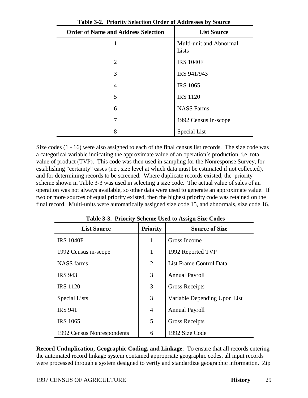| <b>Order of Name and Address Selection</b> | <b>List Source</b>               |
|--------------------------------------------|----------------------------------|
| 1                                          | Multi-unit and Abnormal<br>Lists |
| $\overline{2}$                             | <b>IRS 1040F</b>                 |
| 3                                          | IRS 941/943                      |
| $\overline{4}$                             | <b>IRS 1065</b>                  |
| 5                                          | <b>IRS 1120</b>                  |
| 6                                          | <b>NASS Farms</b>                |
| 7                                          | 1992 Census In-scope             |
| 8                                          | Special List                     |

**Table 3-2. Priority Selection Order of Addresses by Source**

Size codes (1 - 16) were also assigned to each of the final census list records. The size code was a categorical variable indicating the approximate value of an operation's production, i.e. total value of product (TVP). This code was then used in sampling for the Nonresponse Survey, for establishing "certainty" cases (i.e., size level at which data must be estimated if not collected), and for determining records to be screened. Where duplicate records existed, the priority scheme shown in Table 3-3 was used in selecting a size code. The actual value of sales of an operation was not always available, so other data were used to generate an approximate value. If two or more sources of equal priority existed, then the highest priority code was retained on the final record. Multi-units were automatically assigned size code 15, and abnormals, size code 16.

| <b>List Source</b>         | <b>Priority</b> | <b>Source of Size</b>        |
|----------------------------|-----------------|------------------------------|
| <b>IRS 1040F</b>           | 1               | Gross Income                 |
| 1992 Census in-scope       | 1               | 1992 Reported TVP            |
| <b>NASS</b> farms          | $\overline{2}$  | List Frame Control Data      |
| <b>IRS 943</b>             | 3               | <b>Annual Payroll</b>        |
| <b>IRS 1120</b>            | 3               | <b>Gross Receipts</b>        |
| <b>Special Lists</b>       | 3               | Variable Depending Upon List |
| <b>IRS 941</b>             | $\overline{4}$  | <b>Annual Payroll</b>        |
| <b>IRS 1065</b>            | 5               | <b>Gross Receipts</b>        |
| 1992 Census Nonrespondents | 6               | 1992 Size Code               |

**Table 3-3. Priority Scheme Used to Assign Size Codes**

**Record Unduplication, Geographic Coding, and Linkage**: To ensure that all records entering the automated record linkage system contained appropriate geographic codes, all input records were processed through a system designed to verify and standardize geographic information. Zip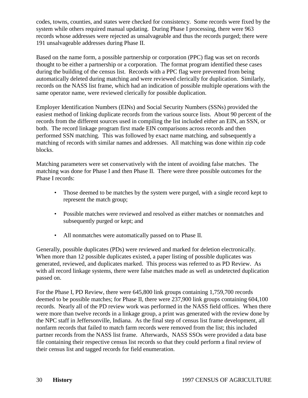codes, towns, counties, and states were checked for consistency. Some records were fixed by the system while others required manual updating. During Phase I processing, there were 963 records whose addresses were rejected as unsalvageable and thus the records purged; there were 191 unsalvageable addresses during Phase II.

Based on the name form, a possible partnership or corporation (PPC) flag was set on records thought to be either a partnership or a corporation. The format program identified these cases during the building of the census list. Records with a PPC flag were prevented from being automatically deleted during matching and were reviewed clerically for duplication. Similarly, records on the NASS list frame, which had an indication of possible multiple operations with the same operator name, were reviewed clerically for possible duplication.

Employer Identification Numbers (EINs) and Social Security Numbers (SSNs) provided the easiest method of linking duplicate records from the various source lists. About 90 percent of the records from the different sources used in compiling the list included either an EIN, an SSN, or both. The record linkage program first made EIN comparisons across records and then performed SSN matching. This was followed by exact name matching, and subsequently a matching of records with similar names and addresses. All matching was done within zip code blocks.

Matching parameters were set conservatively with the intent of avoiding false matches. The matching was done for Phase I and then Phase II. There were three possible outcomes for the Phase I records:

- Those deemed to be matches by the system were purged, with a single record kept to represent the match group;
- Possible matches were reviewed and resolved as either matches or nonmatches and subsequently purged or kept; and
- All nonmatches were automatically passed on to Phase II.

Generally, possible duplicates (PDs) were reviewed and marked for deletion electronically. When more than 12 possible duplicates existed, a paper listing of possible duplicates was generated, reviewed, and duplicates marked. This process was referred to as PD Review. As with all record linkage systems, there were false matches made as well as undetected duplication passed on.

For the Phase I, PD Review, there were 645,800 link groups containing 1,759,700 records deemed to be possible matches; for Phase II, there were 237,900 link groups containing 604,100 records. Nearly all of the PD review work was performed in the NASS field offices. When there were more than twelve records in a linkage group, a print was generated with the review done by the NPC staff in Jeffersonville, Indiana. As the final step of census list frame development, all nonfarm records that failed to match farm records were removed from the list; this included partner records from the NASS list frame. Afterwards, NASS SSOs were provided a data base file containing their respective census list records so that they could perform a final review of their census list and tagged records for field enumeration.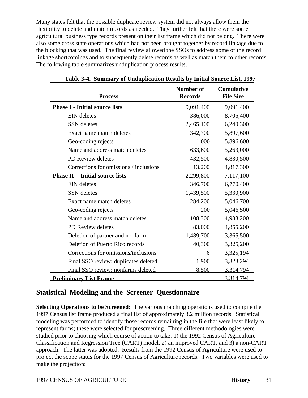Many states felt that the possible duplicate review system did not always allow them the flexibility to delete and match records as needed. They further felt that there were some agricultural business type records present on their list frame which did not belong. There were also some cross state operations which had not been brought together by record linkage due to the blocking that was used. The final review allowed the SSOs to address some of the record linkage shortcomings and to subsequently delete records as well as match them to other records. The following table summarizes unduplication process results.

| <b>Process</b>                         | <b>Number of</b><br><b>Records</b> | <b>Cumulative</b><br><b>File Size</b> |
|----------------------------------------|------------------------------------|---------------------------------------|
| <b>Phase I - Initial source lists</b>  | 9,091,400                          | 9,091,400                             |
| <b>EIN</b> deletes                     | 386,000                            | 8,705,400                             |
| <b>SSN</b> deletes                     | 2,465,100                          | 6,240,300                             |
| Exact name match deletes               | 342,700                            | 5,897,600                             |
| Geo-coding rejects                     | 1,000                              | 5,896,600                             |
| Name and address match deletes         | 633,600                            | 5,263,000                             |
| PD Review deletes                      | 432,500                            | 4,830,500                             |
| Corrections for omissions / inclusions | 13,200                             | 4,817,300                             |
| <b>Phase II - Initial source lists</b> | 2,299,800                          | 7,117,100                             |
| <b>EIN</b> deletes                     | 346,700                            | 6,770,400                             |
| <b>SSN</b> deletes                     | 1,439,500                          | 5,330,900                             |
| Exact name match deletes               | 284,200                            | 5,046,700                             |
| Geo-coding rejects                     | 200                                | 5,046,500                             |
| Name and address match deletes         | 108,300                            | 4,938,200                             |
| PD Review deletes                      | 83,000                             | 4,855,200                             |
| Deletion of partner and nonfarm        | 1,489,700                          | 3,365,500                             |
| Deletion of Puerto Rico records        | 40,300                             | 3,325,200                             |
| Corrections for omissions/inclusions   | 6                                  | 3,325,194                             |
| Final SSO review: duplicates deleted   | 1,900                              | 3,323,294                             |
| Final SSO review: nonfarms deleted     | 8,500                              | 3,314,794                             |
| <b>Preliminary List Frame</b>          |                                    | 3,314,794                             |

|  |  | Table 3-4. Summary of Unduplication Results by Initial Source List, 1997 |
|--|--|--------------------------------------------------------------------------|
|  |  |                                                                          |

### **Statistical Modeling and the Screener Questionnaire**

**Selecting Operations to be Screened:** The various matching operations used to compile the 1997 Census list frame produced a final list of approximately 3.2 million records. Statistical modeling was performed to identify those records remaining in the file that were least likely to represent farms; these were selected for prescreening. Three different methodologies were studied prior to choosing which course of action to take: 1) the 1992 Census of Agriculture Classification and Regression Tree (CART) model, 2) an improved CART, and 3) a non-CART approach. The latter was adopted. Results from the 1992 Census of Agriculture were used to project the scope status for the 1997 Census of Agriculture records. Two variables were used to make the projection: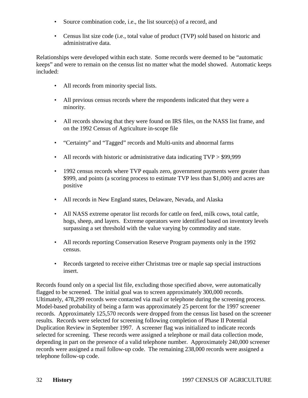- Source combination code, i.e., the list source(s) of a record, and
- Census list size code (i.e., total value of product (TVP) sold based on historic and administrative data.

Relationships were developed within each state. Some records were deemed to be "automatic keeps" and were to remain on the census list no matter what the model showed. Automatic keeps included:

- All records from minority special lists.
- All previous census records where the respondents indicated that they were a minority.
- All records showing that they were found on IRS files, on the NASS list frame, and on the 1992 Census of Agriculture in-scope file
- "Certainty" and "Tagged" records and Multi-units and abnormal farms
- All records with historic or administrative data indicating TVP > \$99,999
- 1992 census records where TVP equals zero, government payments were greater than \$999, and points (a scoring process to estimate TVP less than \$1,000) and acres are positive
- All records in New England states, Delaware, Nevada, and Alaska
- All NASS extreme operator list records for cattle on feed, milk cows, total cattle, hogs, sheep, and layers. Extreme operators were identified based on inventory levels surpassing a set threshold with the value varying by commodity and state.
- All records reporting Conservation Reserve Program payments only in the 1992 census.
- Records targeted to receive either Christmas tree or maple sap special instructions insert.

Records found only on a special list file, excluding those specified above, were automatically flagged to be screened. The initial goal was to screen approximately 300,000 records. Ultimately, 478,299 records were contacted via mail or telephone during the screening process. Model-based probability of being a farm was approximately 25 percent for the 1997 screener records. Approximately 125,570 records were dropped from the census list based on the screener results. Records were selected for screening following completion of Phase II Potential Duplication Review in September 1997. A screener flag was initialized to indicate records selected for screening. These records were assigned a telephone or mail data collection mode, depending in part on the presence of a valid telephone number. Approximately 240,000 screener records were assigned a mail follow-up code. The remaining 238,000 records were assigned a telephone follow-up code.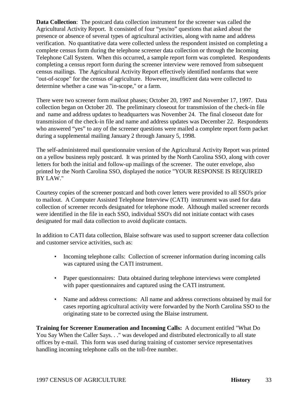**Data Collection**: The postcard data collection instrument for the screener was called the Agricultural Activity Report. It consisted of four "yes/no" questions that asked about the presence or absence of several types of agricultural activities, along with name and address verification. No quantitative data were collected unless the respondent insisted on completing a complete census form during the telephone screener data collection or through the Incoming Telephone Call System. When this occurred, a sample report form was completed. Respondents completing a census report form during the screener interview were removed from subsequent census mailings. The Agricultural Activity Report effectively identified nonfarms that were "out-of-scope" for the census of agriculture. However, insufficient data were collected to determine whether a case was "in-scope," or a farm.

There were two screener form mailout phases; October 20, 1997 and November 17, 1997. Data collection began on October 20. The preliminary closeout for transmission of the check-in file and name and address updates to headquarters was November 24. The final closeout date for transmission of the check-in file and name and address updates was December 22. Respondents who answered "yes" to any of the screener questions were mailed a complete report form packet during a supplemental mailing January 2 through January 5, 1998.

The self-administered mail questionnaire version of the Agricultural Activity Report was printed on a yellow business reply postcard. It was printed by the North Carolina SSO, along with cover letters for both the initial and follow-up mailings of the screener. The outer envelope, also printed by the North Carolina SSO, displayed the notice "YOUR RESPONSE IS REQUIRED BY LAW."

Courtesy copies of the screener postcard and both cover letters were provided to all SSO's prior to mailout. A Computer Assisted Telephone Interview (CATI) instrument was used for data collection of screener records designated for telephone mode. Although mailed screener records were identified in the file in each SSO, individual SSO's did not initiate contact with cases designated for mail data collection to avoid duplicate contacts.

In addition to CATI data collection, Blaise software was used to support screener data collection and customer service activities, such as:

- Incoming telephone calls: Collection of screener information during incoming calls was captured using the CATI instrument.
- Paper questionnaires: Data obtained during telephone interviews were completed with paper questionnaires and captured using the CATI instrument.
- Name and address corrections: All name and address corrections obtained by mail for cases reporting agricultural activity were forwarded by the North Carolina SSO to the originating state to be corrected using the Blaise instrument.

**Training for Screener Enumeration and Incoming Calls:** A document entitled "What Do You Say When the Caller Says. . ." was developed and distributed electronically to all state offices by e-mail. This form was used during training of customer service representatives handling incoming telephone calls on the toll-free number.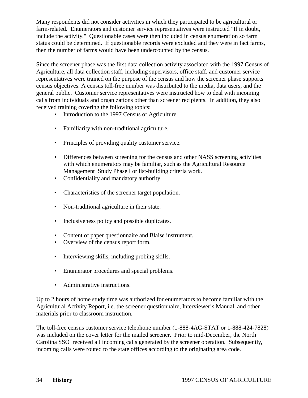Many respondents did not consider activities in which they participated to be agricultural or farm-related. Enumerators and customer service representatives were instructed "If in doubt, include the activity." Questionable cases were then included in census enumeration so farm status could be determined. If questionable records were excluded and they were in fact farms, then the number of farms would have been undercounted by the census.

Since the screener phase was the first data collection activity associated with the 1997 Census of Agriculture, all data collection staff, including supervisors, office staff, and customer service representatives were trained on the purpose of the census and how the screener phase supports census objectives. A census toll-free number was distributed to the media, data users, and the general public. Customer service representatives were instructed how to deal with incoming calls from individuals and organizations other than screener recipients. In addition, they also received training covering the following topics:

- Introduction to the 1997 Census of Agriculture.
- Familiarity with non-traditional agriculture.
- Principles of providing quality customer service.
- Differences between screening for the census and other NASS screening activities with which enumerators may be familiar, such as the Agricultural Resource Management Study Phase I or list-building criteria work.
- Confidentiality and mandatory authority.
- Characteristics of the screener target population.
- Non-traditional agriculture in their state.
- Inclusiveness policy and possible duplicates.
- Content of paper questionnaire and Blaise instrument.
- Overview of the census report form.
- Interviewing skills, including probing skills.
- Enumerator procedures and special problems.
- Administrative instructions.

Up to 2 hours of home study time was authorized for enumerators to become familiar with the Agricultural Activity Report, i.e. the screener questionnaire, Interviewer's Manual, and other materials prior to classroom instruction.

The toll-free census customer service telephone number (1-888-4AG-STAT or 1-888-424-7828) was included on the cover letter for the mailed screener. Prior to mid-December, the North Carolina SSO received all incoming calls generated by the screener operation. Subsequently, incoming calls were routed to the state offices according to the originating area code.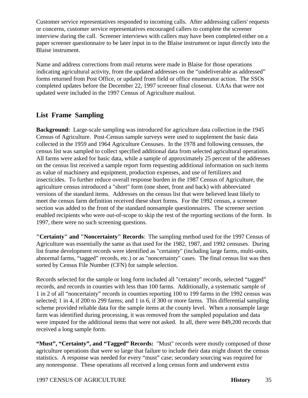Customer service representatives responded to incoming calls. After addressing callers' requests or concerns, customer service representatives encouraged callers to complete the screener interview during the call. Screener interviews with callers may have been completed either on a paper screener questionnaire to be later input in to the Blaise instrument or input directly into the Blaise instrument.

Name and address corrections from mail returns were made in Blaise for those operations indicating agricultural activity, from the updated addresses on the "undeliverable as addressed" forms returned from Post Office, or updated from field or office enumerator action. The SSOs completed updates before the December 22, 1997 screener final closeout. UAAs that were not updated were included in the 1997 Census of Agriculture mailout.

### **List Frame Sampling**

**Background:** Large-scale sampling was introduced for agriculture data collection in the 1945 Census of Agriculture. Post-Census sample surveys were used to supplement the basic data collected in the 1959 and 1964 Agriculture Censuses. In the 1978 and following censuses, the census list was sampled to collect specified additional data from selected agricultural operations. All farms were asked for basic data, while a sample of approximately 25 percent of the addresses on the census list received a sample report form requesting additional information on such items as value of machinery and equipment, production expenses, and use of fertilizers and insecticides. To further reduce overall response burden in the 1987 Census of Agriculture, the agriculture census introduced a "short" form (one sheet, front and back) with abbreviated versions of the standard items. Addresses on the census list that were believed least likely to meet the census farm definition received these short forms. For the 1992 census, a screener section was added to the front of the standard nonsample questionnaires. The screener section enabled recipients who were out-of-scope to skip the rest of the reporting sections of the form. In 1997, there were no such screening questions.

**"Certainty" and "Noncertainty" Records**: The sampling method used for the 1997 Census of Agriculture was essentially the same as that used for the 1982, 1987, and 1992 censuses. During list frame development records were identified as "certainty" (including large farms, multi-units, abnormal farms, "tagged" records, etc.) or as "noncertainty" cases. The final census list was then sorted by Census File Number (CFN) for sample selection.

Records selected for the sample or long form included all "certainty" records, selected "tagged" records, and records in counties with less than 100 farms. Additionally, a systematic sample of 1 in 2 of all "noncertainty" records in counties reporting 100 to 199 farms in the 1992 census was selected; 1 in 4, if 200 to 299 farms; and 1 in 6, if 300 or more farms. This differential sampling scheme provided reliable data for the sample items at the county level. When a nonsample large farm was identified during processing, it was removed from the sampled population and data were imputed for the additional items that were not asked. In all, there were 849,200 records that received a long sample form.

**"Must", "Certainty", and "Tagged" Records:** "Must" records were mostly composed of those agriculture operations that were so large that failure to include their data might distort the census statistics. A response was needed for every "must" case; secondary sourcing was required for any nonresponse. These operations all received a long census form and underwent extra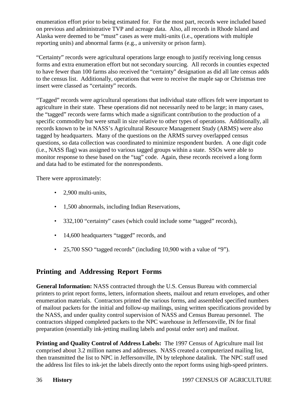enumeration effort prior to being estimated for. For the most part, records were included based on previous and administrative TVP and acreage data. Also, all records in Rhode Island and Alaska were deemed to be "must" cases as were multi-units (i.e., operations with multiple reporting units) and abnormal farms (e.g., a university or prison farm).

"Certainty" records were agricultural operations large enough to justify receiving long census forms and extra enumeration effort but not secondary sourcing. All records in counties expected to have fewer than 100 farms also received the "certainty" designation as did all late census adds to the census list. Additionally, operations that were to receive the maple sap or Christmas tree insert were classed as "certainty" records.

"Tagged" records were agricultural operations that individual state offices felt were important to agriculture in their state. These operations did not necessarily need to be large; in many cases, the "tagged" records were farms which made a significant contribution to the production of a specific commodity but were small in size relative to other types of operations. Additionally, all records known to be in NASS's Agricultural Resource Management Study (ARMS) were also tagged by headquarters. Many of the questions on the ARMS survey overlapped census questions, so data collection was coordinated to minimize respondent burden. A one digit code (i.e., NASS flag) was assigned to various tagged groups within a state. SSOs were able to monitor response to these based on the "tag" code. Again, these records received a long form and data had to be estimated for the nonrespondents.

There were approximately:

- 2,900 multi-units,
- 1,500 abnormals, including Indian Reservations,
- 332,100 "certainty" cases (which could include some "tagged" records),
- 14,600 headquarters "tagged" records, and
- 25,700 SSO "tagged records" (including 10,900 with a value of "9").

### **Printing and Addressing Report Forms**

**General Information:** NASS contracted through the U.S. Census Bureau with commercial printers to print report forms, letters, information sheets, mailout and return envelopes, and other enumeration materials. Contractors printed the various forms, and assembled specified numbers of mailout packets for the initial and follow-up mailings, using written specifications provided by the NASS, and under quality control supervision of NASS and Census Bureau personnel. The contractors shipped completed packets to the NPC warehouse in Jeffersonville, IN for final preparation (essentially ink-jetting mailing labels and postal order sort) and mailout.

**Printing and Quality Control of Address Labels:** The 1997 Census of Agriculture mail list comprised about 3.2 million names and addresses. NASS created a computerized mailing list, then transmitted the list to NPC in Jeffersonville, IN by telephone datalink. The NPC staff used the address list files to ink-jet the labels directly onto the report forms using high-speed printers.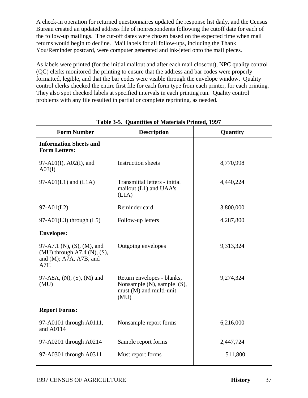A check-in operation for returned questionnaires updated the response list daily, and the Census Bureau created an updated address file of nonrespondents following the cutoff date for each of the follow-up mailings. The cut-off dates were chosen based on the expected time when mail returns would begin to decline. Mail labels for all follow-ups, including the Thank You/Reminder postcard, were computer generated and ink-jeted onto the mail pieces.

As labels were printed (for the initial mailout and after each mail closeout), NPC quality control (QC) clerks monitored the printing to ensure that the address and bar codes were properly formatted, legible, and that the bar codes were visible through the envelope window. Quality control clerks checked the entire first file for each form type from each printer, for each printing. They also spot checked labels at specified intervals in each printing run. Quality control problems with any file resulted in partial or complete reprinting, as needed.

| <b>Form Number</b>                                                                                     | <b>Description</b>                                                                                | Quantity  |
|--------------------------------------------------------------------------------------------------------|---------------------------------------------------------------------------------------------------|-----------|
| <b>Information Sheets and</b><br><b>Form Letters:</b>                                                  |                                                                                                   |           |
| $97 - A01(I)$ , $A02(I)$ , and<br>A03(I)                                                               | <b>Instruction</b> sheets                                                                         | 8,770,998 |
| 97-A01 $(L1)$ and $(L1A)$                                                                              | Transmittal letters - initial<br>mailout (L1) and UAA's<br>(L1A)                                  | 4,440,224 |
| $97 - A01(L2)$                                                                                         | Reminder card                                                                                     | 3,800,000 |
| $97-A01(L3)$ through $(L5)$                                                                            | Follow-up letters                                                                                 | 4,287,800 |
| <b>Envelopes:</b>                                                                                      |                                                                                                   |           |
| 97-A7.1 (N), $(S)$ , $(M)$ , and<br>(MU) through A7.4 (N), $(S)$ ,<br>and $(M)$ ; A7A, A7B, and<br>A7C | Outgoing envelopes                                                                                | 9,313,324 |
| 97-A8A, $(N)$ , $(S)$ , $(M)$ and<br>(MU)                                                              | Return envelopes - blanks,<br>Nonsample $(N)$ , sample $(S)$ ,<br>must (M) and multi-unit<br>(MU) | 9,274,324 |
| <b>Report Forms:</b>                                                                                   |                                                                                                   |           |
| 97-A0101 through A0111,<br>and A0114                                                                   | Nonsample report forms                                                                            | 6,216,000 |
| 97-A0201 through A0214                                                                                 | Sample report forms                                                                               | 2,447,724 |
| 97-A0301 through A0311                                                                                 | Must report forms                                                                                 | 511,800   |

#### **Table 3-5. Quantities of Materials Printed, 1997**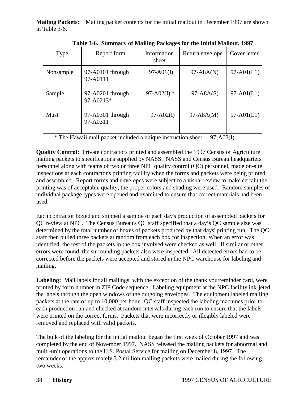**Mailing Packets:** Mailing packet contents for the initial mailout in December 1997 are shown in Table 3-6.

|             |                               | 0                    |                 |                |
|-------------|-------------------------------|----------------------|-----------------|----------------|
| <b>Type</b> | Report form                   | Information<br>sheet | Return envelope | Cover letter   |
| Nonsample   | 97-A0101 through<br>97-A0111  | $97 - A01(I)$        | 97-A8A(N)       | $97 - A01(L1)$ |
| Sample      | 97-A0201 through<br>97-A0213* | 97-A02(I) $*$        | $97 - A8A(S)$   | $97 - A01(L1)$ |
| Must        | 97-A0301 through<br>97-A0311  | $97 - A02(I)$        | 97-A8A(M)       | $97 - A01(L1)$ |

 **Table 3-6. Summary of Mailing Packages for the Initial Mailout, 1997**

\* The Hawaii mail packet included a unique instruction sheet - 97-A03(I).

**Quality Control:** Private contractors printed and assembled the 1997 Census of Agriculture mailing packets to specifications supplied by NASS. NASS and Census Bureau headquarters personnel along with teams of two or three NPC quality control (QC) personnel, made on-site inspections at each contractor's printing facility when the forms and packets were being printed and assembled. Report forms and envelopes were subject to a visual review to make certain the printing was of acceptable quality, the proper colors and shading were used. Random samples of individual package types were opened and examined to ensure that correct materials had been used.

Each contractor boxed and shipped a sample of each day's production of assembled packets for QC review at NPC. The Census Bureau's QC staff specified that a day's QC sample size was determined by the total number of boxes of packets produced by that days' printing run. The QC staff then pulled three packets at random from each box for inspection. When an error was identified, the rest of the packets in the box involved were checked as well. If similar or other errors were found, the surrounding packets also were inspected. All detected errors had to be corrected before the packets were accepted and stored in the NPC warehouse for labeling and mailing.

**Labeling:** Mail labels for all mailings, with the exception of the thank you/reminder card, were printed by form number in ZIP Code sequence. Labeling equipment at the NPC facility ink-jeted the labels through the open windows of the outgoing envelopes. The equipment labeled mailing packets at the rate of up to 10,000 per hour. QC staff inspected the labeling machines prior to each production run and checked at random intervals during each run to ensure that the labels were printed on the correct forms. Packets that were incorrectly or illegibly labeled were removed and replaced with valid packets.

The bulk of the labeling for the initial mailout began the first week of October 1997 and was completed by the end of November 1997. NASS released the mailing packets for abnormal and multi-unit operations to the U.S. Postal Service for mailing on December 8, 1997. The remainder of the approximately 3.2 million mailing packets were mailed during the following two weeks.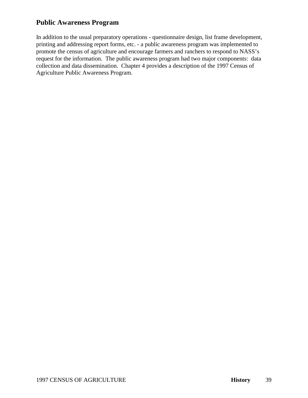# **Public Awareness Program**

In addition to the usual preparatory operations - questionnaire design, list frame development, printing and addressing report forms, etc. - a public awareness program was implemented to promote the census of agriculture and encourage farmers and ranchers to respond to NASS's request for the information. The public awareness program had two major components: data collection and data dissemination. Chapter 4 provides a description of the 1997 Census of Agriculture Public Awareness Program.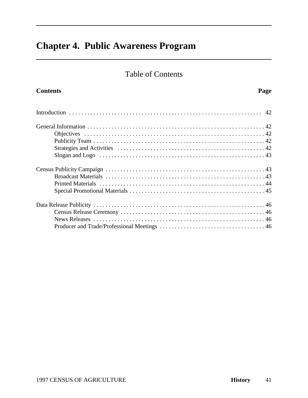# **Chapter 4. Public Awareness Program**

# Table of Contents

**Contents Page**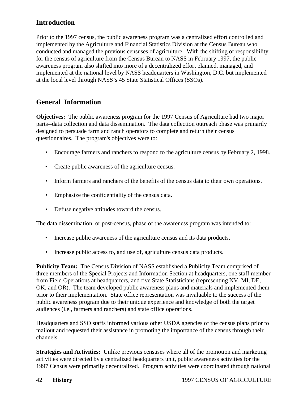# **Introduction**

Prior to the 1997 census, the public awareness program was a centralized effort controlled and implemented by the Agriculture and Financial Statistics Division at the Census Bureau who conducted and managed the previous censuses of agriculture. With the shifting of responsibility for the census of agriculture from the Census Bureau to NASS in February 1997, the public awareness program also shifted into more of a decentralized effort planned, managed, and implemented at the national level by NASS headquarters in Washington, D.C. but implemented at the local level through NASS's 45 State Statistical Offices (SSOs).

#### **General Information**

**Objectives:** The public awareness program for the 1997 Census of Agriculture had two major parts--data collection and data dissemination. The data collection outreach phase was primarily designed to persuade farm and ranch operators to complete and return their census questionnaires. The program's objectives were to:

- Encourage farmers and ranchers to respond to the agriculture census by February 2, 1998.
- Create public awareness of the agriculture census.
- Inform farmers and ranchers of the benefits of the census data to their own operations.
- Emphasize the confidentiality of the census data.
- Defuse negative attitudes toward the census.

The data dissemination, or post-census, phase of the awareness program was intended to:

- Increase public awareness of the agriculture census and its data products.
- Increase public access to, and use of, agriculture census data products.

**Publicity Team:** The Census Division of NASS established a Publicity Team comprised of three members of the Special Projects and Information Section at headquarters, one staff member from Field Operations at headquarters, and five State Statisticians (representing NV, MI, DE, OK, and OR). The team developed public awareness plans and materials and implemented them prior to their implementation. State office representation was invaluable to the success of the public awareness program due to their unique experience and knowledge of both the target audiences (i.e., farmers and ranchers) and state office operations.

Headquarters and SSO staffs informed various other USDA agencies of the census plans prior to mailout and requested their assistance in promoting the importance of the census through their channels.

**Strategies and Activities:** Unlike previous censuses where all of the promotion and marketing activities were directed by a centralized headquarters unit, public awareness activities for the 1997 Census were primarily decentralized. Program activities were coordinated through national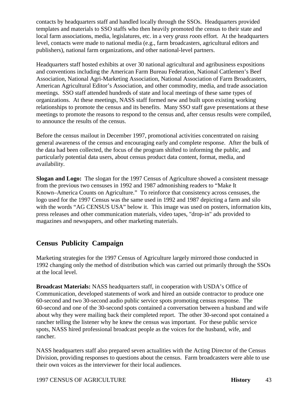contacts by headquarters staff and handled locally through the SSOs. Headquarters provided templates and materials to SSO staffs who then heavily promoted the census to their state and local farm associations, media, legislatures, etc. in a very *grass roots* effort. At the headquarters level, contacts were made to national media (e.g., farm broadcasters, agricultural editors and publishers), national farm organizations, and other national-level partners.

Headquarters staff hosted exhibits at over 30 national agricultural and agribusiness expositions and conventions including the American Farm Bureau Federation, National Cattlemen's Beef Association, National Agri-Marketing Association, National Association of Farm Broadcasters, American Agricultural Editor's Association, and other commodity, media, and trade association meetings. SSO staff attended hundreds of state and local meetings of these same types of organizations. At these meetings, NASS staff formed new and built upon existing working relationships to promote the census and its benefits. Many SSO staff gave presentations at these meetings to promote the reasons to respond to the census and, after census results were compiled, to announce the results of the census.

Before the census mailout in December 1997, promotional activities concentrated on raising general awareness of the census and encouraging early and complete response. After the bulk of the data had been collected, the focus of the program shifted to informing the public, and particularly potential data users, about census product data content, format, media, and availability.

**Slogan and Logo:** The slogan for the 1997 Census of Agriculture showed a consistent message from the previous two censuses in 1992 and 1987 admonishing readers to "Make It Known–America Counts on Agriculture." To reinforce that consistency across censuses, the logo used for the 1997 Census was the same used in 1992 and 1987 depicting a farm and silo with the words "AG CENSUS USA" below it. This image was used on posters, information kits, press releases and other communication materials, video tapes, "drop-in" ads provided to magazines and newspapers, and other marketing materials.

# **Census Publicity Campaign**

Marketing strategies for the 1997 Census of Agriculture largely mirrored those conducted in 1992 changing only the method of distribution which was carried out primarily through the SSOs at the local level.

**Broadcast Materials:** NASS headquarters staff, in cooperation with USDA's Office of Communication, developed statements of work and hired an outside contractor to produce one 60-second and two 30-second audio public service spots promoting census response. The 60-second and one of the 30-second spots contained a conversation between a husband and wife about why they were mailing back their completed report. The other 30-second spot contained a rancher telling the listener why he knew the census was important. For these public service spots, NASS hired professional broadcast people as the voices for the husband, wife, and rancher.

NASS headquarters staff also prepared seven actualities with the Acting Director of the Census Division, providing responses to questions about the census. Farm broadcasters were able to use their own voices as the interviewer for their local audiences.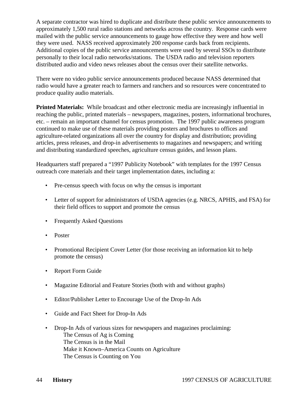A separate contractor was hired to duplicate and distribute these public service announcements to approximately 1,500 rural radio stations and networks across the country. Response cards were mailed with the public service announcements to gauge how effective they were and how well they were used. NASS received approximately 200 response cards back from recipients. Additional copies of the public service announcements were used by several SSOs to distribute personally to their local radio networks/stations. The USDA radio and television reporters distributed audio and video news releases about the census over their satellite networks.

There were no video public service announcements produced because NASS determined that radio would have a greater reach to farmers and ranchers and so resources were concentrated to produce quality audio materials.

**Printed Materials:** While broadcast and other electronic media are increasingly influential in reaching the public, printed materials – newspapers, magazines, posters, informational brochures, etc. – remain an important channel for census promotion. The 1997 public awareness program continued to make use of these materials providing posters and brochures to offices and agriculture-related organizations all over the country for display and distribution; providing articles, press releases, and drop-in advertisements to magazines and newspapers; and writing and distributing standardized speeches, agriculture census guides, and lesson plans.

Headquarters staff prepared a "1997 Publicity Notebook" with templates for the 1997 Census outreach core materials and their target implementation dates, including a:

- Pre-census speech with focus on why the census is important
- Letter of support for administrators of USDA agencies (e.g. NRCS, APHIS, and FSA) for their field offices to support and promote the census
- Frequently Asked Questions
- Poster
- Promotional Recipient Cover Letter (for those receiving an information kit to help promote the census)
- Report Form Guide
- Magazine Editorial and Feature Stories (both with and without graphs)
- Editor/Publisher Letter to Encourage Use of the Drop-In Ads
- Guide and Fact Sheet for Drop-In Ads
- Drop-In Ads of various sizes for newspapers and magazines proclaiming: The Census of Ag is Coming The Census is in the Mail Make it Known–America Counts on Agriculture The Census is Counting on You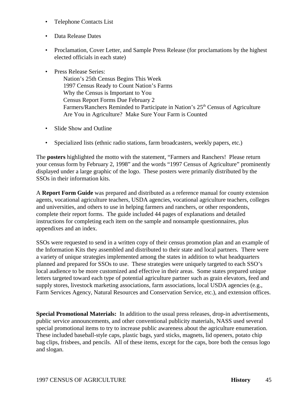- Telephone Contacts List
- Data Release Dates
- Proclamation, Cover Letter, and Sample Press Release (for proclamations by the highest elected officials in each state)
- Press Release Series:

Nation's 25th Census Begins This Week 1997 Census Ready to Count Nation's Farms Why the Census is Important to You Census Report Forms Due February 2 Farmers/Ranchers Reminded to Participate in Nation's 25<sup>th</sup> Census of Agriculture Are You in Agriculture? Make Sure Your Farm is Counted

- Slide Show and Outline
- Specialized lists (ethnic radio stations, farm broadcasters, weekly papers, etc.)

The **posters** highlighted the motto with the statement, "Farmers and Ranchers! Please return your census form by February 2, 1998" and the words "1997 Census of Agriculture" prominently displayed under a large graphic of the logo. These posters were primarily distributed by the SSOs in their information kits.

A **Report Form Guide** was prepared and distributed as a reference manual for county extension agents, vocational agriculture teachers, USDA agencies, vocational agriculture teachers, colleges and universities, and others to use in helping farmers and ranchers, or other respondents, complete their report forms. The guide included 44 pages of explanations and detailed instructions for completing each item on the sample and nonsample questionnaires, plus appendixes and an index.

SSOs were requested to send in a written copy of their census promotion plan and an example of the Information Kits they assembled and distributed to their state and local partners. There were a variety of unique strategies implemented among the states in addition to what headquarters planned and prepared for SSOs to use. These strategies were uniquely targeted to each SSO's local audience to be more customized and effective in their areas. Some states prepared unique letters targeted toward each type of potential agriculture partner such as grain elevators, feed and supply stores, livestock marketing associations, farm associations, local USDA agencies (e.g., Farm Services Agency, Natural Resources and Conservation Service, etc.), and extension offices.

**Special Promotional Materials:** In addition to the usual press releases, drop-in advertisements, public service announcements, and other conventional publicity materials, NASS used several special promotional items to try to increase public awareness about the agriculture enumeration. These included baseball-style caps, plastic bags, yard sticks, magnets, lid openers, potato chip bag clips, frisbees, and pencils. All of these items, except for the caps, bore both the census logo and slogan.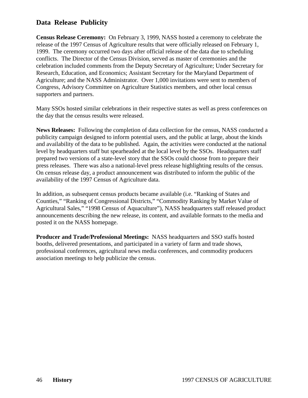## **Data Release Publicity**

**Census Release Ceremony:** On February 3, 1999, NASS hosted a ceremony to celebrate the release of the 1997 Census of Agriculture results that were officially released on February 1, 1999. The ceremony occurred two days after official release of the data due to scheduling conflicts. The Director of the Census Division, served as master of ceremonies and the celebration included comments from the Deputy Secretary of Agriculture; Under Secretary for Research, Education, and Economics; Assistant Secretary for the Maryland Department of Agriculture; and the NASS Administrator. Over 1,000 invitations were sent to members of Congress, Advisory Committee on Agriculture Statistics members, and other local census supporters and partners.

Many SSOs hosted similar celebrations in their respective states as well as press conferences on the day that the census results were released.

**News Releases:** Following the completion of data collection for the census, NASS conducted a publicity campaign designed to inform potential users, and the public at large, about the kinds and availability of the data to be published. Again, the activities were conducted at the national level by headquarters staff but spearheaded at the local level by the SSOs. Headquarters staff prepared two versions of a state-level story that the SSOs could choose from to prepare their press releases. There was also a national-level press release highlighting results of the census. On census release day, a product announcement was distributed to inform the public of the availability of the 1997 Census of Agriculture data.

In addition, as subsequent census products became available (i.e. "Ranking of States and Counties," "Ranking of Congressional Districts," "Commodity Ranking by Market Value of Agricultural Sales," "1998 Census of Aquaculture"), NASS headquarters staff released product announcements describing the new release, its content, and available formats to the media and posted it on the NASS homepage.

**Producer and Trade/Professional Meetings:** NASS headquarters and SSO staffs hosted booths, delivered presentations, and participated in a variety of farm and trade shows, professional conferences, agricultural news media conferences, and commodity producers association meetings to help publicize the census.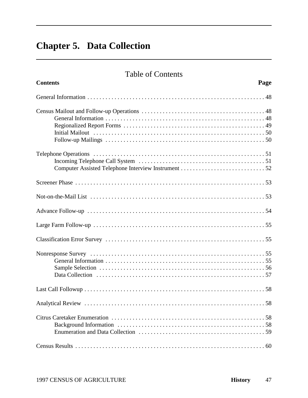# **Chapter 5. Data Collection**

# Table of Contents

| <b>Contents</b> | Page |
|-----------------|------|
|                 |      |
|                 |      |
|                 |      |
|                 |      |
|                 |      |
|                 |      |
|                 |      |
|                 |      |
|                 |      |
|                 |      |
|                 |      |
|                 |      |
|                 |      |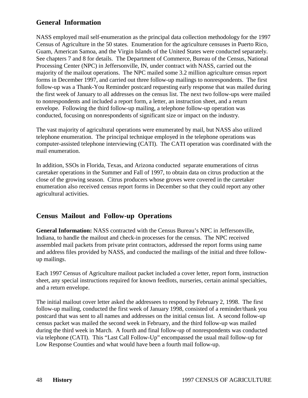## **General Information**

NASS employed mail self-enumeration as the principal data collection methodology for the 1997 Census of Agriculture in the 50 states. Enumeration for the agriculture censuses in Puerto Rico, Guam, American Samoa, and the Virgin Islands of the United States were conducted separately. See chapters 7 and 8 for details. The Department of Commerce, Bureau of the Census, National Processing Center (NPC) in Jeffersonville, IN, under contract with NASS, carried out the majority of the mailout operations. The NPC mailed some 3.2 million agriculture census report forms in December 1997, and carried out three follow-up mailings to nonrespondents. The first follow-up was a Thank-You Reminder postcard requesting early response that was mailed during the first week of January to all addresses on the census list. The next two follow-ups were mailed to nonrespondents and included a report form, a letter, an instruction sheet, and a return envelope. Following the third follow-up mailing, a telephone follow-up operation was conducted, focusing on nonrespondents of significant size or impact on the industry.

The vast majority of agricultural operations were enumerated by mail, but NASS also utilized telephone enumeration. The principal technique employed in the telephone operations was computer-assisted telephone interviewing (CATI). The CATI operation was coordinated with the mail enumeration.

In addition, SSOs in Florida, Texas, and Arizona conducted separate enumerations of citrus caretaker operations in the Summer and Fall of 1997, to obtain data on citrus production at the close of the growing season. Citrus producers whose groves were covered in the caretaker enumeration also received census report forms in December so that they could report any other agricultural activities.

#### **Census Mailout and Follow-up Operations**

**General Information:** NASS contracted with the Census Bureau's NPC in Jeffersonville, Indiana, to handle the mailout and check-in processes for the census. The NPC received assembled mail packets from private print contractors, addressed the report forms using name and address files provided by NASS, and conducted the mailings of the initial and three followup mailings.

Each 1997 Census of Agriculture mailout packet included a cover letter, report form, instruction sheet, any special instructions required for known feedlots, nurseries, certain animal specialties, and a return envelope.

The initial mailout cover letter asked the addressees to respond by February 2, 1998. The first follow-up mailing, conducted the first week of January 1998, consisted of a reminder/thank you postcard that was sent to all names and addresses on the initial census list. A second follow-up census packet was mailed the second week in February, and the third follow-up was mailed during the third week in March. A fourth and final follow-up of nonrespondents was conducted via telephone (CATI). This "Last Call Follow-Up" encompassed the usual mail follow-up for Low Response Counties and what would have been a fourth mail follow-up.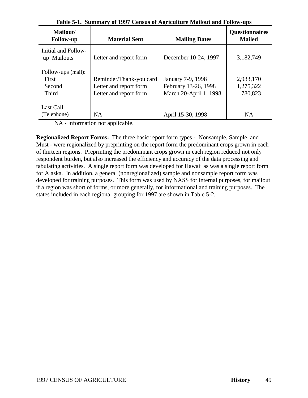| Mailout/<br><b>Follow-up</b>                   | <b>Material Sent</b>                                                        | <b>Mailing Dates</b>                                                | <b>Questionnaires</b><br><b>Mailed</b> |
|------------------------------------------------|-----------------------------------------------------------------------------|---------------------------------------------------------------------|----------------------------------------|
| Initial and Follow-<br>up Mailouts             | Letter and report form                                                      | December 10-24, 1997                                                | 3,182,749                              |
| Follow-ups (mail):<br>First<br>Second<br>Third | Reminder/Thank-you card<br>Letter and report form<br>Letter and report form | January 7-9, 1998<br>February 13-26, 1998<br>March 20-April 1, 1998 | 2,933,170<br>1,275,322<br>780,823      |
| <b>Last Call</b><br>(Telephone)                | <b>NA</b>                                                                   | April 15-30, 1998                                                   | <b>NA</b>                              |

 **Table 5-1. Summary of 1997 Census of Agriculture Mailout and Follow-ups**

NA - Information not applicable.

**Regionalized Report Forms:** The three basic report form types - Nonsample, Sample, and Must - were regionalized by preprinting on the report form the predominant crops grown in each of thirteen regions. Preprinting the predominant crops grown in each region reduced not only respondent burden, but also increased the efficiency and accuracy of the data processing and tabulating activities. A single report form was developed for Hawaii as was a single report form for Alaska. In addition, a general (nonregionalized) sample and nonsample report form was developed for training purposes. This form was used by NASS for internal purposes, for mailout if a region was short of forms, or more generally, for informational and training purposes. The states included in each regional grouping for 1997 are shown in Table 5-2.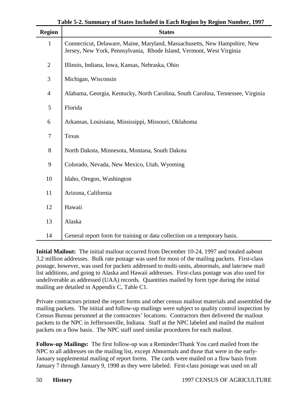| Table 5-2. Summary of States Included in Each Region by Region Number, 1997 |  |  |  |
|-----------------------------------------------------------------------------|--|--|--|
|                                                                             |  |  |  |

| <b>Region</b>  | <b>States</b>                                                                                                                                     |
|----------------|---------------------------------------------------------------------------------------------------------------------------------------------------|
| $\mathbf{1}$   | Connecticut, Delaware, Maine, Maryland, Massachusetts, New Hampshire, New<br>Jersey, New York, Pennsylvania, Rhode Island, Vermont, West Virginia |
| $\overline{2}$ | Illinois, Indiana, Iowa, Kansas, Nebraska, Ohio                                                                                                   |
| 3              | Michigan, Wisconsin                                                                                                                               |
| 4              | Alabama, Georgia, Kentucky, North Carolina, South Carolina, Tennessee, Virginia                                                                   |
| 5              | Florida                                                                                                                                           |
| 6              | Arkansas, Louisiana, Mississippi, Missouri, Oklahoma                                                                                              |
| 7              | Texas                                                                                                                                             |
| 8              | North Dakota, Minnesota, Montana, South Dakota                                                                                                    |
| 9              | Colorado, Nevada, New Mexico, Utah, Wyoming                                                                                                       |
| 10             | Idaho, Oregon, Washington                                                                                                                         |
| 11             | Arizona, California                                                                                                                               |
| 12             | Hawaii                                                                                                                                            |
| 13             | Alaska                                                                                                                                            |
| 14             | General report form for training or data collection on a temporary basis.                                                                         |

**Initial Mailout:** The initial mailout occurred from December 10-24, 1997 and totaled aabout 3.2 million addresses. Bulk rate postage was used for most of the mailing packets. First-class postage, however, was used for packets addressed to multi-units, abnormals, and late/new mail list additions, and going to Alaska and Hawaii addresses. First-class postage was also used for undeliverable as addressed (UAA) records. Quantities mailed by form type during the initial mailing are detailed in Appendix C, Table C1.

Private contractors printed the report forms and other census mailout materials and assembled the mailing packets. The initial and follow-up mailings were subject to quality control inspection by Census Bureau personnel at the contractors' locations. Contractors then delivered the mailout packets to the NPC in Jeffersonville, Indiana. Staff at the NPC labeled and mailed the mailout packets on a flow basis. The NPC staff used similar procedures for each mailout.

**Follow-up Mailings:** The first follow-up was a Reminder/Thank You card mailed from the NPC to all addresses on the mailing list, except Abnormals and those that were in the early-January supplemental mailing of report forms. The cards were mailed on a flow basis from January 7 through January 9, 1998 as they were labeled. First-class postage was used on all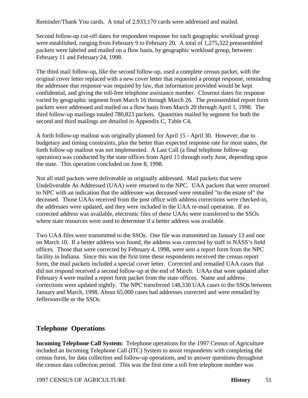Reminder/Thank You cards. A total of 2,933,170 cards were addressed and mailed.

Second follow-up cut-off dates for respondent response for each geographic workload group were established, ranging from February 9 to February 20. A total of 1,275,322 preassembled packets were labeled and mailed on a flow basis, by geographic workload group, between February 11 and February 24, 1998.

The third mail follow-up, like the second follow-up, used a complete census packet, with the original cover letter replaced with a new cover letter that requested a prompt response, reminding the addressee that response was required by law, that information provided would be kept confidential, and giving the toll-free telephone assistance number. Closeout dates for response varied by geographic segment from March 16 through March 26. The preassembled report form packets were addressed and mailed on a flow basis from March 20 through April 1, 1998. The third follow-up mailings totaled 780,823 packets. Quantities mailed by segment for both the second and third mailings are detailed in Appendix C, Table C4.

A forth follow-up mailout was originally planned for April 15 - April 30. However, due to budgetary and timing constraints, plus the better than expected response rate for most states, the forth follow-up mailout was not implemented. A Last Call (a final telephone follow-up operation) was conducted by the state offices from April 15 through early June, depending upon the state. This operation concluded on June 8, 1998.

Not all mail packets were deliverable as originally addressed. Mail packets that were Undeliverable As Addressed (UAA) were returned to the NPC. UAA packets that were returned to NPC with an indication that the addressee was deceased were remailed "to the estate of" the deceased. Those UAAs received from the post office with address corrections were checked-in, the addresses were updated, and they were included in the UAA re-mail operation. If no corrected address was available, electronic files of these UAAs were transferred to the SSOs where state resources were used to determine if a better address was available.

Two UAA files were transmitted to the SSOs. One file was transmitted on January 13 and one on March 10. If a better address was found, the address was corrected by staff in NASS's field offices. Those that were corrected by February 4, 1998, were sent a report form from the NPC facility in Indiana. Since this was the first time these respondents received the census report form, the mail packets included a special cover letter. Corrected and remailed UAA cases that did not respond received a second follow-up at the end of March. UAAs that were updated after February 4 were mailed a report form packet from the state offices. Name and address corrections were updated nightly. The NPC transferred 148,330 UAA cases to the SSOs between January and March, 1998. About 65,000 cases had addresses corrected and were remailed by Jeffersonville or the SSOs.

#### **Telephone Operations**

**Incoming Telephone Call System:** Telephone operations for the 1997 Census of Agriculture included an Incoming Telephone Call (ITC) System to assist respondents with completing the census form, for data collection and follow-up operations, and to answer questions throughout the census data collection period. This was the first time a toll free telephone number was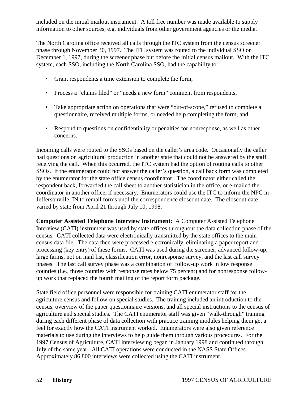included on the initial mailout instrument. A toll free number was made available to supply information to other sources, e.g. individuals from other government agencies or the media.

The North Carolina office received all calls through the ITC system from the census screener phase through November 30, 1997. The ITC system was routed to the individual SSO on December 1, 1997, during the screener phase but before the initial census mailout. With the ITC system, each SSO, including the North Carolina SSO, had the capability to:

- Grant respondents a time extension to complete the form,
- Process a "claims filed" or "needs a new form" comment from respondents,
- Take appropriate action on operations that were "out-of-scope," refused to complete a questionnaire, received multiple forms, or needed help completing the form, and
- Respond to questions on confidentiality or penalties for nonresponse, as well as other concerns.

Incoming calls were routed to the SSOs based on the caller's area code. Occasionally the caller had questions on agricultural production in another state that could not be answered by the staff receiving the call. When this occurred, the ITC system had the option of routing calls to other SSOs. If the enumerator could not answer the caller's question, a call back form was completed by the enumerator for the state office census coordinator. The coordinator either called the respondent back, forwarded the call sheet to another statistician in the office, or e-mailed the coordinator in another office, if necessary. Enumerators could use the ITC to inform the NPC in Jeffersonville, IN to remail forms until the correspondence closeout date. The closeout date varied by state from April 21 through July 10, 1998.

**Computer Assisted Telephone Interview Instrument:** A Computer Assisted Telephone Interview (CATI**)** instrument was used by state offices throughout the data collection phase of the census. CATI collected data were electronically transmitted by the state offices to the main census data file. The data then were processed electronically, eliminating a paper report and processing (key entry) of these forms. CATI was used during the screener, advanced follow-up, large farms, not on mail list, classification error, nonresponse survey, and the last call survey phases. The last call survey phase was a combination of follow-up work in low response counties (i.e., those counties with response rates below 75 percent) and for nonresponse followup work that replaced the fourth mailing of the report form package.

State field office personnel were responsible for training CATI enumerator staff for the agriculture census and follow-on special studies. The training included an introduction to the census, overview of the paper questionnaire versions, and all special instructions to the census of agriculture and special studies. The CATI enumerator staff was given "walk-through" training during each different phase of data collection with practice training modules helping them get a feel for exactly how the CATI instrument worked. Enumerators were also given reference materials to use during the interviews to help guide them through various procedures. For the 1997 Census of Agriculture, CATI interviewing began in January 1998 and continued through July of the same year. All CATI operations were conducted in the NASS State Offices. Approximately 86,800 interviews were collected using the CATI instrument.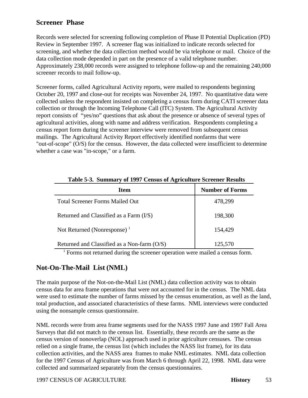#### **Screener Phase**

Records were selected for screening following completion of Phase II Potential Duplication (PD) Review in September 1997. A screener flag was initialized to indicate records selected for screening, and whether the data collection method would be via telephone or mail. Choice of the data collection mode depended in part on the presence of a valid telephone number. Approximately 238,000 records were assigned to telephone follow-up and the remaining 240,000 screener records to mail follow-up.

Screener forms, called Agricultural Activity reports, were mailed to respondents beginning October 20, 1997 and close-out for receipts was November 24, 1997. No quantitative data were collected unless the respondent insisted on completing a census form during CATI screener data collection or through the Incoming Telephone Call (ITC) System. The Agricultural Activity report consists of "yes/no" questions that ask about the presence or absence of several types of agricultural activities, along with name and address verification. Respondents completing a census report form during the screener interview were removed from subsequent census mailings. The Agricultural Activity Report effectively identified nonfarms that were "out-of-scope" (O/S) for the census. However, the data collected were insufficient to determine whether a case was "in-scope," or a farm.

| 0<br><b>Item</b>                              | <b>Number of Forms</b> |
|-----------------------------------------------|------------------------|
| <b>Total Screener Forms Mailed Out</b>        | 478,299                |
| Returned and Classified as a Farm (I/S)       | 198,300                |
| Not Returned (Nonresponse) $1$                | 154,429                |
| Returned and Classified as a Non-farm $(O/S)$ | 125,570                |

<sup>1</sup> Forms not returned during the screener operation were mailed a census form.

# **Not-On-The-Mail List (NML)**

The main purpose of the Not-on-the-Mail List (NML) data collection activity was to obtain census data for area frame operations that were not accounted for in the census. The NML data were used to estimate the number of farms missed by the census enumeration, as well as the land, total production, and associated characteristics of these farms. NML interviews were conducted using the nonsample census questionnaire.

NML records were from area frame segments used for the NASS 1997 June and 1997 Fall Area Surveys that did not match to the census list. Essentially, these records are the same as the census version of nonoverlap (NOL) approach used in prior agriculture censuses. The census relied on a single frame, the census list (which includes the NASS list frame), for its data collection activities, and the NASS area frames to make NML estimates. NML data collection for the 1997 Census of Agriculture was from March 6 through April 22, 1998. NML data were collected and summarized separately from the census questionnaires.

1997 CENSUS OF AGRICULTURE **History** 53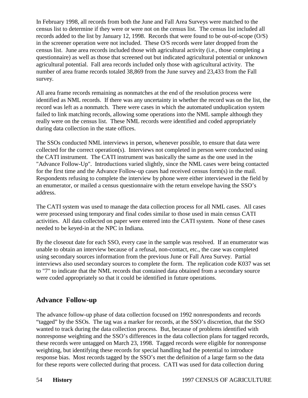In February 1998, all records from both the June and Fall Area Surveys were matched to the census list to determine if they were or were not on the census list. The census list included all records added to the list by January 12, 1998. Records that were found to be out-of-scope (O/S) in the screener operation were not included. These O/S records were later dropped from the census list. June area records included those with agricultural activity (i.e., those completing a questionnaire) as well as those that screened out but indicated agricultural potential or unknown agricultural potential. Fall area records included only those with agricultural activity. The number of area frame records totaled 38,869 from the June survey and 23,433 from the Fall survey.

All area frame records remaining as nonmatches at the end of the resolution process were identified as NML records. If there was any uncertainty in whether the record was on the list, the record was left as a nonmatch. There were cases in which the automated unduplication system failed to link matching records, allowing some operations into the NML sample although they really were on the census list. These NML records were identified and coded appropriately during data collection in the state offices.

The SSOs conducted NML interviews in person, whenever possible, to ensure that data were collected for the correct operation(s). Interviews not completed in person were conducted using the CATI instrument. The CATI instrument was basically the same as the one used in the "Advance Follow-Up". Introductions varied slightly, since the NML cases were being contacted for the first time and the Advance Follow-up cases had received census form(s) in the mail. Respondents refusing to complete the interview by phone were either interviewed in the field by an enumerator, or mailed a census questionnaire with the return envelope having the SSO's address.

The CATI system was used to manage the data collection process for all NML cases. All cases were processed using temporary and final codes similar to those used in main census CATI activities. All data collected on paper were entered into the CATI system. None of these cases needed to be keyed-in at the NPC in Indiana.

By the closeout date for each SSO, every case in the sample was resolved. If an enumerator was unable to obtain an interview because of a refusal, non-contact, etc., the case was completed using secondary sources information from the previous June or Fall Area Survey. Partial interviews also used secondary sources to complete the form. The replication code K037 was set to "7" to indicate that the NML records that contained data obtained from a secondary source were coded appropriately so that it could be identified in future operations.

#### **Advance Follow-up**

The advance follow-up phase of data collection focused on 1992 nonrespondents and records "tagged" by the SSOs. The tag was a marker for records, at the SSO's discretion, that the SSO wanted to track during the data collection process. But, because of problems identified with nonresponse weighting and the SSO's differences in the data collection plans for tagged records, these records were untagged on March 23, 1998. Tagged records were eligible for nonresponse weighting, but identifying these records for special handling had the potential to introduce response bias. Most records tagged by the SSO's met the definition of a large farm so the data for these reports were collected during that process. CATI was used for data collection during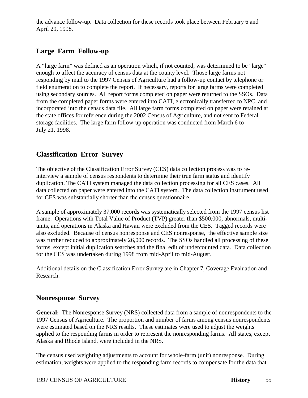the advance follow-up. Data collection for these records took place between February 6 and April 29, 1998.

## **Large Farm Follow-up**

A "large farm" was defined as an operation which, if not counted, was determined to be "large" enough to affect the accuracy of census data at the county level. Those large farms not responding by mail to the 1997 Census of Agriculture had a follow-up contact by telephone or field enumeration to complete the report. If necessary, reports for large farms were completed using secondary sources. All report forms completed on paper were returned to the SSOs. Data from the completed paper forms were entered into CATI, electronically transferred to NPC, and incorporated into the census data file. All large farm forms completed on paper were retained at the state offices for reference during the 2002 Census of Agriculture, and not sent to Federal storage facilities. The large farm follow-up operation was conducted from March 6 to July 21, 1998.

# **Classification Error Survey**

The objective of the Classification Error Survey (CES) data collection process was to reinterview a sample of census respondents to determine their true farm status and identify duplication. The CATI system managed the data collection processing for all CES cases. All data collected on paper were entered into the CATI system. The data collection instrument used for CES was substantially shorter than the census questionnaire.

A sample of approximately 37,000 records was systematically selected from the 1997 census list frame. Operations with Total Value of Product (TVP) greater than \$500,000, abnormals, multiunits, and operations in Alaska and Hawaii were excluded from the CES. Tagged records were also excluded. Because of census nonresponse and CES nonresponse, the effective sample size was further reduced to approximately 26,000 records. The SSOs handled all processing of these forms, except initial duplication searches and the final edit of undercounted data. Data collection for the CES was undertaken during 1998 from mid-April to mid-August.

Additional details on the Classification Error Survey are in Chapter 7, Coverage Evaluation and Research.

#### **Nonresponse Survey**

**General:** The Nonresponse Survey (NRS) collected data from a sample of nonrespondents to the 1997 Census of Agriculture. The proportion and number of farms among census nonrespondents were estimated based on the NRS results. These estimates were used to adjust the weights applied to the responding farms in order to represent the nonresponding farms. All states, except Alaska and Rhode Island, were included in the NRS.

The census used weighting adjustments to account for whole-farm (unit) nonresponse. During estimation, weights were applied to the responding farm records to compensate for the data that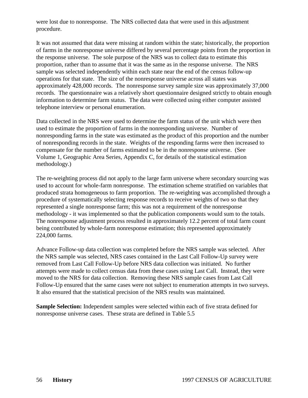were lost due to nonresponse. The NRS collected data that were used in this adjustment procedure.

It was not assumed that data were missing at random within the state; historically, the proportion of farms in the nonresponse universe differed by several percentage points from the proportion in the response universe. The sole purpose of the NRS was to collect data to estimate this proportion, rather than to assume that it was the same as in the response universe. The NRS sample was selected independently within each state near the end of the census follow-up operations for that state. The size of the nonresponse universe across all states was approximately 428,000 records. The nonresponse survey sample size was approximately 37,000 records. The questionnaire was a relatively short questionnaire designed strictly to obtain enough information to determine farm status. The data were collected using either computer assisted telephone interview or personal enumeration.

Data collected in the NRS were used to determine the farm status of the unit which were then used to estimate the proportion of farms in the nonresponding universe. Number of nonresponding farms in the state was estimated as the product of this proportion and the number of nonresponding records in the state. Weights of the responding farms were then increased to compensate for the number of farms estimated to be in the nonresponse universe. (See Volume 1, Geographic Area Series, Appendix C, for details of the statistical estimation methodology.)

The re-weighting process did not apply to the large farm universe where secondary sourcing was used to account for whole-farm nonresponse. The estimation scheme stratified on variables that produced strata homogeneous to farm proportion. The re-weighting was accomplished through a procedure of systematically selecting response records to receive weights of two so that they represented a single nonresponse farm; this was not a requirement of the nonresponse methodology - it was implemented so that the publication components would sum to the totals. The nonresponse adjustment process resulted in approximately 12.2 percent of total farm count being contributed by whole-farm nonresponse estimation; this represented approximately 224,000 farms.

Advance Follow-up data collection was completed before the NRS sample was selected. After the NRS sample was selected, NRS cases contained in the Last Call Follow-Up survey were removed from Last Call Follow-Up before NRS data collection was initiated. No further attempts were made to collect census data from these cases using Last Call. Instead, they were moved to the NRS for data collection. Removing these NRS sample cases from Last Call Follow-Up ensured that the same cases were not subject to enumeration attempts in two surveys. It also ensured that the statistical precision of the NRS results was maintained.

**Sample Selection:** Independent samples were selected within each of five strata defined for nonresponse universe cases. These strata are defined in Table 5.5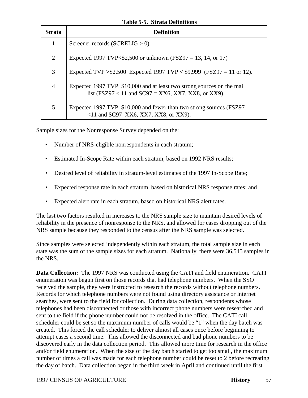| <b>Strata</b>  | <b>Definition</b>                                                                                                             |
|----------------|-------------------------------------------------------------------------------------------------------------------------------|
|                |                                                                                                                               |
| 1              | Screener records (SCRELIG $> 0$ ).                                                                                            |
| 2              | Expected 1997 TVP<\$2,500 or unknown (FSZ97 = 13, 14, or 17)                                                                  |
| 3              | Expected TVP $>\$2,500$ Expected 1997 TVP < $$9,999$ (FSZ97 = 11 or 12).                                                      |
| $\overline{4}$ | Expected 1997 TVP \$10,000 and at least two strong sources on the mail<br>list (FSZ97 < 11 and SC97 = XX6, XX7, XX8, or XX9). |
| 5              | Expected 1997 TVP \$10,000 and fewer than two strong sources (FSZ97<br>$<$ 11 and SC97 XX6, XX7, XX8, or XX9).                |

#### **Table 5-5. Strata Definitions**

Sample sizes for the Nonresponse Survey depended on the:

- Number of NRS-eligible nonrespondents in each stratum;
- Estimated In-Scope Rate within each stratum, based on 1992 NRS results;
- Desired level of reliability in stratum-level estimates of the 1997 In-Scope Rate;
- Expected response rate in each stratum, based on historical NRS response rates; and
- Expected alert rate in each stratum, based on historical NRS alert rates.

The last two factors resulted in increases to the NRS sample size to maintain desired levels of reliability in the presence of nonresponse to the NRS, and allowed for cases dropping out of the NRS sample because they responded to the census after the NRS sample was selected.

Since samples were selected independently within each stratum, the total sample size in each state was the sum of the sample sizes for each stratum. Nationally, there were 36,545 samples in the NRS.

**Data Collection:** The 1997 NRS was conducted using the CATI and field enumeration. CATI enumeration was begun first on those records that had telephone numbers. When the SSO received the sample, they were instructed to research the records without telephone numbers. Records for which telephone numbers were not found using directory assistance or Internet searches, were sent to the field for collection. During data collection, respondents whose telephones had been disconnected or those with incorrect phone numbers were researched and sent to the field if the phone number could not be resolved in the office. The CATI call scheduler could be set so the maximum number of calls would be "1" when the day batch was created. This forced the call scheduler to deliver almost all cases once before beginning to attempt cases a second time. This allowed the disconnected and bad phone numbers to be discovered early in the data collection period. This allowed more time for research in the office and/or field enumeration. When the size of the day batch started to get too small, the maximum number of times a call was made for each telephone number could be reset to 2 before recreating the day of batch. Data collection began in the third week in April and continued until the first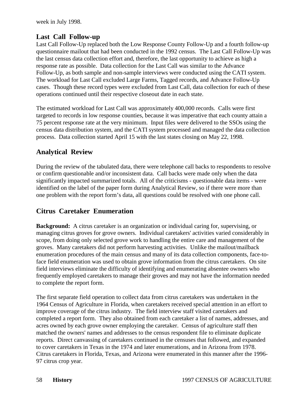week in July 1998.

# **Last Call Follow-up**

Last Call Follow-Up replaced both the Low Response County Follow-Up and a fourth follow-up questionnaire mailout that had been conducted in the 1992 census. The Last Call Follow-Up was the last census data collection effort and, therefore, the last opportunity to achieve as high a response rate as possible. Data collection for the Last Call was similar to the Advance Follow-Up, as both sample and non-sample interviews were conducted using the CATI system. The workload for Last Call excluded Large Farms, Tagged records, and Advance Follow-Up cases. Though these record types were excluded from Last Call, data collection for each of these operations continued until their respective closeout date in each state.

The estimated workload for Last Call was approximately 400,000 records. Calls were first targeted to records in low response counties, because it was imperative that each county attain a 75 percent response rate at the very minimum. Input files were delivered to the SSOs using the census data distribution system, and the CATI system processed and managed the data collection process. Data collection started April 15 with the last states closing on May 22, 1998.

# **Analytical Review**

During the review of the tabulated data, there were telephone call backs to respondents to resolve or confirm questionable and/or inconsistent data. Call backs were made only when the data significantly impacted summarized totals. All of the criticisms - questionable data items - were identified on the label of the paper form during Analytical Review, so if there were more than one problem with the report form's data, all questions could be resolved with one phone call.

#### **Citrus Caretaker Enumeration**

**Background:** A citrus caretaker is an organization or individual caring for, supervising, or managing citrus groves for grove owners. Individual caretakers' activities varied considerably in scope, from doing only selected grove work to handling the entire care and management of the groves. Many caretakers did not perform harvesting activities. Unlike the mailout/mailback enumeration procedures of the main census and many of its data collection components, face-toface field enumeration was used to obtain grove information from the citrus caretakers. On site field interviews eliminate the difficulty of identifying and enumerating absentee owners who frequently employed caretakers to manage their groves and may not have the information needed to complete the report form.

The first separate field operation to collect data from citrus caretakers was undertaken in the 1964 Census of Agriculture in Florida, when caretakers received special attention in an effort to improve coverage of the citrus industry. The field interview staff visited caretakers and completed a report form. They also obtained from each caretaker a list of names, addresses, and acres owned by each grove owner employing the caretaker. Census of agriculture staff then matched the owners' names and addresses to the census respondent file to eliminate duplicate reports. Direct canvassing of caretakers continued in the censuses that followed, and expanded to cover caretakers in Texas in the 1974 and later enumerations, and in Arizona from 1978. Citrus caretakers in Florida, Texas, and Arizona were enumerated in this manner after the 1996- 97 citrus crop year.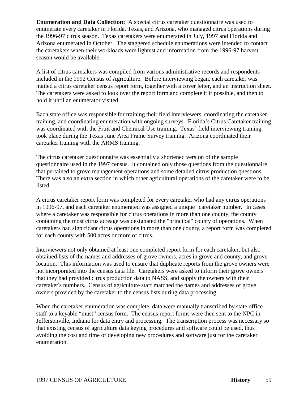**Enumeration and Data Collection:** A special citrus caretaker questionnaire was used to enumerate every caretaker in Florida, Texas, and Arizona, who managed citrus operations during the 1996-97 citrus season. Texas caretakers were enumerated in July, 1997 and Florida and Arizona enumerated in October. The staggered schedule enumerations were intended to contact the caretakers when their workloads were lightest and information from the 1996-97 harvest season would be available.

A list of citrus caretakers was compiled from various administrative records and respondents included in the 1992 Census of Agriculture. Before interviewing began, each caretaker was mailed a citrus caretaker census report form, together with a cover letter, and an instruction sheet. The caretakers were asked to look over the report form and complete it if possible, and then to hold it until an enumerator visited.

Each state office was responsible for training their field interviewers, coordinating the caretaker training, and coordinating enumeration with ongoing surveys. Florida's Citrus Caretaker training was coordinated with the Fruit and Chemical Use training. Texas' field interviewing training took place during the Texas June Area Frame Survey training. Arizona coordinated their caretaker training with the ARMS training.

The citrus caretaker questionnaire was essentially a shortened version of the sample questionnaire used in the 1997 census. It contained only those questions from the questionnaire that pertained to grove management operations and some detailed citrus production questions. There was also an extra section in which other agricultural operations of the caretaker were to be listed.

A citrus caretaker report form was completed for every caretaker who had any citrus operations in 1996-97, and each caretaker enumerated was assigned a unique "caretaker number." In cases where a caretaker was responsible for citrus operations in more than one county, the county containing the most citrus acreage was designated the "principal" county of operations. When caretakers had significant citrus operations in more than one county, a report form was completed for each county with 500 acres or more of citrus.

Interviewers not only obtained at least one completed report form for each caretaker, but also obtained lists of the names and addresses of grove owners, acres in grove and county, and grove location. This information was used to ensure that duplicate reports from the grove owners were not incorporated into the census data file. Caretakers were asked to inform their grove owners that they had provided citrus production data to NASS, and supply the owners with their caretaker's numbers. Census of agriculture staff matched the names and addresses of grove owners provided by the caretaker to the census lists during data processing.

When the caretaker enumeration was complete, data were manually transcribed by state office staff to a keyable "must" census form. The census report forms were then sent to the NPC in Jeffersonville, Indiana for data entry and processing. The transcription process was necessary so that existing census of agriculture data keying procedures and software could be used, thus avoiding the cost and time of developing new procedures and software just for the caretaker enumeration.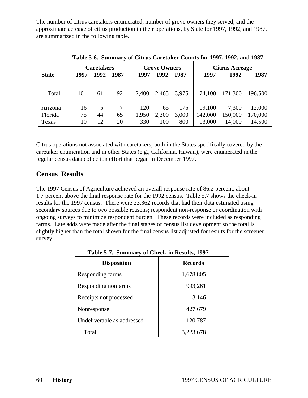The number of citrus caretakers enumerated, number of grove owners they served, and the approximate acreage of citrus production in their operations, by State for 1997, 1992, and 1987, are summarized in the following table.

| Table 5-6. Summary of Citrus Caretaker Counts for 1997, 1992, and 1987 |                   |      |        |                     |       |             |                       |         |         |
|------------------------------------------------------------------------|-------------------|------|--------|---------------------|-------|-------------|-----------------------|---------|---------|
|                                                                        | <b>Caretakers</b> |      |        | <b>Grove Owners</b> |       |             | <b>Citrus Acreage</b> |         |         |
| <b>State</b>                                                           | 1997              | 1992 | 1987   | 1997                | 1992  | 1987        | 1997                  | 1992    | 1987    |
|                                                                        |                   |      |        |                     |       |             |                       |         |         |
| Total                                                                  | 101               | 61   | 92     | 2,400               |       | 2,465 3,975 | 174,100               | 171,300 | 196,500 |
|                                                                        |                   |      |        |                     |       |             |                       |         |         |
| Arizona                                                                | 16                | 5    | $\tau$ | 120                 | 65    | 175         | 19,100                | 7,300   | 12,000  |
| Florida                                                                | 75                | 44   | 65     | 1,950               | 2,300 | 3,000       | 142,000               | 150,000 | 170,000 |
| Texas                                                                  | 10                | 12   | 20     | 330                 | 100   | 800         | 13,000                | 14,000  | 14,500  |

Citrus operations not associated with caretakers, both in the States specifically covered by the caretaker enumeration and in other States (e.g., California, Hawaii), were enumerated in the regular census data collection effort that began in December 1997.

#### **Census Results**

The 1997 Census of Agriculture achieved an overall response rate of 86.2 percent, about 1.7 percent above the final response rate for the 1992 census. Table 5.7 shows the check-in results for the 1997 census. There were 23,362 records that had their data estimated using secondary sources due to two possible reasons; respondent non-response or coordination with ongoing surveys to minimize respondent burden. These records were included as responding farms. Late adds were made after the final stages of census list development so the total is slightly higher than the total shown for the final census list adjusted for results for the screener survey.

| $10000$ $\mu$ , building $\mu$ of check in resource, $122$ |                |  |  |  |  |  |
|------------------------------------------------------------|----------------|--|--|--|--|--|
| <b>Disposition</b>                                         | <b>Records</b> |  |  |  |  |  |
| Responding farms                                           | 1,678,805      |  |  |  |  |  |
| Responding nonfarms                                        | 993,261        |  |  |  |  |  |
| Receipts not processed                                     | 3,146          |  |  |  |  |  |
| Nonresponse                                                | 427,679        |  |  |  |  |  |
| Undeliverable as addressed                                 | 120,787        |  |  |  |  |  |
| Total                                                      | 3,223,678      |  |  |  |  |  |

 **Table 5-7. Summary of Check-in Results, 1997**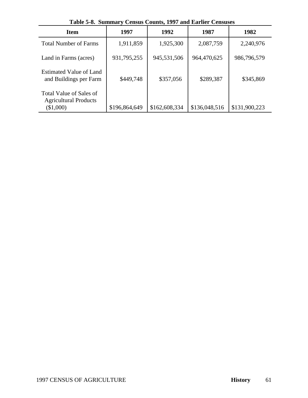| Tuble c of Dummury Census Counts, 1997 und Eurnel Censusco           |               |               |               |               |  |  |
|----------------------------------------------------------------------|---------------|---------------|---------------|---------------|--|--|
| <b>Item</b>                                                          | 1997          | 1992          | 1987          | 1982          |  |  |
| <b>Total Number of Farms</b>                                         | 1,911,859     | 1,925,300     | 2,087,759     | 2,240,976     |  |  |
| Land in Farms (acres)                                                | 931,795,255   | 945,531,506   | 964,470,625   | 986,796,579   |  |  |
| <b>Estimated Value of Land</b><br>and Buildings per Farm             | \$449,748     | \$357,056     | \$289,387     | \$345,869     |  |  |
| Total Value of Sales of<br><b>Agricultural Products</b><br>(\$1,000) | \$196,864,649 | \$162,608,334 | \$136,048,516 | \$131,900,223 |  |  |

 **Table 5-8. Summary Census Counts, 1997 and Earlier Censuses**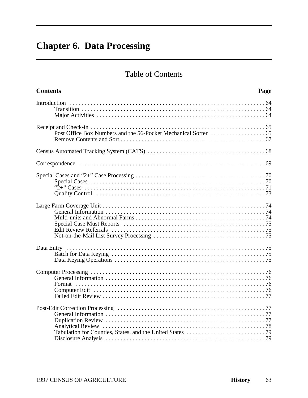# **Chapter 6. Data Processing**

# Table of Contents

| <b>Contents</b><br>Page |  |
|-------------------------|--|
|                         |  |
|                         |  |
|                         |  |
|                         |  |
|                         |  |
|                         |  |
|                         |  |
|                         |  |
|                         |  |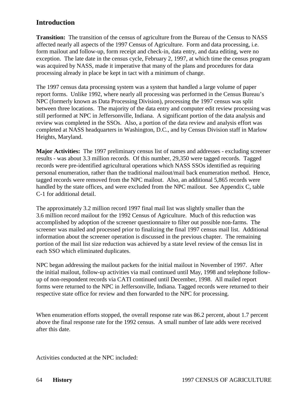## **Introduction**

**Transition:** The transition of the census of agriculture from the Bureau of the Census to NASS affected nearly all aspects of the 1997 Census of Agriculture. Form and data processing, i.e. form mailout and follow-up, form receipt and check-in, data entry, and data editing, were no exception. The late date in the census cycle, February 2, 1997, at which time the census program was acquired by NASS, made it imperative that many of the plans and procedures for data processing already in place be kept in tact with a minimum of change.

The 1997 census data processing system was a system that handled a large volume of paper report forms. Unlike 1992, where nearly all processing was performed in the Census Bureau's NPC (formerly known as Data Processing Division), processing the 1997 census was split between three locations. The majority of the data entry and computer edit review processing was still performed at NPC in Jeffersonville, Indiana. A significant portion of the data analysis and review was completed in the SSOs. Also, a portion of the data review and analysis effort was completed at NASS headquarters in Washington, D.C., and by Census Division staff in Marlow Heights, Maryland.

**Major Activities:** The 1997 preliminary census list of names and addresses - excluding screener results - was about 3.3 million records. Of this number, 29,350 were tagged records. Tagged records were pre-identified agricultural operations which NASS SSOs identified as requiring personal enumeration, rather than the traditional mailout/mail back enumeration method. Hence, tagged records were removed from the NPC mailout. Also, an additional 5,865 records were handled by the state offices, and were excluded from the NPC mailout. See Appendix C, table C-1 for additional detail.

The approximately 3.2 million record 1997 final mail list was slightly smaller than the 3.6 million record mailout for the 1992 Census of Agriculture. Much of this reduction was accomplished by adoption of the screener questionnaire to filter out possible non-farms. The screener was mailed and processed prior to finalizing the final 1997 census mail list. Additional information about the screener operation is discussed in the previous chapter. The remaining portion of the mail list size reduction was achieved by a state level review of the census list in each SSO which eliminated duplicates.

NPC began addressing the mailout packets for the initial mailout in November of 1997. After the initial mailout, follow-up activities via mail continued until May, 1998 and telephone followup of non-respondent records via CATI continued until December, 1998. All mailed report forms were returned to the NPC in Jeffersonville, Indiana. Tagged records were returned to their respective state office for review and then forwarded to the NPC for processing.

When enumeration efforts stopped, the overall response rate was 86.2 percent, about 1.7 percent above the final response rate for the 1992 census. A small number of late adds were received after this date.

Activities conducted at the NPC included: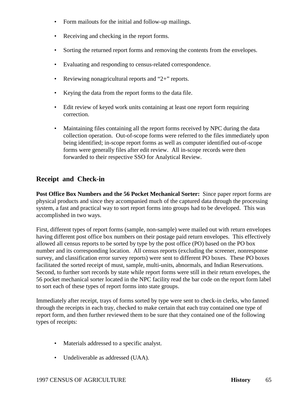- Form mailouts for the initial and follow-up mailings.
- Receiving and checking in the report forms.
- Sorting the returned report forms and removing the contents from the envelopes.
- Evaluating and responding to census-related correspondence.
- Reviewing nonagricultural reports and "2+" reports.
- Keying the data from the report forms to the data file.
- Edit review of keyed work units containing at least one report form requiring correction.
- Maintaining files containing all the report forms received by NPC during the data collection operation. Out-of-scope forms were referred to the files immediately upon being identified; in-scope report forms as well as computer identified out-of-scope forms were generally files after edit review. All in-scope records were then forwarded to their respective SSO for Analytical Review.

# **Receipt and Check-in**

**Post Office Box Numbers and the 56 Pocket Mechanical Sorter:** Since paper report forms are physical products and since they accompanied much of the captured data through the processing system, a fast and practical way to sort report forms into groups had to be developed. This was accomplished in two ways.

First, different types of report forms (sample, non-sample) were mailed out with return envelopes having different post office box numbers on their postage paid return envelopes. This effectively allowed all census reports to be sorted by type by the post office (PO) based on the PO box number and its corresponding location. All census reports (excluding the screener, nonresponse survey, and classification error survey reports) were sent to different PO boxes. These PO boxes facilitated the sorted receipt of must, sample, multi-units, abnormals, and Indian Reservations. Second, to further sort records by state while report forms were still in their return envelopes, the 56 pocket mechanical sorter located in the NPC facility read the bar code on the report form label to sort each of these types of report forms into state groups.

Immediately after receipt, trays of forms sorted by type were sent to check-in clerks, who fanned through the receipts in each tray, checked to make certain that each tray contained one type of report form, and then further reviewed them to be sure that they contained one of the following types of receipts:

- Materials addressed to a specific analyst.
- Undeliverable as addressed (UAA).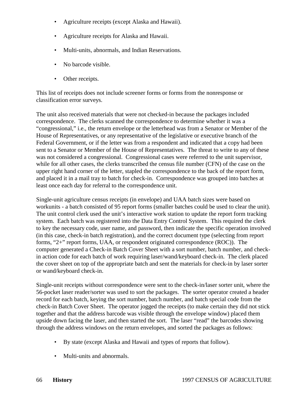- Agriculture receipts (except Alaska and Hawaii).
- Agriculture receipts for Alaska and Hawaii.
- Multi-units, abnormals, and Indian Reservations.
- No barcode visible.
- Other receipts.

This list of receipts does not include screener forms or forms from the nonresponse or classification error surveys.

The unit also received materials that were not checked-in because the packages included correspondence. The clerks scanned the correspondence to determine whether it was a "congressional," i.e., the return envelope or the letterhead was from a Senator or Member of the House of Representatives, or any representative of the legislative or executive branch of the Federal Government, or if the letter was from a respondent and indicated that a copy had been sent to a Senator or Member of the House of Representatives. The threat to write to any of these was not considered a congressional. Congressional cases were referred to the unit supervisor, while for all other cases, the clerks transcribed the census file number (CFN) of the case on the upper right hand corner of the letter, stapled the correspondence to the back of the report form, and placed it in a mail tray to batch for check-in. Correspondence was grouped into batches at least once each day for referral to the correspondence unit.

Single-unit agriculture census receipts (in envelope) and UAA batch sizes were based on workunits - a batch consisted of 95 report forms (smaller batches could be used to clear the unit). The unit control clerk used the unit's interactive work station to update the report form tracking system. Each batch was registered into the Data Entry Control System. This required the clerk to key the necessary code, user name, and password, then indicate the specific operation involved (in this case, check-in batch registration), and the correct document type (selecting from report forms, "2+" report forms, UAA, or respondent originated correspondence (ROC)). The computer generated a Check-in Batch Cover Sheet with a sort number, batch number, and checkin action code for each batch of work requiring laser/wand/keyboard check-in. The clerk placed the cover sheet on top of the appropriate batch and sent the materials for check-in by laser sorter or wand/keyboard check-in.

Single-unit receipts without correspondence were sent to the check-in/laser sorter unit, where the 56-pocket laser reader/sorter was used to sort the packages. The sorter operator created a header record for each batch, keying the sort number, batch number, and batch special code from the check-in Batch Cover Sheet. The operator jogged the receipts (to make certain they did not stick together and that the address barcode was visible through the envelope window) placed them upside down facing the laser, and then started the sort. The laser "read" the barcodes showing through the address windows on the return envelopes, and sorted the packages as follows:

- By state (except Alaska and Hawaii and types of reports that follow).
- Multi-units and abnormals.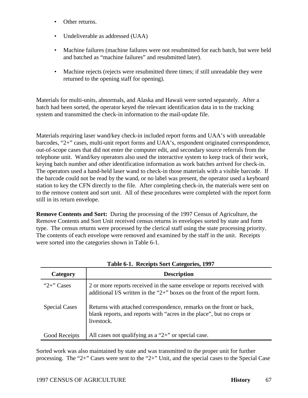- Other returns.
- Undeliverable as addressed (UAA)
- Machine failures (machine failures were not resubmitted for each batch, but were held and batched as "machine failures" and resubmitted later).
- Machine rejects (rejects were resubmitted three times; if still unreadable they were returned to the opening staff for opening).

Materials for multi-units, abnormals, and Alaska and Hawaii were sorted separately. After a batch had been sorted, the operator keyed the relevant identification data in to the tracking system and transmitted the check-in information to the mail-update file.

Materials requiring laser wand/key check-in included report forms and UAA's with unreadable barcodes, "2+" cases, multi-unit report forms and UAA's, respondent originated correspondence, out-of-scope cases that did not enter the computer edit, and secondary source referrals from the telephone unit. Wand/key operators also used the interactive system to keep track of their work, keying batch number and other identification information as work batches arrived for check-in. The operators used a hand-held laser wand to check-in those materials with a visible barcode. If the barcode could not be read by the wand, or no label was present, the operator used a keyboard station to key the CFN directly to the file. After completing check-in, the materials were sent on to the remove content and sort unit. All of these procedures were completed with the report form still in its return envelope.

**Remove Contents and Sort:** During the processing of the 1997 Census of Agriculture, the Remove Contents and Sort Unit received census returns in envelopes sorted by state and form type. The census returns were processed by the clerical staff using the state processing priority. The contents of each envelope were removed and examined by the staff in the unit. Receipts were sorted into the categories shown in Table 6-1.

| Category             | <b>Description</b>                                                                                                                                         |
|----------------------|------------------------------------------------------------------------------------------------------------------------------------------------------------|
| " $2+$ " Cases       | 2 or more reports received in the same envelope or reports received with<br>additional I/S written in the "2+" boxes on the front of the report form.      |
| <b>Special Cases</b> | Returns with attached correspondence, remarks on the front or back,<br>blank reports, and reports with "acres in the place", but no crops or<br>livestock. |
| Good Receipts        | All cases not qualifying as a " $2+$ " or special case.                                                                                                    |

|  |  | Table 6-1. Receipts Sort Categories, 1997 |
|--|--|-------------------------------------------|
|--|--|-------------------------------------------|

Sorted work was also maintained by state and was transmitted to the proper unit for further processing. The "2+" Cases were sent to the "2+" Unit, and the special cases to the Special Case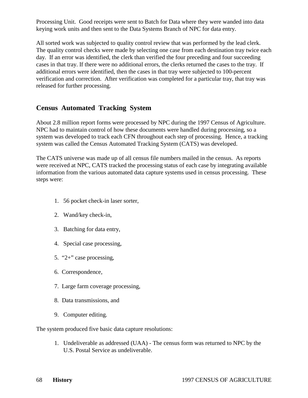Processing Unit. Good receipts were sent to Batch for Data where they were wanded into data keying work units and then sent to the Data Systems Branch of NPC for data entry.

All sorted work was subjected to quality control review that was performed by the lead clerk. The quality control checks were made by selecting one case from each destination tray twice each day. If an error was identified, the clerk than verified the four preceding and four succeeding cases in that tray. If there were no additional errors, the clerks returned the cases to the tray. If additional errors were identified, then the cases in that tray were subjected to 100-percent verification and correction. After verification was completed for a particular tray, that tray was released for further processing.

#### **Census Automated Tracking System**

About 2.8 million report forms were processed by NPC during the 1997 Census of Agriculture. NPC had to maintain control of how these documents were handled during processing, so a system was developed to track each CFN throughout each step of processing. Hence, a tracking system was called the Census Automated Tracking System (CATS) was developed.

The CATS universe was made up of all census file numbers mailed in the census. As reports were received at NPC, CATS tracked the processing status of each case by integrating available information from the various automated data capture systems used in census processing. These steps were:

- 1. 56 pocket check-in laser sorter,
- 2. Wand/key check-in,
- 3. Batching for data entry,
- 4. Special case processing,
- 5. "2+" case processing,
- 6. Correspondence,
- 7. Large farm coverage processing,
- 8. Data transmissions, and
- 9. Computer editing.

The system produced five basic data capture resolutions:

1. Undeliverable as addressed (UAA) - The census form was returned to NPC by the U.S. Postal Service as undeliverable.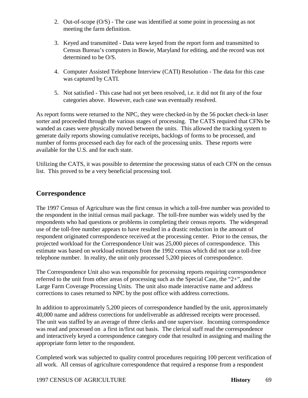- 2. Out-of-scope (O/S) The case was identified at some point in processing as not meeting the farm definition.
- 3. Keyed and transmitted Data were keyed from the report form and transmitted to Census Bureau's computers in Bowie, Maryland for editing, and the record was not determined to be O/S.
- 4. Computer Assisted Telephone Interview (CATI) Resolution The data for this case was captured by CATI.
- 5. Not satisfied This case had not yet been resolved, i.e. it did not fit any of the four categories above. However, each case was eventually resolved.

As report forms were returned to the NPC, they were checked-in by the 56 pocket check-in laser sorter and proceeded through the various stages of processing. The CATS required that CFNs be wanded as cases were physically moved between the units. This allowed the tracking system to generate daily reports showing cumulative receipts, backlogs of forms to be processed, and number of forms processed each day for each of the processing units. These reports were available for the U.S. and for each state.

Utilizing the CATS, it was possible to determine the processing status of each CFN on the census list. This proved to be a very beneficial processing tool.

#### **Correspondence**

The 1997 Census of Agriculture was the first census in which a toll-free number was provided to the respondent in the initial census mail package. The toll-free number was widely used by the respondents who had questions or problems in completing their census reports. The widespread use of the toll-free number appears to have resulted in a drastic reduction in the amount of respondent originated correspondence received at the processing center. Prior to the census, the projected workload for the Correspondence Unit was 25,000 pieces of correspondence. This estimate was based on workload estimates from the 1992 census which did not use a toll-free telephone number. In reality, the unit only processed 5,200 pieces of correspondence.

The Correspondence Unit also was responsible for processing reports requiring correspondence referred to the unit from other areas of processing such as the Special Case, the "2+", and the Large Farm Coverage Processing Units. The unit also made interactive name and address corrections to cases returned to NPC by the post office with address corrections.

In addition to approximately 5,200 pieces of correspondence handled by the unit, approximately 40,000 name and address corrections for undeliverable as addressed receipts were processed. The unit was staffed by an average of three clerks and one supervisor. Incoming correspondence was read and processed on a first in/first out basis. The clerical staff read the correspondence and interactively keyed a correspondence category code that resulted in assigning and mailing the appropriate form letter to the respondent.

Completed work was subjected to quality control procedures requiring 100 percent verification of all work. All census of agriculture correspondence that required a response from a respondent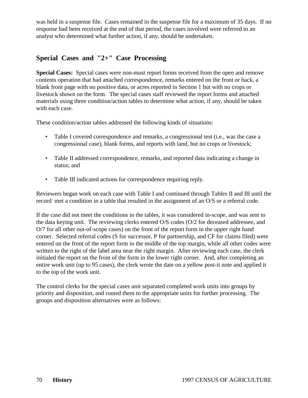was held in a suspense file. Cases remained in the suspense file for a maximum of 35 days. If no response had been received at the end of that period, the cases involved were referred to an analyst who determined what further action, if any, should be undertaken.

## **Special Cases and "2+" Case Processing**

**Special Cases:** Special cases were non-must report forms received from the open and remove contents operation that had attached correspondence, remarks entered on the front or back, a blank front page with no positive data, or acres reported in Section 1 but with no crops or livestock shown on the form. The special cases staff reviewed the report forms and attached materials using three condition/action tables to determine what action, if any, should be taken with each case.

These condition/action tables addressed the following kinds of situations:

- Table I covered correspondence and remarks, a congressional test (i.e., was the case a congressional case), blank forms, and reports with land, but no crops or livestock;
- Table II addressed correspondence, remarks, and reported data indicating a change in status; and
- Table III indicated actions for correspondence requiring reply.

Reviewers began work on each case with Table I and continued through Tables II and III until the record met a condition in a table that resulted in the assignment of an O/S or a referral code.

If the case did not meet the conditions in the tables, it was considered in-scope, and was sent to the data keying unit. The reviewing clerks entered O/S codes (O/2 for deceased addressee, and O/7 for all other out-of-scope cases) on the front of the report form in the upper right hand corner. Selected referral codes (S for successor, P for partnership, and CF for claims filed) were entered on the front of the report form in the middle of the top margin, while all other codes were written to the right of the label area near the right margin. After reviewing each case, the clerk initialed the report on the front of the form in the lower right corner. And, after completing an entire work unit (up to 95 cases), the clerk wrote the date on a yellow post-it note and applied it to the top of the work unit.

The control clerks for the special cases unit separated completed work units into groups by priority and disposition, and routed them to the appropriate units for further processing. The groups and disposition alternatives were as follows: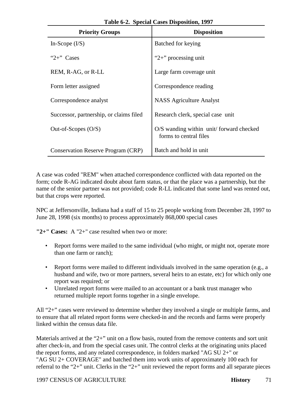| <b>Priority Groups</b>                  | <b>Disposition</b>                                                |
|-----------------------------------------|-------------------------------------------------------------------|
| In-Scope $(I/S)$                        | Batched for keying                                                |
| " $2+$ " Cases                          | " $2+$ " processing unit                                          |
| REM, R-AG, or R-LL                      | Large farm coverage unit                                          |
| Form letter assigned                    | Correspondence reading                                            |
| Correspondence analyst                  | <b>NASS</b> Agriculture Analyst                                   |
| Successor, partnership, or claims filed | Research clerk, special case unit                                 |
| Out-of-Scopes $(O/S)$                   | O/S wanding within unit/forward checked<br>forms to central files |
| Conservation Reserve Program (CRP)      | Batch and hold in unit                                            |

A case was coded "REM" when attached correspondence conflicted with data reported on the form; code R-AG indicated doubt about farm status, or that the place was a partnership, but the name of the senior partner was not provided; code R-LL indicated that some land was rented out, but that crops were reported.

NPC at Jeffersonville, Indiana had a staff of 15 to 25 people working from December 28, 1997 to June 28, 1998 (six months) to process approximately 868,000 special cases

**"2+" Cases:** A "2+" case resulted when two or more:

- Report forms were mailed to the same individual (who might, or might not, operate more than one farm or ranch);
- Report forms were mailed to different individuals involved in the same operation (e.g., a husband and wife, two or more partners, several heirs to an estate, etc) for which only one report was required; or
- Unrelated report forms were mailed to an accountant or a bank trust manager who returned multiple report forms together in a single envelope.

All "2+" cases were reviewed to determine whether they involved a single or multiple farms, and to ensure that all related report forms were checked-in and the records and farms were properly linked within the census data file.

Materials arrived at the " $2+$ " unit on a flow basis, routed from the remove contents and sort unit after check-in, and from the special cases unit. The control clerks at the originating units placed the report forms, and any related correspondence, in folders marked "AG SU 2+" or "AG SU 2+ COVERAGE" and batched them into work units of approximately 100 each for referral to the "2+" unit. Clerks in the "2+" unit reviewed the report forms and all separate pieces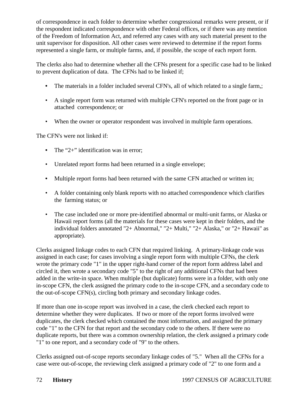of correspondence in each folder to determine whether congressional remarks were present, or if the respondent indicated correspondence with other Federal offices, or if there was any mention of the Freedom of Information Act, and referred any cases with any such material present to the unit supervisor for disposition. All other cases were reviewed to determine if the report forms represented a single farm, or multiple farms, and, if possible, the scope of each report form.

The clerks also had to determine whether all the CFNs present for a specific case had to be linked to prevent duplication of data. The CFNs had to be linked if;

- The materials in a folder included several CFN's, all of which related to a single farm,;
- A single report form was returned with multiple CFN's reported on the front page or in attached correspondence; or
- When the owner or operator respondent was involved in multiple farm operations.

The CFN's were not linked if:

- The "2+" identification was in error;
- Unrelated report forms had been returned in a single envelope;
- **•** Multiple report forms had been returned with the same CFN attached or written in;
- A folder containing only blank reports with no attached correspondence which clarifies the farming status; or
- The case included one or more pre-identified abnormal or multi-unit farms, or Alaska or Hawaii report forms (all the materials for these cases were kept in their folders, and the individual folders annotated "2+ Abnormal," "2+ Multi," "2+ Alaska," or "2+ Hawaii" as appropriate).

Clerks assigned linkage codes to each CFN that required linking. A primary-linkage code was assigned in each case; for cases involving a single report form with multiple CFNs, the clerk wrote the primary code "1" in the upper right-hand corner of the report form address label and circled it, then wrote a secondary code "5" to the right of any additional CFNs that had been added in the write-in space. When multiple (but duplicate) forms were in a folder, with only one in-scope CFN, the clerk assigned the primary code to the in-scope CFN, and a secondary code to the out-of-scope CFN(s), circling both primary and secondary linkage codes.

If more than one in-scope report was involved in a case, the clerk checked each report to determine whether they were duplicates. If two or more of the report forms involved were duplicates, the clerk checked which contained the most information, and assigned the primary code "1" to the CFN for that report and the secondary code to the others. If there were no duplicate reports, but there was a common ownership relation, the clerk assigned a primary code "1" to one report, and a secondary code of "9" to the others.

Clerks assigned out-of-scope reports secondary linkage codes of "5." When all the CFNs for a case were out-of-scope, the reviewing clerk assigned a primary code of "2" to one form and a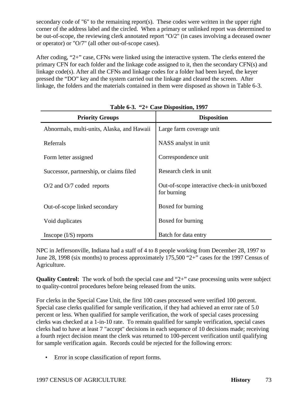secondary code of "6" to the remaining report(s). These codes were written in the upper right corner of the address label and the circled. When a primary or unlinked report was determined to be out-of-scope, the reviewing clerk annotated report "O/2" (in cases involving a deceased owner or operator) or "O/7" (all other out-of-scope cases).

After coding, "2+" case, CFNs were linked using the interactive system. The clerks entered the primary CFN for each folder and the linkage code assigned to it, then the secondary CFN(s) and linkage  $code(s)$ . After all the CFNs and linkage codes for a folder had been keyed, the keyer pressed the "DO" key and the system carried out the linkage and cleared the screen. After linkage, the folders and the materials contained in them were disposed as shown in Table 6-3.

| <b>Priority Groups</b>                     | <b>Disposition</b>                                          |
|--------------------------------------------|-------------------------------------------------------------|
| Abnormals, multi-units, Alaska, and Hawaii | Large farm coverage unit                                    |
| Referrals                                  | NASS analyst in unit                                        |
| Form letter assigned                       | Correspondence unit                                         |
| Successor, partnership, or claims filed    | Research clerk in unit                                      |
| $O/2$ and $O/7$ coded reports              | Out-of-scope interactive check-in unit/boxed<br>for burning |
| Out-of-scope linked secondary              | Boxed for burning                                           |
| Void duplicates                            | Boxed for burning                                           |
| Inscope $(I/S)$ reports                    | Batch for data entry                                        |

 **Table 6-3. "2+ Case Disposition, 1997**

NPC in Jeffersonville, Indiana had a staff of 4 to 8 people working from December 28, 1997 to June 28, 1998 (six months) to process approximately 175,500 "2+" cases for the 1997 Census of Agriculture.

**Quality Control:** The work of both the special case and "2+" case processing units were subject to quality-control procedures before being released from the units.

For clerks in the Special Case Unit, the first 100 cases processed were verified 100 percent. Special case clerks qualified for sample verification, if they had achieved an error rate of 5.0 percent or less. When qualified for sample verification, the work of special cases processing clerks was checked at a 1-in-10 rate. To remain qualified for sample verification, special cases clerks had to have at least 7 "accept" decisions in each sequence of 10 decisions made; receiving a fourth reject decision meant the clerk was returned to 100-percent verification until qualifying for sample verification again. Records could be rejected for the following errors:

• Error in scope classification of report forms.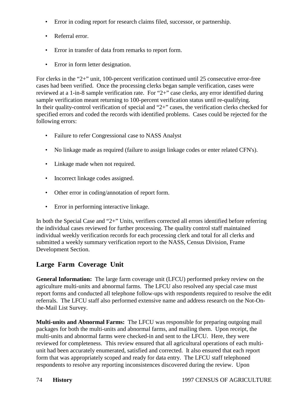- Error in coding report for research claims filed, successor, or partnership.
- Referral error.
- Error in transfer of data from remarks to report form.
- Error in form letter designation.

For clerks in the "2+" unit, 100-percent verification continued until 25 consecutive error-free cases had been verified. Once the processing clerks began sample verification, cases were reviewed at a 1-in-8 sample verification rate. For "2+" case clerks, any error identified during sample verification meant returning to 100-percent verification status until re-qualifying. In their quality-control verification of special and "2+" cases, the verification clerks checked for specified errors and coded the records with identified problems. Cases could be rejected for the following errors:

- Failure to refer Congressional case to NASS Analyst
- No linkage made as required (failure to assign linkage codes or enter related CFN's).
- Linkage made when not required.
- Incorrect linkage codes assigned.
- Other error in coding/annotation of report form.
- Error in performing interactive linkage.

In both the Special Case and "2+" Units, verifiers corrected all errors identified before referring the individual cases reviewed for further processing. The quality control staff maintained individual weekly verification records for each processing clerk and total for all clerks and submitted a weekly summary verification report to the NASS, Census Division, Frame Development Section.

# **Large Farm Coverage Unit**

**General Information:** The large farm coverage unit (LFCU) performed prekey review on the agriculture multi-units and abnormal farms. The LFCU also resolved any special case must report forms and conducted all telephone follow-ups with respondents required to resolve the edit referrals. The LFCU staff also performed extensive name and address research on the Not-Onthe-Mail List Survey.

**Multi-units and Abnormal Farms:** The LFCU was responsible for preparing outgoing mail packages for both the multi-units and abnormal farms, and mailing them. Upon receipt, the multi-units and abnormal farms were checked-in and sent to the LFCU. Here, they were reviewed for completeness. This review ensured that all agricultural operations of each multiunit had been accurately enumerated, satisfied and corrected. It also ensured that each report form that was appropriately scoped and ready for data entry. The LFCU staff telephoned respondents to resolve any reporting inconsistences discovered during the review. Upon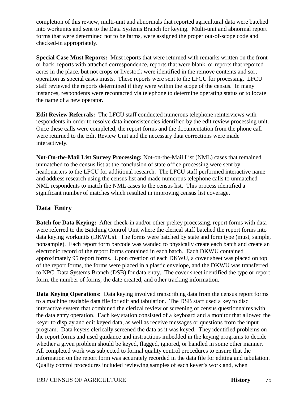completion of this review, multi-unit and abnormals that reported agricultural data were batched into workunits and sent to the Data Systems Branch for keying. Multi-unit and abnormal report forms that were determined not to be farms, were assigned the proper out-of-scope code and checked-in appropriately.

**Special Case Must Reports:** Must reports that were returned with remarks written on the front or back, reports with attached correspondence, reports that were blank, or reports that reported acres in the place, but not crops or livestock were identified in the remove contents and sort operation as special cases musts. These reports were sent to the LFCU for processing. LFCU staff reviewed the reports determined if they were within the scope of the census. In many instances, respondents were recontacted via telephone to determine operating status or to locate the name of a new operator.

**Edit Review Referrals:** The LFCU staff conducted numerous telephone reinterviews with respondents in order to resolve data inconsistencies identified by the edit review processing unit. Once these calls were completed, the report forms and the documentation from the phone call were returned to the Edit Review Unit and the necessary data corrections were made interactively.

**Not-On-the-Mail List Survey Processing:** Not-on-the-Mail List (NML) cases that remained unmatched to the census list at the conclusion of state office processing were sent by headquarters to the LFCU for additional research. The LFCU staff performed interactive name and address research using the census list and made numerous telephone calls to unmatched NML respondents to match the NML cases to the census list. This process identified a significant number of matches which resulted in improving census list coverage.

# **Data Entry**

**Batch for Data Keying:** After check-in and/or other prekey processing, report forms with data were referred to the Batching Control Unit where the clerical staff batched the report forms into data keying workunits (DKWUs). The forms were batched by state and form type (must, sample, nonsample). Each report form barcode was wanded to physically create each batch and create an electronic record of the report forms contained in each batch. Each DKWU contained approximately 95 report forms. Upon creation of each DKWU, a cover sheet was placed on top of the report forms, the forms were placed in a plastic envelope, and the DKWU was transferred to NPC, Data Systems Branch (DSB) for data entry. The cover sheet identified the type or report form, the number of forms, the date created, and other tracking information.

**Data Keying Operations:** Data keying involved transcribing data from the census report forms to a machine readable data file for edit and tabulation. The DSB staff used a key to disc interactive system that combined the clerical review or screening of census questionnaires with the data entry operation. Each key station consisted of a keyboard and a monitor that allowed the keyer to display and edit keyed data, as well as receive messages or questions from the input program. Data keyers clerically screened the data as it was keyed. They identified problems on the report forms and used guidance and instructions imbedded in the keying programs to decide whether a given problem should be keyed, flagged, ignored, or handled in some other manner. All completed work was subjected to formal quality control procedures to ensure that the information on the report form was accurately recorded in the data file for editing and tabulation. Quality control procedures included reviewing samples of each keyer's work and, when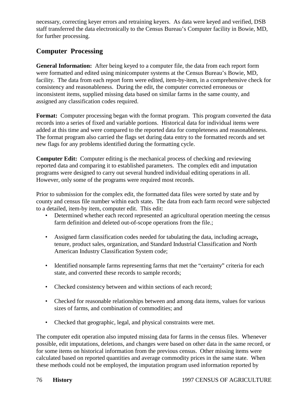necessary, correcting keyer errors and retraining keyers. As data were keyed and verified, DSB staff transferred the data electronically to the Census Bureau's Computer facility in Bowie, MD, for further processing.

# **Computer Processing**

**General Information:** After being keyed to a computer file, the data from each report form were formatted and edited using minicomputer systems at the Census Bureau's Bowie, MD, facility. The data from each report form were edited, item-by-item, in a comprehensive check for consistency and reasonableness. During the edit, the computer corrected erroneous or inconsistent items, supplied missing data based on similar farms in the same county, and assigned any classification codes required.

**Format:** Computer processing began with the format program. This program converted the data records into a series of fixed and variable portions. Historical data for individual items were added at this time and were compared to the reported data for completeness and reasonableness. The format program also carried the flags set during data entry to the formatted records and set new flags for any problems identified during the formatting cycle.

**Computer Edit:** Computer editing is the mechanical process of checking and reviewing reported data and comparing it to established parameters. The complex edit and imputation programs were designed to carry out several hundred individual editing operations in all. However, only some of the programs were required most records.

Prior to submission for the complex edit, the formatted data files were sorted by state and by county and census file number within each state**.** The data from each farm record were subjected to a detailed, item-by item, computer edit. This edit:

- Determined whether each record represented an agricultural operation meeting the census farm definition and deleted out-of-scope operations from the file.;
- Assigned farm classification codes needed for tabulating the data, including acreage**,** tenure, product sales, organization, and Standard Industrial Classification and North American Industry Classification System code;
- Identified nonsample farms representing farms that met the "certainty" criteria for each state, and converted these records to sample records;
- Checked consistency between and within sections of each record;
- Checked for reasonable relationships between and among data items, values for various sizes of farms, and combination of commodities; and
- Checked that geographic, legal, and physical constraints were met.

The computer edit operation also imputed missing data for farms in the census files. Whenever possible, edit imputations, deletions, and changes were based on other data in the same record, or for some items on historical information from the previous census. Other missing items were calculated based on reported quantities and average commodity prices in the same state. When these methods could not be employed, the imputation program used information reported by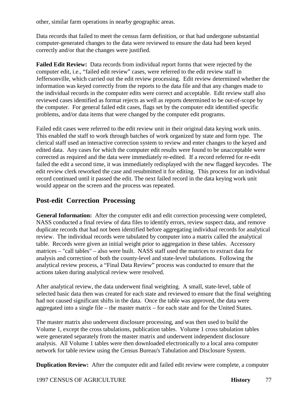other, similar farm operations in nearby geographic areas.

Data records that failed to meet the census farm definition, or that had undergone substantial computer-generated changes to the data were reviewed to ensure the data had been keyed correctly and/or that the changes were justified.

**Failed Edit Review:** Data records from individual report forms that were rejected by the computer edit, i.e., "failed edit review" cases, were referred to the edit review staff in Jeffersonville, which carried out the edit review processing. Edit review determined whether the information was keyed correctly from the reports to the data file and that any changes made to the individual records in the computer edits were correct and acceptable. Edit review staff also reviewed cases identified as format rejects as well as reports determined to be out-of-scope by the computer. For general failed edit cases, flags set by the computer edit identified specific problems, and/or data items that were changed by the computer edit programs.

Failed edit cases were referred to the edit review unit in their original data keying work units. This enabled the staff to work through batches of work organized by state and form type. The clerical staff used an interactive correction system to review and enter changes to the keyed and edited data. Any cases for which the computer edit results were found to be unacceptable were corrected as required and the data were immediately re-edited. If a record referred for re-edit failed the edit a second time, it was immediately redisplayed with the new flagged keycodes. The edit review clerk reworked the case and resubmitted it for editing. This process for an individual record continued until it passed the edit. The next failed record in the data keying work unit would appear on the screen and the process was repeated.

### **Post-edit Correction Processing**

**General Information:** After the computer edit and edit correction processing were completed, NASS conducted a final review of data files to identify errors, review suspect data, and remove duplicate records that had not been identified before aggregating individual records for analytical review. The individual records were tabulated by computer into a matrix called the analytical table. Records were given an initial weight prior to aggregation in these tables. Accessory matrices – "call tables" – also were built. NASS staff used the matrices to extract data for analysis and correction of both the county-level and state-level tabulations. Following the analytical review process, a "Final Data Review" process was conducted to ensure that the actions taken during analytical review were resolved.

After analytical review, the data underwent final weighting. A small, state-level, table of selected basic data then was created for each state and reviewed to ensure that the final weighting had not caused significant shifts in the data. Once the table was approved, the data were aggregated into a single file – the master matrix – for each state and for the United States.

The master matrix also underwent disclosure processing, and was then used to build the Volume 1, except the cross tabulations, publication tables. Volume 1 cross tabulation tables were generated separately from the master matrix and underwent independent disclosure analysis. All Volume 1 tables were then downloaded electronically to a local area computer network for table review using the Census Bureau's Tabulation and Disclosure System.

**Duplication Review:** After the computer edit and failed edit review were complete, a computer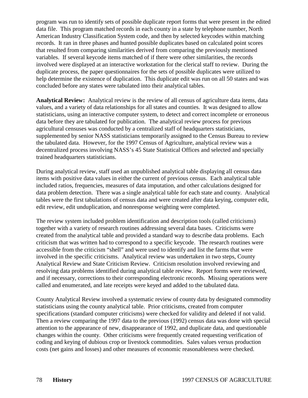program was run to identify sets of possible duplicate report forms that were present in the edited data file. This program matched records in each county in a state by telephone number, North American Industry Classification System code, and then by selected keycodes within matching records. It ran in three phases and hunted possible duplicates based on calculated point scores that resulted from comparing similarities derived from comparing the previously mentioned variables. If several keycode items matched of if there were other similarities, the records involved were displayed at an interactive workstation for the clerical staff to review. During the duplicate process, the paper questionnaires for the sets of possible duplicates were utilized to help determine the existence of duplication. This duplicate edit was run on all 50 states and was concluded before any states were tabulated into their analytical tables.

**Analytical Review:**Analytical review is the review of all census of agriculture data items, data values, and a variety of data relationships for all states and counties. It was designed to allow statisticians, using an interactive computer system, to detect and correct incomplete or erroneous data before they are tabulated for publication. The analytical review process for previous agricultural censuses was conducted by a centralized staff of headquarters statisticians, supplemented by senior NASS statisticians temporarily assigned to the Census Bureau to review the tabulated data. However, for the 1997 Census of Agriculture, analytical review was a decentralized process involving NASS's 45 State Statistical Offices and selected and specially trained headquarters statisticians.

During analytical review, staff used an unpublished analytical table displaying all census data items with positive data values in either the current of previous census. Each analytical table included ratios, frequencies, measures of data imputation, and other calculations designed for data problem detection. There was a single analytical table for each state and county. Analytical tables were the first tabulations of census data and were created after data keying, computer edit, edit review, edit unduplication, and nonresponse weighting were completed.

The review system included problem identification and description tools (called criticisms) together with a variety of research routines addressing several data bases. Criticisms were created from the analytical table and provided a standard way to describe data problems. Each criticism that was written had to correspond to a specific keycode. The research routines were accessible from the criticism "shell" and were used to identify and list the farms that were involved in the specific criticisms. Analytical review was undertaken in two steps, County Analytical Review and State Criticism Review. Criticism resolution involved reviewing and resolving data problems identified during analytical table review. Report forms were reviewed, and if necessary, corrections to their corresponding electronic records. Missing operations were called and enumerated, and late receipts were keyed and added to the tabulated data.

County Analytical Review involved a systematic review of county data by designated commodity statisticians using the county analytical table. Prior criticisms, created from computer specifications (standard computer criticisms) were checked for validity and deleted if not valid. Then a review comparing the 1997 data to the previous (1992) census data was done with special attention to the appearance of new, disappearance of 1992, and duplicate data, and questionable changes within the county. Other criticisms were frequently created requesting verification of coding and keying of dubious crop or livestock commodities. Sales values versus production costs (net gains and losses) and other measures of economic reasonableness were checked.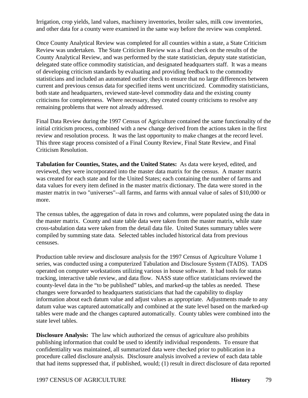Irrigation, crop yields, land values, machinery inventories, broiler sales, milk cow inventories, and other data for a county were examined in the same way before the review was completed.

Once County Analytical Review was completed for all counties within a state, a State Criticism Review was undertaken. The State Criticism Review was a final check on the results of the County Analytical Review, and was performed by the state statistician, deputy state statistician, delegated state office commodity statistician, and designated headquarters staff. It was a means of developing criticism standards by evaluating and providing feedback to the commodity statisticians and included an automated outlier check to ensure that no large differences between current and previous census data for specified items went uncriticized. Commodity statisticians, both state and headquarters, reviewed state-level commodity data and the existing county criticisms for completeness. Where necessary, they created county criticisms to resolve any remaining problems that were not already addressed.

Final Data Review during the 1997 Census of Agriculture contained the same functionality of the initial criticism process, combined with a new change derived from the actions taken in the first review and resolution process. It was the last opportunity to make changes at the record level. This three stage process consisted of a Final County Review, Final State Review, and Final Criticism Resolution.

**Tabulation for Counties, States, and the United States:** As data were keyed, edited, and reviewed, they were incorporated into the master data matrix for the census. A master matrix was created for each state and for the United States; each containing the number of farms and data values for every item defined in the master matrix dictionary. The data were stored in the master matrix in two "universes"--all farms, and farms with annual value of sales of \$10,000 or more.

The census tables, the aggregation of data in rows and columns, were populated using the data in the master matrix. County and state table data were taken from the master matrix, while state cross-tabulation data were taken from the detail data file. United States summary tables were compiled by summing state data. Selected tables included historical data from previous censuses.

Production table review and disclosure analysis for the 1997 Census of Agriculture Volume 1 series, was conducted using a computerized Tabulation and Disclosure System (TADS). TADS operated on computer workstations utilizing various in house software. It had tools for status tracking, interactive table review, and data flow. NASS state office statisticians reviewed the county-level data in the "to be published" tables, and marked-up the tables as needed. These changes were forwarded to headquarters statisticians that had the capability to display information about each datum value and adjust values as appropriate. Adjustments made to any datum value was captured automatically and combined at the state level based on the marked-up tables were made and the changes captured automatically. County tables were combined into the state level tables.

**Disclosure Analysis:** The law which authorized the census of agriculture also prohibits publishing information that could be used to identify individual respondents. To ensure that confidentiality was maintained, all summarized data were checked prior to publication in a procedure called disclosure analysis. Disclosure analysis involved a review of each data table that had items suppressed that, if published, would; (1) result in direct disclosure of data reported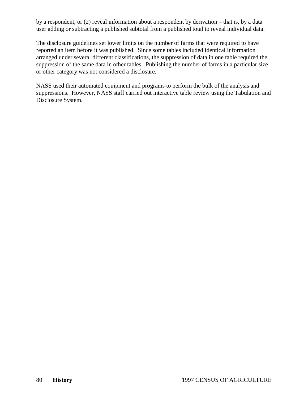by a respondent, or (2) reveal information about a respondent by derivation – that is, by a data user adding or subtracting a published subtotal from a published total to reveal individual data.

The disclosure guidelines set lower limits on the number of farms that were required to have reported an item before it was published. Since some tables included identical information arranged under several different classifications, the suppression of data in one table required the suppression of the same data in other tables. Publishing the number of farms in a particular size or other category was not considered a disclosure.

NASS used their automated equipment and programs to perform the bulk of the analysis and suppressions. However, NASS staff carried out interactive table review using the Tabulation and Disclosure System.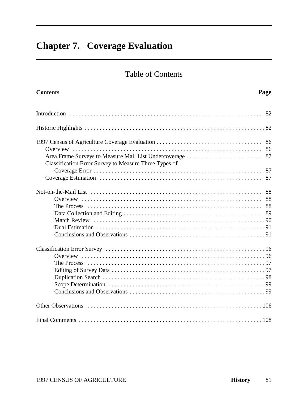# **Chapter 7. Coverage Evaluation**

# Table of Contents

| <b>Contents</b>                                                                                                | Page                       |
|----------------------------------------------------------------------------------------------------------------|----------------------------|
|                                                                                                                | 82                         |
|                                                                                                                |                            |
| Area Frame Surveys to Measure Mail List Undercoverage<br>Classification Error Survey to Measure Three Types of | 86<br>86<br>87<br>87       |
|                                                                                                                | 87<br>88<br>88<br>88<br>89 |
|                                                                                                                |                            |
|                                                                                                                |                            |
|                                                                                                                |                            |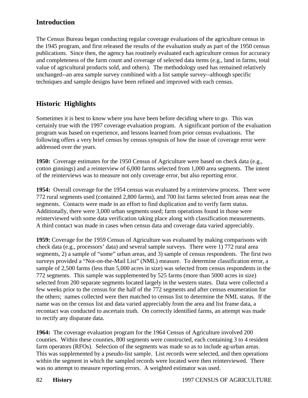# **Introduction**

The Census Bureau began conducting regular coverage evaluations of the agriculture census in the 1945 program, and first released the results of the evaluation study as part of the 1950 census publications. Since then, the agency has routinely evaluated each agriculture census for accuracy and completeness of the farm count and coverage of selected data items (e.g., land in farms, total value of agricultural products sold, and others). The methodology used has remained relatively unchanged--an area sample survey combined with a list sample survey--although specific techniques and sample designs have been refined and improved with each census.

# **Historic Highlights**

Sometimes it is best to know where you have been before deciding where to go. This was certainly true with the 1997 coverage evaluation program. A significant portion of the evaluation program was based on experience, and lessons learned from prior census evaluations. The following offers a very brief census by census synopsis of how the issue of coverage error were addressed over the years.

**1950:** Coverage estimates for the 1950 Census of Agriculture were based on check data (e.g., cotton ginnings) and a reinterview of 6,000 farms selected from 1,000 area segments. The intent of the reinterviews was to measure not only coverage error, but also reporting error.

**1954:** Overall coverage for the 1954 census was evaluated by a reinterview process. There were 772 rural segments used (contained 2,800 farms), and 700 list farms selected from areas near the segments. Contacts were made in an effort to find duplication and to verify farm status. Additionally, there were 3,000 urban segments used; farm operations found in those were reinterviewed with some data verification taking place along with classification measurements. A third contact was made in cases when census data and coverage data varied appreciably.

**1959:** Coverage for the 1959 Census of Agriculture was evaluated by making comparisons with check data (e.g., processors' data) and several sample surveys. There were 1) 772 rural area segments, 2) a sample of "some" urban areas, and 3) sample of census respondents. The first two surveys provided a "Not-on-the-Mail List" (NML) measure. To determine classification error, a sample of 2,500 farms (less than 5,000 acres in size) was selected from census respondents in the 772 segments. This sample was supplemented by 525 farms (more than 5000 acres in size) selected from 200 separate segments located largely in the western states. Data were collected a few weeks prior to the census for the half of the 772 segments and after census enumeration for the others; names collected were then matched to census list to determine the NML status. If the name was on the census list and data varied appreciably from the area and list frame data, a recontact was conducted to ascertain truth. On correctly identified farms, an attempt was made to rectify any disparate data.

**1964:** The coverage evaluation program for the 1964 Census of Agriculture involved 200 counties. Within these counties, 800 segments were constructed, each containing 3 to 4 resident farm operators (RFOs). Selection of the segments was made so as to include ag-urban areas. This was supplemented by a pseudo-list sample. List records were selected, and then operations within the segment in which the sampled records were located were then reinterviewed. There was no attempt to measure reporting errors. A weighted estimator was used.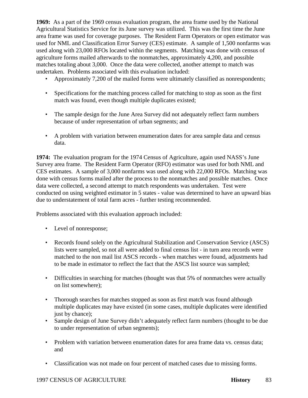**1969:** As a part of the 1969 census evaluation program, the area frame used by the National Agricultural Statistics Service for its June survey was utilized. This was the first time the June area frame was used for coverage purposes. The Resident Farm Operators or open estimator was used for NML and Classification Error Survey (CES) estimate. A sample of 1,500 nonfarms was used along with 23,000 RFOs located within the segments. Matching was done with census of agriculture forms mailed afterwards to the nonmatches, approximately 4,200, and possible matches totaling about 3,000. Once the data were collected, another attempt to match was undertaken. Problems associated with this evaluation included:

- Approximately 7,200 of the mailed forms were ultimately classified as nonrespondents;
- Specifications for the matching process called for matching to stop as soon as the first match was found, even though multiple duplicates existed;
- The sample design for the June Area Survey did not adequately reflect farm numbers because of under representation of urban segments; and
- A problem with variation between enumeration dates for area sample data and census data.

**1974:** The evaluation program for the 1974 Census of Agriculture, again used NASS's June Survey area frame. The Resident Farm Operator (RFO) estimator was used for both NML and CES estimates. A sample of 3,000 nonfarms was used along with 22,000 RFOs. Matching was done with census forms mailed after the process to the nonmatches and possible matches. Once data were collected, a second attempt to match respondents was undertaken. Test were conducted on using weighted estimator in 5 states - value was determined to have an upward bias due to understatement of total farm acres - further testing recommended.

Problems associated with this evaluation approach included:

- Level of nonresponse;
- Records found solely on the Agricultural Stabilization and Conservation Service (ASCS) lists were sampled, so not all were added to final census list - in turn area records were matched to the non mail list ASCS records - when matches were found, adjustments had to be made in estimator to reflect the fact that the ASCS list source was sampled;
- Difficulties in searching for matches (thought was that 5% of nonmatches were actually on list somewhere);
- Thorough searches for matches stopped as soon as first match was found although multiple duplicates may have existed (in some cases, multiple duplicates were identified just by chance);
- Sample design of June Survey didn't adequately reflect farm numbers (thought to be due to under representation of urban segments);
- Problem with variation between enumeration dates for area frame data vs. census data; and
- Classification was not made on four percent of matched cases due to missing forms.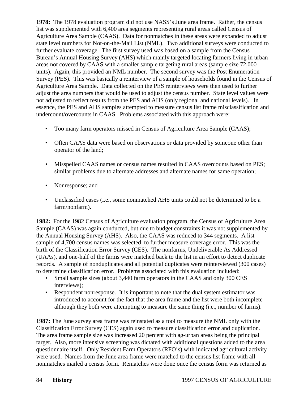**1978:** The 1978 evaluation program did not use NASS's June area frame. Rather, the census list was supplemented with 6,400 area segments representing rural areas called Census of Agriculture Area Sample (CAAS). Data for nonmatches in these areas were expanded to adjust state level numbers for Not-on-the-Mail List (NML). Two additional surveys were conducted to further evaluate coverage. The first survey used was based on a sample from the Census Bureau's Annual Housing Survey (AHS) which mainly targeted locating farmers living in urban areas not covered by CAAS with a smaller sample targeting rural areas (sample size 72,000 units). Again, this provided an NML number. The second survey was the Post Enumeration Survey (PES). This was basically a reinterview of a sample of households found in the Census of Agriculture Area Sample. Data collected on the PES reinterviews were then used to further adjust the area numbers that would be used to adjust the census number. State level values were not adjusted to reflect results from the PES and AHS (only regional and national levels). In essence, the PES and AHS samples attempted to measure census list frame misclassification and undercount/overcounts in CAAS. Problems associated with this approach were:

- Too many farm operators missed in Census of Agriculture Area Sample (CAAS);
- Often CAAS data were based on observations or data provided by someone other than operator of the land;
- Misspelled CAAS names or census names resulted in CAAS overcounts based on PES; similar problems due to alternate addresses and alternate names for same operation;
- Nonresponse; and
- Unclassified cases (i.e., some nonmatched AHS units could not be determined to be a farm/nonfarm).

**1982:** For the 1982 Census of Agriculture evaluation program, the Census of Agriculture Area Sample (CAAS) was again conducted, but due to budget constraints it was not supplemented by the Annual Housing Survey (AHS). Also, the CAAS was reduced to 344 segments. A list sample of 4,700 census names was selected to further measure coverage error. This was the birth of the Classification Error Survey (CES). The nonfarms, Undeliverable As Addressed (UAAs), and one-half of the farms were matched back to the list in an effort to detect duplicate records. A sample of nonduplicates and all potential duplicates were reinterviewed (300 cases) to determine classification error. Problems associated with this evaluation included:

- Small sample sizes (about 3,440 farm operators in the CAAS and only 300 CES interviews);
- Respondent nonresponse. It is important to note that the dual system estimator was introduced to account for the fact that the area frame and the list were both incomplete although they both were attempting to measure the same thing (i.e., number of farms).

**1987:** The June survey area frame was reinstated as a tool to measure the NML only with the Classification Error Survey (CES) again used to measure classification error and duplication. The area frame sample size was increased 20 percent with ag-urban areas being the principal target. Also, more intensive screening was dictated with additional questions added to the area questionnaire itself. Only Resident Farm Operators (RFO's) with indicated agricultural activity were used. Names from the June area frame were matched to the census list frame with all nonmatches mailed a census form. Rematches were done once the census form was returned as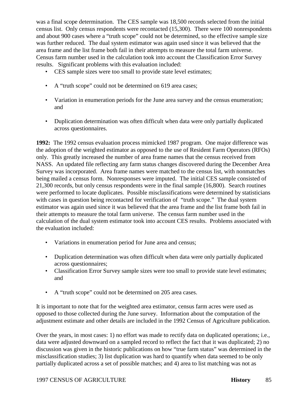was a final scope determination. The CES sample was 18,500 records selected from the initial census list. Only census respondents were recontacted (15,300). There were 100 nonrespondents and about 900 cases where a "truth scope" could not be determined, so the effective sample size was further reduced. The dual system estimator was again used since it was believed that the area frame and the list frame both fail in their attempts to measure the total farm universe. Census farm number used in the calculation took into account the Classification Error Survey results. Significant problems with this evaluation included:

- CES sample sizes were too small to provide state level estimates;
- A "truth scope" could not be determined on 619 area cases;
- Variation in enumeration periods for the June area survey and the census enumeration; and
- Duplication determination was often difficult when data were only partially duplicated across questionnaires.

**1992:** The 1992 census evaluation process mimicked 1987 program. One major difference was the adoption of the weighted estimator as opposed to the use of Resident Farm Operators (RFOs) only. This greatly increased the number of area frame names that the census received from NASS. An updated file reflecting any farm status changes discovered during the December Area Survey was incorporated. Area frame names were matched to the census list, with nonmatches being mailed a census form. Nonresponses were imputed. The initial CES sample consisted of 21,300 records, but only census respondents were in the final sample (16,800). Search routines were performed to locate duplicates. Possible misclassifications were determined by statisticians with cases in question being recontacted for verification of "truth scope." The dual system estimator was again used since it was believed that the area frame and the list frame both fail in their attempts to measure the total farm universe. The census farm number used in the calculation of the dual system estimator took into account CES results. Problems associated with the evaluation included:

- Variations in enumeration period for June area and census;
- Duplication determination was often difficult when data were only partially duplicated across questionnaires;
- Classification Error Survey sample sizes were too small to provide state level estimates; and
- A "truth scope" could not be determined on 205 area cases.

It is important to note that for the weighted area estimator, census farm acres were used as opposed to those collected during the June survey. Information about the computation of the adjustment estimate and other details are included in the 1992 Census of Agriculture publication.

Over the years, in most cases: 1) no effort was made to rectify data on duplicated operations; i.e., data were adjusted downward on a sampled record to reflect the fact that it was duplicated; 2) no discussion was given in the historic publications on how "true farm status" was determined in the misclassification studies; 3) list duplication was hard to quantify when data seemed to be only partially duplicated across a set of possible matches; and 4) area to list matching was not as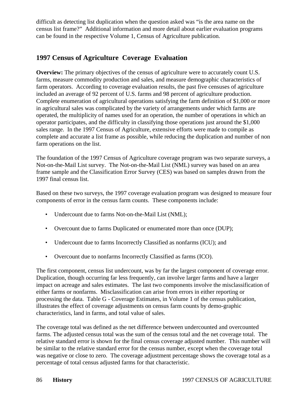difficult as detecting list duplication when the question asked was "is the area name on the census list frame?" Additional information and more detail about earlier evaluation programs can be found in the respective Volume 1, Census of Agriculture publication.

# **1997 Census of Agriculture Coverage Evaluation**

**Overview:** The primary objectives of the census of agriculture were to accurately count U.S. farms, measure commodity production and sales, and measure demographic characteristics of farm operators. According to coverage evaluation results, the past five censuses of agriculture included an average of 92 percent of U.S. farms and 98 percent of agriculture production. Complete enumeration of agricultural operations satisfying the farm definition of \$1,000 or more in agricultural sales was complicated by the variety of arrangements under which farms are operated, the multiplicity of names used for an operation, the number of operations in which an operator participates, and the difficulty in classifying those operations just around the \$1,000 sales range. In the 1997 Census of Agriculture, extensive efforts were made to compile as complete and accurate a list frame as possible, while reducing the duplication and number of non farm operations on the list.

The foundation of the 1997 Census of Agriculture coverage program was two separate surveys, a Not-on-the-Mail List survey. The Not-on-the-Mail List (NML) survey was based on an area frame sample and the Classification Error Survey (CES) was based on samples drawn from the 1997 final census list.

Based on these two surveys, the 1997 coverage evaluation program was designed to measure four components of error in the census farm counts. These components include:

- Undercount due to farms Not-on-the-Mail List (NML);
- Overcount due to farms Duplicated or enumerated more than once (DUP);
- Undercount due to farms Incorrectly Classified as nonfarms (ICU); and
- Overcount due to nonfarms Incorrectly Classified as farms (ICO).

The first component, census list undercount, was by far the largest component of coverage error. Duplication, though occurring far less frequently, can involve larger farms and have a larger impact on acreage and sales estimates. The last two components involve the misclassification of either farms or nonfarms. Misclassification can arise from errors in either reporting or processing the data. Table G - Coverage Estimates, in Volume 1 of the census publication, illustrates the effect of coverage adjustments on census farm counts by demo-graphic characteristics, land in farms, and total value of sales.

The coverage total was defined as the net difference between undercounted and overcounted farms. The adjusted census total was the sum of the census total and the net coverage total. The relative standard error is shown for the final census coverage adjusted number. This number will be similar to the relative standard error for the census number, except when the coverage total was negative or close to zero. The coverage adjustment percentage shows the coverage total as a percentage of total census adjusted farms for that characteristic.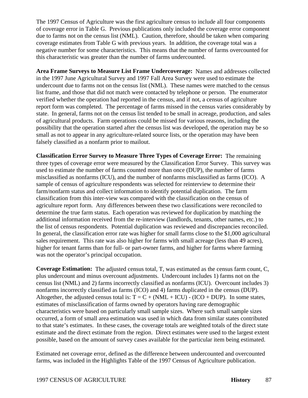The 1997 Census of Agriculture was the first agriculture census to include all four components of coverage error in Table G. Previous publications only included the coverage error component due to farms not on the census list (NML). Caution, therefore, should be taken when comparing coverage estimates from Table G with previous years. In addition, the coverage total was a negative number for some characteristics. This means that the number of farms overcounted for this characteristic was greater than the number of farms undercounted.

**Area Frame Surveys to Measure List Frame Undercoverage:** Names and addresses collected in the 1997 June Agricultural Survey and 1997 Fall Area Survey were used to estimate the undercount due to farms not on the census list (NML). These names were matched to the census list frame, and those that did not match were contacted by telephone or person. The enumerator verified whether the operation had reported in the census, and if not, a census of agriculture report form was completed. The percentage of farms missed in the census varies considerably by state. In general, farms not on the census list tended to be small in acreage, production, and sales of agricultural products. Farm operations could be missed for various reasons, including the possibility that the operation started after the census list was developed, the operation may be so small as not to appear in any agriculture-related source lists, or the operation may have been falsely classified as a nonfarm prior to mailout.

**Classification Error Survey to Measure Three Types of Coverage Error:** The remaining three types of coverage error were measured by the Classification Error Survey. This survey was used to estimate the number of farms counted more than once (DUP), the number of farms misclassified as nonfarms (ICU), and the number of nonfarms misclassified as farms (ICO). A sample of census of agriculture respondents was selected for reinterview to determine their farm/nonfarm status and collect information to identify potential duplication. The farm classification from this inter-view was compared with the classification on the census of agriculture report form. Any differences between these two classifications were reconciled to determine the true farm status. Each operation was reviewed for duplication by matching the additional information received from the re-interview (landlords, tenants, other names, etc.) to the list of census respondents. Potential duplication was reviewed and discrepancies reconciled. In general, the classification error rate was higher for small farms close to the \$1,000 agricultural sales requirement. This rate was also higher for farms with small acreage (less than 49 acres), higher for tenant farms than for full- or part-owner farms, and higher for farms where farming was not the operator's principal occupation.

**Coverage Estimation:** The adjusted census total, T, was estimated as the census farm count, C, plus undercount and minus overcount adjustments. Undercount includes 1) farms not on the census list (NML) and 2) farms incorrectly classified as nonfarms (ICU). Overcount includes 3) nonfarms incorrectly classified as farms (ICO) and 4) farms duplicated in the census (DUP). Altogether, the adjusted census total is:  $T = C + (NML + ICU) - (ICO + DUP)$ . In some states, estimates of misclassification of farms owned by operators having rare demographic characteristics were based on particularly small sample sizes. Where such small sample sizes occurred, a form of small area estimation was used in which data from similar states contributed to that state's estimates. In these cases, the coverage totals are weighted totals of the direct state estimate and the direct estimate from the region. Direct estimates were used to the largest extent possible, based on the amount of survey cases available for the particular item being estimated.

Estimated net coverage error, defined as the difference between undercounted and overcounted farms, was included in the Highlights Table of the 1997 Census of Agriculture publication.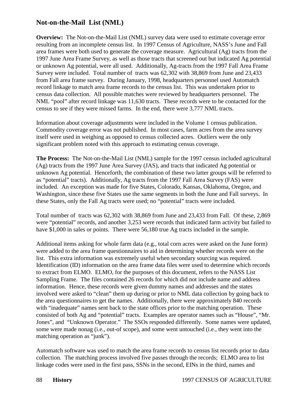# **Not-on-the-Mail List (NML)**

**Overview:** The Not-on-the-Mail List (NML) survey data were used to estimate coverage error resulting from an incomplete census list. In 1997 Census of Agriculture, NASS's June and Fall area frames were both used to generate the coverage measure. Agricultural (Ag) tracts from the 1997 June Area Frame Survey, as well as those tracts that screened out but indicated Ag potential or unknown Ag potential, were all used. Additionally, Ag-tracts from the 1997 Fall Area Frame Survey were included. Total number of tracts was 62,302 with 38,869 from June and 23,433 from Fall area frame survey. During January, 1998, headquarters personnel used Automatch record linkage to match area frame records to the census list. This was undertaken prior to census data collection. All possible matches were reviewed by headquarters personnel. The NML "pool" after record linkage was 11,630 tracts. These records were to be contacted for the census to see if they were missed farms. In the end, there were 3,777 NML tracts.

Information about coverage adjustments were included in the Volume 1 census publication. Commodity coverage error was not published. In most cases, farm acres from the area survey itself were used in weighing as opposed to census collected acres. Outliers were the only significant problem noted with this approach to estimating census coverage.

**The Process:** The Not-on-the-Mail List (NML) sample for the 1997 census included agricultural (Ag) tracts from the 1997 June Area Survey (JAS), and tracts that indicated Ag potential or unknown Ag potential. Henceforth, the combination of these two latter groups will be referred to as "potential" tracts). Additionally, Ag tracts from the 1997 Fall Area Survey (FAS) were included. An exception was made for five States, Colorado, Kansas, Oklahoma, Oregon, and Washington, since these five States use the same segments in both the June and Fall surveys. In these States, only the Fall Ag tracts were used; no "potential" tracts were included.

Total number of tracts was 62,302 with 38,869 from June and 23,433 from Fall. Of these, 2,869 were "potential" records, and another 3,253 were records that indicated farm activity but failed to have \$1,000 in sales or points. There were 56,180 true Ag tracts included in the sample.

Additional items asking for whole farm data (e.g., total corn acres were asked on the June form) were added to the area frame questionnaires to aid in determining whether records were on the list. This extra information was extremely useful when secondary sourcing was required. Identification (ID) information on the area frame data files were used to determine which records to extract from ELMO. ELMO, for the purposes of this document, refers to the NASS List Sampling Frame. The files contained 26 records for which did not include name and address information. Hence, these records were given dummy names and addresses and the states involved were asked to "clean" them up during or prior to NML data collection by going back to the area questionnaires to get the names. Additionally, there were approximately 840 records with "inadequate" names sent back to the state offices prior to the matching operation. These consisted of both Ag and "potential" tracts. Examples are operator names such as "House", "Mr. Jones", and "Unknown Operator." The SSOs responded differently. Some names were updated, some were made nonag (i.e., out-of scope), and some went untouched (i.e., they went into the matching operation as "junk").

Automatch software was used to match the area frame records to census list records prior to data collection. The matching process involved five passes through the records; ELMO area to list linkage codes were used in the first pass, SSNs in the second, EINs in the third, names and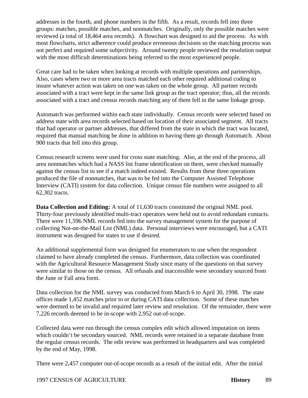addresses in the fourth, and phone numbers in the fifth. As a result, records fell into three groups: matches, possible matches, and nonmatches. Originally, only the possible matches were reviewed (a total of 18,464 area records). A flowchart was designed to aid the process. As with most flowcharts, strict adherence could produce erroneous decisions so the matching process was not perfect and required some subjectivity. Around twenty people reviewed the resolution output with the most difficult determinations being referred to the most experienced people.

Great care had to be taken when looking at records with multiple operations and partnerships. Also, cases where two or more area tracts matched each other required additional coding to insure whatever action was taken on one was taken on the whole group. All partner records associated with a tract were kept in the same link group as the tract operator; thus, all the records associated with a tract and census records matching any of them fell in the same linkage group.

Automatch was performed within each state individually. Census records were selected based on address state with area records selected based on location of their associated segment. All tracts that had operator or partner addresses, that differed from the state in which the tract was located, required that manual matching be done in addition to having them go through Automatch. About 900 tracts that fell into this group.

Census research screens were used for cross state matching. Also, at the end of the process, all area nonmatches which had a NASS list frame identification on them, were checked manually against the census list to see if a match indeed existed. Results from these three operations produced the file of nonmatches, that was to be fed into the Computer Assisted Telephone Interview (CATI) system for data collection. Unique census file numbers were assigned to all 62,302 tracts.

**Data Collection and Editing:** A total of 11,630 tracts constituted the original NML pool. Thirty-four previously identified multi-tract operators were held out to avoid redundant contacts. There were 11,596 NML records fed into the survey management system for the purpose of collecting Not-on-the-Mail List (NML) data. Personal interviews were encouraged, but a CATI instrument was designed for states to use if desired.

An additional supplemental form was designed for enumerators to use when the respondent claimed to have already completed the census. Furthermore, data collection was coordinated with the Agricultural Resource Management Study since many of the questions on that survey were similar to those on the census. All refusals and inaccessible were secondary sourced from the June or Fall area form.

Data collection for the NML survey was conducted from March 6 to April 30, 1998. The state offices made 1,452 matches prior to or during CATI data collection. Some of these matches were deemed to be invalid and required later review and resolution. Of the remainder, there were 7,226 records deemed to be in-scope with 2,952 out-of-scope.

Collected data were run through the census complex edit which allowed imputation on items which couldn't be secondary sourced. NML records were retained in a separate database from the regular census records. The edit review was performed in headquarters and was completed by the end of May, 1998.

There were 2,457 computer out-of-scope records as a result of the initial edit. After the initial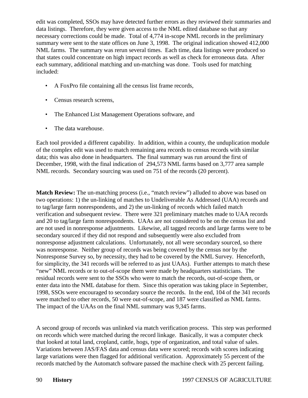edit was completed, SSOs may have detected further errors as they reviewed their summaries and data listings. Therefore, they were given access to the NML edited database so that any necessary corrections could be made. Total of 4,774 in-scope NML records in the preliminary summary were sent to the state offices on June 3, 1998. The original indication showed 412,000 NML farms. The summary was rerun several times. Each time, data listings were produced so that states could concentrate on high impact records as well as check for erroneous data. After each summary, additional matching and un-matching was done. Tools used for matching included:

- A FoxPro file containing all the census list frame records,
- Census research screens,
- The Enhanced List Management Operations software, and
- The data warehouse.

Each tool provided a different capability. In addition, within a county, the unduplication module of the complex edit was used to match remaining area records to census records with similar data; this was also done in headquarters. The final summary was run around the first of December, 1998, with the final indication of 294,573 NML farms based on 3,777 area sample NML records. Secondary sourcing was used on 751 of the records (20 percent).

**Match Review:** The un-matching process (i.e., "match review") alluded to above was based on two operations: 1) the un-linking of matches to Undeliverable As Addressed (UAA) records and to tag/large farm nonrespondents, and 2) the un-linking of records which failed match verification and subsequent review. There were 321 preliminary matches made to UAA records and 20 to tag/large farm nonrespondents. UAAs are not considered to be on the census list and are not used in nonresponse adjustments. Likewise, all tagged records and large farms were to be secondary sourced if they did not respond and subsequently were also excluded from nonresponse adjustment calculations. Unfortunately, not all were secondary sourced, so there was nonresponse. Neither group of records was being covered by the census nor by the Nonresponse Survey so, by necessity, they had to be covered by the NML Survey. Henceforth, for simplicity, the 341 records will be referred to as just UAAs). Further attempts to match these "new" NML records or to out-of-scope them were made by headquarters statisticians. The residual records were sent to the SSOs who were to match the records, out-of-scope them, or enter data into the NML database for them. Since this operation was taking place in September, 1998, SSOs were encouraged to secondary source the records. In the end, 104 of the 341 records were matched to other records, 50 were out-of-scope, and 187 were classified as NML farms. The impact of the UAAs on the final NML summary was 9,345 farms.

A second group of records was unlinked via match verification process. This step was performed on records which were matched during the record linkage. Basically, it was a computer check that looked at total land, cropland, cattle, hogs, type of organization, and total value of sales. Variations between JAS/FAS data and census data were scored; records with scores indicating large variations were then flagged for additional verification. Approximately 55 percent of the records matched by the Automatch software passed the machine check with 25 percent failing.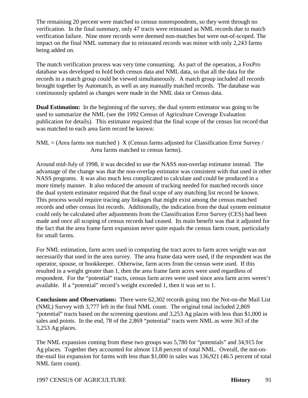The remaining 20 percent were matched to census nonrespondents, so they went through no verification. In the final summary, only 47 tracts were reinstated as NML records due to match verification failure. Nine more records were deemed non-matches but were out-of-scoped. The impact on the final NML summary due to reinstated records was minor with only 2,243 farms being added on.

The match verification process was very time consuming. As part of the operation, a FoxPro database was developed to hold both census data and NML data, so that all the data for the records in a match group could be viewed simultaneously. A match group included all records brought together by Automatch, as well as any manually matched records. The database was continuously updated as changes were made in the NML data or Census data.

**Dual Estimation:** In the beginning of the survey, the dual system estimator was going to be used to summarize the NML (see the 1992 Census of Agriculture Coverage Evaluation publication for details). This estimator required that the final scope of the census list record that was matched to each area farm record be known:

NML = (Area farms not matched)  $X$  (Census farms adjusted for Classification Error Survey / Area farms matched to census farms).

Around mid-July of 1998, it was decided to use the NASS non-overlap estimator instead. The advantage of the change was that the non-overlap estimator was consistent with that used in other NASS programs. It was also much less complicated to calculate and could be produced in a more timely manner. It also reduced the amount of tracking needed for matched records since the dual system estimator required that the final scope of any matching list record be known. This process would require tracing any linkages that might exist among the census matched records and other census list records. Additionally, the indication from the dual system estimator could only be calculated after adjustments from the Classification Error Survey (CES) had been made and once all scoping of census records had ceased. Its main benefit was that it adjusted for the fact that the area frame farm expansion never quite equals the census farm count, particularly for small farms.

For NML estimation, farm acres used in computing the tract acres to farm acres weight was not necessarily that used in the area survey. The area frame data were used, if the respondent was the operator, spouse, or bookkeeper. Otherwise, farm acres from the census were used. If this resulted in a weight greater than 1, then the area frame farm acres were used regardless of respondent. For the "potential" tracts, census farm acres were used since area farm acres weren't available. If a "potential" record's weight exceeded 1, then it was set to 1.

**Conclusions and Observations:** There were 62,302 records going into the Not-on-the Mail List (NML) Survey with 3,777 left in the final NML count. The original total included 2,869 "potential" tracts based on the screening questions and 3,253 Ag places with less than \$1,000 in sales and points. In the end, 78 of the 2,869 "potential" tracts were NML as were 363 of the 3,253 Ag places.

The NML expansion coming from these two groups was 5,780 for "potentials" and 34,915 for Ag places. Together they accounted for almost 13.8 percent of total NML. Overall, the not-onthe-mail list expansion for farms with less than \$1,000 in sales was 136,921 (46.5 percent of total NML farm count).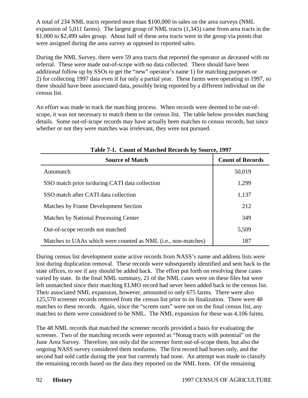A total of 234 NML tracts reported more than \$100,000 in sales on the area surveys (NML expansion of 5,011 farms). The largest group of NML tracts (1,345) came from area tracts in the \$1,000 to \$2,499 sales group. About half of these area tracts were in the group via points that were assigned during the area survey as opposed to reported sales.

During the NML Survey, there were 59 area tracts that reported the operator as deceased with no referral. These were made out-of-scope with no data collected. There should have been additional follow up by SSOs to get the "new" operator's name 1) for matching purposes or 2) for collecting 1997 data even if for only a partial year. These farms were operating in 1997, so there should have been associated data, possibly being reported by a different individual on the census list.

An effort was made to track the matching process. When records were deemed to be out-ofscope, it was not necessary to match them to the census list. The table below provides matching details. Some out-of-scope records may have actually been matches to census records, but since whether or not they were matches was irrelevant, they were not pursued.

| Table 7-1. Count of Matched Records by Source, 1997           |                         |  |  |  |  |
|---------------------------------------------------------------|-------------------------|--|--|--|--|
| <b>Source of Match</b>                                        | <b>Count of Records</b> |  |  |  |  |
| Automatch                                                     | 50,019                  |  |  |  |  |
| SSO match prior to/during CATI data collection                | 1,299                   |  |  |  |  |
| SSO match after CATI data collection                          | 1,137                   |  |  |  |  |
| Matches by Frame Development Section                          | 212                     |  |  |  |  |
| Matches by National Processing Center                         | 349                     |  |  |  |  |
| Out-of-scope records not matched                              | 5,509                   |  |  |  |  |
| Matches to UAAs which were counted as NML (i.e., non-matches) | 187                     |  |  |  |  |

# **Table 7-1. Count of Matched Records by Source, 1997**

During census list development some active records from NASS's name and address lists were lost during duplication removal. These records were subsequently identified and sent back to the state offices, to see if any should be added back. The effort put forth on resolving these cases varied by state. In the final NML summary, 21 of the NML cases were on these files but were left unmatched since their matching ELMO record had never been added back to the census list. Their associated NML expansion, however, amounted to only 675 farms. There were also 125,570 screener records removed from the census list prior to its finalization. There were 48 matches to these records. Again, since the "screen outs" were not on the final census list, any matches to them were considered to be NML. The NML expansion for these was 4,106 farms.

The 48 NML records that matched the screener records provided a basis for evaluating the screener. Two of the matching records were reported as "Nonag tracts with potential" on the June Area Survey. Therefore, not only did the screener form out-of-scope them, but also the ongoing NASS survey considered them nonfarms. The first record had horses only, and the second had sold cattle during the year but currently had none. An attempt was made to classify the remaining records based on the data they reported on the NML form. Of the remaining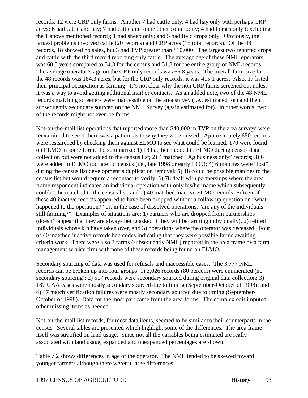records, 12 were CRP only farms. Another 7 had cattle only; 4 had hay only with perhaps CRP acres; 6 had cattle and hay; 7 had cattle and some other commodity; 4 had horses only (excluding the 1 above mentioned record); 1 had sheep only; and 5 had field crops only. Obviously, the largest problems involved cattle (20 records) and CRP acres (15 total records). Of the 48 records, 18 showed no sales, but 3 had TVP greater than \$10,000. The largest two reported crops and cattle with the third record reporting only cattle. The average age of these NML operators was 60.5 years compared to 54.3 for the census and 51.8 for the entire group of NML records. The average operator's age on the CRP only records was 66.8 years. The overall farm size for the 48 records was 184.3 acres, but for the CRP only records, it was 415.1 acres. Also, 17 listed their principal occupation as farming. It's not clear why the non CRP farms screened out unless it was a way to avoid getting additional mail or contacts. As an added note, two of the 48 NML records matching screeners were inaccessible on the area survey (i.e., estimated for) and then subsequently secondary sourced on the NML Survey (again estimated for). In other words, two of the records might not even be farms.

Not-on-the-mail list operations that reported more than \$40,000 in TVP on the area surveys were reexamined to see if there was a pattern as to why they were missed. Approximately 650 records were researched by checking them against ELMO to see what could be learned; 170 were found on ELMO in some form. To summarize: 1) 18 had been added to ELMO during census data collection but were not added to the census list; 2) 4 matched "Ag business only" records; 3) 6 were added to ELMO too late for census (i.e., late 1998 or early 1999); 4) 6 matches were "lost" during the census list development's duplication removal; 5) 18 could be possible matches to the census list but would require a recontact to verify; 6) 78 dealt with partnerships where the area frame respondent indicated an individual operation with only his/her name which subsequently couldn't be matched to the census list; and 7) 40 matched inactive ELMO records. Fifteen of these 40 inactive records appeared to have been dropped without a follow up question on "what happened to the operation?" or, in the case of dissolved operations, "are any of the individuals still farming?". Examples of situations are: 1) partners who are dropped from partnerships (doesn't appear that they are always being asked if they will be farming individually), 2) retired individuals whose kin have taken over, and 3) operations where the operator was deceased. Four of 40 matched inactive records had codes indicating that they were possible farms awaiting criteria work. There were also 3 farms (subsequently NML) reported in the area frame by a farm management service firm with none of these records being found on ELMO.

Secondary sourcing of data was used for refusals and inaccessible cases. The 3,777 NML records can be broken up into four groups: 1) 3,026 records (80 percent) were enumerated (no secondary sourcing); 2) 517 records were secondary sourced during original data collection; 3) 187 UAA cases were mostly secondary sourced due to timing (September-October of 1998); and 4) 47 match verification failures were mostly secondary sourced due to timing (September-October of 1998). Data for the most part came from the area forms. The complex edit imputed other missing items as needed.

Not-on-the-mail list records, for most data items, seemed to be similar to their counterparts in the census. Several tables are presented which highlight some of the differences. The area frame itself was stratified on land usage. Since not all the variables being estimated are really associated with land usage, expanded and unexpanded percentages are shown.

Table 7.2 shows differences in age of the operator. The NML tended to be skewed toward younger farmers although there weren't large differences.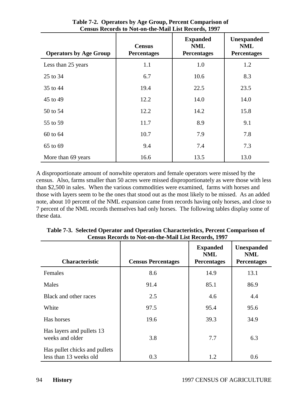| <b>Operators by Age Group</b> | <b>Census</b><br><b>Percentages</b> | <b>Expanded</b><br><b>NML</b><br><b>Percentages</b> | <b>Unexpanded</b><br><b>NML</b><br><b>Percentages</b> |
|-------------------------------|-------------------------------------|-----------------------------------------------------|-------------------------------------------------------|
| Less than 25 years            | 1.1                                 | 1.0                                                 | 1.2                                                   |
| 25 to 34                      | 6.7                                 | 10.6                                                | 8.3                                                   |
| 35 to 44                      | 19.4                                | 22.5                                                | 23.5                                                  |
| 45 to 49                      | 12.2                                | 14.0                                                | 14.0                                                  |
| 50 to 54                      | 12.2                                | 14.2                                                | 15.8                                                  |
| 55 to 59                      | 11.7                                | 8.9                                                 | 9.1                                                   |
| 60 to 64                      | 10.7                                | 7.9                                                 | 7.8                                                   |
| 65 to 69                      | 9.4                                 | 7.4                                                 | 7.3                                                   |
| More than 69 years            | 16.6                                | 13.5                                                | 13.0                                                  |

 **Table 7-2. Operators by Age Group, Percent Comparison of Census Records to Not-on-the-Mail List Records, 1997**

A disproportionate amount of nonwhite operators and female operators were missed by the census. Also, farms smaller than 50 acres were missed disproportionately as were those with less than \$2,500 in sales. When the various commodities were examined, farms with horses and those with layers seem to be the ones that stood out as the most likely to be missed. As an added note, about 10 percent of the NML expansion came from records having only horses, and close to 7 percent of the NML records themselves had only horses. The following tables display some of these data.

| <b>Characteristic</b>                                   | <b>Census Percentages</b> | <b>Expanded</b><br><b>NML</b><br><b>Percentages</b> | <b>Unexpanded</b><br><b>NML</b><br><b>Percentages</b> |
|---------------------------------------------------------|---------------------------|-----------------------------------------------------|-------------------------------------------------------|
| Females                                                 | 8.6                       | 14.9                                                | 13.1                                                  |
| Males                                                   | 91.4                      | 85.1                                                | 86.9                                                  |
| Black and other races                                   | 2.5                       | 4.6                                                 | 4.4                                                   |
| White                                                   | 97.5                      | 95.4                                                | 95.6                                                  |
| Has horses                                              | 19.6                      | 39.3                                                | 34.9                                                  |
| Has layers and pullets 13<br>weeks and older            | 3.8                       | 7.7                                                 | 6.3                                                   |
| Has pullet chicks and pullets<br>less than 13 weeks old | 0.3                       | 1.2                                                 | 0.6                                                   |

 **Table 7-3. Selected Operator and Operation Characteristics, Percent Comparison of Census Records to Not-on-the-Mail List Records, 1997**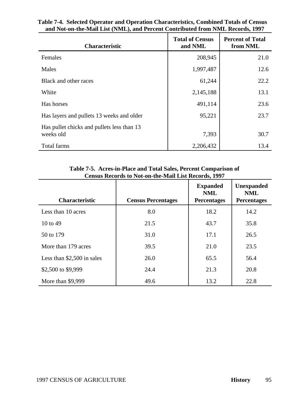| <b>Characteristic</b>                                   | <b>Total of Census</b><br>and NML | <b>Percent of Total</b><br>from NML |
|---------------------------------------------------------|-----------------------------------|-------------------------------------|
| Females                                                 | 208,945                           | 21.0                                |
| Males                                                   | 1,997,487                         | 12.6                                |
| Black and other races                                   | 61,244                            | 22.2                                |
| White                                                   | 2,145,188                         | 13.1                                |
| Has horses                                              | 491,114                           | 23.6                                |
| Has layers and pullets 13 weeks and older               | 95,221                            | 23.7                                |
| Has pullet chicks and pullets less than 13<br>weeks old | 7,393                             | 30.7                                |
| Total farms                                             | 2,206,432                         | 13.4                                |

| Table 7-4. Selected Operator and Operation Characteristics, Combined Totals of Census |  |
|---------------------------------------------------------------------------------------|--|
| and Not-on-the-Mail List (NML), and Percent Contributed from NML Records, 1997        |  |

#### **Table 7-5. Acres-in-Place and Total Sales, Percent Comparison of Census Records to Not-on-the-Mail List Records, 1997**

| <b>Characteristic</b>       | <b>Census Percentages</b> | <b>Expanded</b><br><b>NML</b><br><b>Percentages</b> | <b>Unexpanded</b><br><b>NML</b><br><b>Percentages</b> |
|-----------------------------|---------------------------|-----------------------------------------------------|-------------------------------------------------------|
| Less than 10 acres          | 8.0                       | 18.2                                                | 14.2                                                  |
| $10 \text{ to } 49$         | 21.5                      | 43.7                                                | 35.8                                                  |
| 50 to 179                   | 31.0                      | 17.1                                                | 26.5                                                  |
| More than 179 acres         | 39.5                      | 21.0                                                | 23.5                                                  |
| Less than $$2,500$ in sales | 26.0                      | 65.5                                                | 56.4                                                  |
| \$2,500 to \$9,999          | 24.4                      | 21.3                                                | 20.8                                                  |
| More than \$9,999           | 49.6                      | 13.2                                                | 22.8                                                  |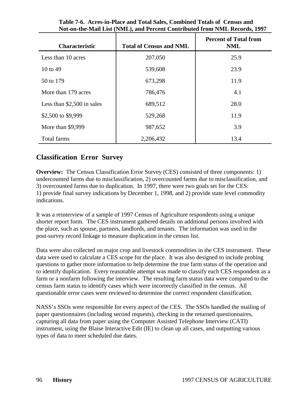| <b>Characteristic</b>       | <b>Total of Census and NML</b> | <b>Percent of Total from</b><br><b>NML</b> |
|-----------------------------|--------------------------------|--------------------------------------------|
| Less than 10 acres          | 207,050                        | 25.9                                       |
| 10 to 49                    | 539,608                        | 23.9                                       |
| 50 to 179                   | 673,298                        | 11.9                                       |
| More than 179 acres         | 786,476                        | 4.1                                        |
| Less than $$2,500$ in sales | 689,512                        | 28.0                                       |
| \$2,500 to \$9,999          | 529,268                        | 11.9                                       |
| More than \$9,999           | 987,652                        | 3.9                                        |
| Total farms                 | 2,206,432                      | 13.4                                       |

#### **Table 7-6. Acres-in-Place and Total Sales, Combined Totals of Census and Not-on-the-Mail List (NML), and Percent Contributed from NML Records, 1997**

# **Classification Error Survey**

**Overview:** The Census Classification Error Survey (CES) consisted of three components: 1) undercounted farms due to misclassification, 2) overcounted farms due to misclassification, and 3) overcounted farms due to duplication. In 1997, there were two goals set for the CES: 1) provide final survey indications by December 1, 1998, and 2) provide state level commodity indications.

It was a reinterview of a sample of 1997 Census of Agriculture respondents using a unique shorter report form. The CES instrument gathered details on additional persons involved with the place, such as spouse, partners, landlords, and tenants. The information was used in the post-survey record linkage to measure duplication in the census list.

Data were also collected on major crop and livestock commodities in the CES instrument. These data were used to calculate a CES scope for the place. It was also designed to include probing questions to gather more information to help determine the true farm status of the operation and to identify duplication. Every reasonable attempt was made to classify each CES respondent as a farm or a nonfarm following the interview. The resulting farm status data were compared to the census farm status to identify cases which were incorrectly classified in the census. All questionable error cases were reviewed to determine the correct respondent classification.

NASS's SSOs were responsible for every aspect of the CES. The SSOs handled the mailing of paper questionnaires (including second requests), checking in the returned questionnaires, capturing all data from paper using the Computer Assisted Telephone Interview (CATI) instrument, using the Blaise Interactive Edit (IE) to clean up all cases, and outputting various types of data to meet scheduled due dates.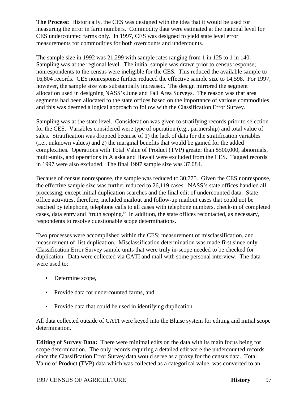**The Process:** Historically, the CES was designed with the idea that it would be used for measuring the error in farm numbers. Commodity data were estimated at the national level for CES undercounted farms only. In 1997, CES was designed to yield state level error measurements for commodities for both overcounts and undercounts.

The sample size in 1992 was 21,299 with sample rates ranging from 1 in 125 to 1 in 140. Sampling was at the regional level. The initial sample was drawn prior to census response; nonrespondents to the census were ineligible for the CES. This reduced the available sample to 16,804 records. CES nonresponse further reduced the effective sample size to 14,598. For 1997, however, the sample size was substantially increased. The design mirrored the segment allocation used in designing NASS's June and Fall Area Surveys. The reason was that area segments had been allocated to the state offices based on the importance of various commodities and this was deemed a logical approach to follow with the Classification Error Survey.

Sampling was at the state level. Consideration was given to stratifying records prior to selection for the CES. Variables considered were type of operation (e.g., partnership) and total value of sales. Stratification was dropped because of 1) the lack of data for the stratification variables (i.e., unknown values) and 2) the marginal benefits that would be gained for the added complexities. Operations with Total Value of Product (TVP) greater than \$500,000, abnormals, multi-units, and operations in Alaska and Hawaii were excluded from the CES. Tagged records in 1997 were also excluded. The final 1997 sample size was 37,084.

Because of census nonresponse, the sample was reduced to 30,775. Given the CES nonresponse, the effective sample size was further reduced to 26,119 cases. NASS's state offices handled all processing, except initial duplication searches and the final edit of undercounted data. State office activities, therefore, included mailout and follow-up mailout cases that could not be reached by telephone, telephone calls to all cases with telephone numbers, check-in of completed cases, data entry and "truth scoping." In addition, the state offices recontacted, as necessary, respondents to resolve questionable scope determinations.

Two processes were accomplished within the CES; measurement of misclassification, and measurement of list duplication. Misclassification determination was made first since only Classification Error Survey sample units that were truly in-scope needed to be checked for duplication. Data were collected via CATI and mail with some personal interview. The data were used to:

- Determine scope,
- Provide data for undercounted farms, and
- Provide data that could be used in identifying duplication.

All data collected outside of CATI were keyed into the Blaise system for editing and initial scope determination.

**Editing of Survey Data:** There were minimal edits on the data with its main focus being for scope determination. The only records requiring a detailed edit were the undercounted records since the Classification Error Survey data would serve as a proxy for the census data. Total Value of Product (TVP) data which was collected as a categorical value, was converted to an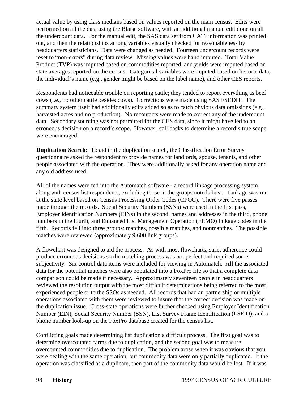actual value by using class medians based on values reported on the main census. Edits were performed on all the data using the Blaise software, with an additional manual edit done on all the undercount data. For the manual edit, the SAS data set from CATI information was printed out, and then the relationships among variables visually checked for reasonableness by headquarters statisticians. Data were changed as needed. Fourteen undercount records were reset to "non-errors" during data review. Missing values were hand imputed. Total Value Product (TVP) was imputed based on commodities reported, and yields were imputed based on state averages reported on the census. Categorical variables were imputed based on historic data, the individual's name (e.g., gender might be based on the label name), and other CES reports.

Respondents had noticeable trouble on reporting cattle; they tended to report everything as beef cows (i.e., no other cattle besides cows). Corrections were made using SAS FSEDIT. The summary system itself had additionally edits added so as to catch obvious data omissions (e.g., harvested acres and no production). No recontacts were made to correct any of the undercount data. Secondary sourcing was not permitted for the CES data, since it might have led to an erroneous decision on a record's scope. However, call backs to determine a record's true scope were encouraged.

**Duplication Search:** To aid in the duplication search, the Classification Error Survey questionnaire asked the respondent to provide names for landlords, spouse, tenants, and other people associated with the operation. They were additionally asked for any operation name and any old address used.

All of the names were fed into the Automatch software - a record linkage processing system, along with census list respondents, excluding those in the groups noted above. Linkage was run at the state level based on Census Processing Order Codes (CPOC). There were five passes made through the records. Social Security Numbers (SSNs) were used in the first pass, Employer Identification Numbers (EINs) in the second, names and addresses in the third, phone numbers in the fourth, and Enhanced List Management Operation (ELMO) linkage codes in the fifth. Records fell into three groups: matches, possible matches, and nonmatches. The possible matches were reviewed (approximately 9,600 link groups).

A flowchart was designed to aid the process. As with most flowcharts, strict adherence could produce erroneous decisions so the matching process was not perfect and required some subjectivity. Six control data items were included for viewing in Automatch. All the associated data for the potential matches were also populated into a FoxPro file so that a complete data comparison could be made if necessary. Approximately seventeen people in headquarters reviewed the resolution output with the most difficult determinations being referred to the most experienced people or to the SSOs as needed. All records that had an partnership or multiple operations associated with them were reviewed to insure that the correct decision was made on the duplication issue. Cross-state operations were further checked using Employer Identification Number (EIN), Social Security Number (SSN), List Survey Frame Identification (LSFID), and a phone number look-up on the FoxPro database created for the census list.

Conflicting goals made determining list duplication a difficult process. The first goal was to determine overcounted farms due to duplication, and the second goal was to measure overcounted commodities due to duplication. The problem arose when it was obvious that you were dealing with the same operation, but commodity data were only partially duplicated. If the operation was classified as a duplicate, then part of the commodity data would be lost. If it was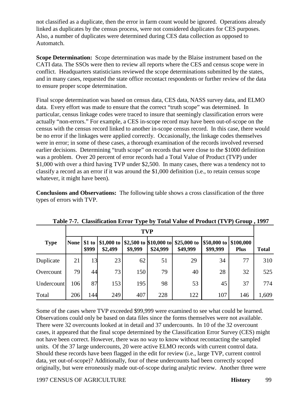not classified as a duplicate, then the error in farm count would be ignored. Operations already linked as duplicates by the census process, were not considered duplicates for CES purposes. Also, a number of duplicates were determined during CES data collection as opposed to Automatch.

**Scope Determination:** Scope determination was made by the Blaise instrument based on the CATI data. The SSOs were then to review all reports where the CES and census scope were in conflict. Headquarters statisticians reviewed the scope determinations submitted by the states, and in many cases, requested the state office recontact respondents or further review of the data to ensure proper scope determination.

Final scope determination was based on census data, CES data, NASS survey data, and ELMO data. Every effort was made to ensure that the correct "truth scope" was determined. In particular, census linkage codes were traced to insure that seemingly classification errors were actually "non-errors." For example, a CES in-scope record may have been out-of-scope on the census with the census record linked to another in-scope census record. In this case, there would be no error if the linkages were applied correctly. Occasionally, the linkage codes themselves were in error; in some of these cases, a thorough examination of the records involved reversed earlier decisions. Determining "truth scope" on records that were close to the \$1000 definition was a problem. Over 20 percent of error records had a Total Value of Product (TVP) under \$1,000 with over a third having TVP under \$2,500. In many cases, there was a tendency not to classify a record as an error if it was around the \$1,000 definition (i.e., to retain census scope whatever, it might have been).

**Conclusions and Observations:** The following table shows a cross classification of the three types of errors with TVP.

|             | <b>TVP</b>  |                 |         |         |          |                                                              |                         |                          |              |
|-------------|-------------|-----------------|---------|---------|----------|--------------------------------------------------------------|-------------------------|--------------------------|--------------|
| <b>Type</b> | <b>None</b> | \$1 to<br>\$999 | \$2,499 | \$9,999 | \$24,999 | \$1,000 to \\$2,500 to \\$10,000 to \\$25,000 to<br>\$49,999 | \$50,000 to<br>\$99,999 | \$100,000<br><b>Plus</b> | <b>Total</b> |
| Duplicate   | 21          | 13              | 23      | 62      | 51       | 29                                                           | 34                      | 77                       | 310          |
| Overcount   | 79          | 44              | 73      | 150     | 79       | 40                                                           | 28                      | 32                       | 525          |
| Undercount  | 106         | 87              | 153     | 195     | 98       | 53                                                           | 45                      | 37                       | 774          |
| Total       | 206         | 144             | 249     | 407     | 228      | 122                                                          | 107                     | 146                      | 1,609        |

Some of the cases where TVP exceeded \$99,999 were examined to see what could be learned. Observations could only be based on data files since the forms themselves were not available. There were 32 overcounts looked at in detail and 37 undercounts. In 10 of the 32 overcount cases, it appeared that the final scope determined by the Classification Error Survey (CES) might not have been correct. However, there was no way to know without recontacting the sampled units. Of the 37 large undercounts, 20 were active ELMO records with current control data. Should these records have been flagged in the edit for review (i.e., large TVP, current control data, yet out-of-scope)? Additionally, four of these undercounts had been correctly scoped originally, but were erroneously made out-of-scope during analytic review. Another three were

1997 CENSUS OF AGRICULTURE **History** 99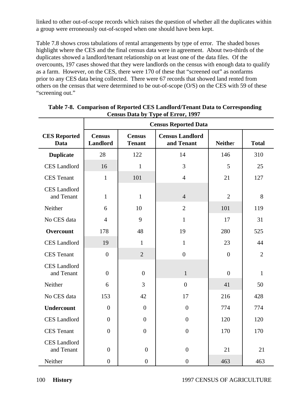linked to other out-of-scope records which raises the question of whether all the duplicates within a group were erroneously out-of-scoped when one should have been kept.

Table 7.8 shows cross tabulations of rental arrangements by type of error. The shaded boxes highlight where the CES and the final census data were in agreement. About two-thirds of the duplicates showed a landlord/tenant relationship on at least one of the data files. Of the overcounts, 197 cases showed that they were landlords on the census with enough data to qualify as a farm. However, on the CES, there were 170 of these that "screened out" as nonfarms prior to any CES data being collected. There were 67 records that showed land rented from others on the census that were determined to be out-of-scope (O/S) on the CES with 59 of these "screening out."

|                                   | <b>Census Reported Data</b>      |                                |                                      |                  |                |  |  |
|-----------------------------------|----------------------------------|--------------------------------|--------------------------------------|------------------|----------------|--|--|
| <b>CES</b> Reported<br>Data       | <b>Census</b><br><b>Landlord</b> | <b>Census</b><br><b>Tenant</b> | <b>Census Landlord</b><br>and Tenant | <b>Neither</b>   | <b>Total</b>   |  |  |
| <b>Duplicate</b>                  | 28                               | 122                            | 14                                   | 146              | 310            |  |  |
| <b>CES</b> Landlord               | 16                               | $\mathbf{1}$                   | 3                                    | 5                | 25             |  |  |
| <b>CES</b> Tenant                 | $\mathbf{1}$                     | 101                            | $\overline{4}$                       | 21               | 127            |  |  |
| <b>CES</b> Landlord<br>and Tenant | $\mathbf{1}$                     | $\mathbf{1}$                   | $\overline{4}$                       | $\overline{2}$   | 8              |  |  |
| Neither                           | 6                                | 10                             | $\overline{2}$                       | 101              | 119            |  |  |
| No CES data                       | $\overline{4}$                   | 9                              | $\mathbf{1}$                         | 17               | 31             |  |  |
| <b>Overcount</b>                  | 178                              | 48                             | 19                                   | 280              | 525            |  |  |
| <b>CES</b> Landlord               | 19                               | $\mathbf{1}$                   | $\mathbf{1}$                         | 23               | 44             |  |  |
| <b>CES</b> Tenant                 | $\overline{0}$                   | $\overline{2}$                 | $\overline{0}$                       | $\overline{0}$   | $\overline{2}$ |  |  |
| <b>CES</b> Landlord<br>and Tenant | $\overline{0}$                   | $\boldsymbol{0}$               | $\mathbf{1}$                         | $\boldsymbol{0}$ | $\mathbf{1}$   |  |  |
| Neither                           | 6                                | 3                              | $\overline{0}$                       | 41               | 50             |  |  |
| No CES data                       | 153                              | 42                             | 17                                   | 216              | 428            |  |  |
| <b>Undercount</b>                 | $\overline{0}$                   | $\overline{0}$                 | $\overline{0}$                       | 774              | 774            |  |  |
| <b>CES</b> Landlord               | $\overline{0}$                   | $\overline{0}$                 | $\overline{0}$                       | 120              | 120            |  |  |
| <b>CES</b> Tenant                 | $\overline{0}$                   | $\overline{0}$                 | $\overline{0}$                       | 170              | 170            |  |  |
| <b>CES</b> Landlord<br>and Tenant | $\overline{0}$                   | $\overline{0}$                 | $\overline{0}$                       | 21               | 21             |  |  |
| Neither                           | $\overline{0}$                   | $\overline{0}$                 | $\overline{0}$                       | 463              | 463            |  |  |

 **Table 7-8. Comparison of Reported CES Landlord/Tenant Data to Corresponding Census Data by Type of Error, 1997**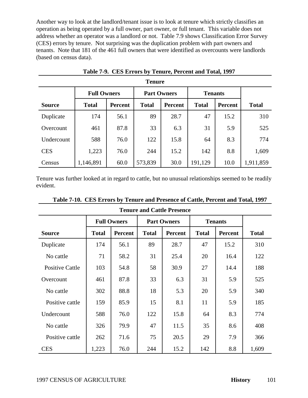Another way to look at the landlord/tenant issue is to look at tenure which strictly classifies an operation as being operated by a full owner, part owner, or full tenant. This variable does not address whether an operator was a landlord or not. Table 7.9 shows Classification Error Survey (CES) errors by tenure. Not surprising was the duplication problem with part owners and tenants. Note that 181 of the 461 full owners that were identified as overcounts were landlords (based on census data).

| <b>Tenure</b> |                    |                |                    |                |                |                |              |  |  |  |
|---------------|--------------------|----------------|--------------------|----------------|----------------|----------------|--------------|--|--|--|
|               | <b>Full Owners</b> |                | <b>Part Owners</b> |                | <b>Tenants</b> |                |              |  |  |  |
| <b>Source</b> | <b>Total</b>       | <b>Percent</b> | <b>Total</b>       | <b>Percent</b> | <b>Total</b>   | <b>Percent</b> | <b>Total</b> |  |  |  |
| Duplicate     | 174                | 56.1           | 89                 | 28.7           | 47             | 15.2           | 310          |  |  |  |
| Overcount     | 461                | 87.8           | 33                 | 6.3            | 31             | 5.9            | 525          |  |  |  |
| Undercount    | 588                | 76.0           | 122                | 15.8           | 64             | 8.3            | 774          |  |  |  |
| <b>CES</b>    | 1,223              | 76.0           | 244                | 15.2           | 142            | 8.8            | 1,609        |  |  |  |
| Census        | 1,146,891          | 60.0           | 573,839            | 30.0           | 191,129        | 10.0           | 1,911,859    |  |  |  |

 **Table 7-9. CES Errors by Tenure, Percent and Total, 1997** 

Tenure was further looked at in regard to cattle, but no unusual relationships seemed to be readily evident.

| Tenure and Cattle Presence |                    |                |              |                    |                |                |              |  |  |  |
|----------------------------|--------------------|----------------|--------------|--------------------|----------------|----------------|--------------|--|--|--|
|                            | <b>Full Owners</b> |                |              | <b>Part Owners</b> | <b>Tenants</b> |                |              |  |  |  |
| <b>Source</b>              | <b>Total</b>       | <b>Percent</b> | <b>Total</b> | <b>Percent</b>     | <b>Total</b>   | <b>Percent</b> | <b>Total</b> |  |  |  |
| Duplicate                  | 174                | 56.1           | 89           | 28.7               | 47             | 15.2           | 310          |  |  |  |
| No cattle                  | 71                 | 58.2           | 31           | 25.4               | 20             | 16.4           | 122          |  |  |  |
| <b>Positive Cattle</b>     | 103                | 54.8           | 58           | 30.9               | 27             | 14.4           | 188          |  |  |  |
| Overcount                  | 461                | 87.8           | 33           | 6.3                | 31             | 5.9            | 525          |  |  |  |
| No cattle                  | 302                | 88.8           | 18           | 5.3                | 20             | 5.9            | 340          |  |  |  |
| Positive cattle            | 159                | 85.9           | 15           | 8.1                | 11             | 5.9            | 185          |  |  |  |
| Undercount                 | 588                | 76.0           | 122          | 15.8               | 64             | 8.3            | 774          |  |  |  |
| No cattle                  | 326                | 79.9           | 47           | 11.5               | 35             | 8.6            | 408          |  |  |  |
| Positive cattle            | 262                | 71.6           | 75           | 20.5               | 29             | 7.9            | 366          |  |  |  |
| <b>CES</b>                 | 1,223              | 76.0           | 244          | 15.2               | 142            | 8.8            | 1,609        |  |  |  |

 **Table 7-10. CES Errors by Tenure and Presence of Cattle, Percent and Total, 1997 Tenure and Cattle Presence**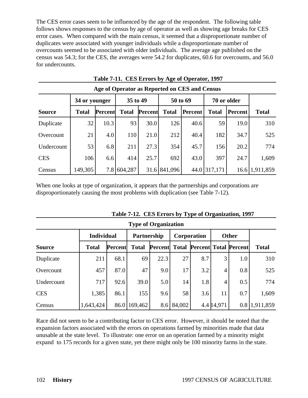The CES error cases seem to be influenced by the age of the respondent. The following table follows shows responses to the census by age of operator as well as showing age breaks for CES error cases. When compared with the main census, it seemed that a disproportionate number of duplicates were associated with younger individuals while a disproportionate number of overcounts seemed to be associated with older individuals. The average age published on the census was 54.3; for the CES, the averages were 54.2 for duplicates, 60.6 for overcounts, and 56.0 for undercounts.

| Age of Operator as Reported on CES and Census |               |                |              |                |              |                |              |                |                |
|-----------------------------------------------|---------------|----------------|--------------|----------------|--------------|----------------|--------------|----------------|----------------|
|                                               | 34 or younger |                | 35 to 49     |                |              | 50 to 69       | 70 or older  |                |                |
| <b>Source</b>                                 | <b>Total</b>  | <b>Percent</b> | <b>Total</b> | <b>Percent</b> | <b>Total</b> | <b>Percent</b> | <b>Total</b> | <b>Percent</b> | <b>Total</b>   |
| Duplicate                                     | 32            | 10.3           | 93           | 30.0           | 126          | 40.6           | 59           | 19.0           | 310            |
| Overcount                                     | 21            | 4.0            | 110          | 21.0           | 212          | 40.4           | 182          | 34.7           | 525            |
| Undercount                                    | 53            | 6.8            | 211          | 27.3           | 354          | 45.7           | 156          | 20.2           | 774            |
| <b>CES</b>                                    | 106           | 6.6            | 414          | 25.7           | 692          | 43.0           | 397          | 24.7           | 1,609          |
| Census                                        | 149,305       | 7.8            | 604,287      |                | 31.6 841,096 |                | 44.0 317,171 |                | 16.6 1,911,859 |

 **Table 7-11. CES Errors by Age of Operator, 1997**

When one looks at type of organization, it appears that the partnerships and corporations are disproportionately causing the most problems with duplication (see Table 7-12).

| <b>Type of Organization</b> |                   |                |              |                |              |                              |                |     |               |
|-----------------------------|-------------------|----------------|--------------|----------------|--------------|------------------------------|----------------|-----|---------------|
|                             | <b>Individual</b> |                | Partnership  |                | Corporation  |                              | <b>Other</b>   |     |               |
| <b>Source</b>               | <b>Total</b>      | <b>Percent</b> | <b>Total</b> | <b>Percent</b> | <b>Total</b> | <b>Percent</b> Total Percent |                |     | <b>Total</b>  |
| Duplicate                   | 211               | 68.1           | 69           | 22.3           | 27           | 8.7                          | 3              | 1.0 | 310           |
| Overcount                   | 457               | 87.0           | 47           | 9.0            | 17           | 3.2                          | $\overline{4}$ | 0.8 | 525           |
| Undercount                  | 717               | 92.6           | 39.0         | 5.0            | 14           | 1.8                          | $\overline{4}$ | 0.5 | 774           |
| <b>CES</b>                  | 1,385             | 86.1           | 155          | 9.6            | 58           | 3.6                          | 11             | 0.7 | 1,609         |
| Census                      | 1,643,424         | 86.0           | 169,462      | 8.6            | 84,002       |                              | 4.4 14,971     |     | 0.8 1,911,859 |

|  | Table 7-12. CES Errors by Type of Organization, 1997 |  |  |
|--|------------------------------------------------------|--|--|
|  |                                                      |  |  |

Race did not seem to be a contributing factor to CES error. However, it should be noted that the expansion factors associated with the errors on operations farmed by minorities made that data unusable at the state level. To illustrate: one error on an operation farmed by a minority might expand to 175 records for a given state, yet there might only be 100 minority farms in the state.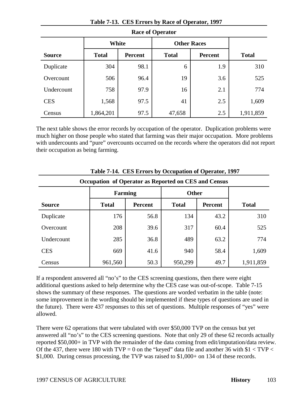| <b>RUCE OF OPERATOR</b> |              |                |                    |         |              |  |  |  |  |
|-------------------------|--------------|----------------|--------------------|---------|--------------|--|--|--|--|
|                         |              | White          | <b>Other Races</b> |         |              |  |  |  |  |
| <b>Source</b>           | <b>Total</b> | <b>Percent</b> | <b>Total</b>       | Percent | <b>Total</b> |  |  |  |  |
| Duplicate               | 304          | 98.1           | 6                  | 1.9     | 310          |  |  |  |  |
| Overcount               | 506          | 96.4           | 19                 | 3.6     | 525          |  |  |  |  |
| Undercount              | 758          | 97.9           | 16                 | 2.1     | 774          |  |  |  |  |
| <b>CES</b>              | 1,568        | 97.5           | 41                 | 2.5     | 1,609        |  |  |  |  |
| Census                  | 1,864,201    | 97.5           | 47,658             | 2.5     | 1,911,859    |  |  |  |  |

| Table 7-13. CES Errors by Race of Operator, 1997 |  |  |  |  |
|--------------------------------------------------|--|--|--|--|
|                                                  |  |  |  |  |

**Race of Operator**

The next table shows the error records by occupation of the operator. Duplication problems were much higher on those people who stated that farming was their major occupation. More problems with undercounts and "pure" overcounts occurred on the records where the operators did not report their occupation as being farming.

| Occupation of Operator as Reported on CES and Census |              |                |              |                |              |  |  |  |  |
|------------------------------------------------------|--------------|----------------|--------------|----------------|--------------|--|--|--|--|
|                                                      | Farming      |                | Other        |                |              |  |  |  |  |
| <b>Source</b>                                        | <b>Total</b> | <b>Percent</b> | <b>Total</b> | <b>Percent</b> | <b>Total</b> |  |  |  |  |
| Duplicate                                            | 176          | 56.8           | 134          | 43.2           | 310          |  |  |  |  |
| Overcount                                            | 208          | 39.6           | 317          | 60.4           | 525          |  |  |  |  |
| Undercount                                           | 285          | 36.8           | 489          | 63.2           | 774          |  |  |  |  |
| <b>CES</b>                                           | 669          | 41.6           | 940          | 58.4           | 1,609        |  |  |  |  |
| Census                                               | 961,560      | 50.3           | 950,299      | 49.7           | 1,911,859    |  |  |  |  |

#### **Table 7-14. CES Errors by Occupation of Operator, 1997**

If a respondent answered all "no's" to the CES screening questions, then there were eight additional questions asked to help determine why the CES case was out-of-scope. Table 7-15 shows the summary of these responses. The questions are worded verbatim in the table (note: some improvement in the wording should be implemented if these types of questions are used in the future). There were 437 responses to this set of questions. Multiple responses of "yes" were allowed.

There were 62 operations that were tabulated with over \$50,000 TVP on the census but yet answered all "no's" to the CES screening questions. Note that only 29 of these 62 records actually reported \$50,000+ in TVP with the remainder of the data coming from edit/imputation/data review. Of the 437, there were 180 with  $TVP = 0$  on the "keyed" data file and another 36 with  $$1 < TVP <$ \$1,000. During census processing, the TVP was raised to \$1,000+ on 134 of these records.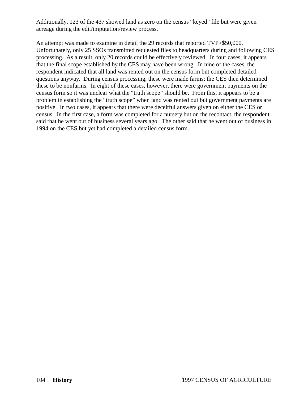Additionally, 123 of the 437 showed land as zero on the census "keyed" file but were given acreage during the edit/imputation/review process.

An attempt was made to examine in detail the 29 records that reported TVP>\$50,000. Unfortunately, only 25 SSOs transmitted requested files to headquarters during and following CES processing. As a result, only 20 records could be effectively reviewed. In four cases, it appears that the final scope established by the CES may have been wrong. In nine of the cases, the respondent indicated that all land was rented out on the census form but completed detailed questions anyway. During census processing, these were made farms; the CES then determined these to be nonfarms. In eight of these cases, however, there were government payments on the census form so it was unclear what the "truth scope" should be. From this, it appears to be a problem in establishing the "truth scope" when land was rented out but government payments are positive. In two cases, it appears that there were deceitful answers given on either the CES or census. In the first case, a form was completed for a nursery but on the recontact, the respondent said that he went out of business several years ago. The other said that he went out of business in 1994 on the CES but yet had completed a detailed census form.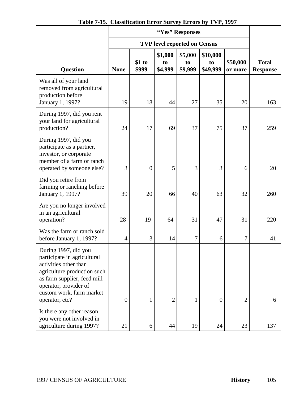|                                                                                                                                                                                                                   |                |                 | <b>TVP level reported on Census</b> |                          |                            |                     |                                 |
|-------------------------------------------------------------------------------------------------------------------------------------------------------------------------------------------------------------------|----------------|-----------------|-------------------------------------|--------------------------|----------------------------|---------------------|---------------------------------|
| <b>Question</b>                                                                                                                                                                                                   | <b>None</b>    | \$1 to<br>\$999 | \$1,000<br>to<br>\$4,999            | \$5,000<br>to<br>\$9,999 | \$10,000<br>to<br>\$49,999 | \$50,000<br>or more | <b>Total</b><br><b>Response</b> |
| Was all of your land<br>removed from agricultural<br>production before<br>January 1, 1997?                                                                                                                        | 19             | 18              | 44                                  | 27                       | 35                         | 20                  | 163                             |
| During 1997, did you rent<br>your land for agricultural<br>production?                                                                                                                                            | 24             | 17              | 69                                  | 37                       | 75                         | 37                  | 259                             |
| During 1997, did you<br>participate as a partner,<br>investor, or corporate<br>member of a farm or ranch<br>operated by someone else?                                                                             | 3              | $\overline{0}$  | 5                                   | 3                        | 3                          | 6                   | 20                              |
| Did you retire from<br>farming or ranching before<br>January 1, 1997?                                                                                                                                             | 39             | 20              | 66                                  | 40                       | 63                         | 32                  | 260                             |
| Are you no longer involved<br>in an agricultural<br>operation?                                                                                                                                                    | 28             | 19              | 64                                  | 31                       | 47                         | 31                  | 220                             |
| Was the farm or ranch sold<br>before January 1, 1997?                                                                                                                                                             | $\overline{4}$ | 3               | 14                                  | 7                        | 6                          | 7                   | 41                              |
| During 1997, did you<br>participate in agricultural<br>activities other than<br>agriculture production such<br>as farm supplier, feed mill<br>operator, provider of<br>custom work, farm market<br>operator, etc? | $\overline{0}$ | 1               | $\overline{2}$                      | $\mathbf{1}$             | $\boldsymbol{0}$           | $\overline{2}$      | 6                               |
| Is there any other reason<br>you were not involved in<br>agriculture during 1997?                                                                                                                                 | 21             | 6               | 44                                  | 19                       | 24                         | 23                  | 137                             |

**Table 7-15. Classification Error Survey Errors by TVP, 1997**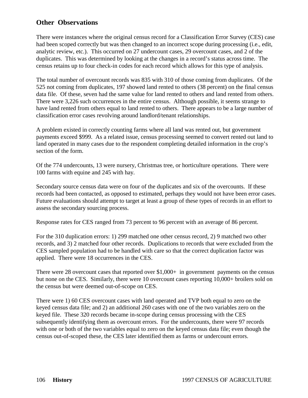# **Other Observations**

There were instances where the original census record for a Classification Error Survey (CES) case had been scoped correctly but was then changed to an incorrect scope during processing (i.e., edit, analytic review, etc.). This occurred on 27 undercount cases, 29 overcount cases, and 2 of the duplicates. This was determined by looking at the changes in a record's status across time. The census retains up to four check-in codes for each record which allows for this type of analysis.

The total number of overcount records was 835 with 310 of those coming from duplicates. Of the 525 not coming from duplicates, 197 showed land rented to others (38 percent) on the final census data file. Of these, seven had the same value for land rented to others and land rented from others. There were 3,226 such occurrences in the entire census. Although possible, it seems strange to have land rented from others equal to land rented to others. There appears to be a large number of classification error cases revolving around landlord/tenant relationships.

A problem existed in correctly counting farms where all land was rented out, but government payments exceed \$999. As a related issue, census processing seemed to convert rented out land to land operated in many cases due to the respondent completing detailed information in the crop's section of the form.

Of the 774 undercounts, 13 were nursery, Christmas tree, or horticulture operations. There were 100 farms with equine and 245 with hay.

Secondary source census data were on four of the duplicates and six of the overcounts. If these records had been contacted, as opposed to estimated, perhaps they would not have been error cases. Future evaluations should attempt to target at least a group of these types of records in an effort to assess the secondary sourcing process.

Response rates for CES ranged from 73 percent to 96 percent with an average of 86 percent.

For the 310 duplication errors: 1) 299 matched one other census record, 2) 9 matched two other records, and 3) 2 matched four other records. Duplications to records that were excluded from the CES sampled population had to be handled with care so that the correct duplication factor was applied. There were 18 occurrences in the CES.

There were 28 overcount cases that reported over \$1,000+ in government payments on the census but none on the CES. Similarly, there were 10 overcount cases reporting 10,000+ broilers sold on the census but were deemed out-of-scope on CES.

There were 1) 60 CES overcount cases with land operated and TVP both equal to zero on the keyed census data file; and 2) an additional 260 cases with one of the two variables zero on the keyed file. These 320 records became in-scope during census processing with the CES subsequently identifying them as overcount errors. For the undercounts, there were 97 records with one or both of the two variables equal to zero on the keyed census data file; even though the census out-of-scoped these, the CES later identified them as farms or undercount errors.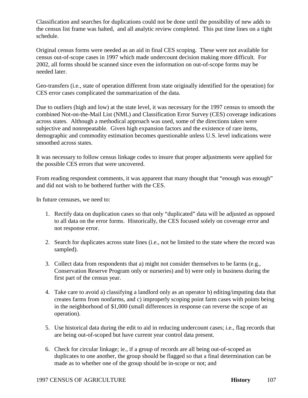Classification and searches for duplications could not be done until the possibility of new adds to the census list frame was halted, and all analytic review completed. This put time lines on a tight schedule.

Original census forms were needed as an aid in final CES scoping. These were not available for census out-of-scope cases in 1997 which made undercount decision making more difficult. For 2002, all forms should be scanned since even the information on out-of-scope forms may be needed later.

Geo-transfers (i.e., state of operation different from state originally identified for the operation) for CES error cases complicated the summarization of the data.

Due to outliers (high and low) at the state level, it was necessary for the 1997 census to smooth the combined Not-on-the-Mail List (NML) and Classification Error Survey (CES) coverage indications across states. Although a methodical approach was used, some of the directions taken were subjective and nonrepeatable. Given high expansion factors and the existence of rare items, demographic and commodity estimation becomes questionable unless U.S. level indications were smoothed across states.

It was necessary to follow census linkage codes to insure that proper adjustments were applied for the possible CES errors that were uncovered.

From reading respondent comments, it was apparent that many thought that "enough was enough" and did not wish to be bothered further with the CES.

In future censuses, we need to:

- 1. Rectify data on duplication cases so that only "duplicated" data will be adjusted as opposed to all data on the error forms. Historically, the CES focused solely on coverage error and not response error.
- 2. Search for duplicates across state lines (i.e., not be limited to the state where the record was sampled).
- 3. Collect data from respondents that a) might not consider themselves to be farms (e.g., Conservation Reserve Program only or nurseries) and b) were only in business during the first part of the census year.
- 4. Take care to avoid a) classifying a landlord only as an operator b) editing/imputing data that creates farms from nonfarms, and c) improperly scoping point farm cases with points being in the neighborhood of \$1,000 (small differences in response can reverse the scope of an operation).
- 5. Use historical data during the edit to aid in reducing undercount cases; i.e., flag records that are being out-of-scoped but have current year control data present.
- 6. Check for circular linkage; ie., if a group of records are all being out-of-scoped as duplicates to one another, the group should be flagged so that a final determination can be made as to whether one of the group should be in-scope or not; and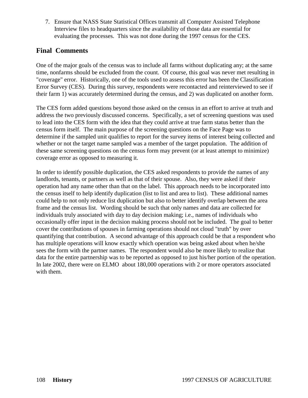7. Ensure that NASS State Statistical Offices transmit all Computer Assisted Telephone Interview files to headquarters since the availability of those data are essential for evaluating the processes. This was not done during the 1997 census for the CES.

# **Final Comments**

One of the major goals of the census was to include all farms without duplicating any; at the same time, nonfarms should be excluded from the count. Of course, this goal was never met resulting in "coverage" error. Historically, one of the tools used to assess this error has been the Classification Error Survey (CES). During this survey, respondents were recontacted and reinterviewed to see if their farm 1) was accurately determined during the census, and 2) was duplicated on another form.

The CES form added questions beyond those asked on the census in an effort to arrive at truth and address the two previously discussed concerns. Specifically, a set of screening questions was used to lead into the CES form with the idea that they could arrive at true farm status better than the census form itself. The main purpose of the screening questions on the Face Page was to determine if the sampled unit qualifies to report for the survey items of interest being collected and whether or not the target name sampled was a member of the target population. The addition of these same screening questions on the census form may prevent (or at least attempt to minimize) coverage error as opposed to measuring it.

In order to identify possible duplication, the CES asked respondents to provide the names of any landlords, tenants, or partners as well as that of their spouse. Also, they were asked if their operation had any name other than that on the label. This approach needs to be incorporated into the census itself to help identify duplication (list to list and area to list). These additional names could help to not only reduce list duplication but also to better identify overlap between the area frame and the census list. Wording should be such that only names and data are collected for individuals truly associated with day to day decision making; i.e., names of individuals who occasionally offer input in the decision making process should not be included. The goal to better cover the contributions of spouses in farming operations should not cloud "truth" by over quantifying that contribution. A second advantage of this approach could be that a respondent who has multiple operations will know exactly which operation was being asked about when he/she sees the form with the partner names. The respondent would also be more likely to realize that data for the entire partnership was to be reported as opposed to just his/her portion of the operation. In late 2002, there were on ELMO about 180,000 operations with 2 or more operators associated with them.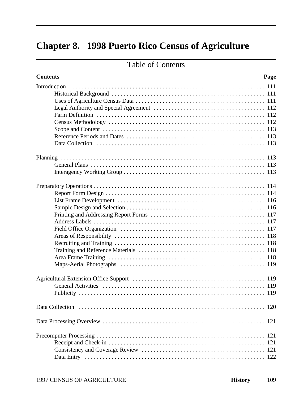# **Chapter 8. 1998 Puerto Rico Census of Agriculture**

# Table of Contents

| <b>Contents</b><br>Page |  |
|-------------------------|--|
|                         |  |
|                         |  |
|                         |  |
|                         |  |
|                         |  |
|                         |  |
|                         |  |
|                         |  |
|                         |  |
|                         |  |
|                         |  |
|                         |  |
|                         |  |
|                         |  |
|                         |  |
|                         |  |
|                         |  |
|                         |  |
|                         |  |
|                         |  |
|                         |  |
|                         |  |
|                         |  |
|                         |  |
|                         |  |
|                         |  |
|                         |  |
|                         |  |
|                         |  |
| 121                     |  |
|                         |  |
| 121                     |  |
|                         |  |
|                         |  |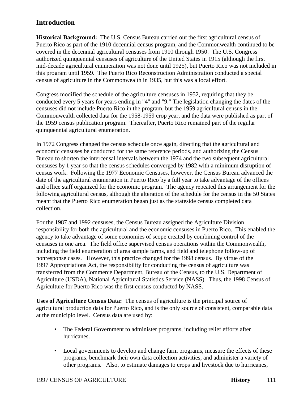# **Introduction**

**Historical Background:** The U.S. Census Bureau carried out the first agricultural census of Puerto Rico as part of the 1910 decennial census program, and the Commonwealth continued to be covered in the decennial agricultural censuses from 1910 through 1950. The U.S. Congress authorized quinquennial censuses of agriculture of the United States in 1915 (although the first mid-decade agricultural enumeration was not done until 1925), but Puerto Rico was not included in this program until 1959. The Puerto Rico Reconstruction Administration conducted a special census of agriculture in the Commonwealth in 1935, but this was a local effort.

Congress modified the schedule of the agriculture censuses in 1952, requiring that they be conducted every 5 years for years ending in "4" and "9." The legislation changing the dates of the censuses did not include Puerto Rico in the program, but the 1959 agricultural census in the Commonwealth collected data for the 1958-1959 crop year, and the data were published as part of the 1959 census publication program. Thereafter, Puerto Rico remained part of the regular quinquennial agricultural enumeration.

In 1972 Congress changed the census schedule once again, directing that the agricultural and economic censuses be conducted for the same reference periods, and authorizing the Census Bureau to shorten the intercensal intervals between the 1974 and the two subsequent agricultural censuses by 1 year so that the census schedules converged by 1982 with a minimum disruption of census work. Following the 1977 Economic Censuses, however, the Census Bureau advanced the date of the agricultural enumeration in Puerto Rico by a full year to take advantage of the offices and office staff organized for the economic program. The agency repeated this arrangement for the following agricultural census, although the alteration of the schedule for the census in the 50 States meant that the Puerto Rico enumeration began just as the stateside census completed data collection.

For the 1987 and 1992 censuses, the Census Bureau assigned the Agriculture Division responsibility for both the agricultural and the economic censuses in Puerto Rico. This enabled the agency to take advantage of some economies of scope created by combining control of the censuses in one area. The field office supervised census operations within the Commonwealth, including the field enumeration of area sample farms, and field and telephone follow-up of nonresponse cases. However, this practice changed for the 1998 census. By virtue of the 1997 Appropriations Act, the responsibility for conducting the census of agriculture was transferred from the Commerce Department, Bureau of the Census, to the U.S. Department of Agriculture (USDA), National Agricultural Statistics Service (NASS). Thus, the 1998 Census of Agriculture for Puerto Rico was the first census conducted by NASS.

**Uses of Agriculture Census Data:** The census of agriculture is the principal source of agricultural production data for Puerto Rico, and is the only source of consistent, comparable data at the municipio level. Census data are used by:

- The Federal Government to administer programs, including relief efforts after hurricanes.
- Local governments to develop and change farm programs, measure the effects of these programs, benchmark their own data collection activities, and administer a variety of other programs. Also, to estimate damages to crops and livestock due to hurricanes,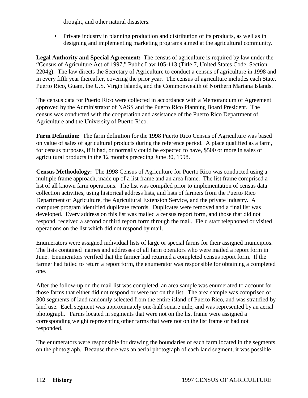drought, and other natural disasters.

• Private industry in planning production and distribution of its products, as well as in designing and implementing marketing programs aimed at the agricultural community.

**Legal Authority and Special Agreement:** The census of agriculture is required by law under the "Census of Agriculture Act of 1997," Public Law 105-113 (Title 7, United States Code, Section 2204g). The law directs the Secretary of Agriculture to conduct a census of agriculture in 1998 and in every fifth year thereafter, covering the prior year. The census of agriculture includes each State, Puerto Rico, Guam, the U.S. Virgin Islands, and the Commonwealth of Northern Mariana Islands.

The census data for Puerto Rico were collected in accordance with a Memorandum of Agreement approved by the Administrator of NASS and the Puerto Rico Planning Board President. The census was conducted with the cooperation and assistance of the Puerto Rico Department of Agriculture and the University of Puerto Rico.

**Farm Definition:** The farm definition for the 1998 Puerto Rico Census of Agriculture was based on value of sales of agricultural products during the reference period. A place qualified as a farm, for census purposes, if it had, or normally could be expected to have, \$500 or more in sales of agricultural products in the 12 months preceding June 30, 1998.

**Census Methodology:** The 1998 Census of Agriculture for Puerto Rico was conducted using a multiple frame approach, made up of a list frame and an area frame. The list frame comprised a list of all known farm operations. The list was compiled prior to implementation of census data collection activities, using historical address lists, and lists of farmers from the Puerto Rico Department of Agriculture, the Agricultural Extension Service, and the private industry. A computer program identified duplicate records. Duplicates were removed and a final list was developed. Every address on this list was mailed a census report form, and those that did not respond, received a second or third report form through the mail. Field staff telephoned or visited operations on the list which did not respond by mail.

Enumerators were assigned individual lists of large or special farms for their assigned municipios. The lists contained names and addresses of all farm operators who were mailed a report form in June. Enumerators verified that the farmer had returned a completed census report form. If the farmer had failed to return a report form, the enumerator was responsible for obtaining a completed one.

After the follow-up on the mail list was completed, an area sample was enumerated to account for those farms that either did not respond or were not on the list. The area sample was comprised of 300 segments of land randomly selected from the entire island of Puerto Rico, and was stratified by land use. Each segment was approximately one-half square mile, and was represented by an aerial photograph. Farms located in segments that were not on the list frame were assigned a corresponding weight representing other farms that were not on the list frame or had not responded.

The enumerators were responsible for drawing the boundaries of each farm located in the segments on the photograph. Because there was an aerial photograph of each land segment, it was possible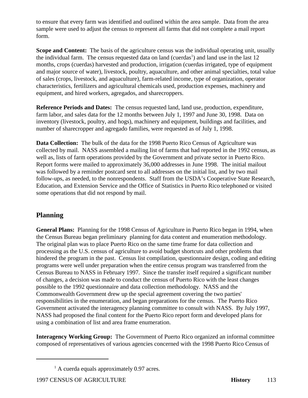to ensure that every farm was identified and outlined within the area sample. Data from the area sample were used to adjust the census to represent all farms that did not complete a mail report form.

**Scope and Content:** The basis of the agriculture census was the individual operating unit, usually the individual farm. The census requested data on land (cuerdas<sup>1</sup>) and land use in the last 12 months, crops (cuerdas) harvested and production, irrigation (cuerdas irrigated, type of equipment and major source of water), livestock, poultry, aquaculture, and other animal specialties, total value of sales (crops, livestock, and aquaculture), farm-related income, type of organization, operator characteristics, fertilizers and agricultural chemicals used, production expenses, machinery and equipment, and hired workers, agregados, and sharecroppers.

**Reference Periods and Dates:** The census requested land, land use, production, expenditure, farm labor, and sales data for the 12 months between July 1, 1997 and June 30, 1998. Data on inventory (livestock, poultry, and hogs), machinery and equipment, buildings and facilities, and number of sharecropper and agregado families, were requested as of July 1, 1998.

**Data Collection:** The bulk of the data for the 1998 Puerto Rico Census of Agriculture was collected by mail. NASS assembled a mailing list of farms that had reported in the 1992 census, as well as, lists of farm operations provided by the Government and private sector in Puerto Rico. Report forms were mailed to approximately 36,000 addresses in June 1998. The initial mailout was followed by a reminder postcard sent to all addresses on the initial list, and by two mail follow-ups, as needed, to the nonrespondents. Staff from the USDA's Cooperative State Research, Education, and Extension Service and the Office of Statistics in Puerto Rico telephoned or visited some operations that did not respond by mail.

# **Planning**

**General Plans:** Planning for the 1998 Census of Agriculture in Puerto Rico began in 1994, when the Census Bureau began preliminary planning for data content and enumeration methodology. The original plan was to place Puerto Rico on the same time frame for data collection and processing as the U.S. census of agriculture to avoid budget shortcuts and other problems that hindered the program in the past. Census list compilation, questionnaire design, coding and editing programs were well under preparation when the entire census program was transferred from the Census Bureau to NASS in February 1997. Since the transfer itself required a significant number of changes, a decision was made to conduct the census of Puerto Rico with the least changes possible to the 1992 questionnaire and data collection methodology. NASS and the Commonwealth Government drew up the special agreement covering the two parties' responsibilities in the enumeration, and began preparations for the census. The Puerto Rico Government activated the interagency planning committee to consult with NASS. By July 1997, NASS had proposed the final content for the Puerto Rico report form and developed plans for using a combination of list and area frame enumeration.

**Interagency Working Group:** The Government of Puerto Rico organized an informal committee composed of representatives of various agencies concerned with the 1998 Puerto Rico Census of

<sup>&</sup>lt;sup>1</sup> A cuerda equals approximately 0.97 acres.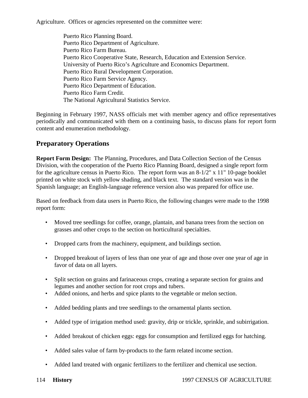Agriculture. Offices or agencies represented on the committee were:

Puerto Rico Planning Board. Puerto Rico Department of Agriculture. Puerto Rico Farm Bureau. Puerto Rico Cooperative State, Research, Education and Extension Service. University of Puerto Rico's Agriculture and Economics Department. Puerto Rico Rural Development Corporation. Puerto Rico Farm Service Agency. Puerto Rico Department of Education. Puerto Rico Farm Credit. The National Agricultural Statistics Service.

Beginning in February 1997, NASS officials met with member agency and office representatives periodically and communicated with them on a continuing basis, to discuss plans for report form content and enumeration methodology.

### **Preparatory Operations**

**Report Form Design:** The Planning, Procedures, and Data Collection Section of the Census Division, with the cooperation of the Puerto Rico Planning Board, designed a single report form for the agriculture census in Puerto Rico. The report form was an 8-1/2" x 11" 10-page booklet printed on white stock with yellow shading, and black text. The standard version was in the Spanish language; an English-language reference version also was prepared for office use.

Based on feedback from data users in Puerto Rico, the following changes were made to the 1998 report form:

- Moved tree seedlings for coffee, orange, plantain, and banana trees from the section on grasses and other crops to the section on horticultural specialties.
- Dropped carts from the machinery, equipment, and buildings section.
- Dropped breakout of layers of less than one year of age and those over one year of age in favor of data on all layers.
- Split section on grains and farinaceous crops, creating a separate section for grains and legumes and another section for root crops and tubers.
- Added onions, and herbs and spice plants to the vegetable or melon section.
- Added bedding plants and tree seedlings to the ornamental plants section.
- Added type of irrigation method used: gravity, drip or trickle, sprinkle, and subirrigation.
- Added breakout of chicken eggs: eggs for consumption and fertilized eggs for hatching.
- Added sales value of farm by-products to the farm related income section.
- Added land treated with organic fertilizers to the fertilizer and chemical use section.
-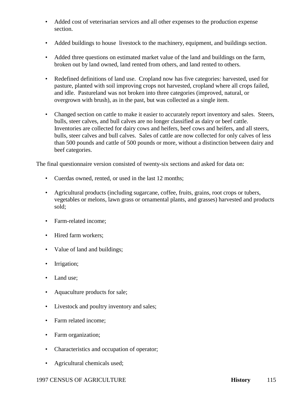- Added cost of veterinarian services and all other expenses to the production expense section.
- Added buildings to house livestock to the machinery, equipment, and buildings section.
- Added three questions on estimated market value of the land and buildings on the farm, broken out by land owned, land rented from others, and land rented to others.
- Redefined definitions of land use. Cropland now has five categories: harvested, used for pasture, planted with soil improving crops not harvested, cropland where all crops failed, and idle. Pastureland was not broken into three categories (improved, natural, or overgrown with brush), as in the past, but was collected as a single item.
- Changed section on cattle to make it easier to accurately report inventory and sales. Steers, bulls, steer calves, and bull calves are no longer classified as dairy or beef cattle. Inventories are collected for dairy cows and heifers, beef cows and heifers, and all steers, bulls, steer calves and bull calves. Sales of cattle are now collected for only calves of less than 500 pounds and cattle of 500 pounds or more, without a distinction between dairy and beef categories.

The final questionnaire version consisted of twenty-six sections and asked for data on:

- Cuerdas owned, rented, or used in the last 12 months;
- Agricultural products (including sugarcane, coffee, fruits, grains, root crops or tubers, vegetables or melons, lawn grass or ornamental plants, and grasses) harvested and products sold;
- Farm-related income;
- Hired farm workers;
- Value of land and buildings;
- Irrigation;
- Land use;
- Aquaculture products for sale;
- Livestock and poultry inventory and sales;
- Farm related income;
- Farm organization;
- Characteristics and occupation of operator;
- Agricultural chemicals used;

#### 1997 CENSUS OF AGRICULTURE **History** 115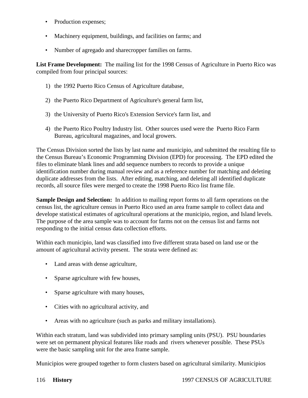- Production expenses;
- Machinery equipment, buildings, and facilities on farms; and
- Number of agregado and sharecropper families on farms.

**List Frame Development:** The mailing list for the 1998 Census of Agriculture in Puerto Rico was compiled from four principal sources:

- 1) the 1992 Puerto Rico Census of Agriculture database,
- 2) the Puerto Rico Department of Agriculture's general farm list,
- 3) the University of Puerto Rico's Extension Service's farm list, and
- 4) the Puerto Rico Poultry Industry list. Other sources used were the Puerto Rico Farm Bureau, agricultural magazines, and local growers.

The Census Division sorted the lists by last name and municipio, and submitted the resulting file to the Census Bureau's Economic Programming Division (EPD) for processing. The EPD edited the files to eliminate blank lines and add sequence numbers to records to provide a unique identification number during manual review and as a reference number for matching and deleting duplicate addresses from the lists. After editing, matching, and deleting all identified duplicate records, all source files were merged to create the 1998 Puerto Rico list frame file.

**Sample Design and Selection:** In addition to mailing report forms to all farm operations on the census list, the agriculture census in Puerto Rico used an area frame sample to collect data and develope statistical estimates of agricultural operations at the municipio, region, and Island levels. The purpose of the area sample was to account for farms not on the census list and farms not responding to the initial census data collection efforts.

Within each municipio, land was classified into five different strata based on land use or the amount of agricultural activity present. The strata were defined as:

- Land areas with dense agriculture,
- Sparse agriculture with few houses,
- Sparse agriculture with many houses,
- Cities with no agricultural activity, and
- Areas with no agriculture (such as parks and military installations).

Within each stratum, land was subdivided into primary sampling units (PSU). PSU boundaries were set on permanent physical features like roads and rivers whenever possible. These PSUs were the basic sampling unit for the area frame sample.

Municipios were grouped together to form clusters based on agricultural similarity. Municipios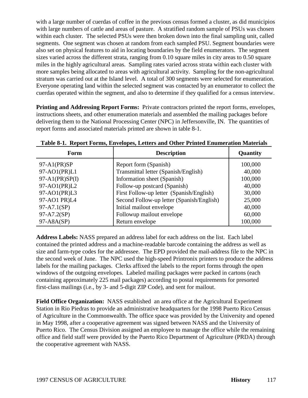with a large number of cuerdas of coffee in the previous census formed a cluster, as did municipios with large numbers of cattle and areas of pasture. A stratified random sample of PSUs was chosen within each cluster. The selected PSUs were then broken down into the final sampling unit, called segments. One segment was chosen at random from each sampled PSU. Segment boundaries were also set on physical features to aid in locating boundaries by the field enumerators. The segment sizes varied across the different strata, ranging from 0.10 square miles in city areas to 0.50 square miles in the highly agricultural areas. Sampling rates varied across strata within each cluster with more samples being allocated to areas with agricultural activity. Sampling for the non-agricultural stratum was carried out at the Island level. A total of 300 segments were selected for enumeration. Everyone operating land within the selected segment was contacted by an enumerator to collect the cuerdas operated within the segment, and also to determine if they qualified for a census interview.

**Printing and Addressing Report Forms:** Private contractors printed the report forms, envelopes, instructions sheets, and other enumeration materials and assembled the mailing packages before delivering them to the National Processing Center (NPC) in Jeffersonville, IN. The quantities of report forms and associated materials printed are shown in table 8-1.

| Form               | <b>Description</b>                        | Quantity |
|--------------------|-------------------------------------------|----------|
| 97-A1(PR)SP        | Report form (Spanish)                     | 100,000  |
| 97-AO1(PR)L1       | Transmittal letter (Spanish/English)      | 40,000   |
| $97 - A1(PR)SP(I)$ | Information sheet (Spanish)               | 100,000  |
| 97-AO1(PR)L2       | Follow-up postcard (Spanish)              | 40,000   |
| 97-AO1(PR)L3       | First Follow-up letter (Spanish/English)  | 30,000   |
| 97-AO1 PR)L4       | Second Follow-up letter (Spanish/English) | 25,000   |
| $97 - A7.1(SP)$    | Initial mailout envelope                  | 40,000   |
| 97-A7.2(SP)        | Followup mailout envelope                 | 60,000   |
| 97-A8A(SP)         | Return envelope                           | 100,000  |

 **Table 8-1. Report Forms, Envelopes, Letters and Other Printed Enumeration Materials**

**Address Labels:** NASS prepared an address label for each address on the list. Each label contained the printed address and a machine-readable barcode containing the address as well as size and farm-type codes for the addressee. The EPD provided the mail-address file to the NPC in the second week of June. The NPC used the high-speed Printronix printers to produce the address labels for the mailing packages. Clerks affixed the labels to the report forms through the open windows of the outgoing envelopes. Labeled mailing packages were packed in cartons (each containing approximately 225 mail packages) according to postal requirements for presorted first-class mailings (i.e., by 3- and 5-digit ZIP Code), and sent for mailout.

**Field Office Organization:** NASS established an area office at the Agricultural Experiment Station in Rio Piedras to provide an administrative headquarters for the 1998 Puerto Rico Census of Agriculture in the Commonwealth. The office space was provided by the University and opened in May 1998, after a cooperative agreement was signed between NASS and the University of Puerto Rico. The Census Division assigned an employee to manage the office while the remaining office and field staff were provided by the Puerto Rico Department of Agriculture (PRDA) through the cooperative agreement with NASS.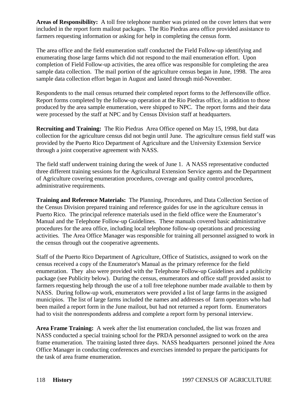**Areas of Responsibility:** A toll free telephone number was printed on the cover letters that were included in the report form mailout packages. The Rio Piedras area office provided assistance to farmers requesting information or asking for help in completing the census form.

The area office and the field enumeration staff conducted the Field Follow-up identifying and enumerating those large farms which did not respond to the mail enumeration effort. Upon completion of Field Follow-up activities, the area office was responsible for completing the area sample data collection. The mail portion of the agriculture census began in June, 1998. The area sample data collection effort began in August and lasted through mid-November.

Respondents to the mail census returned their completed report forms to the Jeffersonville office. Report forms completed by the follow-up operation at the Rio Piedras office, in addition to those produced by the area sample enumeration, were shipped to NPC. The report forms and their data were processed by the staff at NPC and by Census Division staff at headquarters.

**Recruiting and Training:** The Rio Piedras Area Office opened on May 15, 1998, but data collection for the agriculture census did not begin until June. The agriculture census field staff was provided by the Puerto Rico Department of Agriculture and the University Extension Service through a joint cooperative agreement with NASS.

The field staff underwent training during the week of June 1. A NASS representative conducted three different training sessions for the Agricultural Extension Service agents and the Department of Agriculture covering enumeration procedures, coverage and quality control procedures, administrative requirements.

**Training and Reference Materials:** The Planning, Procedures, and Data Collection Section of the Census Division prepared training and reference guides for use in the agriculture census in Puerto Rico. The principal reference materials used in the field office were the Enumerator's Manual and the Telephone Follow-up Guidelines. These manuals covered basic administrative procedures for the area office, including local telephone follow-up operations and processing activities. The Area Office Manager was responsible for training all personnel assigned to work in the census through out the cooperative agreements.

Staff of the Puerto Rico Department of Agriculture, Office of Statistics, assigned to work on the census received a copy of the Enumerator's Manual as the primary reference for the field enumeration. They also were provided with the Telephone Follow-up Guidelines and a publicity package (see Publicity below). During the census, enumerators and office staff provided assist to farmers requesting help through the use of a toll free telephone number made available to them by NASS. During follow-up work, enumerators were provided a list of large farms in the assigned municipios. The list of large farms included the names and addresses of farm operators who had been mailed a report form in the June mailout, but had not returned a report form. Enumerators had to visit the nonrespondents address and complete a report form by personal interview.

**Area Frame Training:** A week after the list enumeration concluded, the list was frozen and NASS conducted a special training school for the PRDA personnel assigned to work on the area frame enumeration. The training lasted three days. NASS headquarters personnel joined the Area Office Manager in conducting conferences and exercises intended to prepare the participants for the task of area frame enumeration.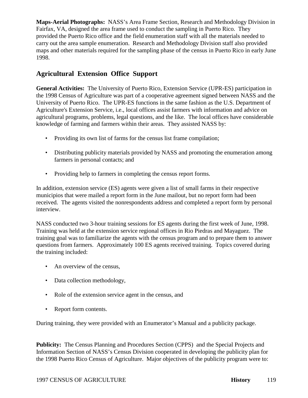**Maps-Aerial Photographs:** NASS's Area Frame Section, Research and Methodology Division in Fairfax, VA, designed the area frame used to conduct the sampling in Puerto Rico. They provided the Puerto Rico office and the field enumeration staff with all the materials needed to carry out the area sample enumeration. Research and Methodology Division staff also provided maps and other materials required for the sampling phase of the census in Puerto Rico in early June 1998.

# **Agricultural Extension Office Support**

**General Activities:** The University of Puerto Rico, Extension Service (UPR-ES) participation in the 1998 Census of Agriculture was part of a cooperative agreement signed between NASS and the University of Puerto Rico. The UPR-ES functions in the same fashion as the U.S. Department of Agriculture's Extension Service, i.e., local offices assist farmers with information and advice on agricultural programs, problems, legal questions, and the like. The local offices have considerable knowledge of farming and farmers within their areas. They assisted NASS by:

- Providing its own list of farms for the census list frame compilation;
- Distributing publicity materials provided by NASS and promoting the enumeration among farmers in personal contacts; and
- Providing help to farmers in completing the census report forms.

In addition, extension service (ES) agents were given a list of small farms in their respective municipios that were mailed a report form in the June mailout, but no report form had been received. The agents visited the nonrespondents address and completed a report form by personal interview.

NASS conducted two 3-hour training sessions for ES agents during the first week of June, 1998. Training was held at the extension service regional offices in Rio Piedras and Mayaguez. The training goal was to familiarize the agents with the census program and to prepare them to answer questions from farmers. Approximately 100 ES agents received training. Topics covered during the training included:

- An overview of the census.
- Data collection methodology,
- Role of the extension service agent in the census, and
- Report form contents.

During training, they were provided with an Enumerator's Manual and a publicity package.

**Publicity:** The Census Planning and Procedures Section (CPPS) and the Special Projects and Information Section of NASS's Census Division cooperated in developing the publicity plan for the 1998 Puerto Rico Census of Agriculture. Major objectives of the publicity program were to: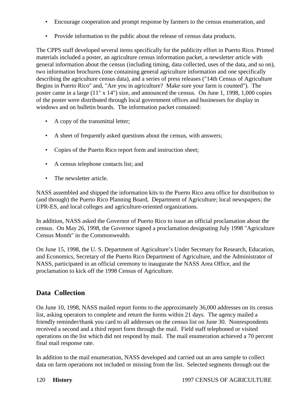- Encourage cooperation and prompt response by farmers to the census enumeration, and
- Provide information to the public about the release of census data products.

The CPPS staff developed several items specifically for the publicity effort in Puerto Rico. Printed materials included a poster, an agriculture census information packet, a newsletter article with general information about the census (including timing, data collected, uses of the data, and so on), two information brochures (one containing general agriculture information and one specifically describing the agriculture census data), and a series of press releases ("14th Census of Agriculture Begins in Puerto Rico" and, "Are you in agriculture? Make sure your farm is counted"). The poster came in a large (11" x 14") size, and announced the census. On June 1, 1998, 1,000 copies of the poster were distributed through local government offices and businesses for display in windows and on bulletin boards. The information packet contained:

- A copy of the transmittal letter;
- A sheet of frequently asked questions about the census, with answers;
- Copies of the Puerto Rico report form and instruction sheet;
- A census telephone contacts list; and
- The newsletter article.

NASS assembled and shipped the information kits to the Puerto Rico area office for distribution to (and through) the Puerto Rico Planning Board, Department of Agriculture; local newspapers; the UPR-ES, and local colleges and agriculture-oriented organizations.

In addition, NASS asked the Governor of Puerto Rico to issue an official proclamation about the census. On May 26, 1998, the Governor signed a proclamation designating July 1998 "Agriculture Census Month" in the Commonwealth.

On June 15, 1998, the U. S. Department of Agriculture's Under Secretary for Research, Education, and Economics, Secretary of the Puerto Rico Department of Agriculture, and the Administrator of NASS, participated in an official ceremony to inaugurate the NASS Area Office, and the proclamation to kick off the 1998 Census of Agriculture.

### **Data Collection**

On June 10, 1998, NASS mailed report forms to the approximately 36,000 addresses on its census list, asking operators to complete and return the forms within 21 days. The agency mailed a friendly reminder/thank you card to all addresses on the census list on June 30. Nonrespondents received a second and a third report form through the mail. Field staff telephoned or visited operations on the list which did not respond by mail. The mail enumeration achieved a 70 percent final mail response rate.

In addition to the mail enumeration, NASS developed and carried out an area sample to collect data on farm operations not included or missing from the list. Selected segments through out the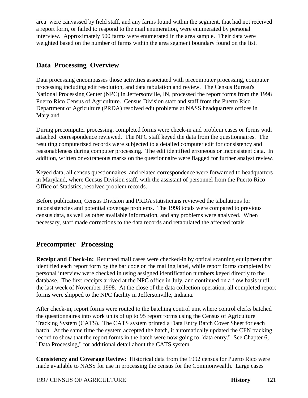area were canvassed by field staff, and any farms found within the segment, that had not received a report form, or failed to respond to the mail enumeration, were enumerated by personal interview. Approximately 500 farms were enumerated in the area sample. Their data were weighted based on the number of farms within the area segment boundary found on the list.

### **Data Processing Overview**

Data processing encompasses those activities associated with precomputer processing, computer processing including edit resolution, and data tabulation and review. The Census Bureau's National Processing Center (NPC) in Jeffersonville, IN, processed the report forms from the 1998 Puerto Rico Census of Agriculture. Census Division staff and staff from the Puerto Rico Department of Agriculture (PRDA) resolved edit problems at NASS headquarters offices in Maryland

During precomputer processing, completed forms were check-in and problem cases or forms with attached correspondence reviewed. The NPC staff keyed the data from the questionnaires. The resulting computerized records were subjected to a detailed computer edit for consistency and reasonableness during computer processing. The edit identified erroneous or inconsistent data. In addition, written or extraneous marks on the questionnaire were flagged for further analyst review.

Keyed data, all census questionnaires, and related correspondence were forwarded to headquarters in Maryland, where Census Division staff, with the assistant of personnel from the Puerto Rico Office of Statistics, resolved problem records.

Before publication, Census Division and PRDA statisticians reviewed the tabulations for inconsistencies and potential coverage problems. The 1998 totals were compared to previous census data, as well as other available information, and any problems were analyzed. When necessary, staff made corrections to the data records and retabulated the affected totals.

# **Precomputer Processing**

**Receipt and Check-in:** Returned mail cases were checked-in by optical scanning equipment that identified each report form by the bar code on the mailing label, while report forms completed by personal interview were checked in using assigned identification numbers keyed directly to the database. The first receipts arrived at the NPC office in July, and continued on a flow basis until the last week of November 1998. At the close of the data collection operation, all completed report forms were shipped to the NPC facility in Jeffersonville, Indiana.

After check-in, report forms were routed to the batching control unit where control clerks batched the questionnaires into work units of up to 95 report forms using the Census of Agriculture Tracking System (CATS). The CATS system printed a Data Entry Batch Cover Sheet for each batch. At the same time the system accepted the batch, it automatically updated the CFN tracking record to show that the report forms in the batch were now going to "data entry." See Chapter 6, "Data Processing," for additional detail about the CATS system.

**Consistency and Coverage Review:** Historical data from the 1992 census for Puerto Rico were made available to NASS for use in processing the census for the Commonwealth. Large cases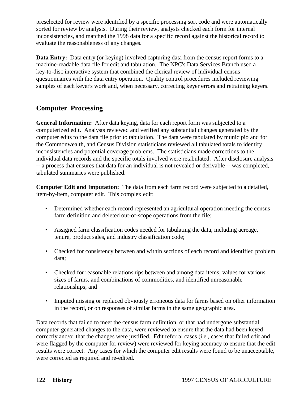preselected for review were identified by a specific processing sort code and were automatically sorted for review by analysts. During their review, analysts checked each form for internal inconsistencies, and matched the 1998 data for a specific record against the historical record to evaluate the reasonableness of any changes.

**Data Entry:** Data entry (or keying) involved capturing data from the census report forms to a machine-readable data file for edit and tabulation. The NPC's Data Services Branch used a key-to-disc interactive system that combined the clerical review of individual census questionnaires with the data entry operation. Quality control procedures included reviewing samples of each keyer's work and, when necessary, correcting keyer errors and retraining keyers.

# **Computer Processing**

**General Information:** After data keying, data for each report form was subjected to a computerized edit. Analysts reviewed and verified any substantial changes generated by the computer edits to the data file prior to tabulation. The data were tabulated by municipio and for the Commonwealth, and Census Division statisticians reviewed all tabulated totals to identify inconsistencies and potential coverage problems. The statisticians made corrections to the individual data records and the specific totals involved were retabulated. After disclosure analysis -- a process that ensures that data for an individual is not revealed or derivable -- was completed, tabulated summaries were published.

**Computer Edit and Imputation:** The data from each farm record were subjected to a detailed, item-by-item, computer edit. This complex edit:

- Determined whether each record represented an agricultural operation meeting the census farm definition and deleted out-of-scope operations from the file;
- Assigned farm classification codes needed for tabulating the data, including acreage, tenure, product sales, and industry classification code;
- Checked for consistency between and within sections of each record and identified problem data;
- Checked for reasonable relationships between and among data items, values for various sizes of farms, and combinations of commodities, and identified unreasonable relationships; and
- Imputed missing or replaced obviously erroneous data for farms based on other information in the record, or on responses of similar farms in the same geographic area.

Data records that failed to meet the census farm definition, or that had undergone substantial computer-generated changes to the data, were reviewed to ensure that the data had been keyed correctly and/or that the changes were justified. Edit referral cases (i.e., cases that failed edit and were flagged by the computer for review) were reviewed for keying accuracy to ensure that the edit results were correct. Any cases for which the computer edit results were found to be unacceptable, were corrected as required and re-edited.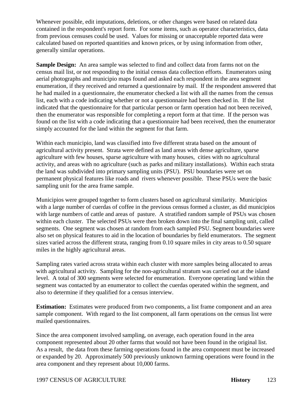Whenever possible, edit imputations, deletions, or other changes were based on related data contained in the respondent's report form. For some items, such as operator characteristics, data from previous censuses could be used. Values for missing or unacceptable reported data were calculated based on reported quantities and known prices, or by using information from other, generally similar operations.

**Sample Design:** An area sample was selected to find and collect data from farms not on the census mail list, or not responding to the initial census data collection efforts. Enumerators using aerial photographs and municipio maps found and asked each respondent in the area segment enumeration, if they received and returned a questionnaire by mail. If the respondent answered that he had mailed in a questionnaire, the enumerator checked a list with all the names from the census list, each with a code indicating whether or not a questionnaire had been checked in. If the list indicated that the questionnaire for that particular person or farm operation had not been received, then the enumerator was responsible for completing a report form at that time. If the person was found on the list with a code indicating that a questionnaire had been received, then the enumerator simply accounted for the land within the segment for that farm.

Within each municipio, land was classified into five different strata based on the amount of agricultural activity present. Strata were defined as land areas with dense agriculture, sparse agriculture with few houses, sparse agriculture with many houses, cities with no agricultural activity, and areas with no agriculture (such as parks and military installations). Within each strata the land was subdivided into primary sampling units (PSU). PSU boundaries were set on permanent physical features like roads and rivers whenever possible. These PSUs were the basic sampling unit for the area frame sample.

Municipios were grouped together to form clusters based on agricultural similarity. Municipios with a large number of cuerdas of coffee in the previous census formed a cluster, as did municipios with large numbers of cattle and areas of pasture. A stratified random sample of PSUs was chosen within each cluster. The selected PSUs were then broken down into the final sampling unit, called segments. One segment was chosen at random from each sampled PSU. Segment boundaries were also set on physical features to aid in the location of boundaries by field enumerators. The segment sizes varied across the different strata, ranging from 0.10 square miles in city areas to 0.50 square miles in the highly agricultural areas.

Sampling rates varied across strata within each cluster with more samples being allocated to areas with agricultural activity. Sampling for the non-agricultural stratum was carried out at the island level. A total of 300 segments were selected for enumeration. Everyone operating land within the segment was contacted by an enumerator to collect the cuerdas operated within the segment, and also to determine if they qualified for a census interview.

**Estimation:** Estimates were produced from two components, a list frame component and an area sample component. With regard to the list component, all farm operations on the census list were mailed questionnaires.

Since the area component involved sampling, on average, each operation found in the area component represented about 20 other farms that would not have been found in the original list. As a result, the data from these farming operations found in the area component must be increased or expanded by 20. Approximately 500 previously unknown farming operations were found in the area component and they represent about 10,000 farms.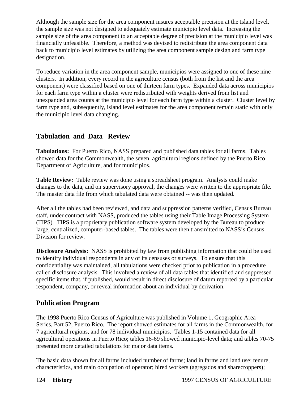Although the sample size for the area component insures acceptable precision at the Island level, the sample size was not designed to adequately estimate municipio level data. Increasing the sample size of the area component to an acceptable degree of precision at the municipio level was financially unfeasible. Therefore, a method was devised to redistribute the area component data back to municipio level estimates by utilizing the area component sample design and farm type designation.

To reduce variation in the area component sample, municipios were assigned to one of these nine clusters. In addition, every record in the agriculture census (both from the list and the area component) were classified based on one of thirteen farm types. Expanded data across municipios for each farm type within a cluster were redistributed with weights derived from list and unexpanded area counts at the municipio level for each farm type within a cluster. Cluster level by farm type and, subsequently, island level estimates for the area component remain static with only the municipio level data changing.

# **Tabulation and Data Review**

**Tabulations:** For Puerto Rico, NASS prepared and published data tables for all farms. Tables showed data for the Commonwealth, the seven agricultural regions defined by the Puerto Rico Department of Agriculture, and for municipios.

**Table Review:** Table review was done using a spreadsheet program. Analysts could make changes to the data, and on supervisory approval, the changes were written to the appropriate file. The master data file from which tabulated data were obtained -- was then updated.

After all the tables had been reviewed, and data and suppression patterns verified, Census Bureau staff, under contract with NASS, produced the tables using their Table Image Processing System (TIPS). TIPS is a proprietary publication software system developed by the Bureau to produce large, centralized, computer-based tables. The tables were then transmitted to NASS's Census Division for review.

**Disclosure Analysis:** NASS is prohibited by law from publishing information that could be used to identify individual respondents in any of its censuses or surveys. To ensure that this confidentiality was maintained, all tabulations were checked prior to publication in a procedure called disclosure analysis. This involved a review of all data tables that identified and suppressed specific items that, if published, would result in direct disclosure of datum reported by a particular respondent, company, or reveal information about an individual by derivation.

# **Publication Program**

The 1998 Puerto Rico Census of Agriculture was published in Volume 1, Geographic Area Series, Part 52, Puerto Rico. The report showed estimates for all farms in the Commonwealth, for 7 agricultural regions, and for 78 individual municipios. Tables 1-15 contained data for all agricultural operations in Puerto Rico; tables 16-69 showed municipio-level data; and tables 70-75 presented more detailed tabulations for major data items.

The basic data shown for all farms included number of farms; land in farms and land use; tenure, characteristics, and main occupation of operator; hired workers (agregados and sharecroppers);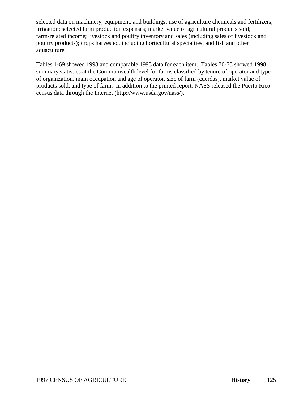selected data on machinery, equipment, and buildings; use of agriculture chemicals and fertilizers; irrigation; selected farm production expenses; market value of agricultural products sold; farm-related income; livestock and poultry inventory and sales (including sales of livestock and poultry products); crops harvested, including horticultural specialties; and fish and other aquaculture.

Tables 1-69 showed 1998 and comparable 1993 data for each item. Tables 70-75 showed 1998 summary statistics at the Commonwealth level for farms classified by tenure of operator and type of organization, main occupation and age of operator, size of farm (cuerdas), market value of products sold, and type of farm. In addition to the printed report, NASS released the Puerto Rico census data through the Internet (http://www.usda.gov/nass/).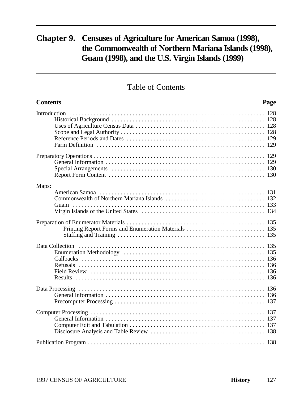# **Chapter 9. Censuses of Agriculture for American Samoa (1998), the Commonwealth of Northern Mariana Islands (1998), Guam (1998), and the U.S. Virgin Islands (1999)**

# Table of Contents

| <b>Contents</b> | Page |
|-----------------|------|
|                 |      |
|                 |      |
| Maps:           |      |
|                 |      |
| Results         |      |
|                 |      |
|                 |      |
|                 |      |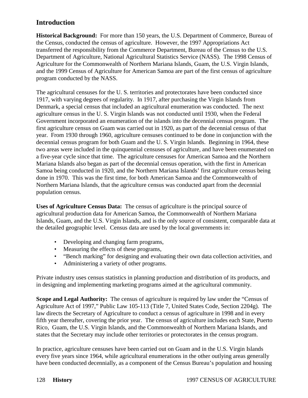# **Introduction**

**Historical Background:** For more than 150 years, the U.S. Department of Commerce, Bureau of the Census, conducted the census of agriculture. However, the 1997 Appropriations Act transferred the responsibility from the Commerce Department, Bureau of the Census to the U.S. Department of Agriculture, National Agricultural Statistics Service (NASS). The 1998 Census of Agriculture for the Commonwealth of Northern Mariana Islands, Guam, the U.S. Virgin Islands, and the 1999 Census of Agriculture for American Samoa are part of the first census of agriculture program conducted by the NASS.

The agricultural censuses for the U. S. territories and protectorates have been conducted since 1917, with varying degrees of regularity. In 1917, after purchasing the Virgin Islands from Denmark, a special census that included an agricultural enumeration was conducted. The next agriculture census in the U. S. Virgin Islands was not conducted until 1930, when the Federal Government incorporated an enumeration of the islands into the decennial census program. The first agriculture census on Guam was carried out in 1920, as part of the decennial census of that year. From 1930 through 1960, agriculture censuses continued to be done in conjunction with the decennial census program for both Guam and the U. S. Virgin Islands. Beginning in 1964, these two areas were included in the quinquennial censuses of agriculture, and have been enumerated on a five-year cycle since that time. The agriculture censuses for American Samoa and the Northern Mariana Islands also began as part of the decennial census operation, with the first in American Samoa being conducted in 1920, and the Northern Mariana Islands' first agriculture census being done in 1970. This was the first time, for both American Samoa and the Commonwealth of Northern Mariana Islands, that the agriculture census was conducted apart from the decennial population census.

**Uses of Agriculture Census Data:** The census of agriculture is the principal source of agricultural production data for American Samoa, the Commonwealth of Northern Mariana Islands, Guam, and the U.S. Virgin Islands, and is the only source of consistent, comparable data at the detailed geographic level. Census data are used by the local governments in:

- Developing and changing farm programs,
- Measuring the effects of these programs,
- "Bench marking" for designing and evaluating their own data collection activities, and
- Administering a variety of other programs.

Private industry uses census statistics in planning production and distribution of its products, and in designing and implementing marketing programs aimed at the agricultural community.

**Scope and Legal Authority:** The census of agriculture is required by law under the "Census of Agriculture Act of 1997," Public Law 105-113 (Title 7, United States Code, Section 2204g). The law directs the Secretary of Agriculture to conduct a census of agriculture in 1998 and in every fifth year thereafter, covering the prior year. The census of agriculture includes each State, Puerto Rico, Guam, the U.S. Virgin Islands, and the Commonwealth of Northern Mariana Islands, and states that the Secretary may include other territories or protectorates in the census program.

In practice, agriculture censuses have been carried out on Guam and in the U.S. Virgin Islands every five years since 1964, while agricultural enumerations in the other outlying areas generally have been conducted decennially, as a component of the Census Bureau's population and housing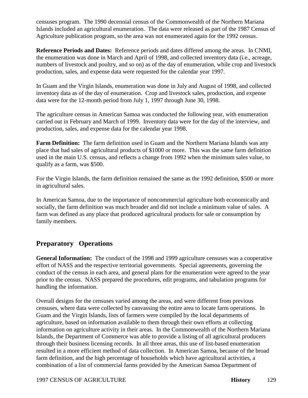censuses program. The 1990 decennial census of the Commonwealth of the Northern Mariana Islands included an agricultural enumeration. The data were released as part of the 1987 Census of Agriculture publication program, so the area was not enumerated again for the 1992 census.

**Reference Periods and Dates:** Reference periods and dates differed among the areas. In CNMI, the enumeration was done in March and April of 1998, and collected inventory data (i.e., acreage, numbers of livestock and poultry, and so on) as of the day of enumeration, while crop and livestock production, sales, and expense data were requested for the calendar year 1997.

In Guam and the Virgin Islands, enumeration was done in July and August of 1998, and collected inventory data as of the day of enumeration. Crop and livestock sales, production, and expense data were for the 12-month period from July 1, 1997 through June 30, 1998.

The agriculture census in American Samoa was conducted the following year, with enumeration carried out in February and March of 1999. Inventory data were for the day of the interview, and production, sales, and expense data for the calendar year 1998.

**Farm Definition:** The farm definition used in Guam and the Northern Mariana Islands was any place that had sales of agricultural products of \$1000 or more. This was the same farm definition used in the main U.S. census, and reflects a change from 1992 when the minimum sales value, to qualify as a farm, was \$500.

For the Virgin Islands, the farm definition remained the same as the 1992 definition, \$500 or more in agricultural sales.

In American Samoa, due to the importance of noncommercial agriculture both economically and socially, the farm definition was much broader and did not include a minimum value of sales. A farm was defined as any place that produced agricultural products for sale or consumption by family members.

### **Preparatory Operations**

**General Information:** The conduct of the 1998 and 1999 agriculture censuses was a cooperative effort of NASS and the respective territorial governments. Special agreements, governing the conduct of the census in each area, and general plans for the enumeration were agreed to the year prior to the census. NASS prepared the procedures, edit programs, and tabulation programs for handling the information.

Overall designs for the censuses varied among the areas, and were different from previous censuses, where data were collected by canvassing the entire area to locate farm operations. In Guam and the Virgin Islands, lists of farmers were compiled by the local departments of agriculture, based on information available to them through their own efforts at collecting information on agriculture activity in their areas. In the Commonwealth of the Northern Mariana Islands, the Department of Commerce was able to provide a listing of all agricultural producers through their business licensing records. In all three areas, this use of list-based enumeration resulted in a more efficient method of data collection. In American Samoa, because of the broad farm definition, and the high percentage of households which have agricultural activities, a combination of a list of commercial farms provided by the American Samoa Department of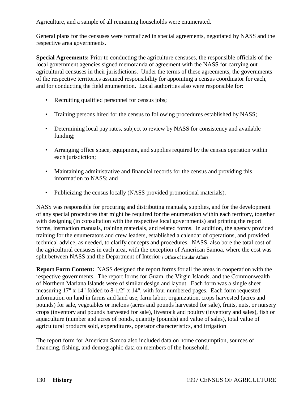Agriculture, and a sample of all remaining households were enumerated.

General plans for the censuses were formalized in special agreements, negotiated by NASS and the respective area governments.

**Special Agreements:** Prior to conducting the agriculture censuses, the responsible officials of the local government agencies signed memoranda of agreement with the NASS for carrying out agricultural censuses in their jurisdictions. Under the terms of these agreements, the governments of the respective territories assumed responsibility for appointing a census coordinator for each, and for conducting the field enumeration. Local authorities also were responsible for:

- Recruiting qualified personnel for census jobs;
- Training persons hired for the census to following procedures established by NASS;
- Determining local pay rates, subject to review by NASS for consistency and available funding;
- Arranging office space, equipment, and supplies required by the census operation within each jurisdiction;
- Maintaining administrative and financial records for the census and providing this information to NASS; and
- Publicizing the census locally (NASS provided promotional materials).

NASS was responsible for procuring and distributing manuals, supplies, and for the development of any special procedures that might be required for the enumeration within each territory, together with designing (in consultation with the respective local governments) and printing the report forms, instruction manuals, training materials, and related forms. In addition, the agency provided training for the enumerators and crew leaders, established a calendar of operations, and provided technical advice, as needed, to clarify concepts and procedures. NASS, also bore the total cost of the agricultural censuses in each area, with the exception of American Samoa, where the cost was split between NASS and the Department of Interior's Office of Insular Affairs.

**Report Form Content:** NASS designed the report forms for all the areas in cooperation with the respective governments. The report forms for Guam, the Virgin Islands, and the Commonwealth of Northern Mariana Islands were of similar design and layout. Each form was a single sheet measuring 17" x 14" folded to 8-1/2" x 14", with four numbered pages. Each form requested information on land in farms and land use, farm labor, organization, crops harvested (acres and pounds) for sale, vegetables or melons (acres and pounds harvested for sale), fruits, nuts, or nursery crops (inventory and pounds harvested for sale), livestock and poultry (inventory and sales), fish or aquaculture (number and acres of ponds, quantity (pounds) and value of sales), total value of agricultural products sold, expenditures, operator characteristics, and irrigation

The report form for American Samoa also included data on home consumption, sources of financing, fishing, and demographic data on members of the household.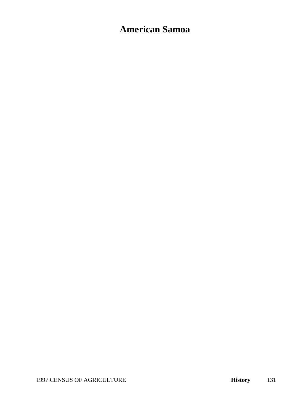# **American Samoa**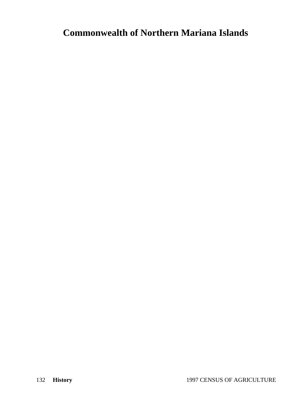# **Commonwealth of Northern Mariana Islands**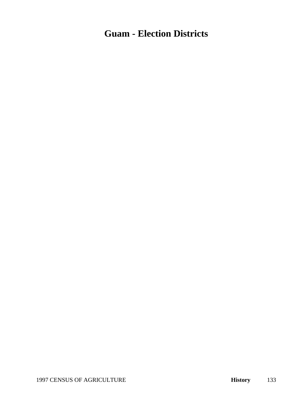# **Guam - Election Districts**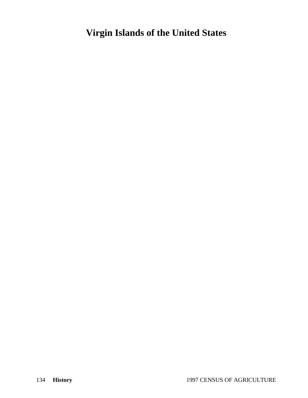# **Virgin Islands of the United States**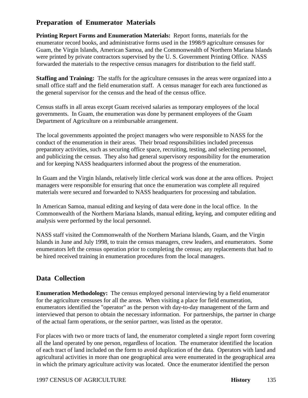# **Preparation of Enumerator Materials**

**Printing Report Forms and Enumeration Materials:** Report forms, materials for the enumerator record books, and administrative forms used in the 1998/9 agriculture censuses for Guam, the Virgin Islands, American Samoa, and the Commonwealth of Northern Mariana Islands were printed by private contractors supervised by the U. S. Government Printing Office. NASS forwarded the materials to the respective census managers for distribution to the field staff.

**Staffing and Training:** The staffs for the agriculture censuses in the areas were organized into a small office staff and the field enumeration staff. A census manager for each area functioned as the general supervisor for the census and the head of the census office.

Census staffs in all areas except Guam received salaries as temporary employees of the local governments. In Guam, the enumeration was done by permanent employees of the Guam Department of Agriculture on a reimbursable arrangement.

The local governments appointed the project managers who were responsible to NASS for the conduct of the enumeration in their areas. Their broad responsibilities included precensus preparatory activities, such as securing office space, recruiting, testing, and selecting personnel, and publicizing the census. They also had general supervisory responsibility for the enumeration and for keeping NASS headquarters informed about the progress of the enumeration.

In Guam and the Virgin Islands, relatively little clerical work was done at the area offices. Project managers were responsible for ensuring that once the enumeration was complete all required materials were secured and forwarded to NASS headquarters for processing and tabulation.

In American Samoa, manual editing and keying of data were done in the local office. In the Commonwealth of the Northern Mariana Islands, manual editing, keying, and computer editing and analysis were performed by the local personnel.

NASS staff visited the Commonwealth of the Northern Mariana Islands, Guam, and the Virgin Islands in June and July 1998, to train the census managers, crew leaders, and enumerators. Some enumerators left the census operation prior to completing the census; any replacements that had to be hired received training in enumeration procedures from the local managers.

# **Data Collection**

**Enumeration Methodology:** The census employed personal interviewing by a field enumerator for the agriculture censuses for all the areas. When visiting a place for field enumeration, enumerators identified the "operator" as the person with day-to-day management of the farm and interviewed that person to obtain the necessary information. For partnerships, the partner in charge of the actual farm operations, or the senior partner, was listed as the operator.

For places with two or more tracts of land, the enumerator completed a single report form covering all the land operated by one person, regardless of location. The enumerator identified the location of each tract of land included on the form to avoid duplication of the data. Operators with land and agricultural activities in more than one geographical area were enumerated in the geographical area in which the primary agriculture activity was located. Once the enumerator identified the person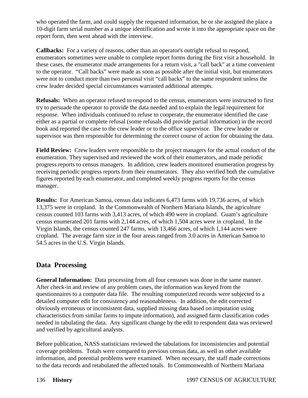who operated the farm, and could supply the requested information, he or she assigned the place a 10-digit farm serial number as a unique identification and wrote it into the appropriate space on the report form, then went ahead with the interview.

**Callbacks:** For a variety of reasons, other than an operator's outright refusal to respond, enumerators sometimes were unable to complete report forms during the first visit a household. In these cases, the enumerator made arrangements for a return visit, a "call back" at a time convenient to the operator. "Call backs" were made as soon as possible after the initial visit, but enumerators were not to conduct more than two personal visit "call backs" to the same respondent unless the crew leader decided special circumstances warranted additional attempts.

**Refusals:** When an operator refused to respond to the census, enumerators were instructed to first try to persuade the operator to provide the data needed and to explain the legal requirement for response. When individuals continued to refuse to cooperate, the enumerator identified the case either as a partial or complete refusal (some refusals did provide partial information) in the record book and reported the case to the crew leader or to the office supervisor. The crew leader or supervisor was then responsible for determining the correct course of action for obtaining the data.

**Field Review:** Crew leaders were responsible to the project managers for the actual conduct of the enumeration. They supervised and reviewed the work of their enumerators, and made periodic progress reports to census managers. In addition, crew leaders monitored enumeration progress by receiving periodic progress reports from their enumerators. They also verified both the cumulative figures reported by each enumerator, and completed weekly progress reports for the census manager.

**Results:** For American Samoa, census data indicates 6,473 farms with 19,736 acres, of which 13,375 were in cropland. In the Commonwealth of Northern Mariana Islands, the agriculture census counted 103 farms with 3,413 acres, of which 490 were in cropland. Guam's agriculture census enumerated 201 farms with 2,144 acres, of which 1,504 acres were in cropland. In the Virgin Islands, the census counted 247 farms, with 13,466 acres, of which 1,144 acres were cropland. The average farm size in the four areas ranged from 3.0 acres in American Samoa to 54.5 acres in the U.S. Virgin Islands.

# **Data Processing**

**General Information:** Data processing from all four censuses was done in the same manner. After check-in and review of any problem cases, the information was keyed from the questionnaires to a computer data file. The resulting computerized records were subjected to a detailed computer edit for consistency and reasonableness. In addition, the edit corrected obviously erroneous or inconsistent data, supplied missing data based on imputation using characteristics from similar farms to impute information), and assigned farm classification codes needed in tabulating the data. Any significant change by the edit to respondent data was reviewed and verified by agricultural analysts.

Before publication, NASS statisticians reviewed the tabulations for inconsistencies and potential coverage problems. Totals were compared to previous census data, as well as other available information, and potential problems were examined. When necessary, the staff made corrections to the data records and retabulated the affected totals. In Commonwealth of Northern Mariana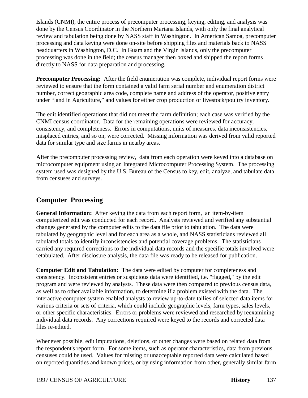Islands (CNMI), the entire process of precomputer processing, keying, editing, and analysis was done by the Census Coordinator in the Northern Mariana Islands, with only the final analytical review and tabulation being done by NASS staff in Washington. In American Samoa, precomputer processing and data keying were done on-site before shipping files and materials back to NASS headquarters in Washington, D.C. In Guam and the Virgin Islands, only the precomputer processing was done in the field; the census manager then boxed and shipped the report forms directly to NASS for data preparation and processing.

**Precomputer Processing:** After the field enumeration was complete, individual report forms were reviewed to ensure that the form contained a valid farm serial number and enumeration district number, correct geographic area code, complete name and address of the operator, positive entry under "land in Agriculture," and values for either crop production or livestock/poultry inventory.

The edit identified operations that did not meet the farm definition; each case was verified by the CNMI census coordinator. Data for the remaining operations were reviewed for accuracy, consistency, and completeness. Errors in computations, units of measures, data inconsistencies, misplaced entries, and so on, were corrected. Missing information was derived from valid reported data for similar type and size farms in nearby areas.

After the precomputer processing review, data from each operation were keyed into a database on microcomputer equipment using an Integrated Microcomputer Processing System. The processing system used was designed by the U.S. Bureau of the Census to key, edit, analyze, and tabulate data from censuses and surveys.

### **Computer Processing**

**General Information:** After keying the data from each report form, an item-by-item computerized edit was conducted for each record. Analysts reviewed and verified any substantial changes generated by the computer edits to the data file prior to tabulation. The data were tabulated by geographic level and for each area as a whole, and NASS statisticians reviewed all tabulated totals to identify inconsistencies and potential coverage problems. The statisticians carried any required corrections to the individual data records and the specific totals involved were retabulated. After disclosure analysis, the data file was ready to be released for publication.

**Computer Edit and Tabulation:** The data were edited by computer for completeness and consistency. Inconsistent entries or suspicious data were identified, i.e. "flagged," by the edit program and were reviewed by analysts. These data were then compared to previous census data, as well as to other available information, to determine if a problem existed with the data. The interactive computer system enabled analysts to review up-to-date tallies of selected data items for various criteria or sets of criteria, which could include geographic levels, farm types, sales levels, or other specific characteristics. Errors or problems were reviewed and researched by reexamining individual data records. Any corrections required were keyed to the records and corrected data files re-edited.

Whenever possible, edit imputations, deletions, or other changes were based on related data from the respondent's report form. For some items, such as operator characteristics, data from previous censuses could be used. Values for missing or unacceptable reported data were calculated based on reported quantities and known prices, or by using information from other, generally similar farm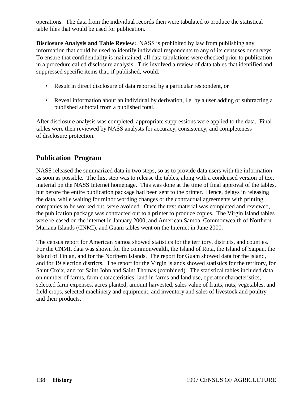operations. The data from the individual records then were tabulated to produce the statistical table files that would be used for publication.

**Disclosure Analysis and Table Review:** NASS is prohibited by law from publishing any information that could be used to identify individual respondents to any of its censuses or surveys. To ensure that confidentiality is maintained, all data tabulations were checked prior to publication in a procedure called disclosure analysis. This involved a review of data tables that identified and suppressed specific items that, if published, would:

- Result in direct disclosure of data reported by a particular respondent, or
- Reveal information about an individual by derivation, i.e. by a user adding or subtracting a published subtotal from a published total.

After disclosure analysis was completed, appropriate suppressions were applied to the data. Final tables were then reviewed by NASS analysts for accuracy, consistency, and completeness of disclosure protection.

# **Publication Program**

NASS released the summarized data in two steps, so as to provide data users with the information as soon as possible. The first step was to release the tables, along with a condensed version of text material on the NASS Internet homepage. This was done at the time of final approval of the tables, but before the entire publication package had been sent to the printer. Hence, delays in releasing the data, while waiting for minor wording changes or the contractual agreements with printing companies to be worked out, were avoided. Once the text material was completed and reviewed, the publication package was contracted out to a printer to produce copies. The Virgin Island tables were released on the internet in January 2000, and American Samoa, Commonwealth of Northern Mariana Islands (CNMI), and Guam tables went on the Internet in June 2000.

The census report for American Samoa showed statistics for the territory, districts, and counties. For the CNMI, data was shown for the commonwealth, the Island of Rota, the Island of Saipan, the Island of Tinian, and for the Northern Islands. The report for Guam showed data for the island, and for 19 election districts. The report for the Virgin Islands showed statistics for the territory, for Saint Croix, and for Saint John and Saint Thomas (combined). The statistical tables included data on number of farms, farm characteristics, land in farms and land use, operator characteristics, selected farm expenses, acres planted, amount harvested, sales value of fruits, nuts, vegetables, and field crops, selected machinery and equipment, and inventory and sales of livestock and poultry and their products.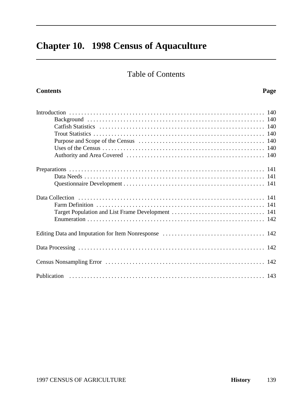# **Chapter 10. 1998 Census of Aquaculture**

# Table of Contents

#### **Contents Page**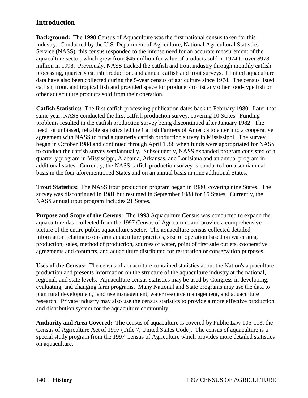# **Introduction**

**Background:** The 1998 Census of Aquaculture was the first national census taken for this industry. Conducted by the U.S. Department of Agriculture, National Agricultural Statistics Service (NASS), this census responded to the intense need for an accurate measurement of the aquaculture sector, which grew from \$45 million for value of products sold in 1974 to over \$978 million in 1998. Previously, NASS tracked the catfish and trout industry through monthly catfish processing, quarterly catfish production, and annual catfish and trout surveys. Limited aquaculture data have also been collected during the 5-year census of agriculture since 1974. The census listed catfish, trout, and tropical fish and provided space for producers to list any other food-type fish or other aquaculture products sold from their operation.

**Catfish Statistics:** The first catfish processing publication dates back to February 1980. Later that same year, NASS conducted the first catfish production survey, covering 10 States. Funding problems resulted in the catfish production survey being discontinued after January 1982. The need for unbiased, reliable statistics led the Catfish Farmers of America to enter into a cooperative agreement with NASS to fund a quarterly catfish production survey in Mississippi. The survey began in October 1984 and continued through April 1988 when funds were appropriated for NASS to conduct the catfish survey semiannually. Subsequently, NASS expanded program consisted of a quarterly program in Mississippi, Alabama, Arkansas, and Louisiana and an annual program in additional states. Currently, the NASS catfish production survey is conducted on a semiannual basis in the four aforementioned States and on an annual basis in nine additional States.

**Trout Statistics:** The NASS trout production program began in 1980, covering nine States. The survey was discontinued in 1981 but resumed in September 1988 for 15 States. Currently, the NASS annual trout program includes 21 States.

**Purpose and Scope of the Census:** The 1998 Aquaculture Census was conducted to expand the aquaculture data collected from the 1997 Census of Agriculture and provide a comprehensive picture of the entire public aquaculture sector. The aquaculture census collected detailed information relating to on-farm aquaculture practices, size of operation based on water area, production, sales, method of production, sources of water, point of first sale outlets, cooperative agreements and contracts, and aquaculture distributed for restoration or conservation purposes.

**Uses of the Census:** The census of aquaculture contained statistics about the Nation's aquaculture production and presents information on the structure of the aquaculture industry at the national, regional, and state levels. Aquaculture census statistics may be used by Congress in developing, evaluating, and changing farm programs. Many National and State programs may use the data to plan rural development, land use management, water resource management, and aquaculture research. Private industry may also use the census statistics to provide a more effective production and distribution system for the aquaculture community.

**Authority and Area Covered:** The census of aquaculture is covered by Public Law 105-113, the Census of Agriculture Act of 1997 (Title 7, United States Code). The census of aquaculture is a special study program from the 1997 Census of Agriculture which provides more detailed statistics on aquaculture.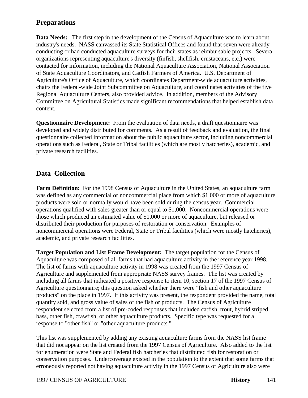# **Preparations**

**Data Needs:** The first step in the development of the Census of Aquaculture was to learn about industry's needs. NASS canvassed its State Statistical Offices and found that seven were already conducting or had conducted aquaculture surveys for their states as reimbursable projects. Several organizations representing aquaculture's diversity (finfish, shellfish, crustaceans, etc.) were contacted for information, including the National Aquaculture Association, National Association of State Aquaculture Coordinators, and Catfish Farmers of America. U.S. Department of Agriculture's Office of Aquaculture, which coordinates Department-wide aquaculture activities, chairs the Federal-wide Joint Subcommittee on Aquaculture, and coordinates activities of the five Regional Aquaculture Centers, also provided advice. In addition, members of the Advisory Committee on Agricultural Statistics made significant recommendations that helped establish data content.

**Questionnaire Development:** From the evaluation of data needs, a draft questionnaire was developed and widely distributed for comments. As a result of feedback and evaluation, the final questionnaire collected information about the public aquaculture sector, including noncommercial operations such as Federal, State or Tribal facilities (which are mostly hatcheries), academic, and private research facilities.

# **Data Collection**

**Farm Definition:** For the 1998 Census of Aquaculture in the United States, an aquaculture farm was defined as any commercial or noncommercial place from which \$1,000 or more of aquaculture products were sold or normally would have been sold during the census year. Commercial operations qualified with sales greater than or equal to \$1,000. Noncommercial operations were those which produced an estimated value of \$1,000 or more of aquaculture, but released or distributed their production for purposes of restoration or conservation. Examples of noncommercial operations were Federal, State or Tribal facilities (which were mostly hatcheries), academic, and private research facilities.

**Target Population and List Frame Development:** The target population for the Census of Aquaculture was composed of all farms that had aquaculture activity in the reference year 1998. The list of farms with aquaculture activity in 1998 was created from the 1997 Census of Agriculture and supplemented from appropriate NASS survey frames. The list was created by including all farms that indicated a positive response to item 10, section 17 of the 1997 Census of Agriculture questionnaire; this question asked whether there were "fish and other aquaculture products" on the place in 1997. If this activity was present, the respondent provided the name, total quantity sold, and gross value of sales of the fish or products. The Census of Agriculture respondent selected from a list of pre-coded responses that included catfish, trout, hybrid striped bass, other fish, crawfish, or other aquaculture products. Specific type was requested for a response to "other fish" or "other aquaculture products."

This list was supplemented by adding any existing aquaculture farms from the NASS list frame that did not appear on the list created from the 1997 Census of Agriculture. Also added to the list for enumeration were State and Federal fish hatcheries that distributed fish for restoration or conservation purposes. Undercoverage existed in the population to the extent that some farms that erroneously reported not having aquaculture activity in the 1997 Census of Agriculture also were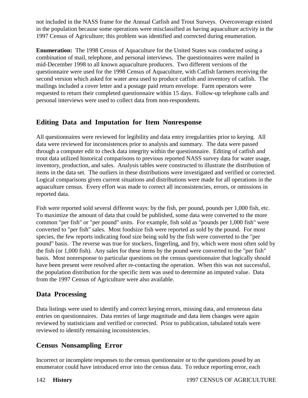not included in the NASS frame for the Annual Catfish and Trout Surveys. Overcoverage existed in the population because some operations were misclassified as having aquaculture activity in the 1997 Census of Agriculture; this problem was identified and corrected during enumeration.

**Enumeration:** The 1998 Census of Aquaculture for the United States was conducted using a combination of mail, telephone, and personal interviews. The questionnaires were mailed in mid-December 1998 to all known aquaculture producers. Two different versions of the questionnaire were used for the 1998 Census of Aquaculture, with Catfish farmers receiving the second version which asked for water area used to produce catfish and inventory of catfish. The mailings included a cover letter and a postage paid return envelope. Farm operators were requested to return their completed questionnaire within 15 days. Follow-up telephone calls and personal interviews were used to collect data from non-respondents.

# **Editing Data and Imputation for Item Nonresponse**

All questionnaires were reviewed for legibility and data entry irregularities prior to keying. All data were reviewed for inconsistences prior to analysis and summary. The data were passed through a computer edit to check data integrity within the questionnaire. Editing of catfish and trout data utilized historical comparisons to previous reported NASS survey data for water usage, inventory, production, and sales. Analysis tables were constructed to illustrate the distribution of items in the data set. The outliers in these distributions were investigated and verified or corrected. Logical comparisons given current situations and distributions were made for all operations in the aquaculture census. Every effort was made to correct all inconsistencies, errors, or omissions in reported data.

Fish were reported sold several different ways: by the fish, per pound, pounds per 1,000 fish, etc. To maximize the amount of data that could be published, some data were converted to the more common "per fish" or "per pound" units. For example, fish sold as "pounds per 1,000 fish" were converted to "per fish" sales. Most foodsize fish were reported as sold by the pound. For most species, the few reports indicating food size being sold by the fish were converted to the "per pound" basis. The reverse was true for stockers, fingerling, and fry, which were most often sold by the fish (or 1,000 fish). Any sales for these items by the pound were converted to the "per fish" basis. Most nonresponse to particular questions on the census questionnaire that logically should have been present were resolved after re-contacting the operation. When this was not successful, the population distribution for the specific item was used to determine an imputed value. Data from the 1997 Census of Agriculture were also available.

# **Data Processing**

Data listings were used to identify and correct keying errors, missing data, and erroneous data entries on questionnaires. Data entries of large magnitude and data item changes were again reviewed by statisticians and verified or corrected. Prior to publication, tabulated totals were reviewed to identify remaining inconsistencies.

# **Census Nonsampling Error**

Incorrect or incomplete responses to the census questionnaire or to the questions posed by an enumerator could have introduced error into the census data. To reduce reporting error, each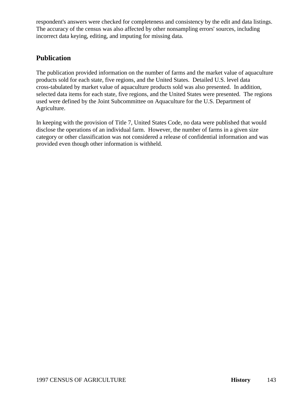respondent's answers were checked for completeness and consistency by the edit and data listings. The accuracy of the census was also affected by other nonsampling errors' sources, including incorrect data keying, editing, and imputing for missing data.

# **Publication**

The publication provided information on the number of farms and the market value of aquaculture products sold for each state, five regions, and the United States. Detailed U.S. level data cross-tabulated by market value of aquaculture products sold was also presented. In addition, selected data items for each state, five regions, and the United States were presented. The regions used were defined by the Joint Subcommittee on Aquaculture for the U.S. Department of Agriculture.

In keeping with the provision of Title 7, United States Code, no data were published that would disclose the operations of an individual farm. However, the number of farms in a given size category or other classification was not considered a release of confidential information and was provided even though other information is withheld.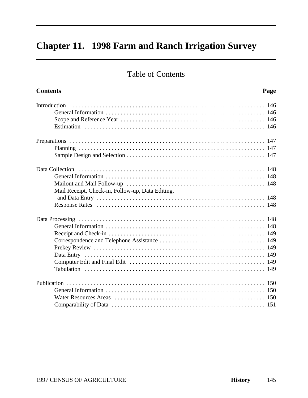# **Chapter 11. 1998 Farm and Ranch Irrigation Survey**

# Table of Contents

| <b>Contents</b>                                  | Page |
|--------------------------------------------------|------|
|                                                  |      |
|                                                  |      |
| Mail Receipt, Check-in, Follow-up, Data Editing, |      |
|                                                  |      |
|                                                  |      |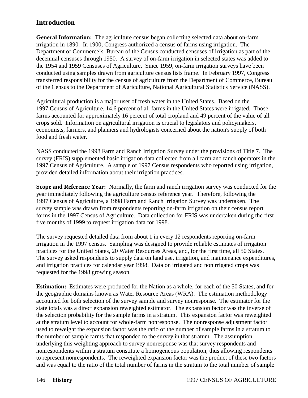# **Introduction**

**General Information:** The agriculture census began collecting selected data about on-farm irrigation in 1890. In 1900, Congress authorized a census of farms using irrigation. The Department of Commerce's Bureau of the Census conducted censuses of irrigation as part of the decennial censuses through 1950. A survey of on-farm irrigation in selected states was added to the 1954 and 1959 Censuses of Agriculture. Since 1959, on-farm irrigation surveys have been conducted using samples drawn from agriculture census lists frame. In February 1997, Congress transferred responsibility for the census of agriculture from the Department of Commerce, Bureau of the Census to the Department of Agriculture, National Agricultural Statistics Service (NASS).

Agricultural production is a major user of fresh water in the United States. Based on the 1997 Census of Agriculture, 14.6 percent of all farms in the United States were irrigated. Those farms accounted for approximately 16 percent of total cropland and 49 percent of the value of all crops sold. Information on agricultural irrigation is crucial to legislators and policymakers, economists, farmers, and planners and hydrologists concerned about the nation's supply of both food and fresh water.

NASS conducted the 1998 Farm and Ranch Irrigation Survey under the provisions of Title 7. The survey (FRIS) supplemented basic irrigation data collected from all farm and ranch operators in the 1997 Census of Agriculture. A sample of 1997 Census respondents who reported using irrigation, provided detailed information about their irrigation practices.

**Scope and Reference Year:** Normally, the farm and ranch irrigation survey was conducted for the year immediately following the agriculture census reference year. Therefore, following the 1997 Census of Agriculture, a 1998 Farm and Ranch Irrigation Survey was undertaken. The survey sample was drawn from respondents reporting on-farm irrigation on their census report forms in the 1997 Census of Agriculture. Data collection for FRIS was undertaken during the first five months of 1999 to request irrigation data for 1998.

The survey requested detailed data from about 1 in every 12 respondents reporting on-farm irrigation in the 1997 census. Sampling was designed to provide reliable estimates of irrigation practices for the United States, 20 Water Resources Areas, and, for the first time, all 50 States. The survey asked respondents to supply data on land use, irrigation, and maintenance expenditures, and irrigation practices for calendar year 1998. Data on irrigated and nonirrigated crops was requested for the 1998 growing season.

**Estimation:** Estimates were produced for the Nation as a whole, for each of the 50 States, and for the geographic domains known as Water Resource Areas (WRA). The estimation methodology accounted for both selection of the survey sample and survey nonresponse. The estimator for the state totals was a direct expansion reweighted estimator. The expansion factor was the inverse of the selection probability for the sample farms in a stratum. This expansion factor was reweighted at the stratum level to account for whole-farm nonresponse. The nonresponse adjustment factor used to reweight the expansion factor was the ratio of the number of sample farms in a stratum to the number of sample farms that responded to the survey in that stratum. The assumption underlying this weighting approach to survey nonresponse was that survey respondents and nonrespondents within a stratum constitute a homogeneous population, thus allowing respondents to represent nonrespondents. The reweighted expansion factor was the product of these two factors and was equal to the ratio of the total number of farms in the stratum to the total number of sample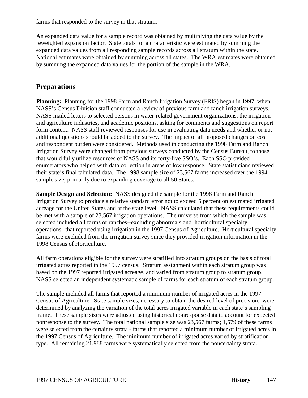farms that responded to the survey in that stratum.

An expanded data value for a sample record was obtained by multiplying the data value by the reweighted expansion factor. State totals for a characteristic were estimated by summing the expanded data values from all responding sample records across all stratum within the state. National estimates were obtained by summing across all states. The WRA estimates were obtained by summing the expanded data values for the portion of the sample in the WRA.

## **Preparations**

**Planning:** Planning for the 1998 Farm and Ranch Irrigation Survey (FRIS) began in 1997, when NASS's Census Division staff conducted a review of previous farm and ranch irrigation surveys. NASS mailed letters to selected persons in water-related government organizations, the irrigation and agriculture industries, and academic positions, asking for comments and suggestions on report form content. NASS staff reviewed responses for use in evaluating data needs and whether or not additional questions should be added to the survey. The impact of all proposed changes on cost and respondent burden were considered. Methods used in conducting the 1998 Farm and Ranch Irrigation Survey were changed from previous surveys conducted by the Census Bureau, to those that would fully utilize resources of NASS and its forty-five SSO's. Each SSO provided enumerators who helped with data collection in areas of low response. State statisticians reviewed their state's final tabulated data. The 1998 sample size of 23,567 farms increased over the 1994 sample size, primarily due to expanding coverage to all 50 States.

**Sample Design and Selection:** NASS designed the sample for the 1998 Farm and Ranch Irrigation Survey to produce a relative standard error not to exceed 5 percent on estimated irrigated acreage for the United States and at the state level. NASS calculated that these requirements could be met with a sample of 23,567 irrigation operations. The universe from which the sample was selected included all farms or ranches--excluding abnormals and horticultural specialty operations--that reported using irrigation in the 1997 Census of Agriculture. Horticultural specialty farms were excluded from the irrigation survey since they provided irrigation information in the 1998 Census of Horticulture.

All farm operations eligible for the survey were stratified into stratum groups on the basis of total irrigated acres reported in the 1997 census. Stratum assignment within each stratum group was based on the 1997 reported irrigated acreage, and varied from stratum group to stratum group. NASS selected an independent systematic sample of farms for each stratum of each stratum group.

The sample included all farms that reported a minimum number of irrigated acres in the 1997 Census of Agriculture. State sample sizes, necessary to obtain the desired level of precision, were determined by analyzing the variation of the total acres irrigated variable in each state's sampling frame. These sample sizes were adjusted using historical nonresponse data to account for expected nonresponse to the survey. The total national sample size was 23,567 farms; 1,579 of these farms were selected from the certainty strata - farms that reported a minimum number of irrigated acres in the 1997 Census of Agriculture. The minimum number of irrigated acres varied by stratification type. All remaining 21,988 farms were systematically selected from the noncertainty strata.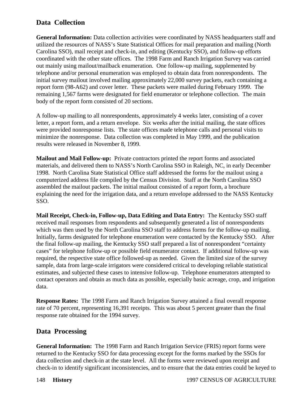# **Data Collection**

**General Information:** Data collection activities were coordinated by NASS headquarters staff and utilized the resources of NASS's State Statistical Offices for mail preparation and mailing (North Carolina SSO), mail receipt and check-in, and editing (Kentucky SSO), and follow-up efforts coordinated with the other state offices. The 1998 Farm and Ranch Irrigation Survey was carried out mainly using mailout/mailback enumeration. One follow-up mailing, supplemented by telephone and/or personal enumeration was employed to obtain data from nonrespondents. The initial survey mailout involved mailing approximately 22,000 survey packets, each containing a report form (98-A62) and cover letter. These packets were mailed during February 1999. The remaining 1,567 farms were designated for field enumerator or telephone collection. The main body of the report form consisted of 20 sections.

A follow-up mailing to all nonrespondents, approximately 4 weeks later, consisting of a cover letter, a report form, and a return envelope. Six weeks after the initial mailing, the state offices were provided nonresponse lists. The state offices made telephone calls and personal visits to minimize the nonresponse. Data collection was completed in May 1999, and the publication results were released in November 8, 1999.

**Mailout and Mail Follow-up:** Private contractors printed the report forms and associated materials, and delivered them to NASS's North Carolina SSO in Raleigh, NC, in early December 1998. North Carolina State Statistical Office staff addressed the forms for the mailout using a computerized address file compiled by the Census Division. Staff at the North Carolina SSO assembled the mailout packets. The initial mailout consisted of a report form, a brochure explaining the need for the irrigation data, and a return envelope addressed to the NASS Kentucky SSO.

**Mail Receipt, Check-in, Follow-up, Data Editing and Data Entry:** The Kentucky SSO staff received mail responses from respondents and subsequently generated a list of nonrespondents which was then used by the North Carolina SSO staff to address forms for the follow-up mailing. Initially, farms designated for telephone enumeration were contacted by the Kentucky SSO. After the final follow-up mailing, the Kentucky SSO staff prepared a list of nonrespondent "certainty cases" for telephone follow-up or possible field enumerator contact. If additional follow-up was required, the respective state office followed-up as needed. Given the limited size of the survey sample, data from large-scale irrigators were considered critical to developing reliable statistical estimates, and subjected these cases to intensive follow-up. Telephone enumerators attempted to contact operators and obtain as much data as possible, especially basic acreage, crop, and irrigation data.

**Response Rates:** The 1998 Farm and Ranch Irrigation Survey attained a final overall response rate of 70 percent, representing 16,391 receipts. This was about 5 percent greater than the final response rate obtained for the 1994 survey.

## **Data Processing**

**General Information:** The 1998 Farm and Ranch Irrigation Service (FRIS) report forms were returned to the Kentucky SSO for data processing except for the forms marked by the SSOs for data collection and check-in at the state level. All the forms were reviewed upon receipt and check-in to identify significant inconsistencies, and to ensure that the data entries could be keyed to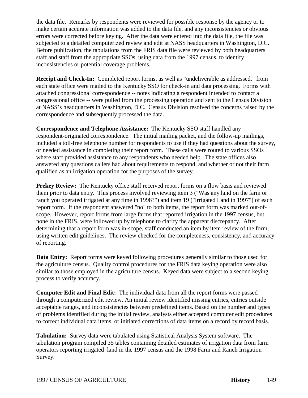the data file. Remarks by respondents were reviewed for possible response by the agency or to make certain accurate information was added to the data file, and any inconsistencies or obvious errors were corrected before keying. After the data were entered into the data file, the file was subjected to a detailed computerized review and edit at NASS headquarters in Washington, D.C. Before publication, the tabulations from the FRIS data file were reviewed by both headquarters staff and staff from the appropriate SSOs, using data from the 1997 census, to identify inconsistencies or potential coverage problems.

**Receipt and Check-In:** Completed report forms, as well as "undeliverable as addressed," from each state office were mailed to the Kentucky SSO for check-in and data processing. Forms with attached congressional correspondence -- notes indicating a respondent intended to contact a congressional office -- were pulled from the processing operation and sent to the Census Division at NASS's headquarters in Washington, D.C. Census Division resolved the concerns raised by the correspondence and subsequently processed the data.

**Correspondence and Telephone Assistance:** The Kentucky SSO staff handled any respondent-originated correspondence. The initial mailing packet, and the follow-up mailings, included a toll-free telephone number for respondents to use if they had questions about the survey, or needed assistance in completing their report form. These calls were routed to various SSOs where staff provided assistance to any respondents who needed help. The state offices also answered any questions callers had about requirements to respond, and whether or not their farm qualified as an irrigation operation for the purposes of the survey.

**Prekey Review:** The Kentucky office staff received report forms on a flow basis and reviewed them prior to data entry. This process involved reviewing item 3 ("Was any land on the farm or ranch you operated irrigated at any time in 1998?") and item 19 ("Irrigated Land in 1997") of each report form. If the respondent answered "no" to both items, the report form was marked out-ofscope. However, report forms from large farms that reported irrigation in the 1997 census, but none in the FRIS, were followed up by telephone to clarify the apparent discrepancy. After determining that a report form was in-scope, staff conducted an item by item review of the form, using written edit guidelines. The review checked for the completeness, consistency, and accuracy of reporting.

**Data Entry:** Report forms were keyed following procedures generally similar to those used for the agriculture census. Quality control procedures for the FRIS data keying operation were also similar to those employed in the agriculture census. Keyed data were subject to a second keying process to verify accuracy.

**Computer Edit and Final Edit:** The individual data from all the report forms were passed through a computerized edit review. An initial review identified missing entries, entries outside acceptable ranges, and inconsistencies between predefined items. Based on the number and types of problems identified during the initial review, analysts either accepted computer edit procedures to correct individual data items, or initiated corrections of data items on a record by record basis.

**Tabulation:** Survey data were tabulated using Statistical Analysis System software. The tabulation program compiled 35 tables containing detailed estimates of irrigation data from farm operators reporting irrigated land in the 1997 census and the 1998 Farm and Ranch Irrigation Survey.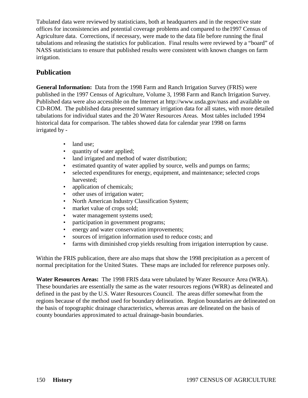Tabulated data were reviewed by statisticians, both at headquarters and in the respective state offices for inconsistencies and potential coverage problems and compared to the1997 Census of Agriculture data. Corrections, if necessary, were made to the data file before running the final tabulations and releasing the statistics for publication. Final results were reviewed by a "board" of NASS statisticians to ensure that published results were consistent with known changes on farm irrigation.

# **Publication**

**General Information:** Data from the 1998 Farm and Ranch Irrigation Survey (FRIS) were published in the 1997 Census of Agriculture, Volume 3, 1998 Farm and Ranch Irrigation Survey. Published data were also accessible on the Internet at http://www.usda.gov/nass and available on CD-ROM. The published data presented summary irrigation data for all states, with more detailed tabulations for individual states and the 20 Water Resources Areas. Most tables included 1994 historical data for comparison. The tables showed data for calendar year 1998 on farms irrigated by -

- land use:
- quantity of water applied;
- land irrigated and method of water distribution;
- estimated quantity of water applied by source, wells and pumps on farms;
- selected expenditures for energy, equipment, and maintenance; selected crops harvested;
- application of chemicals;
- other uses of irrigation water;
- North American Industry Classification System;
- market value of crops sold;
- water management systems used;
- participation in government programs;
- energy and water conservation improvements;
- sources of irrigation information used to reduce costs; and
- farms with diminished crop yields resulting from irrigation interruption by cause.

Within the FRIS publication, there are also maps that show the 1998 precipitation as a percent of normal precipitation for the United States. These maps are included for reference purposes only.

**Water Resources Areas:** The 1998 FRIS data were tabulated by Water Resource Area (WRA). These boundaries are essentially the same as the water resources regions (WRR) as delineated and defined in the past by the U.S. Water Resources Council. The areas differ somewhat from the regions because of the method used for boundary delineation. Region boundaries are delineated on the basis of topographic drainage characteristics, whereas areas are delineated on the basis of county boundaries approximated to actual drainage-basin boundaries.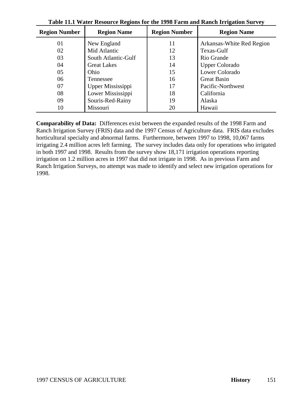| <b>Region Number</b> | <b>Region Name</b>  | <b>Region Number</b> | <b>Region Name</b>        |
|----------------------|---------------------|----------------------|---------------------------|
| 01                   | New England         | 11                   | Arkansas-White Red Region |
| 02                   | Mid Atlantic        | 12                   | Texas-Gulf                |
| 03                   | South Atlantic-Gulf | 13                   | Rio Grande                |
| 04                   | <b>Great Lakes</b>  | 14                   | <b>Upper Colorado</b>     |
| 05                   | Ohio                | 15                   | Lower Colorado            |
| 06                   | Tennessee           | 16                   | <b>Great Basin</b>        |
| 07                   | Upper Mississippi   | 17                   | Pacific-Northwest         |
| 08                   | Lower Mississippi   | 18                   | California                |
| 09                   | Souris-Red-Rainy    | 19                   | Alaska                    |
| 10                   | Missouri            | 20                   | Hawaii                    |

 **Table 11.1 Water Resource Regions for the 1998 Farm and Ranch Irrigation Survey**

**Comparability of Data:** Differences exist between the expanded results of the 1998 Farm and Ranch Irrigation Survey (FRIS) data and the 1997 Census of Agriculture data. FRIS data excludes horticultural specialty and abnormal farms. Furthermore, between 1997 to 1998, 10,067 farms irrigating 2.4 million acres left farming. The survey includes data only for operations who irrigated in both 1997 and 1998. Results from the survey show 18,171 irrigation operations reporting irrigation on 1.2 million acres in 1997 that did not irrigate in 1998. As in previous Farm and Ranch Irrigation Surveys, no attempt was made to identify and select new irrigation operations for 1998.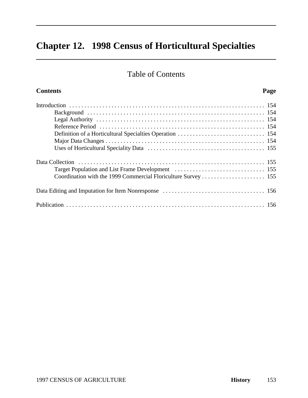# **Chapter 12. 1998 Census of Horticultural Specialties**

# Table of Contents

| <b>Contents</b> | Page |
|-----------------|------|
|                 |      |
|                 |      |
|                 |      |
|                 |      |
|                 |      |
|                 |      |
|                 |      |
|                 |      |
|                 |      |
|                 |      |
|                 |      |
|                 |      |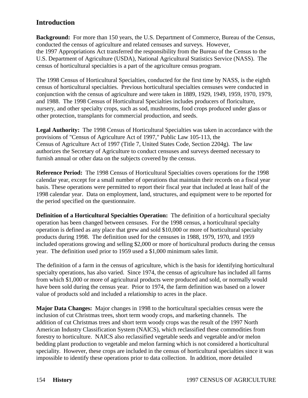# **Introduction**

**Background:** For more than 150 years, the U.S. Department of Commerce, Bureau of the Census, conducted the census of agriculture and related censuses and surveys. However, the 1997 Appropriations Act transferred the responsibility from the Bureau of the Census to the U.S. Department of Agriculture (USDA), National Agricultural Statistics Service (NASS). The census of horticultural specialties is a part of the agriculture census program.

The 1998 Census of Horticultural Specialties, conducted for the first time by NASS, is the eighth census of horticultural specialties. Previous horticultural specialties censuses were conducted in conjunction with the census of agriculture and were taken in 1889, 1929, 1949, 1959, 1970, 1979, and 1988. The 1998 Census of Horticultural Specialties includes producers of floriculture, nursery, and other specialty crops, such as sod, mushrooms, food crops produced under glass or other protection, transplants for commercial production, and seeds.

**Legal Authority:** The 1998 Census of Horticultural Specialties was taken in accordance with the provisions of "Census of Agriculture Act of 1997," Public Law 105-113, the Census of Agriculture Act of 1997 (Title 7, United States Code, Section 2204g). The law authorizes the Secretary of Agriculture to conduct censuses and surveys deemed necessary to furnish annual or other data on the subjects covered by the census.

**Reference Period:** The 1998 Census of Horticultural Specialties covers operations for the 1998 calendar year, except for a small number of operations that maintain their records on a fiscal year basis. These operations were permitted to report their fiscal year that included at least half of the 1998 calendar year. Data on employment, land, structures, and equipment were to be reported for the period specified on the questionnaire.

**Definition of a Horticultural Specialties Operation:** The definition of a horticultural specialty operation has been changed between censuses. For the 1998 census, a horticultural specialty operation is defined as any place that grew and sold \$10,000 or more of horticultural specialty products during 1998. The definition used for the censuses in 1988, 1979, 1970, and 1959 included operations growing and selling \$2,000 or more of horticultural products during the census year. The definition used prior to 1959 used a \$1,000 minimum sales limit.

The definition of a farm in the census of agriculture, which is the basis for identifying horticultural specialty operations, has also varied. Since 1974, the census of agriculture has included all farms from which \$1,000 or more of agricultural products were produced and sold, or normally would have been sold during the census year. Prior to 1974, the farm definition was based on a lower value of products sold and included a relationship to acres in the place.

**Major Data Changes:** Major changes in 1998 to the horticultural specialties census were the inclusion of cut Christmas trees, short term woody crops, and marketing channels. The addition of cut Christmas trees and short term woody crops was the result of the 1997 North American Industry Classification System (NAICS), which reclassified these commodities from forestry to horticulture. NAICS also reclassified vegetable seeds and vegetable and/or melon bedding plant production to vegetable and melon farming which is not considered a horticultural speciality. However, these crops are included in the census of horticultural specialties since it was impossible to identify these operations prior to data collection. In addition, more detailed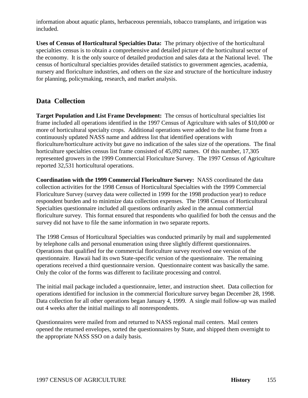information about aquatic plants, herbaceous perennials, tobacco transplants, and irrigation was included.

**Uses of Census of Horticultural Specialties Data:** The primary objective of the horticultural specialties census is to obtain a comprehensive and detailed picture of the horticultural sector of the economy. It is the only source of detailed production and sales data at the National level. The census of horticultural specialties provides detailed statistics to government agencies, academia, nursery and floriculture industries, and others on the size and structure of the horticulture industry for planning, policymaking, research, and market analysis.

## **Data Collection**

**Target Population and List Frame Development:** The census of horticultural specialties list frame included all operations identified in the 1997 Census of Agriculture with sales of \$10,000 or more of horticultural specialty crops. Additional operations were added to the list frame from a continuously updated NASS name and address list that identified operations with floriculture/horticulture activity but gave no indication of the sales size of the operations. The final horticulture specialties census list frame consisted of 45,092 names. Of this number, 17,305 represented growers in the 1999 Commercial Floriculture Survey. The 1997 Census of Agriculture reported 32,531 horticultural operations.

**Coordination with the 1999 Commercial Floriculture Survey:** NASS coordinated the data collection activities for the 1998 Census of Horticultural Specialties with the 1999 Commercial Floriculture Survey (survey data were collected in 1999 for the 1998 production year) to reduce respondent burden and to minimize data collection expenses. The 1998 Census of Horticultural Specialties questionnaire included all questions ordinarily asked in the annual commercial floriculture survey. This format ensured that respondents who qualified for both the census and the survey did not have to file the same information in two separate reports.

The 1998 Census of Horticultural Specialties was conducted primarily by mail and supplemented by telephone calls and personal enumeration using three slightly different questionnaires. Operations that qualified for the commercial floriculture survey received one version of the questionnaire. Hawaii had its own State-specific version of the questionnaire. The remaining operations received a third questionnaire version. Questionnaire content was basically the same. Only the color of the forms was different to facilitate processing and control.

The initial mail package included a questionnaire, letter, and instruction sheet. Data collection for operations identified for inclusion in the commercial floriculture survey began December 28, 1998. Data collection for all other operations began January 4, 1999. A single mail follow-up was mailed out 4 weeks after the initial mailings to all nonrespondents.

Questionnaires were mailed from and returned to NASS regional mail centers. Mail centers opened the returned envelopes, sorted the questionnaires by State, and shipped them overnight to the appropriate NASS SSO on a daily basis.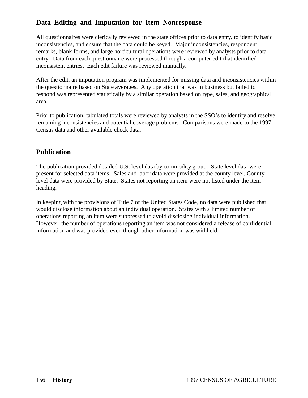# **Data Editing and Imputation for Item Nonresponse**

All questionnaires were clerically reviewed in the state offices prior to data entry, to identify basic inconsistencies, and ensure that the data could be keyed. Major inconsistencies, respondent remarks, blank forms, and large horticultural operations were reviewed by analysts prior to data entry. Data from each questionnaire were processed through a computer edit that identified inconsistent entries. Each edit failure was reviewed manually.

After the edit, an imputation program was implemented for missing data and inconsistencies within the questionnaire based on State averages. Any operation that was in business but failed to respond was represented statistically by a similar operation based on type, sales, and geographical area.

Prior to publication, tabulated totals were reviewed by analysts in the SSO's to identify and resolve remaining inconsistencies and potential coverage problems. Comparisons were made to the 1997 Census data and other available check data.

# **Publication**

The publication provided detailed U.S. level data by commodity group. State level data were present for selected data items. Sales and labor data were provided at the county level. County level data were provided by State. States not reporting an item were not listed under the item heading.

In keeping with the provisions of Title 7 of the United States Code, no data were published that would disclose information about an individual operation. States with a limited number of operations reporting an item were suppressed to avoid disclosing individual information. However, the number of operations reporting an item was not considered a release of confidential information and was provided even though other information was withheld.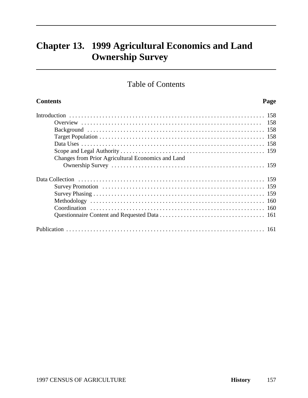# **Chapter 13. 1999 Agricultural Economics and Land Ownership Survey**

# Table of Contents

#### **Contents Page**

| Changes from Prior Agricultural Economics and Land |  |
|----------------------------------------------------|--|
|                                                    |  |
|                                                    |  |
|                                                    |  |
|                                                    |  |
|                                                    |  |
|                                                    |  |
|                                                    |  |
|                                                    |  |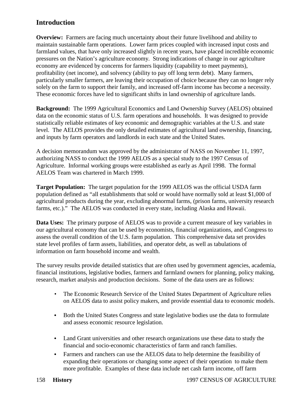# **Introduction**

**Overview:** Farmers are facing much uncertainty about their future livelihood and ability to maintain sustainable farm operations. Lower farm prices coupled with increased input costs and farmland values, that have only increased slightly in recent years, have placed incredible economic pressures on the Nation's agriculture economy. Strong indications of change in our agriculture economy are evidenced by concerns for farmers liquidity (capability to meet payments), profitability (net income), and solvency (ability to pay off long term debt). Many farmers, particularly smaller farmers, are leaving their occupation of choice because they can no longer rely solely on the farm to support their family, and increased off-farm income has become a necessity. These economic forces have led to significant shifts in land ownership of agriculture lands.

**Background:** The 1999 Agricultural Economics and Land Ownership Survey (AELOS) obtained data on the economic status of U.S. farm operations and households. It was designed to provide statistically reliable estimates of key economic and demographic variables at the U.S. and state level. The AELOS provides the only detailed estimates of agricultural land ownership, financing, and inputs by farm operators and landlords in each state and the United States.

A decision memorandum was approved by the administrator of NASS on November 11, 1997, authorizing NASS to conduct the 1999 AELOS as a special study to the 1997 Census of Agriculture. Informal working groups were established as early as April 1998. The formal AELOS Team was chartered in March 1999.

**Target Population:** The target population for the 1999 AELOS was the official USDA farm population defined as "all establishments that sold or would have normally sold at least \$1,000 of agricultural products during the year, excluding abnormal farms, (prison farms, university research farms, etc.)." The AELOS was conducted in every state, including Alaska and Hawaii.

**Data Uses:** The primary purpose of AELOS was to provide a current measure of key variables in our agricultural economy that can be used by economists, financial organizations, and Congress to assess the overall condition of the U.S. farm population. This comprehensive data set provides state level profiles of farm assets, liabilities, and operator debt, as well as tabulations of information on farm household income and wealth.

The survey results provide detailed statistics that are often used by government agencies, academia, financial institutions, legislative bodies, farmers and farmland owners for planning, policy making, research, market analysis and production decisions. Some of the data users are as follows:

- The Economic Research Service of the United States Department of Agriculture relies on AELOS data to assist policy makers, and provide essential data to economic models.
- Both the United States Congress and state legislative bodies use the data to formulate and assess economic resource legislation.
- Land Grant universities and other research organizations use these data to study the financial and socio-economic characteristics of farm and ranch families.
- Farmers and ranchers can use the AELOS data to help determine the feasibility of expanding their operations or changing some aspect of their operation to make them more profitable. Examples of these data include net cash farm income, off farm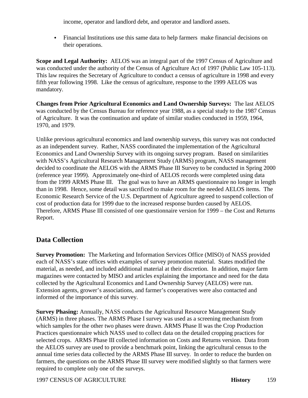income, operator and landlord debt, and operator and landlord assets.

 Financial Institutions use this same data to help farmers make financial decisions on their operations.

**Scope and Legal Authority:** AELOS was an integral part of the 1997 Census of Agriculture and was conducted under the authority of the Census of Agriculture Act of 1997 (Public Law 105-113). This law requires the Secretary of Agriculture to conduct a census of agriculture in 1998 and every fifth year following 1998. Like the census of agriculture, response to the 1999 AELOS was mandatory.

**Changes from Prior Agricultural Economics and Land Ownership Surveys:** The last AELOS was conducted by the Census Bureau for reference year 1988, as a special study to the 1987 Census of Agriculture. It was the continuation and update of similar studies conducted in 1959, 1964, 1970, and 1979.

Unlike previous agricultural economics and land ownership surveys, this survey was not conducted as an independent survey. Rather, NASS coordinated the implementation of the Agricultural Economics and Land Ownership Survey with its ongoing survey program. Based on similarities with NASS's Agricultural Research Management Study (ARMS) program, NASS management decided to coordinate the AELOS with the ARMS Phase III Survey to be conducted in Spring 2000 (reference year 1999). Approximately one-third of AELOS records were completed using data from the 1999 ARMS Phase III. The goal was to have an ARMS questionnaire no longer in length than in 1998. Hence, some detail was sacrificed to make room for the needed AELOS items. The Economic Research Service of the U.S. Department of Agriculture agreed to suspend collection of cost of production data for 1999 due to the increased response burden caused by AELOS. Therefore, ARMS Phase III consisted of one questionnaire version for 1999 – the Cost and Returns Report.

# **Data Collection**

**Survey Promotion:** The Marketing and Information Services Office (MISO) of NASS provided each of NASS's state offices with examples of survey promotion material. States modified the material, as needed, and included additional material at their discretion. In addition, major farm magazines were contacted by MISO and articles explaining the importance and need for the data collected by the Agricultural Economics and Land Ownership Survey (AELOS) were run. Extension agents, grower's associations, and farmer's cooperatives were also contacted and informed of the importance of this survey.

**Survey Phasing:** Annually, NASS conducts the Agricultural Resource Management Study (ARMS) in three phases. The ARMS Phase I survey was used as a screening mechanism from which samples for the other two phases were drawn. ARMS Phase II was the Crop Production Practices questionnaire which NASS used to collect data on the detailed cropping practices for selected crops. ARMS Phase III collected information on Costs and Returns version. Data from the AELOS survey are used to provide a benchmark point, linking the agricultural census to the annual time series data collected by the ARMS Phase III survey. In order to reduce the burden on farmers, the questions on the ARMS Phase III survey were modified slightly so that farmers were required to complete only one of the surveys.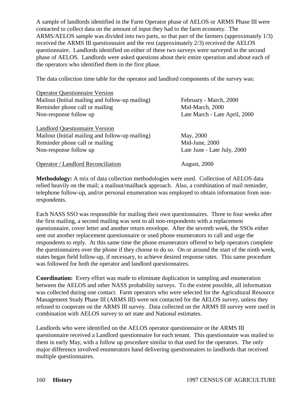A sample of landlords identified in the Farm Operator phase of AELOS or ARMS Phase III were contacted to collect data on the amount of input they had to the farm economy. The ARMS/AELOS sample was divided into two parts, so that part of the farmers (approximately 1/3) received the ARMS III questionnaire and the rest (approximately 2/3) received the AELOS questionnaire. Landlords identified on either of these two surveys were surveyed in the second phase of AELOS. Landlords were asked questions about their entire operation and about each of the operators who identified them in the first phase.

The data collection time table for the operator and landlord components of the survey was:

| <b>Operator Questionnaire Version</b>           |                               |
|-------------------------------------------------|-------------------------------|
| Mailout (Initial mailing and follow-up mailing) | February - March, 2000        |
| Reminder phone call or mailing                  | Mid-March, 2000               |
| Non-response follow up                          | Late March - Late April, 2000 |
| <b>Landlord Questionnaire Version</b>           |                               |
| Mailout (Initial mailing and follow-up mailing) | May, 2000                     |
| Reminder phone call or mailing                  | Mid-June, 2000                |
| Non-response follow up                          | Late June - Late July, 2000   |
| Operator / Landlord Reconciliation              | August, 2000                  |

**Methodology:** A mix of data collection methodologies were used. Collection of AELOS data relied heavily on the mail; a mailout/mailback approach. Also, a combination of mail reminder, telephone follow-up, and/or personal enumeration was employed to obtain information from nonrespondents.

Each NASS SSO was responsible for mailing their own questionnaires. Three to four weeks after the first mailing, a second mailing was sent to all non-respondents with a replacement questionnaire, cover letter and another return envelope. After the seventh week, the SSOs either sent out another replacement questionnaire or used phone enumerators to call and urge the respondents to reply. At this same time the phone enumerators offered to help operators complete the questionnaires over the phone if they choose to do so. On or around the start of the ninth week, states began field follow-up, if necessary, to achieve desired response rates. This same procedure was followed for both the operator and landlord questionnaires.

**Coordination:** Every effort was made to eliminate duplication in sampling and enumeration between the AELOS and other NASS probability surveys. To the extent possible, all information was collected during one contact. Farm operators who were selected for the Agricultural Resource Management Study Phase III (ARMS III) were not contacted for the AELOS survey, unless they refused to cooperate on the ARMS III survey. Data collected on the ARMS III survey were used in combination with AELOS survey to set state and National estimates.

Landlords who were identified on the AELOS operator questionnaire or the ARMS III questionnaire received a Landlord questionnaire for each tenant. This questionnaire was mailed to them in early May, with a follow up procedure similar to that used for the operators. The only major difference involved enumerators hand delivering questionnaires to landlords that received multiple questionnaires.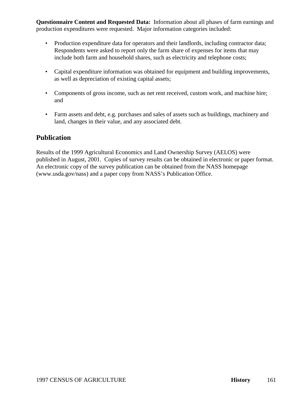**Questionnaire Content and Requested Data:** Information about all phases of farm earnings and production expenditures were requested. Major information categories included:

- Production expenditure data for operators and their landlords, including contractor data; Respondents were asked to report only the farm share of expenses for items that may include both farm and household shares, such as electricity and telephone costs;
- Capital expenditure information was obtained for equipment and building improvements, as well as depreciation of existing capital assets;
- Components of gross income, such as net rent received, custom work, and machine hire; and
- Farm assets and debt, e.g. purchases and sales of assets such as buildings, machinery and land, changes in their value, and any associated debt.

# **Publication**

Results of the 1999 Agricultural Economics and Land Ownership Survey (AELOS) were published in August, 2001. Copies of survey results can be obtained in electronic or paper format. An electronic copy of the survey publication can be obtained from the NASS homepage (www.usda.gov/nass) and a paper copy from NASS's Publication Office.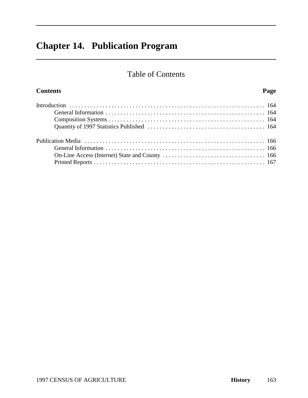# **Chapter 14. Publication Program**

# Table of Contents

| <b>Contents</b> | Page |
|-----------------|------|
|                 |      |
|                 |      |
|                 |      |
|                 |      |
|                 |      |
|                 |      |
|                 |      |
|                 |      |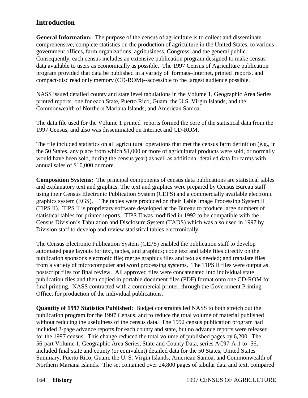# **Introduction**

**General Information:** The purpose of the census of agriculture is to collect and disseminate comprehensive, complete statistics on the production of agriculture in the United States, to various government offices, farm organizations, agribusiness, Congress, and the general public. Consequently, each census includes an extensive publication program designed to make census data available to users as economically as possible. The 1997 Census of Agriculture publication program provided that data be published in a variety of formats–Internet, printed reports, and compact-disc read only memory (CD-ROM)--accessible to the largest audience possible.

NASS issued detailed county and state level tabulations in the Volume 1, Geographic Area Series printed reports–one for each State, Puerto Rico, Guam, the U.S. Virgin Islands, and the Commonwealth of Northern Mariana Islands, and American Samoa.

The data file used for the Volume 1 printed reports formed the core of the statistical data from the 1997 Census, and also was disseminated on Internet and CD-ROM.

The file included statistics on all agricultural operations that met the census farm definition (e.g., in the 50 States, any place from which \$1,000 or more of agricultural products were sold, or normally would have been sold, during the census year) as well as additional detailed data for farms with annual sales of \$10,000 or more.

**Composition Systems:** The principal components of census data publications are statistical tables and explanatory text and graphics. The text and graphics were prepared by Census Bureau staff using their Census Electronic Publication System (CEPS) and a commercially available electronic graphics system (EGS). The tables were produced on their Table Image Processing System II (TIPS II). TIPS II is proprietary software developed at the Bureau to produce large numbers of statistical tables for printed reports. TIPS II was modified in 1992 to be compatible with the Census Division's Tabulation and Disclosure System (TADS) which was also used in 1997 by Division staff to develop and review statistical tables electronically.

The Census Electronic Publication System (CEPS) enabled the publication staff to develop automated page layouts for text, tables, and graphics; code text and table files directly on the publication sponsor's electronic file; merge graphics files and text as needed; and translate files from a variety of microcomputer and word processing systems. The TIPS II files were output as postscript files for final review. All approved files were concatenated into individual state publication files and then copied in portable document files (PDF) format onto one CD-ROM for final printing. NASS contracted with a commercial printer, through the Government Printing Office, for production of the individual publications.

**Quantity of 1997 Statistics Published:** Budget constraints led NASS to both stretch out the publication program for the 1997 Census, and to reduce the total volume of material published without reducing the usefulness of the census data. The 1992 census publication program had included 2-page advance reports for each county and state, but no advance reports were released for the 1997 census. This change reduced the total volume of published pages by 6,200. The 56-part Volume 1, Geographic Area Series, State and County Data, series AC97-A-1 to -56, included final state and county (or equivalent) detailed data for the 50 States, United States Summary, Puerto Rico, Guam, the U. S. Virgin Islands, American Samoa, and Commonwealth of Northern Mariana Islands. The set contained over 24,800 pages of tabular data and text, compared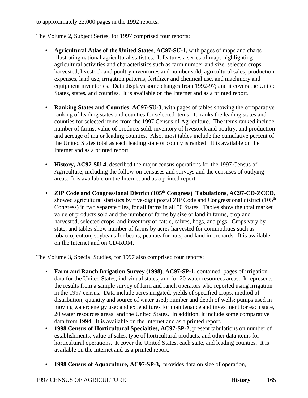to approximately 23,000 pages in the 1992 reports.

The Volume 2, Subject Series, for 1997 comprised four reports:

- **• Agricultural Atlas of the United States**, **AC97-SU-1**, with pages of maps and charts illustrating national agricultural statistics. It features a series of maps highlighting agricultural activities and characteristics such as farm number and size, selected crops harvested, livestock and poultry inventories and number sold, agricultural sales, production expenses, land use, irrigation patterns, fertilizer and chemical use, and machinery and equipment inventories. Data displays some changes from 1992-97; and it covers the United States, states, and counties. It is available on the Internet and as a printed report.
- **• Ranking States and Counties**, **AC97-SU-3**, with pages of tables showing the comparative ranking of leading states and counties for selected items. It ranks the leading states and counties for selected items from the 1997 Census of Agriculture. The items ranked include number of farms, value of products sold, inventory of livestock and poultry, and production and acreage of major leading counties. Also, most tables include the cumulative percent of the United States total as each leading state or county is ranked. It is available on the Internet and as a printed report.
- **• History, AC97-SU-4**, described the major census operations for the 1997 Census of Agriculture, including the follow-on censuses and surveys and the censuses of outlying areas. It is available on the Internet and as a printed report.
- **• ZIP Code and Congressional District (105th Congress) Tabulations**, **AC97-CD-ZCCD**, showed agricultural statistics by five-digit postal ZIP Code and Congressional district  $(105<sup>th</sup>$ Congress) in two separate files, for all farms in all 50 States. Tables show the total market value of products sold and the number of farms by size of land in farms, cropland harvested, selected crops, and inventory of cattle, calves, hogs, and pigs. Crops vary by state, and tables show number of farms by acres harvested for commodities such as tobacco, cotton, soybeans for beans, peanuts for nuts, and land in orchards. It is available on the Internet and on CD-ROM.

The Volume 3, Special Studies, for 1997 also comprised four reports:

- **Farm and Ranch Irrigation Survey (1998)**, **AC97-SP-1**, contained pages of irrigation data for the United States, individual states, and for 20 water resources areas. It represents the results from a sample survey of farm and ranch operators who reported using irrigation in the 1997 census. Data include acres irrigated; yields of specified crops; method of distribution; quantity and source of water used; number and depth of wells; pumps used in moving water; energy use; and expenditures for maintenance and investment for each state, 20 water resources areas, and the United States. In addition, it include some comparative data from 1994. It is available on the Internet and as a printed report.
- **• 1998 Census of Horticultural Specialties, AC97-SP-2**, present tabulations on number of establishments, value of sales, type of horticultural products, and other data items for horticultural operations. It cover the United States, each state, and leading counties. It is available on the Internet and as a printed report.
- **• 1998 Census of Aquaculture, AC97-SP-3,** provides data on size of operation,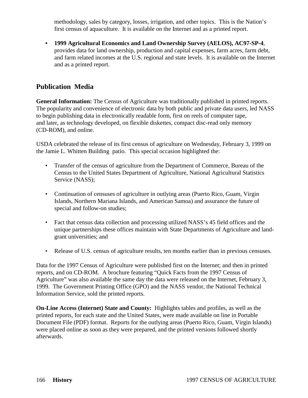methodology, sales by category, losses, irrigation, and other topics. This is the Nation's first census of aquaculture. It is available on the Internet and as a printed report.

**• 1999 Agricultural Economics and Land Ownership Survey (AELOS), AC97-SP-4**, provides data for land ownership, production and capital expenses, farm acres, farm debt, and farm related incomes at the U.S. regional and state levels. It is available on the Internet and as a printed report.

# **Publication Media**

**General Information:** The Census of Agriculture was traditionally published in printed reports. The popularity and convenience of electronic data by both public and private data users, led NASS to begin publishing data in electronically readable form, first on reels of computer tape, and later, as technology developed, on flexible diskettes, compact disc-read only memory (CD-ROM), and online.

USDA celebrated the release of its first census of agriculture on Wednesday, February 3, 1999 on the Jamie L. Whitten Building patio. This special occasion highlighted the:

- Transfer of the census of agriculture from the Department of Commerce, Bureau of the Census to the United States Department of Agriculture, National Agricultural Statistics Service (NASS);
- Continuation of censuses of agriculture in outlying areas (Puerto Rico, Guam, Virgin Islands, Northern Mariana Islands, and American Samoa) and assurance the future of special and follow-on studies;
- Fact that census data collection and processing utilized NASS's 45 field offices and the unique partnerships these offices maintain with State Departments of Agriculture and landgrant universities; and
- Release of U.S. census of agriculture results, ten months earlier than in previous censuses.

Data for the 1997 Census of Agriculture were published first on the Internet; and then in printed reports, and on CD-ROM. A brochure featuring "Quick Facts from the 1997 Census of Agriculture" was also available the same day the data were released on the Internet, February 3, 1999. The Government Printing Office (GPO) and the NASS vendor, the National Technical Information Service, sold the printed reports.

**On-Line Access (Internet) State and County:** Highlights tables and profiles, as well as the printed reports, for each state and the United States, were made available on line in Portable Document File (PDF) format. Reports for the outlying areas (Puerto Rico, Guam, Virgin Islands) were placed online as soon as they were prepared, and the printed versions followed shortly afterwards.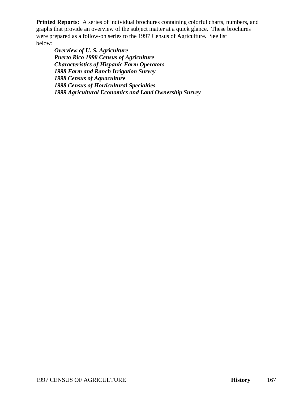**Printed Reports:** A series of individual brochures containing colorful charts, numbers, and graphs that provide an overview of the subject matter at a quick glance. These brochures were prepared as a follow-on series to the 1997 Census of Agriculture. See list below:

*Overview of U. S. Agriculture Puerto Rico 1998 Census of Agriculture Characteristics of Hispanic Farm Operators 1998 Farm and Ranch Irrigation Survey 1998 Census of Aquaculture 1998 Census of Horticultural Specialties 1999 Agricultural Economics and Land Ownership Survey*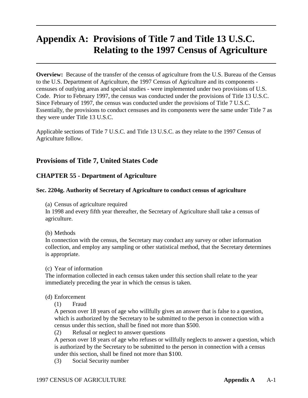# **Appendix A: Provisions of Title 7 and Title 13 U.S.C. Relating to the 1997 Census of Agriculture**

**Overview:** Because of the transfer of the census of agriculture from the U.S. Bureau of the Census to the U.S. Department of Agriculture, the 1997 Census of Agriculture and its components censuses of outlying areas and special studies - were implemented under two provisions of U.S. Code. Prior to February 1997, the census was conducted under the provisions of Title 13 U.S.C. Since February of 1997, the census was conducted under the provisions of Title 7 U.S.C. Essentially, the provisions to conduct censuses and its components were the same under Title 7 as they were under Title 13 U.S.C.

Applicable sections of Title 7 U.S.C. and Title 13 U.S.C. as they relate to the 1997 Census of Agriculture follow.

# **Provisions of Title 7, United States Code**

## **CHAPTER 55 - Department of Agriculture**

#### **Sec. 2204g. Authority of Secretary of Agriculture to conduct census of agriculture**

(a) Census of agriculture required

In 1998 and every fifth year thereafter, the Secretary of Agriculture shall take a census of agriculture.

(b) Methods

 In connection with the census, the Secretary may conduct any survey or other information collection, and employ any sampling or other statistical method, that the Secretary determines is appropriate.

(c) Year of information

The information collected in each census taken under this section shall relate to the year immediately preceding the year in which the census is taken.

#### (d) Enforcement

(1) Fraud

A person over 18 years of age who willfully gives an answer that is false to a question, which is authorized by the Secretary to be submitted to the person in connection with a census under this section, shall be fined not more than \$500.

(2) Refusal or neglect to answer questions

A person over 18 years of age who refuses or willfully neglects to answer a question, which is authorized by the Secretary to be submitted to the person in connection with a census under this section, shall be fined not more than \$100.

(3) Social Security number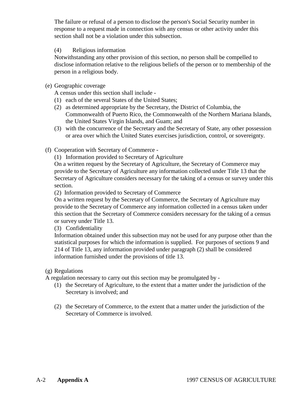The failure or refusal of a person to disclose the person's Social Security number in response to a request made in connection with any census or other activity under this section shall not be a violation under this subsection.

#### (4) Religious information

Notwithstanding any other provision of this section, no person shall be compelled to disclose information relative to the religious beliefs of the person or to membership of the person in a religious body.

#### (e) Geographic coverage

A census under this section shall include -

- (1) each of the several States of the United States;
- (2) as determined appropriate by the Secretary, the District of Columbia, the Commonwealth of Puerto Rico, the Commonwealth of the Northern Mariana Islands, the United States Virgin Islands, and Guam; and
- (3) with the concurrence of the Secretary and the Secretary of State, any other possession or area over which the United States exercises jurisdiction, control, or sovereignty.
- (f) Cooperation with Secretary of Commerce
	- (1) Information provided to Secretary of Agriculture

On a written request by the Secretary of Agriculture, the Secretary of Commerce may provide to the Secretary of Agriculture any information collected under Title 13 that the Secretary of Agriculture considers necessary for the taking of a census or survey under this section.

(2) Information provided to Secretary of Commerce

On a written request by the Secretary of Commerce, the Secretary of Agriculture may provide to the Secretary of Commerce any information collected in a census taken under this section that the Secretary of Commerce considers necessary for the taking of a census or survey under Title 13.

(3) Confidentiality

Information obtained under this subsection may not be used for any purpose other than the statistical purposes for which the information is supplied. For purposes of sections 9 and 214 of Title 13, any information provided under paragraph (2) shall be considered information furnished under the provisions of title 13.

(g) Regulations

A regulation necessary to carry out this section may be promulgated by -

- (1) the Secretary of Agriculture, to the extent that a matter under the jurisdiction of the Secretary is involved; and
- (2) the Secretary of Commerce, to the extent that a matter under the jurisdiction of the Secretary of Commerce is involved.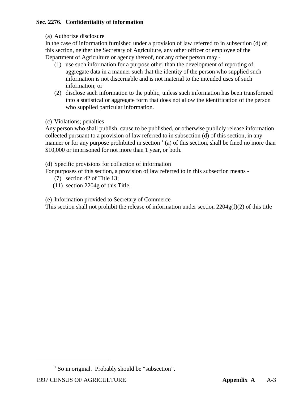### **Sec. 2276. Confidentiality of information**

### (a) Authorize disclosure

In the case of information furnished under a provision of law referred to in subsection (d) of this section, neither the Secretary of Agriculture, any other officer or employee of the Department of Agriculture or agency thereof, nor any other person may -

- (1) use such information for a purpose other than the development of reporting of aggregate data in a manner such that the identity of the person who supplied such information is not discernable and is not material to the intended uses of such information; or
- (2) disclose such information to the public, unless such information has been transformed into a statistical or aggregate form that does not allow the identification of the person who supplied particular information.

### (c) Violations; penalties

Any person who shall publish, cause to be published, or otherwise publicly release information collected pursuant to a provision of law referred to in subsection (d) of this section, in any manner or for any purpose prohibited in section  $(1)$  (a) of this section, shall be fined no more than \$10,000 or imprisoned for not more than 1 year, or both.

(d) Specific provisions for collection of information

For purposes of this section, a provision of law referred to in this subsection means -

- (7) section 42 of Title 13;
- (11) section 2204g of this Title.

(e) Information provided to Secretary of Commerce

This section shall not prohibit the release of information under section  $2204g(f)(2)$  of this title

<sup>&</sup>lt;sup>1</sup> So in original. Probably should be "subsection".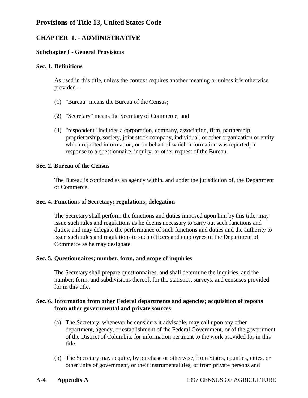# **Provisions of Title 13, United States Code**

## **CHAPTER 1. - ADMINISTRATIVE**

#### **Subchapter I - General Provisions**

#### **Sec. 1. Definitions**

As used in this title, unless the context requires another meaning or unless it is otherwise provided -

- (1) "Bureau" means the Bureau of the Census;
- (2) "Secretary" means the Secretary of Commerce; and
- (3) "respondent" includes a corporation, company, association, firm, partnership, proprietorship, society, joint stock company, individual, or other organization or entity which reported information, or on behalf of which information was reported, in response to a questionnaire, inquiry, or other request of the Bureau.

#### **Sec. 2. Bureau of the Census**

The Bureau is continued as an agency within, and under the jurisdiction of, the Department of Commerce.

#### **Sec. 4. Functions of Secretary; regulations; delegation**

The Secretary shall perform the functions and duties imposed upon him by this title, may issue such rules and regulations as he deems necessary to carry out such functions and duties, and may delegate the performance of such functions and duties and the authority to issue such rules and regulations to such officers and employees of the Department of Commerce as he may designate.

#### **Sec. 5. Questionnaires; number, form, and scope of inquiries**

The Secretary shall prepare questionnaires, and shall determine the inquiries, and the number, form, and subdivisions thereof, for the statistics, surveys, and censuses provided for in this title.

#### **Sec. 6. Information from other Federal departments and agencies; acquisition of reports from other governmental and private sources**

- (a) The Secretary, whenever he considers it advisable, may call upon any other department, agency, or establishment of the Federal Government, or of the government of the District of Columbia, for information pertinent to the work provided for in this title.
- (b) The Secretary may acquire, by purchase or otherwise, from States, counties, cities, or other units of government, or their instrumentalities, or from private persons and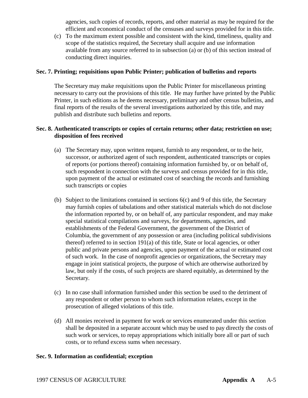agencies, such copies of records, reports, and other material as may be required for the efficient and economical conduct of the censuses and surveys provided for in this title.

(c) To the maximum extent possible and consistent with the kind, timeliness, quality and scope of the statistics required, the Secretary shall acquire and use information available from any source referred to in subsection (a) or (b) of this section instead of conducting direct inquiries.

#### **Sec. 7. Printing; requisitions upon Public Printer; publication of bulletins and reports**

The Secretary may make requisitions upon the Public Printer for miscellaneous printing necessary to carry out the provisions of this title. He may further have printed by the Public Printer, in such editions as he deems necessary, preliminary and other census bulletins, and final reports of the results of the several investigations authorized by this title, and may publish and distribute such bulletins and reports.

#### **Sec. 8. Authenticated transcripts or copies of certain returns; other data; restriction on use; disposition of fees received**

- (a) The Secretary may, upon written request, furnish to any respondent, or to the heir, successor, or authorized agent of such respondent, authenticated transcripts or copies of reports (or portions thereof) containing information furnished by, or on behalf of, such respondent in connection with the surveys and census provided for in this title, upon payment of the actual or estimated cost of searching the records and furnishing such transcripts or copies
- (b) Subject to the limitations contained in sections 6(c) and 9 of this title, the Secretary may furnish copies of tabulations and other statistical materials which do not disclose the information reported by, or on behalf of, any particular respondent, and may make special statistical compilations and surveys, for departments, agencies, and establishments of the Federal Government, the government of the District of Columbia, the government of any possession or area (including political subdivisions thereof) referred to in section 191(a) of this title, State or local agencies, or other public and private persons and agencies, upon payment of the actual or estimated cost of such work. In the case of nonprofit agencies or organizations, the Secretary may engage in joint statistical projects, the purpose of which are otherwise authorized by law, but only if the costs, of such projects are shared equitably, as determined by the Secretary.
- (c) In no case shall information furnished under this section be used to the detriment of any respondent or other person to whom such information relates, except in the prosecution of alleged violations of this title.
- (d) All monies received in payment for work or services enumerated under this section shall be deposited in a separate account which may be used to pay directly the costs of such work or services, to repay appropriations which initially bore all or part of such costs, or to refund excess sums when necessary.

#### **Sec. 9. Information as confidential; exception**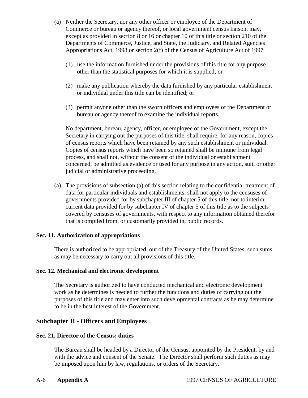- (a) Neither the Secretary, nor any other officer or employee of the Department of Commerce or bureau or agency thereof, or local government census liaison, may, except as provided in section 8 or 16 or chapter 10 of this title or section 210 of the Departments of Commerce, Justice, and State, the Judiciary, and Related Agencies Appropriations Act, 1998 or section 2(f) of the Census of Agriculture Act of 1997
	- (1) use the information furnished under the provisions of this title for any purpose other than the statistical purposes for which it is supplied; or
	- (2) make any publication whereby the data furnished by any particular establishment or individual under this title can be identified; or
	- (3) permit anyone other than the sworn officers and employees of the Department or bureau or agency thereof to examine the individual reports.

No department, bureau, agency, officer, or employee of the Government, except the Secretary in carrying out the purposes of this title, shall require, for any reason, copies of census reports which have been retained by any such establishment or individual. Copies of census reports which have been so retained shall be immune from legal process, and shall not, without the consent of the individual or establishment concerned, be admitted as evidence or used for any purpose in any action, suit, or other judicial or administrative proceeding.

(a) The provisions of subsection (a) of this section relating to the confidential treatment of data for particular individuals and establishments, shall not apply to the censuses of governments provided for by subchapter III of chapter 5 of this title, nor to interim current data provided for by subchapter IV of chapter 5 of this title as to the subjects covered by censuses of governments, with respect to any information obtained therefor that is compiled from, or customarily provided in, public records.

#### **Sec. 11. Authorization of appropriations**

There is authorized to be appropriated, out of the Treasury of the United States, such sums as may be necessary to carry out all provisions of this title.

#### **Sec. 12. Mechanical and electronic development**

The Secretary is authorized to have conducted mechanical and electronic development work as he determines is needed to further the functions and duties of carrying out the purposes of this title and may enter into such developmental contracts as he may determine to be in the best interest of the Government.

#### **Subchapter II - Officers and Employees**

#### **Sec. 21. Director of the Census; duties**

The Bureau shall be headed by a Director of the Census, appointed by the President, by and with the advice and consent of the Senate. The Director shall perform such duties as may be imposed upon him by law, regulations, or orders of the Secretary.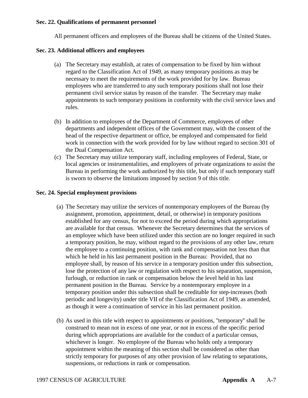#### **Sec. 22. Qualifications of permanent personnel**

All permanent officers and employees of the Bureau shall be citizens of the United States.

#### **Sec. 23. Additional officers and employees**

- (a) The Secretary may establish, at rates of compensation to be fixed by him without regard to the Classification Act of 1949, as many temporary positions as may be necessary to meet the requirements of the work provided for by law. Bureau employees who are transferred to any such temporary positions shall not lose their permanent civil service status by reason of the transfer. The Secretary may make appointments to such temporary positions in conformity with the civil service laws and rules.
- (b) In addition to employees of the Department of Commerce, employees of other departments and independent offices of the Government may, with the consent of the head of the respective department or office, be employed and compensated for field work in connection with the work provided for by law without regard to section 301 of the Dual Compensation Act.
- (c) The Secretary may utilize temporary staff, including employees of Federal, State, or local agencies or instrumentalities, and employees of private organizations to assist the Bureau in performing the work authorized by this title, but only if such temporary staff is sworn to observe the limitations imposed by section 9 of this title.

#### **Sec. 24. Special employment provisions**

- (a) The Secretary may utilize the services of nontemporary employees of the Bureau (by assignment, promotion, appointment, detail, or otherwise) in temporary positions established for any census, for not to exceed the period during which appropriations are available for that census. Whenever the Secretary determines that the services of an employee which have been utilized under this section are no longer required in such a temporary position, he may, without regard to the provisions of any other law, return the employee to a continuing position, with rank and compensation not less than that which he held in his last permanent position in the Bureau: Provided, that no employee shall, by reason of his service in a temporary position under this subsection, lose the protection of any law or regulation with respect to his separation, suspension, furlough, or reduction in rank or compensation below the level held in his last permanent position in the Bureau. Service by a nontemporary employee in a temporary position under this subsection shall be creditable for step-increases (both periodic and longevity) under title VII of the Classification Act of 1949, as amended, as though it were a continuation of service in his last permanent position.
- (b) As used in this title with respect to appointments or positions, ''temporary'' shall be construed to mean not in excess of one year, or not in excess of the specific period during which appropriations are available for the conduct of a particular census, whichever is longer. No employee of the Bureau who holds only a temporary appointment within the meaning of this section shall be considered as other than strictly temporary for purposes of any other provision of law relating to separations, suspensions, or reductions in rank or compensation.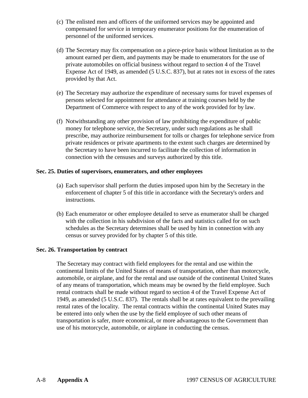- (c) The enlisted men and officers of the uniformed services may be appointed and compensated for service in temporary enumerator positions for the enumeration of personnel of the uniformed services.
- (d) The Secretary may fix compensation on a piece-price basis without limitation as to the amount earned per diem, and payments may be made to enumerators for the use of private automobiles on official business without regard to section 4 of the Travel Expense Act of 1949, as amended (5 U.S.C. 837), but at rates not in excess of the rates provided by that Act.
- (e) The Secretary may authorize the expenditure of necessary sums for travel expenses of persons selected for appointment for attendance at training courses held by the Department of Commerce with respect to any of the work provided for by law.
- (f) Notwithstanding any other provision of law prohibiting the expenditure of public money for telephone service, the Secretary, under such regulations as he shall prescribe, may authorize reimbursement for tolls or charges for telephone service from private residences or private apartments to the extent such charges are determined by the Secretary to have been incurred to facilitate the collection of information in connection with the censuses and surveys authorized by this title.

#### **Sec. 25. Duties of supervisors, enumerators, and other employees**

- (a) Each supervisor shall perform the duties imposed upon him by the Secretary in the enforcement of chapter 5 of this title in accordance with the Secretary's orders and instructions.
- (b) Each enumerator or other employee detailed to serve as enumerator shall be charged with the collection in his subdivision of the facts and statistics called for on such schedules as the Secretary determines shall be used by him in connection with any census or survey provided for by chapter 5 of this title.

#### **Sec. 26. Transportation by contract**

The Secretary may contract with field employees for the rental and use within the continental limits of the United States of means of transportation, other than motorcycle, automobile, or airplane, and for the rental and use outside of the continental United States of any means of transportation, which means may be owned by the field employee. Such rental contracts shall be made without regard to section 4 of the Travel Expense Act of 1949, as amended (5 U.S.C. 837). The rentals shall be at rates equivalent to the prevailing rental rates of the locality. The rental contracts within the continental United States may be entered into only when the use by the field employee of such other means of transportation is safer, more economical, or more advantageous to the Government than use of his motorcycle, automobile, or airplane in conducting the census.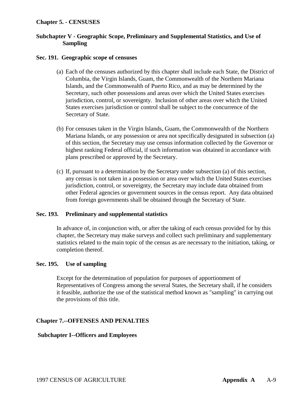#### **Chapter 5. - CENSUSES**

#### **Subchapter V - Geographic Scope, Preliminary and Supplemental Statistics, and Use of Sampling**

#### **Sec. 191. Geographic scope of censuses**

- (a) Each of the censuses authorized by this chapter shall include each State, the District of Columbia, the Virgin Islands, Guam, the Commonwealth of the Northern Mariana Islands, and the Commonwealth of Puerto Rico, and as may be determined by the Secretary, such other possessions and areas over which the United States exercises jurisdiction, control, or sovereignty. Inclusion of other areas over which the United States exercises jurisdiction or control shall be subject to the concurrence of the Secretary of State.
- (b) For censuses taken in the Virgin Islands, Guam, the Commonwealth of the Northern Mariana Islands, or any possession or area not specifically designated in subsection (a) of this section, the Secretary may use census information collected by the Governor or highest ranking Federal official, if such information was obtained in accordance with plans prescribed or approved by the Secretary.
- (c) If, pursuant to a determination by the Secretary under subsection (a) of this section, any census is not taken in a possession or area over which the United States exercises jurisdiction, control, or sovereignty, the Secretary may include data obtained from other Federal agencies or government sources in the census report. Any data obtained from foreign governments shall be obtained through the Secretary of State.

#### **Sec. 193. Preliminary and supplemental statistics**

In advance of, in conjunction with, or after the taking of each census provided for by this chapter, the Secretary may make surveys and collect such preliminary and supplementary statistics related to the main topic of the census as are necessary to the initiation, taking, or completion thereof.

#### **Sec. 195. Use of sampling**

Except for the determination of population for purposes of apportionment of Representatives of Congress among the several States, the Secretary shall, if he considers it feasible, authorize the use of the statistical method known as "sampling" in carrying out the provisions of this title.

#### **Chapter 7.--OFFENSES AND PENALTIES**

#### **Subchapter I--Officers and Employees**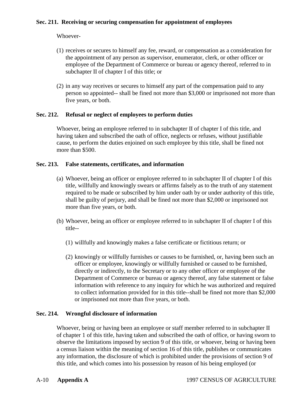#### **Sec. 211. Receiving or securing compensation for appointment of employees**

Whoever-

- (1) receives or secures to himself any fee, reward, or compensation as a consideration for the appointment of any person as supervisor, enumerator, clerk, or other officer or employee of the Department of Commerce or bureau or agency thereof, referred to in subchapter II of chapter I of this title; or
- (2) in any way receives or secures to himself any part of the compensation paid to any person so appointed-- shall be fined not more than \$3,000 or imprisoned not more than five years, or both.

#### **Sec. 212. Refusal or neglect of employees to perform duties**

Whoever, being an employee referred to in subchapter II of chapter I of this title, and having taken and subscribed the oath of office, neglects or refuses, without justifiable cause, to perform the duties enjoined on such employee by this title, shall be fined not more than \$500.

#### **Sec. 213. False statements, certificates, and information**

- (a) Whoever, being an officer or employee referred to in subchapter II of chapter I of this title, willfully and knowingly swears or affirms falsely as to the truth of any statement required to be made or subscribed by him under oath by or under authority of this title, shall be guilty of perjury, and shall be fined not more than \$2,000 or imprisoned not more than five years, or both.
- (b) Whoever, being an officer or employee referred to in subchapter II of chapter I of this title--
	- (1) willfully and knowingly makes a false certificate or fictitious return; or
	- (2) knowingly or willfully furnishes or causes to be furnished, or, having been such an officer or employee, knowingly or willfully furnished or caused to be furnished, directly or indirectly, to the Secretary or to any other officer or employee of the Department of Commerce or bureau or agency thereof, any false statement or false information with reference to any inquiry for which he was authorized and required to collect information provided for in this title--shall be fined not more than \$2,000 or imprisoned not more than five years, or both.

#### **Sec. 214. Wrongful disclosure of information**

 Whoever, being or having been an employee or staff member referred to in subchapter II of chapter 1 of this title, having taken and subscribed the oath of office, or having sworn to observe the limitations imposed by section 9 of this title, or whoever, being or having been a census liaison within the meaning of section 16 of this title, publishes or communicates any information, the disclosure of which is prohibited under the provisions of section 9 of this title, and which comes into his possession by reason of his being employed (or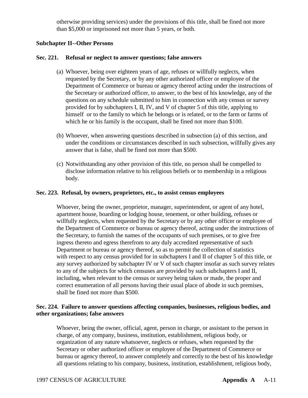otherwise providing services) under the provisions of this title, shall be fined not more than \$5,000 or imprisoned not more than 5 years, or both.

#### **Subchapter II--Other Persons**

#### **Sec. 221. Refusal or neglect to answer questions; false answers**

- (a) Whoever, being over eighteen years of age, refuses or willfully neglects, when requested by the Secretary, or by any other authorized officer or employee of the Department of Commerce or bureau or agency thereof acting under the instructions of the Secretary or authorized officer, to answer, to the best of his knowledge, any of the questions on any schedule submitted to him in connection with any census or survey provided for by subchapters I, II, IV, and V of chapter 5 of this title, applying to himself or to the family to which he belongs or is related, or to the farm or farms of which he or his family is the occupant, shall be fined not more than \$100.
- (b) Whoever, when answering questions described in subsection (a) of this section, and under the conditions or circumstances described in such subsection, willfully gives any answer that is false, shall be fined not more than \$500.
- (c) Notwithstanding any other provision of this title, no person shall be compelled to disclose information relative to his religious beliefs or to membership in a religious body.

#### **Sec. 223. Refusal, by owners, proprietors, etc., to assist census employees**

Whoever, being the owner, proprietor, manager, superintendent, or agent of any hotel, apartment house, boarding or lodging house, tenement, or other building, refuses or willfully neglects, when requested by the Secretary or by any other officer or employee of the Department of Commerce or bureau or agency thereof, acting under the instructions of the Secretary, to furnish the names of the occupants of such premises, or to give free ingress thereto and egress therefrom to any duly accredited representative of such Department or bureau or agency thereof, so as to permit the collection of statistics with respect to any census provided for in subchapters I and II of chapter 5 of this title, or any survey authorized by subchapter IV or V of such chapter insofar as such survey relates to any of the subjects for which censuses are provided by such subchapters I and II, including, when relevant to the census or survey being taken or made, the proper and correct enumeration of all persons having their usual place of abode in such premises, shall be fined not more than \$500.

#### **Sec. 224. Failure to answer questions affecting companies, businesses, religious bodies, and other organizations; false answers**

Whoever, being the owner, official, agent, person in charge, or assistant to the person in charge, of any company, business, institution, establishment, religious body, or organization of any nature whatsoever, neglects or refuses, when requested by the Secretary or other authorized officer or employee of the Department of Commerce or bureau or agency thereof, to answer completely and correctly to the best of his knowledge all questions relating to his company, business, institution, establishment, religious body,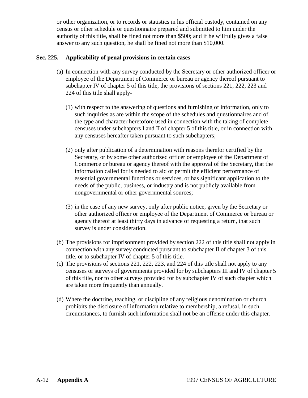or other organization, or to records or statistics in his official custody, contained on any census or other schedule or questionnaire prepared and submitted to him under the authority of this title, shall be fined not more than \$500; and if he willfully gives a false answer to any such question, he shall be fined not more than \$10,000.

#### **Sec. 225. Applicability of penal provisions in certain cases**

- (a) In connection with any survey conducted by the Secretary or other authorized officer or employee of the Department of Commerce or bureau or agency thereof pursuant to subchapter IV of chapter 5 of this title, the provisions of sections 221, 222, 223 and 224 of this title shall apply-
	- (1) with respect to the answering of questions and furnishing of information, only to such inquiries as are within the scope of the schedules and questionnaires and of the type and character heretofore used in connection with the taking of complete censuses under subchapters I and II of chapter 5 of this title, or in connection with any censuses hereafter taken pursuant to such subchapters;
	- (2) only after publication of a determination with reasons therefor certified by the Secretary, or by some other authorized officer or employee of the Department of Commerce or bureau or agency thereof with the approval of the Secretary, that the information called for is needed to aid or permit the efficient performance of essential governmental functions or services, or has significant application to the needs of the public, business, or industry and is not publicly available from nongovernmental or other governmental sources;
	- (3) in the case of any new survey, only after public notice, given by the Secretary or other authorized officer or employee of the Department of Commerce or bureau or agency thereof at least thirty days in advance of requesting a return, that such survey is under consideration.
- (b) The provisions for imprisonment provided by section 222 of this title shall not apply in connection with any survey conducted pursuant to subchapter II of chapter 3 of this title, or to subchapter IV of chapter 5 of this title.
- (c) The provisions of sections 221, 222, 223, and 224 of this title shall not apply to any censuses or surveys of governments provided for by subchapters III and IV of chapter 5 of this title, nor to other surveys provided for by subchapter IV of such chapter which are taken more frequently than annually.
- (d) Where the doctrine, teaching, or discipline of any religious denomination or church prohibits the disclosure of information relative to membership, a refusal, in such circumstances, to furnish such information shall not be an offense under this chapter.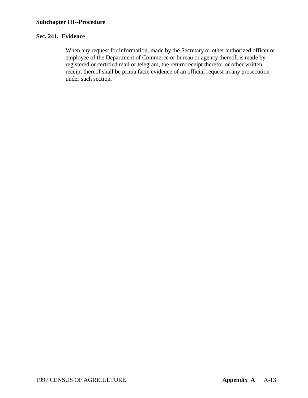### **Sec. 241. Evidence**

When any request for information, made by the Secretary or other authorized officer or employee of the Department of Commerce or bureau or agency thereof, is made by registered or certified mail or telegram, the return receipt therefor or other written receipt thereof shall be prima facie evidence of an official request in any prosecution under such section.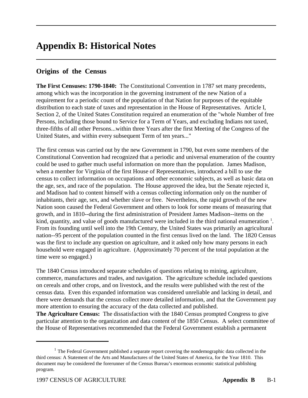# **Appendix B: Historical Notes**

# **Origins of the Census**

**The First Censuses: 1790-1840:** The Constitutional Convention in 1787 set many precedents, among which was the incorporation in the governing instrument of the new Nation of a requirement for a periodic count of the population of that Nation for purposes of the equitable distribution to each state of taxes and representation in the House of Representatives. Article I, Section 2, of the United States Constitution required an enumeration of the "whole Number of free Persons, including those bound to Service for a Term of Years, and excluding Indians not taxed, three-fifths of all other Persons...within three Years after the first Meeting of the Congress of the United States, and within every subsequent Term of ten years..."

The first census was carried out by the new Government in 1790, but even some members of the Constitutional Convention had recognized that a periodic and universal enumeration of the country could be used to gather much useful information on more than the population. James Madison, when a member for Virginia of the first House of Representatives, introduced a bill to use the census to collect information on occupations and other economic subjects, as well as basic data on the age, sex, and race of the population. The House approved the idea, but the Senate rejected it, and Madison had to content himself with a census collecting information only on the number of inhabitants, their age, sex, and whether slave or free. Nevertheless, the rapid growth of the new Nation soon caused the Federal Government and others to look for some means of measuring that growth, and in 1810--during the first administration of President James Madison--items on the kind, quantity, and value of goods manufactured were included in the third national enumeration  $1$ . From its founding until well into the 19th Century, the United States was primarily an agricultural nation--95 percent of the population counted in the first census lived on the land. The 1820 Census was the first to include any question on agriculture, and it asked only how many persons in each household were engaged in agriculture. (Approximately 70 percent of the total population at the time were so engaged.)

The 1840 Census introduced separate schedules of questions relating to mining, agriculture, commerce, manufactures and trades, and navigation. The agriculture schedule included questions on cereals and other crops, and on livestock, and the results were published with the rest of the census data. Even this expanded information was considered unreliable and lacking in detail, and there were demands that the census collect more detailed information, and that the Government pay more attention to ensuring the accuracy of the data collected and published.

**The Agriculture Census:** The dissatisfaction with the 1840 Census prompted Congress to give particular attention to the organization and data content of the 1850 Census. A select committee of the House of Representatives recommended that the Federal Government establish a permanent

 $1$  The Federal Government published a separate report covering the nondemographic data collected in the third census: A Statement of the Arts and Manufactures of the United States of America, for the Year 1810. This document may be considered the forerunner of the Census Bureau's enormous economic statistical publishing program.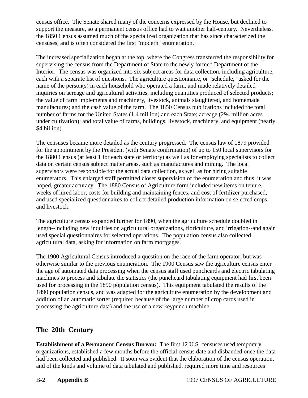census office. The Senate shared many of the concerns expressed by the House, but declined to support the measure, so a permanent census office had to wait another half-century. Nevertheless, the 1850 Census assumed much of the specialized organization that has since characterized the censuses, and is often considered the first "modern" enumeration.

The increased specialization began at the top, where the Congress transferred the responsibility for supervising the census from the Department of State to the newly formed Department of the Interior. The census was organized into six subject areas for data collection, including agriculture, each with a separate list of questions. The agriculture questionnaire, or "schedule," asked for the name of the person(s) in each household who operated a farm, and made relatively detailed inquiries on acreage and agricultural activities, including quantities produced of selected products; the value of farm implements and machinery, livestock, animals slaughtered, and homemade manufactures; and the cash value of the farm. The 1850 Census publications included the total number of farms for the United States (1.4 million) and each State; acreage (294 million acres under cultivation); and total value of farms, buildings, livestock, machinery, and equipment (nearly \$4 billion).

The censuses became more detailed as the century progressed. The census law of 1879 provided for the appointment by the President (with Senate confirmation) of up to 150 local supervisors for the 1880 Census (at least 1 for each state or territory) as well as for employing specialists to collect data on certain census subject matter areas, such as manufactures and mining. The local supervisors were responsible for the actual data collection, as well as for hiring suitable enumerators. This enlarged staff permitted closer supervision of the enumeration and thus, it was hoped, greater accuracy. The 1880 Census of Agriculture form included new items on tenure, weeks of hired labor, costs for building and maintaining fences, and cost of fertilizer purchased, and used specialized questionnaires to collect detailed production information on selected crops and livestock.

The agriculture census expanded further for 1890, when the agriculture schedule doubled in length--including new inquiries on agricultural organizations, floriculture, and irrigation--and again used special questionnaires for selected operations. The population census also collected agricultural data, asking for information on farm mortgages.

The 1900 Agricultural Census introduced a question on the race of the farm operator, but was otherwise similar to the previous enumeration. The 1900 Census saw the agriculture census enter the age of automated data processing when the census staff used punchcards and electric tabulating machines to process and tabulate the statistics (the punchcard tabulating equipment had first been used for processing in the 1890 population census). This equipment tabulated the results of the 1890 population census, and was adapted for the agriculture enumeration by the development and addition of an automatic sorter (required because of the large number of crop cards used in processing the agriculture data) and the use of a new keypunch machine.

# **The 20th Century**

**Establishment of a Permanent Census Bureau:** The first 12 U.S. censuses used temporary organizations, established a few months before the official census date and disbanded once the data had been collected and published. It soon was evident that the elaboration of the census operation, and of the kinds and volume of data tabulated and published, required more time and resources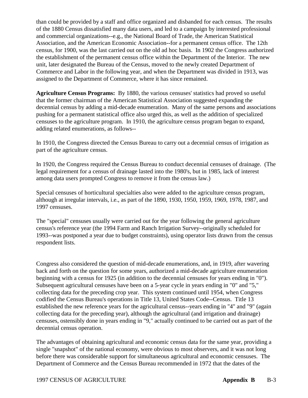than could be provided by a staff and office organized and disbanded for each census. The results of the 1880 Census dissatisfied many data users, and led to a campaign by interested professional and commercial organizations--e.g., the National Board of Trade, the American Statistical Association, and the American Economic Association--for a permanent census office. The 12th census, for 1900, was the last carried out on the old ad hoc basis. In 1902 the Congress authorized the establishment of the permanent census office within the Department of the Interior. The new unit, later designated the Bureau of the Census, moved to the newly created Department of Commerce and Labor in the following year, and when the Department was divided in 1913, was assigned to the Department of Commerce, where it has since remained.

**Agriculture Census Programs:** By 1880, the various censuses' statistics had proved so useful that the former chairman of the American Statistical Association suggested expanding the decennial census by adding a mid-decade enumeration. Many of the same persons and associations pushing for a permanent statistical office also urged this, as well as the addition of specialized censuses to the agriculture program. In 1910, the agriculture census program began to expand, adding related enumerations, as follows--

In 1910, the Congress directed the Census Bureau to carry out a decennial census of irrigation as part of the agriculture census.

In 1920, the Congress required the Census Bureau to conduct decennial censuses of drainage. (The legal requirement for a census of drainage lasted into the 1980's, but in 1985, lack of interest among data users prompted Congress to remove it from the census law.)

Special censuses of horticultural specialties also were added to the agriculture census program, although at irregular intervals, i.e., as part of the 1890, 1930, 1950, 1959, 1969, 1978, 1987, and 1997 censuses.

The "special" censuses usually were carried out for the year following the general agriculture census's reference year (the 1994 Farm and Ranch Irrigation Survey--originally scheduled for 1993--was postponed a year due to budget constraints), using operator lists drawn from the census respondent lists.

Congress also considered the question of mid-decade enumerations, and, in 1919, after wavering back and forth on the question for some years, authorized a mid-decade agriculture enumeration beginning with a census for 1925 (in addition to the decennial censuses for years ending in "0"). Subsequent agricultural censuses have been on a 5-year cycle in years ending in "0" and "5," collecting data for the preceding crop year. This system continued until 1954, when Congress codified the Census Bureau's operations in Title 13, United States Code--Census. Title 13 established the new reference years for the agricultural census--years ending in "4" and "9" (again collecting data for the preceding year), although the agricultural (and irrigation and drainage) censuses, ostensibly done in years ending in "9," actually continued to be carried out as part of the decennial census operation.

The advantages of obtaining agricultural and economic census data for the same year, providing a single "snapshot" of the national economy, were obvious to most observers, and it was not long before there was considerable support for simultaneous agricultural and economic censuses. The Department of Commerce and the Census Bureau recommended in 1972 that the dates of the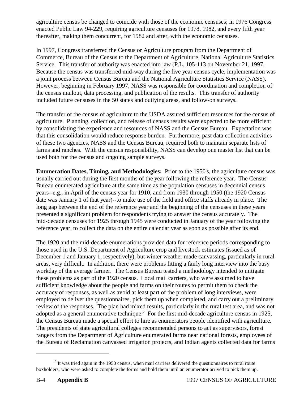agriculture census be changed to coincide with those of the economic censuses; in 1976 Congress enacted Public Law 94-229, requiring agriculture censuses for 1978, 1982, and every fifth year thereafter, making them concurrent, for 1982 and after, with the economic censuses.

In 1997, Congress transferred the Census or Agriculture program from the Department of Commerce, Bureau of the Census to the Department of Agriculture, National Agriculture Statistics Service. This transfer of authority was enacted into law (P.L. 105-113 on November 21, 1997. Because the census was transferred mid-way during the five year census cycle, implementation was a joint process between Census Bureau and the National Agriculture Statistics Service (NASS). However, beginning in February 1997, NASS was responsible for coordination and completion of the census mailout, data processing, and publication of the results. This transfer of authority included future censuses in the 50 states and outlying areas, and follow-on surveys.

The transfer of the census of agriculture to the USDA assured sufficient resources for the census of agriculture. Planning, collection, and release of census results were expected to be more efficient by consolidating the experience and resources of NASS and the Census Bureau. Expectation was that this consolidation would reduce response burden. Furthermore, past data collection activities of these two agencies, NASS and the Census Bureau, required both to maintain separate lists of farms and ranches. With the census responsibility, NASS can develop one master list that can be used both for the census and ongoing sample surveys.

**Enumeration Dates, Timing, and Methodologies:** Prior to the 1950's, the agriculture census was usually carried out during the first months of the year following the reference year. The Census Bureau enumerated agriculture at the same time as the population censuses in decennial census years--e.g., in April of the census year for 1910, and from 1930 through 1950 (the 1920 Census date was January 1 of that year)--to make use of the field and office staffs already in place. The long gap between the end of the reference year and the beginning of the censuses in these years presented a significant problem for respondents trying to answer the census accurately. The mid-decade censuses for 1925 through 1945 were conducted in January of the year following the reference year, to collect the data on the entire calendar year as soon as possible after its end.

The 1920 and the mid-decade enumerations provided data for reference periods corresponding to those used in the U.S. Department of Agriculture crop and livestock estimates (issued as of December 1 and January 1, respectively), but winter weather made canvassing, particularly in rural areas, very difficult. In addition, there were problems fitting a fairly long interview into the busy workday of the average farmer. The Census Bureau tested a methodology intended to mitigate these problems as part of the 1920 census. Local mail carriers, who were assumed to have sufficient knowledge about the people and farms on their routes to permit them to check the accuracy of responses, as well as avoid at least part of the problem of long interviews, were employed to deliver the questionnaires, pick them up when completed, and carry out a preliminary review of the responses. The plan had mixed results, particularly in the rural test area, and was not adopted as a general enumerative technique.<sup>2</sup> For the first mid-decade agriculture census in 1925, the Census Bureau made a special effort to hire as enumerators people identified with agriculture. The presidents of state agricultural colleges recommended persons to act as supervisors, forest rangers from the Department of Agriculture enumerated farms near national forests, employees of the Bureau of Reclamation canvassed irrigation projects, and Indian agents collected data for farms

 $2$  It was tried again in the 1950 census, when mail carriers delivered the questionnaires to rural route boxholders, who were asked to complete the forms and hold them until an enumerator arrived to pick them up.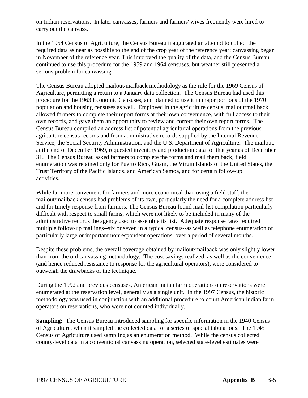on Indian reservations. In later canvasses, farmers and farmers' wives frequently were hired to carry out the canvass.

In the 1954 Census of Agriculture, the Census Bureau inaugurated an attempt to collect the required data as near as possible to the end of the crop year of the reference year; canvassing began in November of the reference year. This improved the quality of the data, and the Census Bureau continued to use this procedure for the 1959 and 1964 censuses, but weather still presented a serious problem for canvassing.

The Census Bureau adopted mailout/mailback methodology as the rule for the 1969 Census of Agriculture, permitting a return to a January data collection. The Census Bureau had used this procedure for the 1963 Economic Censuses, and planned to use it in major portions of the 1970 population and housing censuses as well. Employed in the agriculture census, mailout/mailback allowed farmers to complete their report forms at their own convenience, with full access to their own records, and gave them an opportunity to review and correct their own report forms. The Census Bureau compiled an address list of potential agricultural operations from the previous agriculture census records and from administrative records supplied by the Internal Revenue Service, the Social Security Administration, and the U.S. Department of Agriculture. The mailout, at the end of December 1969, requested inventory and production data for that year as of December 31. The Census Bureau asked farmers to complete the forms and mail them back; field enumeration was retained only for Puerto Rico, Guam, the Virgin Islands of the United States, the Trust Territory of the Pacific Islands, and American Samoa, and for certain follow-up activities.

While far more convenient for farmers and more economical than using a field staff, the mailout/mailback census had problems of its own, particularly the need for a complete address list and for timely response from farmers. The Census Bureau found mail-list compilation particularly difficult with respect to small farms, which were not likely to be included in many of the administrative records the agency used to assemble its list. Adequate response rates required multiple follow-up mailings--six or seven in a typical census--as well as telephone enumeration of particularly large or important nonrespondent operations, over a period of several months.

Despite these problems, the overall coverage obtained by mailout/mailback was only slightly lower than from the old canvassing methodology. The cost savings realized, as well as the convenience (and hence reduced resistance to response for the agricultural operators), were considered to outweigh the drawbacks of the technique.

During the 1992 and previous censuses, American Indian farm operations on reservations were enumerated at the reservation level, generally as a single unit. In the 1997 Census, the historic methodology was used in conjunction with an additional procedure to count American Indian farm operators on reservations, who were not counted individually.

**Sampling:** The Census Bureau introduced sampling for specific information in the 1940 Census of Agriculture, when it sampled the collected data for a series of special tabulations. The 1945 Census of Agriculture used sampling as an enumeration method. While the census collected county-level data in a conventional canvassing operation, selected state-level estimates were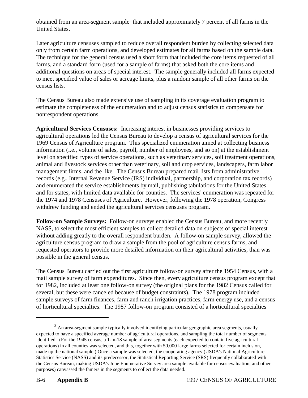obtained from an area-segment sample<sup>3</sup> that included approximately 7 percent of all farms in the United States.

Later agriculture censuses sampled to reduce overall respondent burden by collecting selected data only from certain farm operations, and developed estimates for all farms based on the sample data. The technique for the general census used a short form that included the core items requested of all farms, and a standard form (used for a sample of farms) that asked both the core items and additional questions on areas of special interest. The sample generally included all farms expected to meet specified value of sales or acreage limits, plus a random sample of all other farms on the census lists.

The Census Bureau also made extensive use of sampling in its coverage evaluation program to estimate the completeness of the enumeration and to adjust census statistics to compensate for nonrespondent operations.

**Agricultural Services Censuses:** Increasing interest in businesses providing services to agricultural operations led the Census Bureau to develop a census of agricultural services for the 1969 Census of Agriculture program. This specialized enumeration aimed at collecting business information (i.e., volume of sales, payroll, number of employees, and so on) at the establishment level on specified types of service operations, such as veterinary services, soil treatment operations, animal and livestock services other than veterinary, soil and crop services, landscapers, farm labor management firms, and the like. The Census Bureau prepared mail lists from administrative records (e.g., Internal Revenue Service (IRS) individual, partnership, and corporation tax records) and enumerated the service establishments by mail, publishing tabulations for the United States and for states, with limited data available for counties. The services' enumeration was repeated for the 1974 and 1978 Censuses of Agriculture. However, following the 1978 operation, Congress withdrew funding and ended the agricultural services censuses program.

**Follow-on Sample Surveys:** Follow-on surveys enabled the Census Bureau, and more recently NASS, to select the most efficient samples to collect detailed data on subjects of special interest without adding greatly to the overall respondent burden. A follow-on sample survey, allowed the agriculture census program to draw a sample from the pool of agriculture census farms, and requested operators to provide more detailed information on their agricultural activities, than was possible in the general census.

The Census Bureau carried out the first agriculture follow-on survey after the 1954 Census, with a mail sample survey of farm expenditures. Since then, every agriculture census program except that for 1982, included at least one follow-on survey (the original plans for the 1982 Census called for several, but these were canceled because of budget constraints). The 1978 program included sample surveys of farm finances, farm and ranch irrigation practices, farm energy use, and a census of horticultural specialties. The 1987 follow-on program consisted of a horticultural specialties

<sup>&</sup>lt;sup>3</sup> An area-segment sample typically involved identifying particular geographic area segments, usually expected to have a specified average number of agricultural operations, and sampling the total number of segments identified. (For the 1945 census, a 1-in-18 sample of area segments (each expected to contain five agricultural operations) in all counties was selected, and this, together with 50,000 large farms selected for certain inclusion, made up the national sample.) Once a sample was selected, the cooperating agency (USDA's National Agriculture Statistics Service (NASS) and its predecessor, the Statistical Reporting Service (SRS) frequently collaborated with the Census Bureau, making USDA's June Enumerative Survey area sample available for census evaluation, and other purposes) canvassed the famers in the segments to collect the data needed.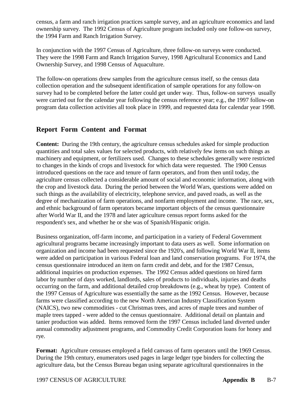census, a farm and ranch irrigation practices sample survey, and an agriculture economics and land ownership survey. The 1992 Census of Agriculture program included only one follow-on survey, the 1994 Farm and Ranch Irrigation Survey.

In conjunction with the 1997 Census of Agriculture, three follow-on surveys were conducted. They were the 1998 Farm and Ranch Irrigation Survey, 1998 Agricultural Economics and Land Ownership Survey, and 1998 Census of Aquaculture.

The follow-on operations drew samples from the agriculture census itself, so the census data collection operation and the subsequent identification of sample operations for any follow-on survey had to be completed before the latter could get under way. Thus, follow-on surveys usually were carried out for the calendar year following the census reference year; e.g., the 1997 follow-on program data collection activities all took place in 1999, and requested data for calendar year 1998.

# **Report Form Content and Format**

**Content:** During the 19th century, the agriculture census schedules asked for simple production quantities and total sales values for selected products, with relatively few items on such things as machinery and equipment, or fertilizers used. Changes to these schedules generally were restricted to changes in the kinds of crops and livestock for which data were requested. The 1900 Census introduced questions on the race and tenure of farm operators, and from then until today, the agriculture census collected a considerable amount of social and economic information, along with the crop and livestock data. During the period between the World Wars, questions were added on such things as the availability of electricity, telephone service, and paved roads, as well as the degree of mechanization of farm operations, and nonfarm employment and income. The race, sex, and ethnic background of farm operators became important objects of the census questionnaire after World War II, and the 1978 and later agriculture census report forms asked for the respondent's sex, and whether he or she was of Spanish/Hispanic origin.

Business organization, off-farm income, and participation in a variety of Federal Government agricultural programs became increasingly important to data users as well. Some information on organization and income had been requested since the 1920's, and following World War II, items were added on participation in various Federal loan and land conservation programs. For 1974, the census questionnaire introduced an item on farm credit and debt, and for the 1987 Census, additional inquiries on production expenses. The 1992 Census added questions on hired farm labor by number of days worked, landlords, sales of products to individuals, injuries and deaths occurring on the farm, and additional detailed crop breakdowns (e.g., wheat by type). Content of the 1997 Census of Agriculture was essentially the same as the 1992 Census. However, because farms were classified according to the new North American Industry Classification System (NAICS), two new commodities - cut Christmas trees, and acres of maple trees and number of maple trees tapped - were added to the census questionnaire. Additional detail on plantain and tanier production was added. Items removed form the 1997 Census included land diverted under annual commodity adjustment programs, and Commodity Credit Corporation loans for honey and rye.

**Format:** Agriculture censuses employed a field canvass of farm operators until the 1969 Census. During the 19th century, enumerators used pages in large ledger type binders for collecting the agriculture data, but the Census Bureau began using separate agricultural questionnaires in the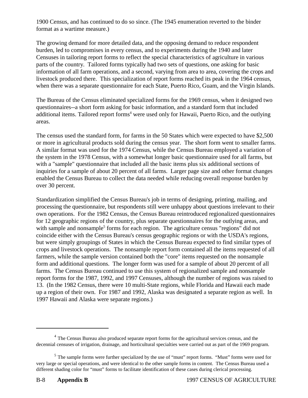1900 Census, and has continued to do so since. (The 1945 enumeration reverted to the binder format as a wartime measure.)

The growing demand for more detailed data, and the opposing demand to reduce respondent burden, led to compromises in every census, and to experiments during the 1940 and later Censuses in tailoring report forms to reflect the special characteristics of agriculture in various parts of the country. Tailored forms typically had two sets of questions, one asking for basic information of all farm operations, and a second, varying from area to area, covering the crops and livestock produced there. This specialization of report forms reached its peak in the 1964 census, when there was a separate questionnaire for each State, Puerto Rico, Guam, and the Virgin Islands.

The Bureau of the Census eliminated specialized forms for the 1969 census, when it designed two questionnaires--a short form asking for basic information, and a standard form that included additional items. Tailored report forms<sup>4</sup> were used only for Hawaii, Puerto Rico, and the outlying areas.

The census used the standard form, for farms in the 50 States which were expected to have \$2,500 or more in agricultural products sold during the census year. The short form went to smaller farms. A similar format was used for the 1974 Census, while the Census Bureau employed a variation of the system in the 1978 Census, with a somewhat longer basic questionnaire used for all farms, but with a "sample" questionnaire that included all the basic items plus six additional sections of inquiries for a sample of about 20 percent of all farms. Larger page size and other format changes enabled the Census Bureau to collect the data needed while reducing overall response burden by over 30 percent.

Standardization simplified the Census Bureau's job in terms of designing, printing, mailing, and processing the questionnaire, but respondents still were unhappy about questions irrelevant to their own operations. For the 1982 Census, the Census Bureau reintroduced regionalized questionnaires for 12 geographic regions of the country, plus separate questionnaires for the outlying areas, and with sample and nonsample<sup>5</sup> forms for each region. The agriculture census "regions" did not coincide either with the Census Bureau's census geographic regions or with the USDA's regions, but were simply groupings of States in which the Census Bureau expected to find similar types of crops and livestock operations. The nonsample report form contained all the items requested of all farmers, while the sample version contained both the "core" items requested on the nonsample form and additional questions. The longer form was used for a sample of about 20 percent of all farms. The Census Bureau continued to use this system of regionalized sample and nonsample report forms for the 1987, 1992, and 1997 Censuses, although the number of regions was raised to 13. (In the 1982 Census, there were 10 multi-State regions, while Florida and Hawaii each made up a region of their own. For 1987 and 1992, Alaska was designated a separate region as well. In 1997 Hawaii and Alaska were separate regions.)

<sup>&</sup>lt;sup>4</sup> The Census Bureau also produced separate report forms for the agricultural services census, and the decennial censuses of irrigation, drainage, and horticultural specialties were carried out as part of the 1969 program.

<sup>&</sup>lt;sup>5</sup> The sample forms were further specialized by the use of "must" report forms. "Must" forms were used for very large or special operations, and were identical to the other sample forms in content. The Census Bureau used a different shading color for "must" forms to facilitate identification of these cases during clerical processing.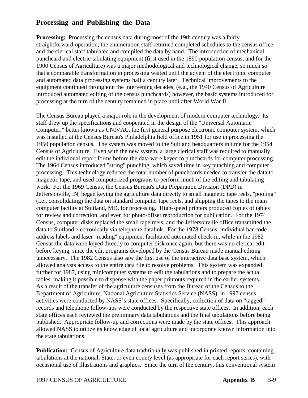# **Processing and Publishing the Data**

**Processing:** Processing the census data during most of the 19th century was a fairly straightforward operation; the enumeration staff returned completed schedules to the census office and the clerical staff tabulated and compiled the data by hand. The introduction of mechanical punchcard and electric tabulating equipment (first used in the 1890 population census, and for the 1900 Census of Agriculture) was a major methodological and technological change, so much so that a comparable transformation in processing waited until the advent of the electronic computer and automated data processing systems half a century later. Technical improvements to the equipment continued throughout the intervening decades, (e.g., the 1940 Census of Agriculture introduced automated editing of the census punchcards) however, the basic systems introduced for processing at the turn of the century remained in place until after World War II.

The Census Bureau played a major role in the development of modern computer technology. Its staff drew up the specifications and cooperated in the design of the "Universal Automatic Computer," better known as UNIVAC, the first general purpose electronic computer system, which was installed at the Census Bureau's Philadelphia field office in 1951 for use in processing the 1950 population census. The system was moved to the Suitland headquarters in time for the 1954 Census of Agriculture. Even with the new system, a large clerical staff was required to manually edit the individual report forms before the data were keyed to punchcards for computer processing. The 1964 Census introduced "string" punching, which saved time in key punching and computer processing. This technology reduced the total number of punchcards needed to transfer the data to magnetic tape, and used computerized programs to perform much of the editing and tabulating work. For the 1969 Census, the Census Bureau's Data Preparation Division (DPD) in Jeffersonville, IN, began keying the agriculture data directly to small magnetic tape reels, "pooling" (i.e., consolidating) the data on standard computer tape reels, and shipping the tapes to the main computer facility at Suitland, MD, for processing. High-speed printers produced copies of tables for review and correction, and even for photo-offset reproduction for publication. For the 1974 Census, computer disks replaced the small tape reels, and the Jeffersonville office transmitted the data to Suitland electronically via telephone datalink. For the 1978 Census, individual bar code address labels and laser "reading" equipment facilitated automated check-in, while in the 1982 Census the data were keyed directly to computer disk once again, but there was no clerical edit before keying, since the edit programs developed by the Census Bureau made manual editing unnecessary. The 1982 Census also saw the first use of the interactive data base system, which allowed analysts access to the entire data file to resolve problems. This system was expanded further for 1987, using minicomputer systems to edit the tabulations and to prepare the actual tables, making it possible to dispense with the paper printouts required in the earlier systems. As a result of the transfer of the agriculture censuses from the Bureau of the Census to the Department of Agriculture, National Agriculture Statistics Service (NASS), in 1997 census activities were conducted by NASS's state offices. Specifically, collection of data on "tagged" records and telephone follow-ups were conducted by the respective state offices. In addition, each state offices each reviewed the preliminary data tabulations and the final tabulations before being published. Appropriate follow-up and corrections were made by the state offices. This approach allowed NASS to utilize its knowledge of local agriculture and incorporate known information into the state tabulations.

**Publication:** Census of Agriculture data traditionally was published in printed reports, containing tabulations at the national, State, or even county level (as appropriate for each report series), with occasional use of illustrations and graphics. Since the turn of the century, this conventional system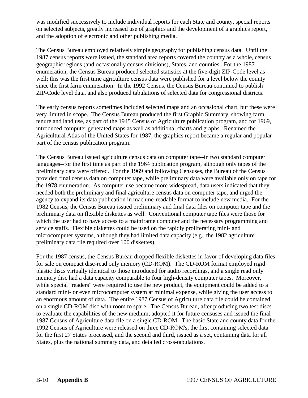was modified successively to include individual reports for each State and county, special reports on selected subjects, greatly increased use of graphics and the development of a graphics report, and the adoption of electronic and other publishing media.

The Census Bureau employed relatively simple geography for publishing census data. Until the 1987 census reports were issued, the standard area reports covered the country as a whole, census geographic regions (and occasionally census divisions), States, and counties. For the 1987 enumeration, the Census Bureau produced selected statistics at the five-digit ZIP-Code level as well; this was the first time agriculture census data were published for a level below the county since the first farm enumeration. In the 1992 Census, the Census Bureau continued to publish ZIP-Code level data, and also produced tabulations of selected data for congressional districts.

The early census reports sometimes included selected maps and an occasional chart, but these were very limited in scope. The Census Bureau produced the first Graphic Summary, showing farm tenure and land use, as part of the 1945 Census of Agriculture publication program, and for 1969, introduced computer generated maps as well as additional charts and graphs. Renamed the Agricultural Atlas of the United States for 1987, the graphics report became a regular and popular part of the census publication program.

The Census Bureau issued agriculture census data on computer tape--in two standard computer languages--for the first time as part of the 1964 publication program, although only tapes of the preliminary data were offered. For the 1969 and following Censuses, the Bureau of the Census provided final census data on computer tape, while preliminary data were available only on tape for the 1978 enumeration. As computer use became more widespread, data users indicated that they needed both the preliminary and final agriculture census data on computer tape, and urged the agency to expand its data publication in machine-readable format to include new media. For the 1982 Census, the Census Bureau issued preliminary and final data files on computer tape and the preliminary data on flexible diskettes as well. Conventional computer tape files were those for which the user had to have access to a mainframe computer and the necessary programming and service staffs. Flexible diskettes could be used on the rapidly proliferating mini- and microcomputer systems, although they had limited data capacity (e.g., the 1982 agriculture preliminary data file required over 100 diskettes).

For the 1987 census, the Census Bureau dropped flexible diskettes in favor of developing data files for sale on compact disc-read only memory (CD-ROM). The CD-ROM format employed rigid plastic discs virtually identical to those introduced for audio recordings, and a single read only memory disc had a data capacity comparable to four high-density computer tapes. Moreover, while special "readers" were required to use the new product, the equipment could be added to a standard mini- or even microcomputer system at minimal expense, while giving the user access to an enormous amount of data. The entire 1987 Census of Agriculture data file could be contained on a single CD-ROM disc with room to spare. The Census Bureau, after producing two test discs to evaluate the capabilities of the new medium, adopted it for future censuses and issued the final 1987 Census of Agriculture data file on a single CD-ROM. The basic State and county data for the 1992 Census of Agriculture were released on three CD-ROM's, the first containing selected data for the first 27 States processed, and the second and third, issued as a set, containing data for all States, plus the national summary data, and detailed cross-tabulations.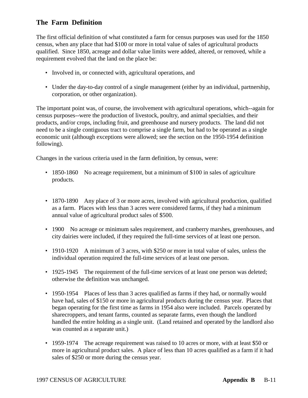# **The Farm Definition**

The first official definition of what constituted a farm for census purposes was used for the 1850 census, when any place that had \$100 or more in total value of sales of agricultural products qualified. Since 1850, acreage and dollar value limits were added, altered, or removed, while a requirement evolved that the land on the place be:

- Involved in, or connected with, agricultural operations, and
- Under the day-to-day control of a single management (either by an individual, partnership, corporation, or other organization).

The important point was, of course, the involvement with agricultural operations, which--again for census purposes--were the production of livestock, poultry, and animal specialties, and their products, and/or crops, including fruit, and greenhouse and nursery products. The land did not need to be a single contiguous tract to comprise a single farm, but had to be operated as a single economic unit (although exceptions were allowed; see the section on the 1950-1954 definition following).

Changes in the various criteria used in the farm definition, by census, were:

- 1850-1860 No acreage requirement, but a minimum of \$100 in sales of agriculture products.
- 1870-1890 Any place of 3 or more acres, involved with agricultural production, qualified as a farm. Places with less than 3 acres were considered farms, if they had a minimum annual value of agricultural product sales of \$500.
- 1900 No acreage or minimum sales requirement, and cranberry marshes, greenhouses, and city dairies were included, if they required the full-time services of at least one person.
- 1910-1920 A minimum of 3 acres, with \$250 or more in total value of sales, unless the individual operation required the full-time services of at least one person.
- 1925-1945 The requirement of the full-time services of at least one person was deleted; otherwise the definition was unchanged.
- 1950-1954 Places of less than 3 acres qualified as farms if they had, or normally would have had, sales of \$150 or more in agricultural products during the census year. Places that began operating for the first time as farms in 1954 also were included. Parcels operated by sharecroppers, and tenant farms, counted as separate farms, even though the landlord handled the entire holding as a single unit. (Land retained and operated by the landlord also was counted as a separate unit.)
- 1959-1974 The acreage requirement was raised to 10 acres or more, with at least \$50 or more in agricultural product sales. A place of less than 10 acres qualified as a farm if it had sales of \$250 or more during the census year.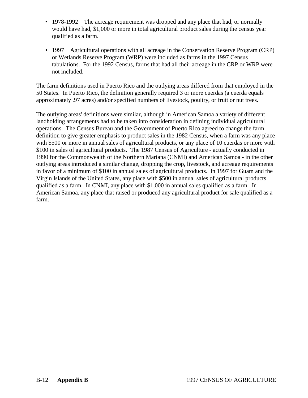- 1978-1992 The acreage requirement was dropped and any place that had, or normally would have had, \$1,000 or more in total agricultural product sales during the census year qualified as a farm.
- 1997 Agricultural operations with all acreage in the Conservation Reserve Program (CRP) or Wetlands Reserve Program (WRP) were included as farms in the 1997 Census tabulations. For the 1992 Census, farms that had all their acreage in the CRP or WRP were not included.

The farm definitions used in Puerto Rico and the outlying areas differed from that employed in the 50 States. In Puerto Rico, the definition generally required 3 or more cuerdas (a cuerda equals approximately .97 acres) and/or specified numbers of livestock, poultry, or fruit or nut trees.

The outlying areas' definitions were similar, although in American Samoa a variety of different landholding arrangements had to be taken into consideration in defining individual agricultural operations. The Census Bureau and the Government of Puerto Rico agreed to change the farm definition to give greater emphasis to product sales in the 1982 Census, when a farm was any place with \$500 or more in annual sales of agricultural products, or any place of 10 cuerdas or more with \$100 in sales of agricultural products. The 1987 Census of Agriculture - actually conducted in 1990 for the Commonwealth of the Northern Mariana (CNMI) and American Samoa - in the other outlying areas introduced a similar change, dropping the crop, livestock, and acreage requirements in favor of a minimum of \$100 in annual sales of agricultural products. In 1997 for Guam and the Virgin Islands of the United States, any place with \$500 in annual sales of agricultural products qualified as a farm. In CNMI, any place with \$1,000 in annual sales qualified as a farm. In American Samoa, any place that raised or produced any agricultural product for sale qualified as a farm.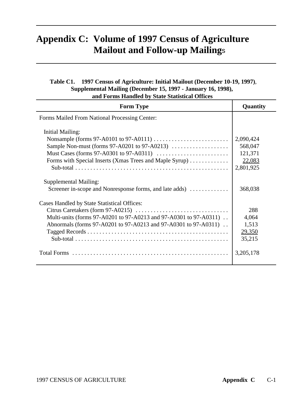# **Appendix C: Volume of 1997 Census of Agriculture Mailout and Follow-up Mailing**s

### **Table C1. 1997 Census of Agriculture: Initial Mailout (December 10-19, 1997)**, **Supplemental Mailing (December 15, 1997 - January 16, 1998), and Forms Handled by State Statistical Offices**

| <b>Form Type</b>                                                                 | Quantity  |
|----------------------------------------------------------------------------------|-----------|
| Forms Mailed From National Processing Center:                                    |           |
|                                                                                  |           |
| Initial Mailing:                                                                 |           |
|                                                                                  | 2,090,424 |
|                                                                                  | 568,047   |
|                                                                                  | 121,371   |
| Forms with Special Inserts (Xmas Trees and Maple Syrup)                          | 22,083    |
|                                                                                  | 2,801,925 |
| Supplemental Mailing:<br>Screener in-scope and Nonresponse forms, and late adds) | 368,038   |
| Cases Handled by State Statistical Offices:                                      |           |
|                                                                                  | 288       |
| Multi-units (forms 97-A0201 to 97-A0213 and 97-A0301 to 97-A0311)                | 4,064     |
| Abnormals (forms 97-A0201 to 97-A0213 and 97-A0301 to 97-A0311)                  | 1,513     |
|                                                                                  | 29,350    |
|                                                                                  | 35,215    |
|                                                                                  | 3,205,178 |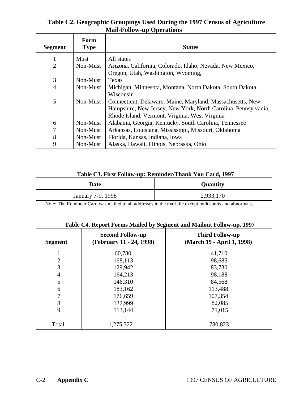# **Table C2. Geographic Groupings Used During the 1997 Census of Agriculture Mail-Follow-up Operations**

| Segment        | Form<br><b>Type</b> | <b>States</b>                                                  |
|----------------|---------------------|----------------------------------------------------------------|
| 1              | Must                | All states                                                     |
| $\overline{2}$ | Non-Must            | Arizona, California, Colorado, Idaho, Nevada, New Mexico,      |
|                |                     | Oregon, Utah, Washington, Wyoming,                             |
| 3              | Non-Must            | Texas                                                          |
| $\overline{4}$ | Non-Must            | Michigan, Minnesota, Montana, North Dakota, South Dakota,      |
|                |                     | Wisconsin                                                      |
| 5              | Non-Must            | Connecticut, Delaware, Maine, Maryland, Massachusetts, New     |
|                |                     | Hampshire, New Jersey, New York, North Carolina, Pennsylvania, |
|                |                     | Rhode Island, Vermont, Virginia, West Virginia                 |
| 6              | Non-Must            | Alabama, Georgia, Kentucky, South Carolina, Tennessee          |
| 7              | Non-Must            | Arkansas, Louisiana, Mississippi, Missouri, Oklahoma           |
| 8              | Non-Must            | Florida, Kansas, Indiana, Iowa                                 |
| 9              | Non-Must            | Alaska, Hawaii, Illinois, Nebraska, Ohio                       |

#### **Table C3. First Follow-up: Reminder/Thank You Card, 1997**

| 2,933,170<br>January 7-9, 1998 |  |
|--------------------------------|--|

Note: The Reminder Card was mailed to all addresses in the mail file except multi-units and abnormals.

| <b>Segment</b> | <b>Second Follow-up</b><br>(February 11 - 24, 1998) | <b>Third Follow-up</b><br>(March 19 - April 1, 1998) |
|----------------|-----------------------------------------------------|------------------------------------------------------|
|                | 60,780                                              | 41,710                                               |
| $\overline{2}$ | 168,113                                             | 98,685                                               |
| 3              | 129,942                                             | 83,730                                               |
| 4              | 164,213                                             | 98,188                                               |
| 5              | 146,310                                             | 84,568                                               |
| 6              | 183,162                                             | 113,488                                              |
| 7              | 176,659                                             | 107,354                                              |
| 8              | 132,999                                             | 82,085                                               |
| 9              | 113,144                                             | 71,015                                               |
|                |                                                     |                                                      |
| Total          | 1,275,322                                           | 780,823                                              |

#### **Table C4. Report Forms Mailed by Segment and Mailout Follow-up, 1997**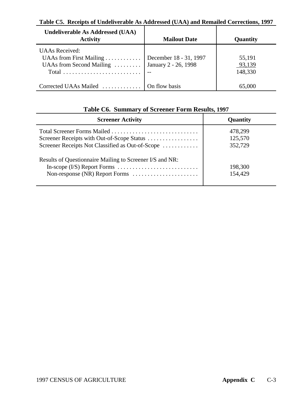|  | Table C5. Receipts of Undeliverable As Addressed (UAA) and Remailed Corrections, 1997 |  |  |  |
|--|---------------------------------------------------------------------------------------|--|--|--|
|--|---------------------------------------------------------------------------------------|--|--|--|

| Undeliverable As Addressed (UAA)<br><b>Activity</b>                                                                         | <b>Mailout Date</b> | Quantity                    |
|-----------------------------------------------------------------------------------------------------------------------------|---------------------|-----------------------------|
| <b>UAAs Received:</b><br>UAAs from First Mailing   December 18 - 31, 1997<br>UAAs from Second Mailing  January 2 - 26, 1998 |                     | 55,191<br>93,139<br>148,330 |
| Corrected UAAs Mailed  On flow basis                                                                                        |                     | 65,000                      |

| <b>Screener Activity</b>                                 | Quantity |
|----------------------------------------------------------|----------|
|                                                          | 478,299  |
| Screener Receipts with Out-of-Scope Status               | 125,570  |
| Screener Receipts Not Classified as Out-of-Scope         | 352,729  |
| Results of Questionnaire Mailing to Screener I/S and NR: |          |
|                                                          | 198,300  |
|                                                          | 154,429  |
|                                                          |          |

## **Table C6. Summary of Screener Form Results, 1997**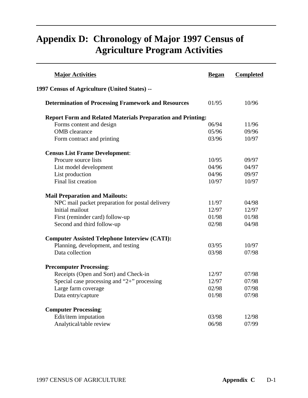# **Appendix D: Chronology of Major 1997 Census of Agriculture Program Activities**

| <b>Major Activities</b>                                            | <b>Began</b> | <b>Completed</b> |
|--------------------------------------------------------------------|--------------|------------------|
| 1997 Census of Agriculture (United States) --                      |              |                  |
| <b>Determination of Processing Framework and Resources</b>         | 01/95        | 10/96            |
| <b>Report Form and Related Materials Preparation and Printing:</b> |              |                  |
| Forms content and design                                           | 06/94        | 11/96            |
| <b>OMB</b> clearance                                               | 05/96        | 09/96            |
| Form contract and printing                                         | 03/96        | 10/97            |
| <b>Census List Frame Development:</b>                              |              |                  |
| Procure source lists                                               | 10/95        | 09/97            |
| List model development                                             | 04/96        | 04/97            |
| List production                                                    | 04/96        | 09/97            |
| Final list creation                                                | 10/97        | 10/97            |
| <b>Mail Preparation and Mailouts:</b>                              |              |                  |
| NPC mail packet preparation for postal delivery                    | 11/97        | 04/98            |
| Initial mailout                                                    | 12/97        | 12/97            |
| First (reminder card) follow-up                                    | 01/98        | 01/98            |
| Second and third follow-up                                         | 02/98        | 04/98            |
| <b>Computer Assisted Telephone Interview (CATI):</b>               |              |                  |
| Planning, development, and testing                                 | 03/95        | 10/97            |
| Data collection                                                    | 03/98        | 07/98            |
| <b>Precomputer Processing:</b>                                     |              |                  |
| Receipts (Open and Sort) and Check-in                              | 12/97        | 07/98            |
| Special case processing and "2+" processing                        | 12/97        | 07/98            |
| Large farm coverage                                                | 02/98        | 07/98            |
| Data entry/capture                                                 | 01/98        | 07/98            |
| <b>Computer Processing:</b>                                        |              |                  |
| Edit/item imputation                                               | 03/98        | 12/98            |
| Analytical/table review                                            | 06/98        | 07/99            |
|                                                                    |              |                  |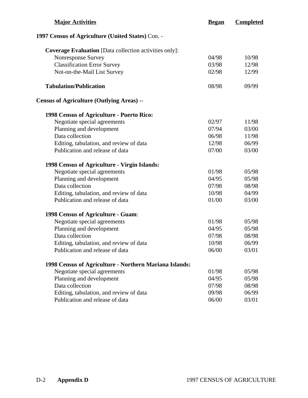| <b>Major Activities</b>                                       | <b>Began</b> | <b>Completed</b> |
|---------------------------------------------------------------|--------------|------------------|
| 1997 Census of Agriculture (United States) Con. -             |              |                  |
| <b>Coverage Evaluation</b> [Data collection activities only]: |              |                  |
| Nonresponse Survey                                            | 04/98        | 10/98            |
| <b>Classification Error Survey</b>                            | 03/98        | 12/98            |
| Not-on-the-Mail List Survey                                   | 02/98        | 12/99            |
| <b>Tabulation/Publication</b>                                 | 08/98        | 09/99            |
| <b>Census of Agriculture (Outlying Areas)</b> --              |              |                  |
| <b>1998 Census of Agriculture - Puerto Rico:</b>              |              |                  |
| Negotiate special agreements                                  | 02/97        | 11/98            |
| Planning and development                                      | 07/94        | 03/00            |
| Data collection                                               | 06/98        | 11/98            |
| Editing, tabulation, and review of data                       | 12/98        | 06/99            |
| Publication and release of data                               | 07/00        | 03/00            |
| 1998 Census of Agriculture - Virgin Islands:                  |              |                  |
| Negotiate special agreements                                  | 01/98        | 05/98            |
| Planning and development                                      | 04/95        | 05/98            |
| Data collection                                               | 07/98        | 08/98            |
| Editing, tabulation, and review of data                       | 10/98        | 04/99            |
| Publication and release of data                               | 01/00        | 03/00            |
| 1998 Census of Agriculture - Guam:                            |              |                  |
| Negotiate special agreements                                  | 01/98        | 05/98            |
| Planning and development                                      | 04/95        | 05/98            |
| Data collection                                               | 07/98        | 08/98            |
| Editing, tabulation, and review of data                       | 10/98        | 06/99            |
| Publication and release of data                               | 06/00        | 03/01            |
| 1998 Census of Agriculture - Northern Mariana Islands:        |              |                  |
| Negotiate special agreements                                  | 01/98        | 05/98            |
| Planning and development                                      | 04/95        | 05/98            |
| Data collection                                               | 07/98        | 08/98            |
| Editing, tabulation, and review of data                       | 09/98        | 06/99            |
| Publication and release of data                               | 06/00        | 03/01            |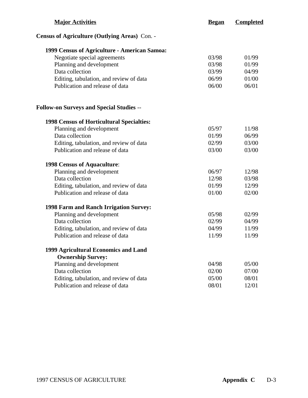| <b>Major Activities</b>                          | <b>Began</b> | <b>Completed</b> |
|--------------------------------------------------|--------------|------------------|
| Census of Agriculture (Outlying Areas) Con. -    |              |                  |
| 1999 Census of Agriculture - American Samoa:     |              |                  |
| Negotiate special agreements                     | 03/98        | 01/99            |
| Planning and development                         | 03/98        | 01/99            |
| Data collection                                  | 03/99        | 04/99            |
| Editing, tabulation, and review of data          | 06/99        | 01/00            |
| Publication and release of data                  | 06/00        | 06/01            |
| <b>Follow-on Surveys and Special Studies --</b>  |              |                  |
| <b>1998 Census of Horticultural Specialties:</b> |              |                  |
| Planning and development                         | 05/97        | 11/98            |
| Data collection                                  | 01/99        | 06/99            |
| Editing, tabulation, and review of data          | 02/99        | 03/00            |
| Publication and release of data                  | 03/00        | 03/00            |
| <b>1998 Census of Aquaculture:</b>               |              |                  |
| Planning and development                         | 06/97        | 12/98            |
| Data collection                                  | 12/98        | 03/98            |
| Editing, tabulation, and review of data          | 01/99        | 12/99            |
| Publication and release of data                  | 01/00        | 02/00            |
| <b>1998 Farm and Ranch Irrigation Survey:</b>    |              |                  |
| Planning and development                         | 05/98        | 02/99            |
| Data collection                                  | 02/99        | 04/99            |
| Editing, tabulation, and review of data          | 04/99        | 11/99            |
| Publication and release of data                  | 11/99        | 11/99            |
| 1999 Agricultural Economics and Land             |              |                  |
| <b>Ownership Survey:</b>                         |              |                  |
| Planning and development                         | 04/98        | 05/00            |
| Data collection                                  | 02/00        | 07/00            |
| Editing, tabulation, and review of data          | 05/00        | 08/01            |
| Publication and release of data                  | 08/01        | 12/01            |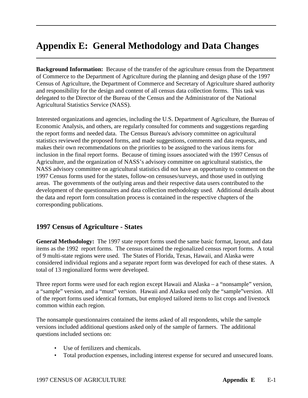# **Appendix E: General Methodology and Data Changes**

**Background Information:** Because of the transfer of the agriculture census from the Department of Commerce to the Department of Agriculture during the planning and design phase of the 1997 Census of Agriculture, the Department of Commerce and Secretary of Agriculture shared authority and responsibility for the design and content of all census data collection forms. This task was delegated to the Director of the Bureau of the Census and the Administrator of the National Agricultural Statistics Service (NASS).

Interested organizations and agencies, including the U.S. Department of Agriculture, the Bureau of Economic Analysis, and others, are regularly consulted for comments and suggestions regarding the report forms and needed data. The Census Bureau's advisory committee on agricultural statistics reviewed the proposed forms, and made suggestions, comments and data requests, and makes their own recommendations on the priorities to be assigned to the various items for inclusion in the final report forms. Because of timing issues associated with the 1997 Census of Agriculture, and the organization of NASS's advisory committee on agricultural statistics, the NASS advisory committee on agricultural statistics did not have an opportunity to comment on the 1997 Census forms used for the states, follow-on censuses/surveys, and those used in outlying areas. The governments of the outlying areas and their respective data users contributed to the development of the questionnaires and data collection methodology used. Additional details about the data and report form consultation process is contained in the respective chapters of the corresponding publications.

## **1997 Census of Agriculture - States**

**General Methodology:** The 1997 state report forms used the same basic format, layout, and data items as the 1992 report forms. The census retained the regionalized census report forms. A total of 9 multi-state regions were used. The States of Florida, Texas, Hawaii, and Alaska were considered individual regions and a separate report form was developed for each of these states. A total of 13 regionalized forms were developed.

Three report forms were used for each region except Hawaii and Alaska – a "nonsample" version, a "sample" version, and a "must" version. Hawaii and Alaska used only the "sample"version. All of the report forms used identical formats, but employed tailored items to list crops and livestock common within each region.

The nonsample questionnaires contained the items asked of all respondents, while the sample versions included additional questions asked only of the sample of farmers. The additional questions included sections on:

- Use of fertilizers and chemicals.
- Total production expenses, including interest expense for secured and unsecured loans.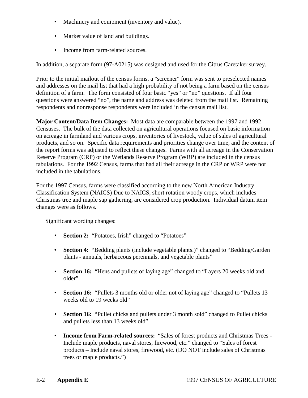- Machinery and equipment (inventory and value).
- Market value of land and buildings.
- Income from farm-related sources.

In addition, a separate form (97-A0215) was designed and used for the Citrus Caretaker survey.

Prior to the initial mailout of the census forms, a "screener" form was sent to preselected names and addresses on the mail list that had a high probability of not being a farm based on the census definition of a farm. The form consisted of four basic "yes" or "no" questions. If all four questions were answered "no", the name and address was deleted from the mail list. Remaining respondents and nonresponse respondents were included in the census mail list.

**Major Content/Data Item Changes:** Most data are comparable between the 1997 and 1992 Censuses. The bulk of the data collected on agricultural operations focused on basic information on acreage in farmland and various crops, inventories of livestock, value of sales of agricultural products, and so on. Specific data requirements and priorities change over time, and the content of the report forms was adjusted to reflect these changes. Farms with all acreage in the Conservation Reserve Program (CRP) or the Wetlands Reserve Program (WRP) are included in the census tabulations. For the 1992 Census, farms that had all their acreage in the CRP or WRP were not included in the tabulations.

For the 1997 Census, farms were classified according to the new North American Industry Classification System (NAICS) Due to NAICS, short rotation woody crops, which includes Christmas tree and maple sap gathering, are considered crop production. Individual datum item changes were as follows.

Significant wording changes:

- **Section 2:** "Potatoes, Irish" changed to "Potatoes"
- **• Section 4:** "Bedding plants (include vegetable plants.)" changed to "Bedding/Garden plants - annuals, herbaceous perennials, and vegetable plants"
- **Section 16:** "Hens and pullets of laying age" changed to "Layers 20 weeks old and older"
- **Section 16:** "Pullets 3 months old or older not of laying age" changed to "Pullets 13 weeks old to 19 weeks old"
- **Section 16:** "Pullet chicks and pullets under 3 month sold" changed to Pullet chicks and pullets less than 13 weeks old"
- **Income from Farm-related sources:** "Sales of forest products and Christmas Trees Include maple products, naval stores, firewood, etc." changed to "Sales of forest products – Include naval stores, firewood, etc. (DO NOT include sales of Christmas trees or maple products.")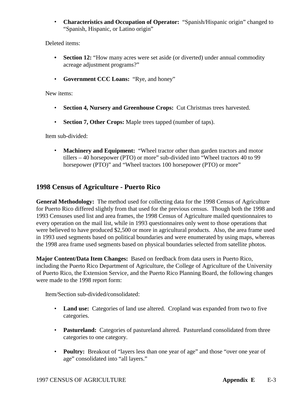• **Characteristics and Occupation of Operator:** "Spanish/Hispanic origin" changed to "Spanish, Hispanic, or Latino origin"

Deleted items:

- **• Section 12:** "How many acres were set aside (or diverted) under annual commodity acreage adjustment programs?"
- **Government CCC Loans:** "Rye, and honey"

New items:

- **Section 4, Nursery and Greenhouse Crops:** Cut Christmas trees harvested.
- **Section 7, Other Crops:** Maple trees tapped (number of taps).

Item sub-divided:

• **Machinery and Equipment:** "Wheel tractor other than garden tractors and motor tillers – 40 horsepower (PTO) or more" sub-divided into "Wheel tractors 40 to 99 horsepower (PTO)" and "Wheel tractors 100 horsepower (PTO) or more"

## **1998 Census of Agriculture - Puerto Rico**

**General Methodology:** The method used for collecting data for the 1998 Census of Agriculture for Puerto Rico differed slightly from that used for the previous census. Though both the 1998 and 1993 Censuses used list and area frames, the 1998 Census of Agriculture mailed questionnaires to every operation on the mail list, while in 1993 questionnaires only went to those operations that were believed to have produced \$2,500 or more in agricultural products. Also, the area frame used in 1993 used segments based on political boundaries and were enumerated by using maps, whereas the 1998 area frame used segments based on physical boundaries selected from satellite photos.

**Major Content/Data Item Changes:** Based on feedback from data users in Puerto Rico, including the Puerto Rico Department of Agriculture, the College of Agriculture of the University of Puerto Rico, the Extension Service, and the Puerto Rico Planning Board, the following changes were made to the 1998 report form:

Item/Section sub-divided/consolidated:

- **Land use:** Categories of land use altered. Cropland was expanded from two to five categories.
- **Pastureland:** Categories of pastureland altered. Pastureland consolidated from three categories to one category.
- **Poultry:** Breakout of "layers less than one year of age" and those "over one year of age" consolidated into "all layers."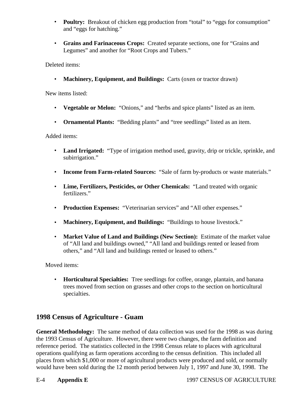- **Poultry:** Breakout of chicken egg production from "total" to "eggs for consumption" and "eggs for hatching."
- **Grains and Farinaceous Crops:** Created separate sections, one for "Grains and Legumes" and another for "Root Crops and Tubers."

Deleted items:

• **Machinery, Equipment, and Buildings:** Carts (oxen or tractor drawn)

New items listed:

- **Vegetable or Melon:** "Onions," and "herbs and spice plants" listed as an item.
- **Ornamental Plants:** "Bedding plants" and "tree seedlings" listed as an item.

Added items:

- **Land Irrigated:** "Type of irrigation method used, gravity, drip or trickle, sprinkle, and subirrigation."
- **Income from Farm-related Sources:** "Sale of farm by-products or waste materials."
- **Lime, Fertilizers, Pesticides, or Other Chemicals:** "Land treated with organic fertilizers."
- **Production Expenses:** "Veterinarian services" and "All other expenses."
- **Machinery, Equipment, and Buildings:** "Buildings to house livestock."
- **Market Value of Land and Buildings (New Section):** Estimate of the market value of "All land and buildings owned," "All land and buildings rented or leased from others," and "All land and buildings rented or leased to others."

Moved items:

• **Horticultural Specialties:** Tree seedlings for coffee, orange, plantain, and banana trees moved from section on grasses and other crops to the section on horticultural specialties.

## **1998 Census of Agriculture - Guam**

**General Methodology:** The same method of data collection was used for the 1998 as was during the 1993 Census of Agriculture. However, there were two changes, the farm definition and reference period. The statistics collected in the 1998 Census relate to places with agricultural operations qualifying as farm operations according to the census definition. This included all places from which \$1,000 or more of agricultural products were produced and sold, or normally would have been sold during the 12 month period between July 1, 1997 and June 30, 1998. The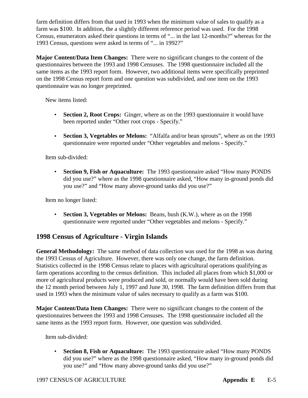farm definition differs from that used in 1993 when the minimum value of sales to qualify as a farm was \$100. In addition, the a slightly different reference period was used. For the 1998 Census, enumerators asked their questions in terms of "... in the last 12-months?" whereas for the 1993 Census, questions were asked in terms of "... in 1992?"

**Major Content/Data Item Changes:** There were no significant changes to the content of the questionnaires between the 1993 and 1998 Censuses. The 1998 questionnaire included all the same items as the 1993 report form. However, two additional items were specifically preprinted on the 1998 Census report form and one question was subdivided, and one item on the 1993 questionnaire was no longer preprinted.

New items listed:

- **Section 2, Root Crops:** Ginger, where as on the 1993 questionnaire it would have been reported under "Other root crops - Specify."
- **Section 3, Vegetables or Melons:** "Alfalfa and/or bean sprouts", where as on the 1993 questionnaire were reported under "Other vegetables and melons - Specify."

Item sub-divided:

• **Section 9, Fish or Aquaculture:** The 1993 questionnaire asked "How many PONDS did you use?" where as the 1998 questionnaire asked, "How many in-ground ponds did you use?" and "How many above-ground tanks did you use?"

Item no longer listed:

• **Section 3, Vegetables or Melons:** Beans, bush (K.W.), where as on the 1998 questionnaire were reported under "Other vegetables and melons - Specify."

# **1998 Census of Agriculture - Virgin Islands**

**General Methodology:** The same method of data collection was used for the 1998 as was during the 1993 Census of Agriculture. However, there was only one change, the farm definition. Statistics collected in the 1998 Census relate to places with agricultural operations qualifying as farm operations according to the census definition. This included all places from which \$1,000 or more of agricultural products were produced and sold, or normally would have been sold during the 12 month period between July 1, 1997 and June 30, 1998. The farm definition differs from that used in 1993 when the minimum value of sales necessary to qualify as a farm was \$100.

**Major Content/Data Item Changes:** There were no significant changes to the content of the questionnaires between the 1993 and 1998 Censuses. The 1998 questionnaire included all the same items as the 1993 report form. However, one question was subdivided.

Item sub-divided:

• **Section 8, Fish or Aquaculture:** The 1993 questionnaire asked "How many PONDS did you use?" where as the 1998 questionnaire asked, "How many in-ground ponds did you use?" and "How many above-ground tanks did you use?"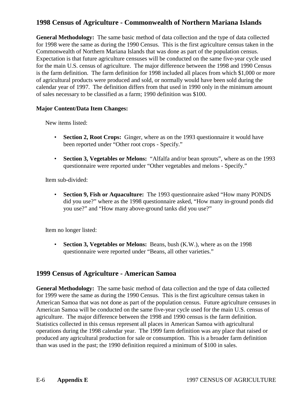# **1998 Census of Agriculture - Commonwealth of Northern Mariana Islands**

**General Methodology:** The same basic method of data collection and the type of data collected for 1998 were the same as during the 1990 Census. This is the first agriculture census taken in the Commonwealth of Northern Mariana Islands that was done as part of the population census. Expectation is that future agriculture censuses will be conducted on the same five-year cycle used for the main U.S. census of agriculture. The major difference between the 1998 and 1990 Census is the farm definition. The farm definition for 1998 included all places from which \$1,000 or more of agricultural products were produced and sold, or normally would have been sold during the calendar year of 1997. The definition differs from that used in 1990 only in the minimum amount of sales necessary to be classified as a farm; 1990 definition was \$100.

#### **Major Content/Data Item Changes:**

New items listed:

- **Section 2, Root Crops:** Ginger, where as on the 1993 questionnaire it would have been reported under "Other root crops - Specify."
- **Section 3, Vegetables or Melons:** "Alfalfa and/or bean sprouts", where as on the 1993 questionnaire were reported under "Other vegetables and melons - Specify."

Item sub-divided:

• **Section 9, Fish or Aquaculture:** The 1993 questionnaire asked "How many PONDS did you use?" where as the 1998 questionnaire asked, "How many in-ground ponds did you use?" and "How many above-ground tanks did you use?"

Item no longer listed:

• **Section 3, Vegetables or Melons:** Beans, bush (K.W.), where as on the 1998 questionnaire were reported under "Beans, all other varieties."

## **1999 Census of Agriculture - American Samoa**

**General Methodology:** The same basic method of data collection and the type of data collected for 1999 were the same as during the 1990 Census. This is the first agriculture census taken in American Samoa that was not done as part of the population census. Future agriculture censuses in American Samoa will be conducted on the same five-year cycle used for the main U.S. census of agriculture. The major difference between the 1998 and 1990 census is the farm definition. Statistics collected in this census represent all places in American Samoa with agricultural operations during the 1998 calendar year. The 1999 farm definition was any place that raised or produced any agricultural production for sale or consumption. This is a broader farm definition than was used in the past; the 1990 definition required a minimum of \$100 in sales.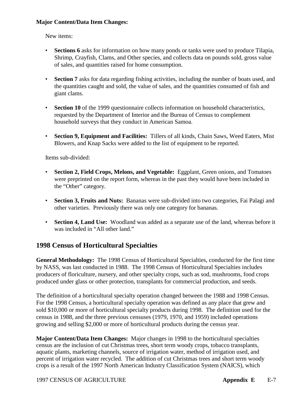### **Major Content/Data Item Changes:**

New items:

- **Sections 6** asks for information on how many ponds or tanks were used to produce Tilapia, Shrimp, Crayfish, Clams, and Other species, and collects data on pounds sold, gross value of sales, and quantities raised for home consumption.
- **Section 7** asks for data regarding fishing activities, including the number of boats used, and the quantities caught and sold, the value of sales, and the quantities consumed of fish and giant clams.
- **Section 10** of the 1999 questionnaire collects information on household characteristics, requested by the Department of Interior and the Bureau of Census to complement household surveys that they conduct in American Samoa.
- **Section 9, Equipment and Facilities:** Tillers of all kinds, Chain Saws, Weed Eaters, Mist Blowers, and Knap Sacks were added to the list of equipment to be reported.

Items sub-divided:

- **Section 2, Field Crops, Melons, and Vegetable:** Eggplant, Green onions, and Tomatoes were preprinted on the report form, whereas in the past they would have been included in the "Other" category.
- **Section 3, Fruits and Nuts:** Bananas were sub-divided into two categories, Fai Palagi and other varieties. Previously there was only one category for bananas.
- **Section 4, Land Use:** Woodland was added as a separate use of the land, whereas before it was included in "All other land."

# **1998 Census of Horticultural Specialties**

**General Methodology:** The 1998 Census of Horticultural Specialties, conducted for the first time by NASS, was last conducted in 1988. The 1998 Census of Horticultural Specialties includes producers of floriculture, nursery, and other specialty crops, such as sod, mushrooms, food crops produced under glass or other protection, transplants for commercial production, and seeds.

The definition of a horticultural specialty operation changed between the 1988 and 1998 Census. For the 1998 Census, a horticultural specialty operation was defined as any place that grew and sold \$10,000 or more of horticultural specialty products during 1998. The definition used for the census in 1988, and the three previous censuses (1979, 1970, and 1959) included operations growing and selling \$2,000 or more of horticultural products during the census year.

**Major Content/Data Item Changes:** Major changes in 1998 to the horticultural specialties census are the inclusion of cut Christmas trees, short term woody crops, tobacco transplants, aquatic plants, marketing channels, source of irrigation water, method of irrigation used, and percent of irrigation water recycled. The addition of cut Christmas trees and short term woody crops is a result of the 1997 North American Industry Classification System (NAICS), which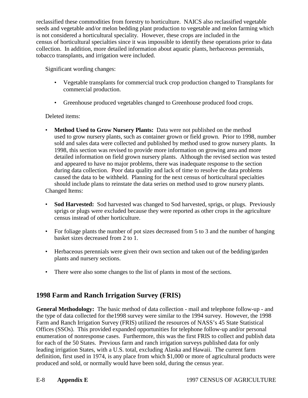reclassified these commodities from forestry to horticulture. NAICS also reclassified vegetable seeds and vegetable and/or melon bedding plant production to vegetable and melon farming which is not considered a horticultural speciality. However, these crops are included in the census of horticultural specialties since it was impossible to identify these operations prior to data collection. In addition, more detailed information about aquatic plants, herbaceous perennials, tobacco transplants, and irrigation were included.

Significant wording changes:

- Vegetable transplants for commercial truck crop production changed to Transplants for commercial production.
- Greenhouse produced vegetables changed to Greenhouse produced food crops.

### Deleted items:

- **Method Used to Grow Nursery Plants:** Data were not published on the method used to grow nursery plants, such as container grown or field grown. Prior to 1998, number sold and sales data were collected and published by method used to grow nursery plants. In 1998, this section was revised to provide more information on growing area and more detailed information on field grown nursery plants. Although the revised section was tested and appeared to have no major problems, there was inadequate response to the section during data collection. Poor data quality and lack of time to resolve the data problems caused the data to be withheld. Planning for the next census of horticultural specialties should include plans to reinstate the data series on method used to grow nursery plants. Changed Items:
- **Sod Harvested:** Sod harvested was changed to Sod harvested, sprigs, or plugs. Previously sprigs or plugs were excluded because they were reported as other crops in the agriculture census instead of other horticulture.
- For foliage plants the number of pot sizes decreased from 5 to 3 and the number of hanging basket sizes decreased from 2 to 1.
- Herbaceous perennials were given their own section and taken out of the bedding/garden plants and nursery sections.
- There were also some changes to the list of plants in most of the sections.

# **1998 Farm and Ranch Irrigation Survey (FRIS)**

**General Methodology:** The basic method of data collection - mail and telephone follow-up - and the type of data collected for the1998 survey were similar to the 1994 survey. However, the 1998 Farm and Ranch Irrigation Survey (FRIS) utilized the resources of NASS's 45 State Statistical Offices (SSOs). This provided expanded opportunities for telephone follow-up and/or personal enumeration of nonresponse cases. Furthermore, this was the first FRIS to collect and publish data for each of the 50 States. Previous farm and ranch irrigation surveys published data for only leading irrigation States, with a U.S. total, excluding Alaska and Hawaii. The current farm definition, first used in 1974, is any place from which \$1,000 or more of agricultural products were produced and sold, or normally would have been sold, during the census year.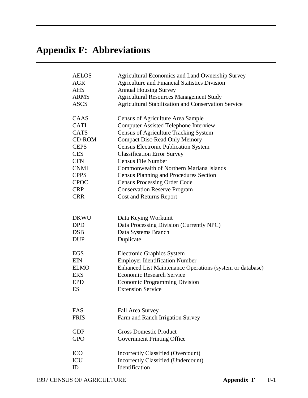# **Appendix F: Abbreviations**

| <b>AELOS</b>  | <b>Agricultural Economics and Land Ownership Survey</b>    |
|---------------|------------------------------------------------------------|
| <b>AGR</b>    | <b>Agriculture and Financial Statistics Division</b>       |
| <b>AHS</b>    | <b>Annual Housing Survey</b>                               |
| <b>ARMS</b>   | <b>Agricultural Resources Management Study</b>             |
| <b>ASCS</b>   | <b>Agricultural Stabilization and Conservation Service</b> |
| CAAS          | Census of Agriculture Area Sample                          |
| <b>CATI</b>   | <b>Computer Assisted Telephone Interview</b>               |
| <b>CATS</b>   | Census of Agriculture Tracking System                      |
| <b>CD-ROM</b> | <b>Compact Disc-Read Only Memory</b>                       |
| <b>CEPS</b>   | <b>Census Electronic Publication System</b>                |
| <b>CES</b>    | <b>Classification Error Survey</b>                         |
| <b>CFN</b>    | <b>Census File Number</b>                                  |
| <b>CNMI</b>   | <b>Commonwealth of Northern Mariana Islands</b>            |
| <b>CPPS</b>   | <b>Census Planning and Procedures Section</b>              |
| <b>CPOC</b>   | <b>Census Processing Order Code</b>                        |
| <b>CRP</b>    | <b>Conservation Reserve Program</b>                        |
| <b>CRR</b>    | <b>Cost and Returns Report</b>                             |
| <b>DKWU</b>   | Data Keying Workunit                                       |
| <b>DPD</b>    | Data Processing Division (Currently NPC)                   |
| <b>DSB</b>    | Data Systems Branch                                        |
| <b>DUP</b>    | Duplicate                                                  |
| <b>EGS</b>    | <b>Electronic Graphics System</b>                          |
| <b>EIN</b>    | <b>Employer Identification Number</b>                      |
| <b>ELMO</b>   | Enhanced List Maintenance Operations (system or database)  |
| <b>ERS</b>    | <b>Economic Research Service</b>                           |
| <b>EPD</b>    | <b>Economic Programming Division</b>                       |
| ES            | <b>Extension Service</b>                                   |
|               |                                                            |
| FAS           | Fall Area Survey                                           |
| <b>FRIS</b>   | Farm and Ranch Irrigation Survey                           |
| <b>GDP</b>    | <b>Gross Domestic Product</b>                              |
| <b>GPO</b>    | Government Printing Office                                 |
| <b>ICO</b>    | <b>Incorrectly Classified (Overcount)</b>                  |
| ICU           | <b>Incorrectly Classified (Undercount)</b>                 |
| ID            | Identification                                             |